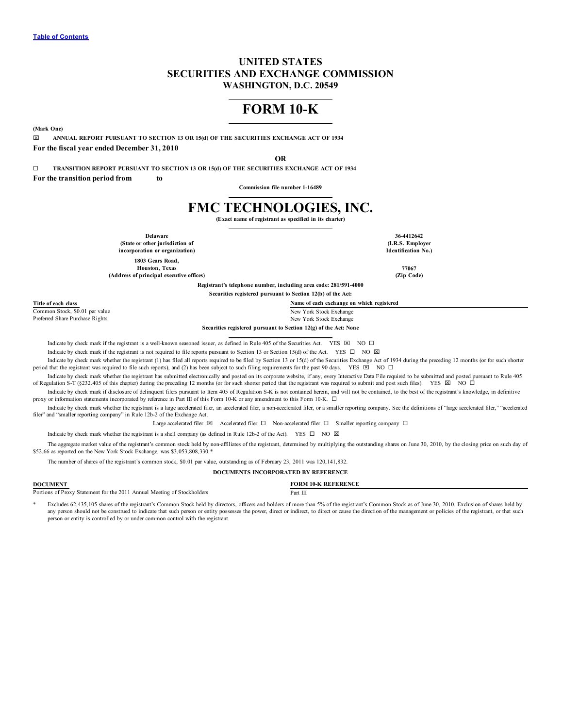# **UNITED STATES SECURITIES AND EXCHANGE COMMISSION WASHINGTON, D.C. 20549**

# **FORM 10-K**

**(Mark One)**

x **ANNUAL REPORT PURSUANT TO SECTION 13 OR 15(d) OF THE SECURITIES EXCHANGE ACT OF 1934 For the fiscal year ended December 31, 2010**

**OR**

¨ **TRANSITION REPORT PURSUANT TO SECTION 13 OR 15(d) OF THE SECURITIES EXCHANGE ACT OF 1934 For the transition period from to**

**Commission file number 1-16489**

# **FMC TECHNOLOGIES, INC.**

**(Exact name of registrant as specified in its charter)**

**Delaware 36-4412642 (State or other jurisdiction of incorporation or organization)**

**1803 Gears Road, Houston, Texas 77067**

**(Address of principal executive offices) (Zip Code)**

**Registrant's telephone number, including area code: 281/591-4000 Securities registered pursuant to Section 12(b) of the Act:**

**Title of each class Name of each exchange on which registered**

**Common Stock, \$0.01 par value** New York Stock Exchange

Preferred Share Purchase Rights New York Stock Exchange

**Securities registered pursuant to Section 12(g) of the Act: None**

Indicate by check mark if the registrant is a well-known seasoned issuer, as defined in Rule 405 of the Securities Act. YES  $\boxtimes$  NO  $\Box$ 

Indicate by check mark if the registrant is not required to file reports pursuant to Section 13 or Section 15(d) of the Act. YES  $\Box$  NO  $\boxtimes$ 

Indicate by check mark whether the registrant (1) has filed all reports required to be filed by Section 13 or 15(d) of the Securities Exchange Act of 1934 during the preceding 12 months (or for such shorter period that the registrant was required to file such reports), and (2) has been subject to such filing requirements for the past 90 days. YES  $\boxtimes$  NO  $\Box$ 

Indicate by check mark whether the registrant has submitted electronically and posted on its corporate website, if any, every Interactive Data File required to be submitted and posted pursuant to Rule 405 of Regulation S-T (§232.405 of this chapter) during the preceding 12 months (or for such shorter period that the registrant was required to submit and post such files). YES  $\boxtimes$  NO  $\Box$ 

Indicate by check mark if disclosure of delinquent filers pursuant to Item 405 of Regulation S-K is not contained herein, and will not be contained, to the best of the registrant's knowledge, in definitive proxy or information statements incorporated by reference in Part III of this Form 10-K or any amendment to this Form 10-K.  $\Box$ 

Indicate by check mark whether the registrant is a large accelerated filer, an accelerated filer, an an-accelerated filer, or a smaller reporting company. See the definitions of "large accelerated filer," "accelerated filer" and "smaller reporting company" in Rule 12b-2 of the Exchange Act.

Large accelerated filer  $\boxtimes$  Accelerated filer  $\Box$  Non-accelerated filer  $\Box$  Smaller reporting company  $\Box$ 

Indicate by check mark whether the registrant is a shell company (as defined in Rule 12b-2 of the Act). YES  $\Box$  NO  $\boxtimes$ 

The aggregate market value of the registrant's common stock held by non-affiliates of the registrant, determined by multiplying the outstanding shares on June 30, 2010, by the closing price on such day of \$52.66 as reported on the New York Stock Exchange, was \$3,053,808,330.\*

The number of shares of the registrant's common stock, \$0.01 par value, outstanding as of February 23, 2011 was 120,141,832.

#### **DOCUMENTS INCORPORATED BY REFERENCE**

## **DOCUMENT FORM 10-K REFERENCE**

Portions of Proxy Statement for the 2011 Annual Meeting of Stockholders Part III

Excludes 62,435,105 shares of the registrant's Common Stock held by directors, officers and holders of more than 5% of the registrant's Common Stock as of June 30, 2010. Exclusion of shares held by any person should not be construed to indicate that such person or entity possesses the power, direct or indirect, to direct or cause the direction of the management or policies of the registrant, or that such person or entity is controlled by or under common control with the registrant.

**(I.R.S. Employer Identification No.)**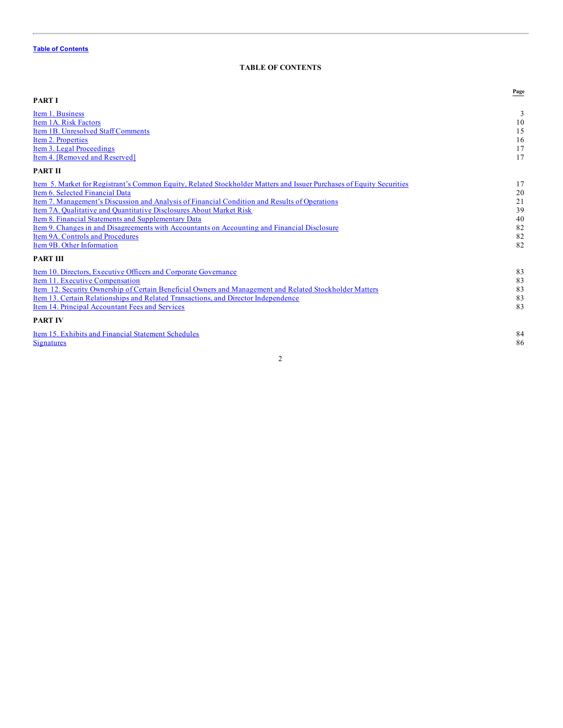# **TABLE OF CONTENTS**

<span id="page-1-0"></span>

|                                                                                                                      | Page |
|----------------------------------------------------------------------------------------------------------------------|------|
| <b>PART I</b>                                                                                                        |      |
| Item 1. Business                                                                                                     | 3    |
| Item 1A. Risk Factors                                                                                                | 10   |
| Item 1B. Unresolved Staff Comments                                                                                   | 15   |
| Item 2. Properties                                                                                                   | 16   |
| Item 3. Legal Proceedings                                                                                            | 17   |
| Item 4. [Removed and Reserved]                                                                                       | 17   |
| <b>PART II</b>                                                                                                       |      |
| Item 5. Market for Registrant's Common Equity, Related Stockholder Matters and Issuer Purchases of Equity Securities | 17   |
| Item 6. Selected Financial Data                                                                                      | 20   |
| Item 7. Management's Discussion and Analysis of Financial Condition and Results of Operations                        | 21   |
| Item 7A. Qualitative and Quantitative Disclosures About Market Risk                                                  | 39   |
| Item 8. Financial Statements and Supplementary Data                                                                  | 40   |
| Item 9. Changes in and Disagreements with Accountants on Accounting and Financial Disclosure                         | 82   |
| Item 9A. Controls and Procedures                                                                                     | 82   |
| Item 9B. Other Information                                                                                           | 82   |
| <b>PART III</b>                                                                                                      |      |
| Item 10. Directors, Executive Officers and Corporate Governance                                                      | 83   |
| Item 11. Executive Compensation                                                                                      | 83   |
| Item 12. Security Ownership of Certain Beneficial Owners and Management and Related Stockholder Matters              | 83   |
| Item 13. Certain Relationships and Related Transactions, and Director Independence                                   | 83   |
| Item 14. Principal Accountant Fees and Services                                                                      | 83   |
| <b>PART IV</b>                                                                                                       |      |
| Item 15. Exhibits and Financial Statement Schedules                                                                  | 84   |
| <b>Signatures</b>                                                                                                    | 86   |
|                                                                                                                      |      |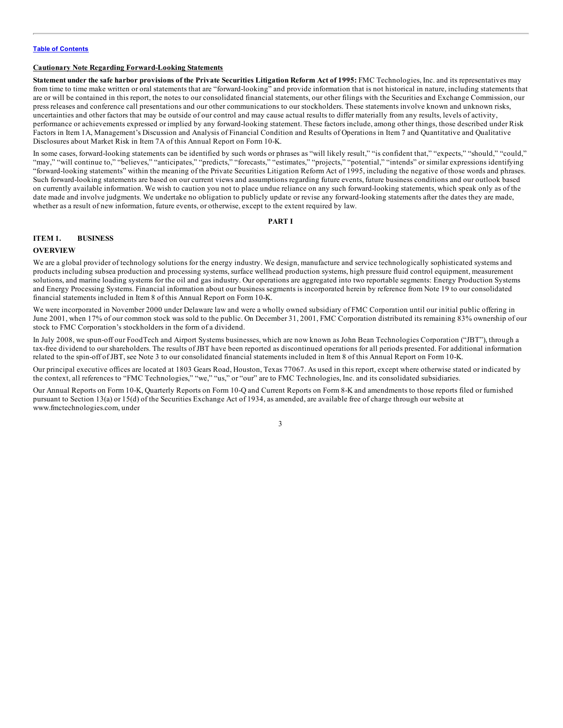## <span id="page-2-0"></span>**Cautionary Note Regarding Forward-Looking Statements**

Statement under the safe harbor provisions of the Private Securities Litigation Reform Act of 1995: FMC Technologies, Inc. and its representatives may from time to time make written or oral statements that are "forward-looking" and provide information that is not historical in nature, including statements that are or will be contained in this report, the notes to our consolidated financial statements, our other filings with the Securities and Exchange Commission, our press releases and conference call presentations and our other communications to our stockholders. These statements involve known and unknown risks, uncertainties and other factors that may be outside of our control and may cause actual results to differ materially from any results, levels of activity, performance or achievements expressed or implied by any forward-looking statement. These factors include, among other things, those described under Risk Factors in Item 1A, Management's Discussion and Analysis of Financial Condition and Results of Operations in Item 7 and Quantitative and Qualitative Disclosures about Market Risk in Item 7A of this Annual Report on Form 10-K.

In some cases, forward-looking statements can be identified by such words or phrases as "will likely result," "is confident that," "expects," "should," "could," "may," "will continue to," "believes," "anticipates," "predicts," "forecasts," "estimates," "projects," "potential," "intends" or similar expressions identifying "forward-looking statements" within the meaning of the Private Securities Litigation Reform Act of 1995, including the negative of those words and phrases. Such forward-looking statements are based on our current views and assumptions regarding future events, future business conditions and our outlook based on currently available information. We wish to caution you not to place undue reliance on any such forward-looking statements, which speak only as of the date made and involve judgments. We undertake no obligation to publicly update or revise any forward-looking statements after the dates they are made, whether as a result of new information, future events, or otherwise, except to the extent required by law.

## **PART I**

## **ITEM 1. BUSINESS**

#### **OVERVIEW**

We are a global provider of technology solutions for the energy industry. We design, manufacture and service technologically sophisticated systems and products including subsea production and processing systems, surface wellhead production systems, high pressure fluid control equipment, measurement solutions, and marine loading systems for the oil and gas industry. Our operations are aggregated into two reportable segments: Energy Production Systems and Energy Processing Systems. Financial information about our business segments is incorporated herein by reference from Note 19 to our consolidated financial statements included in Item 8 of this Annual Report on Form 10-K.

We were incorporated in November 2000 under Delaware law and were a wholly owned subsidiary of FMC Corporation until our initial public offering in June 2001, when 17% of our common stock was sold to the public. On December 31, 2001, FMC Corporation distributed its remaining 83% ownership of our stock to FMC Corporation's stockholders in the form of a dividend.

In July 2008, we spun-off our FoodTech and Airport Systems businesses, which are now known as John Bean Technologies Corporation ("JBT"), through a tax-free dividend to our shareholders. The results of JBT have been reported as discontinued operations for all periods presented. For additional information related to the spin-off of JBT, see Note 3 to our consolidated financial statements included in Item 8 of this Annual Report on Form 10-K.

Our principal executive offices are located at 1803 Gears Road, Houston, Texas 77067. As used in this report, except where otherwise stated or indicated by the context, all references to "FMC Technologies," "we," "us," or "our" are to FMC Technologies, Inc. and its consolidated subsidiaries.

Our Annual Reports on Form 10-K, Quarterly Reports on Form 10-Q and Current Reports on Form 8-K and amendments to those reports filed or furnished pursuant to Section 13(a) or 15(d) of the Securities Exchange Act of 1934, as amended, are available free of charge through our website at www.fmctechnologies.com, under

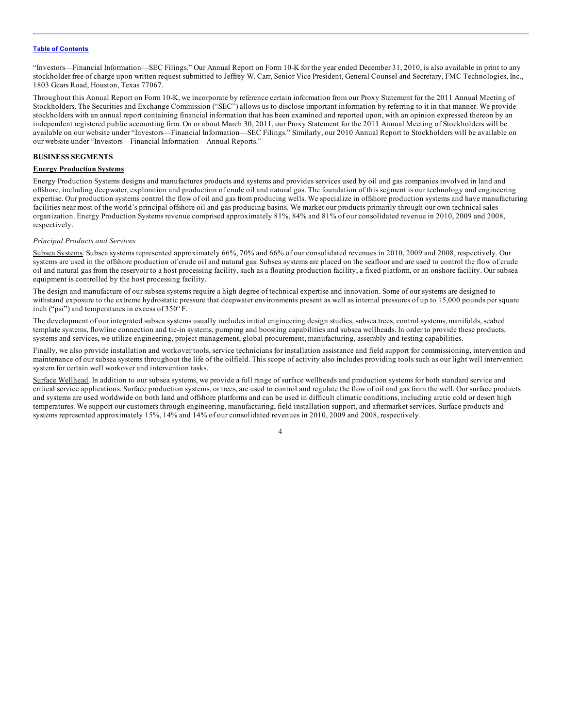"Investors—Financial Information—SEC Filings." Our Annual Report on Form 10-K for the year ended December 31, 2010, is also available in print to any stockholder free of charge upon written request submitted to Jeffrey W. Carr, Senior Vice President, General Counsel and Secretary, FMC Technologies, Inc., 1803 Gears Road, Houston, Texas 77067.

Throughout this Annual Report on Form 10-K, we incorporate by reference certain information from our Proxy Statement for the 2011 Annual Meeting of Stockholders. The Securities and Exchange Commission ("SEC") allows us to disclose important information by referring to it in that manner. We provide stockholders with an annual report containing financial information that has been examined and reported upon, with an opinion expressed thereon by an independent registered public accounting firm. On or about March 30, 2011, our Proxy Statement for the 2011 Annual Meeting of Stockholders will be available on our website under "Investors—Financial Information—SEC Filings." Similarly, our 2010 Annual Report to Stockholders will be available on our website under "Investors—Financial Information—Annual Reports."

#### **BUSINESS SEGMENTS**

#### **Energy Production Systems**

Energy Production Systems designs and manufactures products and systems and provides services used by oil and gas companies involved in land and offshore, including deepwater, exploration and production of crude oil and natural gas. The foundation of this segment is our technology and engineering expertise. Our production systems control the flow of oil and gas from producing wells. We specialize in offshore production systems and have manufacturing facilities near most of the world's principal offshore oil and gas producing basins. We market our products primarily through our own technical sales organization. Energy Production Systems revenue comprised approximately 81%, 84% and 81% of our consolidated revenue in 2010, 2009 and 2008, respectively.

#### *Principal Products and Services*

Subsea Systems. Subsea systems represented approximately 66%, 70% and 66% of our consolidated revenues in 2010, 2009 and 2008, respectively. Our systems are used in the offshore production of crude oil and natural gas. Subsea systems are placed on the seafloor and are used to control the flow of crude oil and natural gas from the reservoir to a host processing facility, such as a floating production facility, a fixed platform, or an onshore facility. Our subsea equipment is controlled by the host processing facility.

The design and manufacture of our subsea systems require a high degree of technical expertise and innovation. Some of our systems are designed to withstand exposure to the extreme hydrostatic pressure that deepwater environments present as well as internal pressures of up to 15,000 pounds per square inch ("psi") and temperatures in excess of 350º F.

The development of our integrated subsea systems usually includes initial engineering design studies, subsea trees, control systems, manifolds, seabed template systems, flowline connection and tie-in systems, pumping and boosting capabilities and subsea wellheads. In order to provide these products, systems and services, we utilize engineering, project management, global procurement, manufacturing, assembly and testing capabilities.

Finally, we also provide installation and workover tools, service technicians for installation assistance and field support for commissioning, intervention and maintenance of our subsea systems throughout the life of the oilfield. This scope of activity also includes providing tools such as our light well intervention system for certain well workover and intervention tasks.

Surface Wellhead. In addition to our subsea systems, we provide a full range of surface wellheads and production systems for both standard service and critical service applications. Surface production systems, or trees, are used to control and regulate the flow of oil and gas from the well. Our surface products and systems are used worldwide on both land and offshore platforms and can be used in difficult climatic conditions, including arctic cold or desert high temperatures. We support our customers through engineering, manufacturing, field installation support, and aftermarket services. Surface products and systems represented approximately 15%, 14% and 14% of our consolidated revenues in 2010, 2009 and 2008, respectively.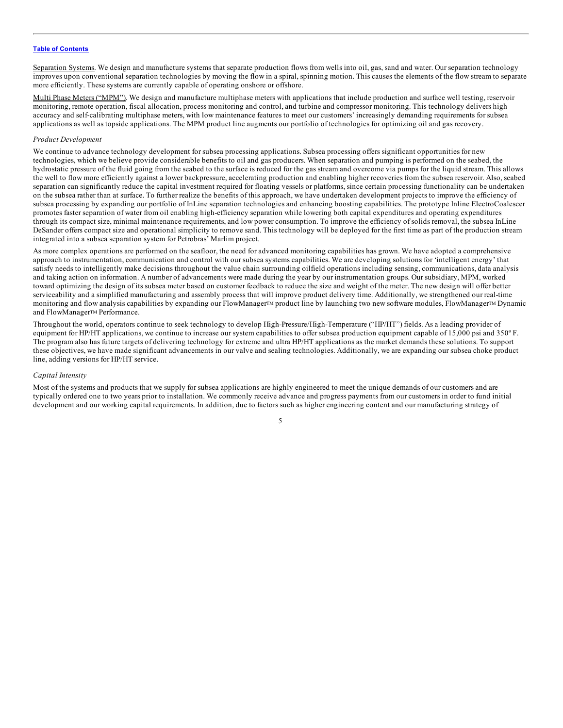Separation Systems. We design and manufacture systems that separate production flows from wells into oil, gas, sand and water. Our separation technology improves upon conventional separation technologies by moving the flow in a spiral, spinning motion. This causes the elements of the flow stream to separate more efficiently. These systems are currently capable of operating onshore or offshore.

Multi Phase Meters ("MPM"). We design and manufacture multiphase meters with applications that include production and surface well testing, reservoir monitoring, remote operation, fiscal allocation, process monitoring and control, and turbine and compressor monitoring. This technology delivers high accuracy and self-calibrating multiphase meters, with low maintenance features to meet our customers' increasingly demanding requirements for subsea applications as well as topside applications. The MPM product line augments our portfolio of technologies for optimizing oil and gas recovery.

#### *Product Development*

We continue to advance technology development for subsea processing applications. Subsea processing offers significant opportunities for new technologies, which we believe provide considerable benefits to oil and gas producers. When separation and pumping is performed on the seabed, the hydrostatic pressure of the fluid going from the seabed to the surface is reduced for the gas stream and overcome via pumps for the liquid stream. This allows the well to flow more efficiently against a lower backpressure, accelerating production and enabling higher recoveries from the subsea reservoir. Also, seabed separation can significantly reduce the capital investment required for floating vessels or platforms, since certain processing functionality can be undertaken on the subsea rather than at surface. To further realize the benefits of this approach, we have undertaken development projects to improve the efficiency of subsea processing by expanding our portfolio of InLine separation technologies and enhancing boosting capabilities. The prototype Inline ElectroCoalescer promotes faster separation of water from oil enabling high-efficiency separation while lowering both capital expenditures and operating expenditures through its compact size, minimal maintenance requirements, and low power consumption. To improve the efficiency of solids removal, the subsea InLine DeSander offers compact size and operational simplicity to remove sand. This technology will be deployed for the first time as part of the production stream integrated into a subsea separation system for Petrobras' Marlim project.

As more complex operations are performed on the seafloor, the need for advanced monitoring capabilities has grown. We have adopted a comprehensive approach to instrumentation, communication and control with our subsea systems capabilities. We are developing solutions for 'intelligent energy' that satisfy needs to intelligently make decisions throughout the value chain surrounding oilfield operations including sensing, communications, data analysis and taking action on information. A number of advancements were made during the year by our instrumentation groups. Our subsidiary, MPM, worked toward optimizing the design of its subsea meter based on customer feedback to reduce the size and weight of the meter. The new design will offer better serviceability and a simplified manufacturing and assembly process that will improve product delivery time. Additionally, we strengthened our real-time monitoring and flow analysis capabilities by expanding our FlowManager<sup>™</sup> product line by launching two new software modules, FlowManager™ Dynamic and FlowManager™ Performance.

Throughout the world, operators continue to seek technology to develop High-Pressure/High-Temperature ("HP/HT") fields. As a leading provider of equipment for HP/HT applications, we continue to increase our system capabilities to offer subsea production equipment capable of 15,000 psi and 350° F. The program also has future targets of delivering technology for extreme and ultra HP/HT applications as the market demands these solutions. To support these objectives, we have made significant advancements in our valve and sealing technologies. Additionally, we are expanding our subsea choke product line, adding versions for HP/HT service.

#### *Capital Intensity*

Most of the systems and products that we supply for subsea applications are highly engineered to meet the unique demands of our customers and are typically ordered one to two years prior to installation. We commonly receive advance and progress payments from our customers in order to fund initial development and our working capital requirements. In addition, due to factors such as higher engineering content and our manufacturing strategy of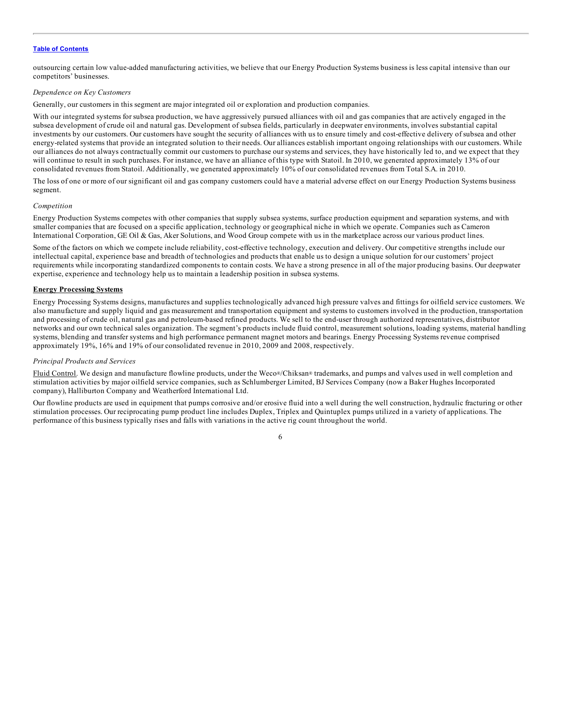outsourcing certain low value-added manufacturing activities, we believe that our Energy Production Systems business is less capital intensive than our competitors' businesses.

## *Dependence on Key Customers*

Generally, our customers in this segment are major integrated oil or exploration and production companies.

With our integrated systems for subsea production, we have aggressively pursued alliances with oil and gas companies that are actively engaged in the subsea development of crude oil and natural gas. Development of subsea fields, particularly in deepwater environments, involves substantial capital investments by our customers. Our customers have sought the security of alliances with us to ensure timely and cost-effective delivery of subsea and other energy-related systems that provide an integrated solution to their needs. Our alliances establish important ongoing relationships with our customers. While our alliances do not always contractually commit our customers to purchase our systems and services, they have historically led to, and we expect that they will continue to result in such purchases. For instance, we have an alliance of this type with Statoil. In 2010, we generated approximately 13% of our consolidated revenues from Statoil. Additionally, we generated approximately 10% of our consolidated revenues from Total S.A. in 2010.

The loss of one or more of our significant oil and gas company customers could have a material adverse effect on our Energy Production Systems business segment.

## *Competition*

Energy Production Systems competes with other companies that supply subsea systems, surface production equipment and separation systems, and with smaller companies that are focused on a specific application, technology or geographical niche in which we operate. Companies such as Cameron International Corporation, GE Oil & Gas, Aker Solutions, and Wood Group compete with us in the marketplace across our various product lines.

Some of the factors on which we compete include reliability, cost-effective technology, execution and delivery. Our competitive strengths include our intellectual capital, experience base and breadth of technologies and products that enable us to design a unique solution for our customers' project requirements while incorporating standardized components to contain costs. We have a strong presence in all of the major producing basins. Our deepwater expertise, experience and technology help us to maintain a leadership position in subsea systems.

## **Energy Processing Systems**

Energy Processing Systems designs, manufactures and supplies technologically advanced high pressure valves and fittings for oilfield service customers. We also manufacture and supply liquid and gas measurement and transportation equipment and systems to customers involved in the production, transportation and processing of crude oil, natural gas and petroleum-based refined products. We sell to the end-user through authorized representatives, distributor networks and our own technical sales organization. The segment's products include fluid control, measurement solutions, loading systems, material handling systems, blending and transfer systems and high performance permanent magnet motors and bearings. Energy Processing Systems revenue comprised approximately 19%, 16% and 19% of our consolidated revenue in 2010, 2009 and 2008, respectively.

## *Principal Products and Services*

Fluid Control. We design and manufacture flowline products, under the Weco<sup>®</sup>/Chiksan<sup>®</sup> trademarks, and pumps and valves used in well completion and stimulation activities by major oilfield service companies, such as Schlumberger Limited, BJ Services Company (now a Baker Hughes Incorporated company), Halliburton Company and Weatherford International Ltd.

Our flowline products are used in equipment that pumps corrosive and/or erosive fluid into a well during the well construction, hydraulic fracturing or other stimulation processes. Our reciprocating pump product line includes Duplex, Triplex and Quintuplex pumps utilized in a variety of applications. The performance of this business typically rises and falls with variations in the active rig count throughout the world.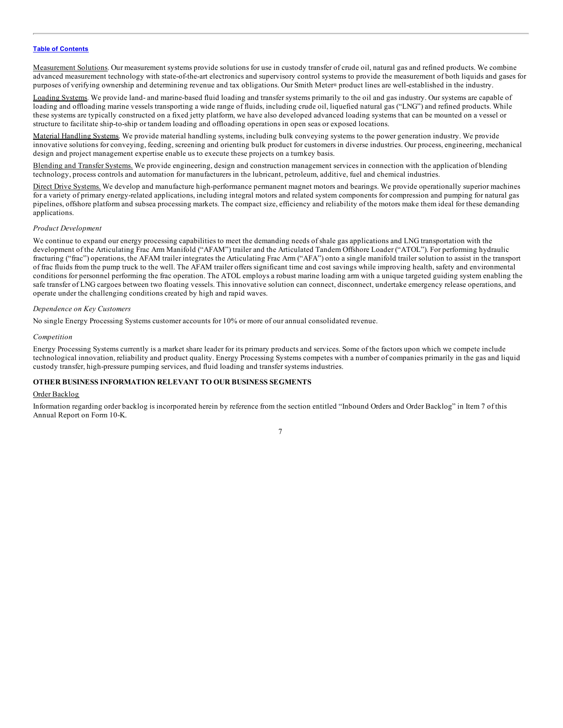Measurement Solutions. Our measurement systems provide solutions for use in custody transfer of crude oil, natural gas and refined products. We combine advanced measurement technology with state-of-the-art electronics and supervisory control systems to provide the measurement of both liquids and gases for purposes of verifying ownership and determining revenue and tax obligations. Our Smith Meter® product lines are well-established in the industry.

Loading Systems. We provide land- and marine-based fluid loading and transfer systems primarily to the oil and gas industry. Our systems are capable of loading and offloading marine vessels transporting a wide range of fluids, including crude oil, liquefied natural gas ("LNG") and refined products. While these systems are typically constructed on a fixed jetty platform, we have also developed advanced loading systems that can be mounted on a vessel or structure to facilitate ship-to-ship or tandem loading and offloading operations in open seas or exposed locations.

Material Handling Systems. We provide material handling systems, including bulk conveying systems to the power generation industry. We provide innovative solutions for conveying, feeding, screening and orienting bulk product for customers in diverse industries. Our process, engineering, mechanical design and project management expertise enable us to execute these projects on a turnkey basis.

Blending and Transfer Systems. We provide engineering, design and construction management services in connection with the application of blending technology, process controls and automation for manufacturers in the lubricant, petroleum, additive, fuel and chemical industries.

Direct Drive Systems. We develop and manufacture high-performance permanent magnet motors and bearings. We provide operationally superior machines for a variety of primary energy-related applications, including integral motors and related system components for compression and pumping for natural gas pipelines, offshore platform and subsea processing markets. The compact size, efficiency and reliability of the motors make them ideal for these demanding applications.

## *Product Development*

We continue to expand our energy processing capabilities to meet the demanding needs of shale gas applications and LNG transportation with the development of the Articulating Frac Arm Manifold ("AFAM") trailer and the Articulated Tandem Offshore Loader ("ATOL"). For performing hydraulic fracturing ("frac") operations, the AFAM trailer integrates the Articulating Frac Arm ("AFA") onto a single manifold trailer solution to assist in the transport of frac fluids from the pump truck to the well. The AFAM trailer offers significant time and cost savings while improving health, safety and environmental conditions for personnel performing the frac operation. The ATOL employs a robust marine loading arm with a unique targeted guiding system enabling the safe transfer of LNG cargoes between two floating vessels. This innovative solution can connect, disconnect, undertake emergency release operations, and operate under the challenging conditions created by high and rapid waves.

#### *Dependence on Key Customers*

No single Energy Processing Systems customer accounts for 10% or more of our annual consolidated revenue.

#### *Competition*

Energy Processing Systems currently is a market share leader for its primary products and services. Some of the factors upon which we compete include technological innovation, reliability and product quality. Energy Processing Systems competes with a number of companies primarily in the gas and liquid custody transfer, high-pressure pumping services, and fluid loading and transfer systems industries.

## **OTHER BUSINESS INFORMATION RELEVANT TO OUR BUSINESS SEGMENTS**

#### Order Backlog

Information regarding order backlog is incorporated herein by reference from the section entitled "Inbound Orders and Order Backlog" in Item 7 of this Annual Report on Form 10-K.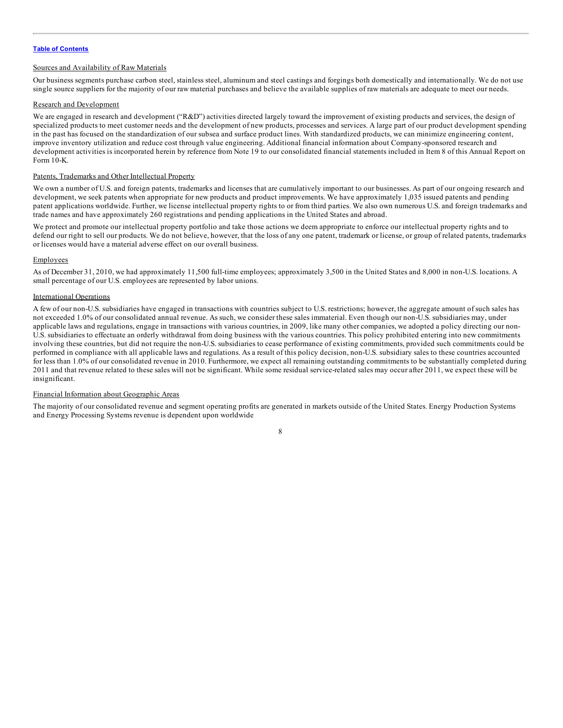## Sources and Availability of Raw Materials

Our business segments purchase carbon steel, stainless steel, aluminum and steel castings and forgings both domestically and internationally. We do not use single source suppliers for the majority of our raw material purchases and believe the available supplies of raw materials are adequate to meet our needs.

## Research and Development

We are engaged in research and development ("R&D") activities directed largely toward the improvement of existing products and services, the design of specialized products to meet customer needs and the development of new products, processes and services. A large part of our product development spending in the past has focused on the standardization of our subsea and surface product lines. With standardized products, we can minimize engineering content, improve inventory utilization and reduce cost through value engineering. Additional financial information about Company-sponsored research and development activities is incorporated herein by reference from Note 19 to our consolidated financial statements included in Item 8 of this Annual Report on Form 10-K.

#### Patents, Trademarks and Other Intellectual Property

We own a number of U.S. and foreign patents, trademarks and licenses that are cumulatively important to our businesses. As part of our ongoing research and development, we seek patents when appropriate for new products and product improvements. We have approximately 1,035 issued patents and pending patent applications worldwide. Further, we license intellectual property rights to or from third parties. We also own numerous U.S. and foreign trademarks and trade names and have approximately 260 registrations and pending applications in the United States and abroad.

We protect and promote our intellectual property portfolio and take those actions we deem appropriate to enforce our intellectual property rights and to defend our right to sell our products. We do not believe, however, that the loss of any one patent, trademark or license, or group of related patents, trademarks or licenses would have a material adverse effect on our overall business.

#### Employees

As of December 31, 2010, we had approximately 11,500 full-time employees; approximately 3,500 in the United States and 8,000 in non-U.S. locations. A small percentage of our U.S. employees are represented by labor unions.

## International Operations

A few of our non-U.S. subsidiaries have engaged in transactions with countries subject to U.S. restrictions; however, the aggregate amount of such sales has not exceeded 1.0% of our consolidated annual revenue. As such, we consider these sales immaterial. Even though our non-U.S. subsidiaries may, under applicable laws and regulations, engage in transactions with various countries, in 2009, like many other companies, we adopted a policy directing our non-U.S. subsidiaries to effectuate an orderly withdrawal from doing business with the various countries. This policy prohibited entering into new commitments involving these countries, but did not require the non-U.S. subsidiaries to cease performance of existing commitments, provided such commitments could be performed in compliance with all applicable laws and regulations. As a result of this policy decision, non-U.S. subsidiary sales to these countries accounted for less than 1.0% of our consolidated revenue in 2010. Furthermore, we expect all remaining outstanding commitments to be substantially completed during 2011 and that revenue related to these sales will not be significant. While some residual service-related sales may occur after 2011, we expect these will be insignificant.

#### Financial Information about Geographic Areas

The majority of our consolidated revenue and segment operating profits are generated in markets outside of the United States. Energy Production Systems and Energy Processing Systems revenue is dependent upon worldwide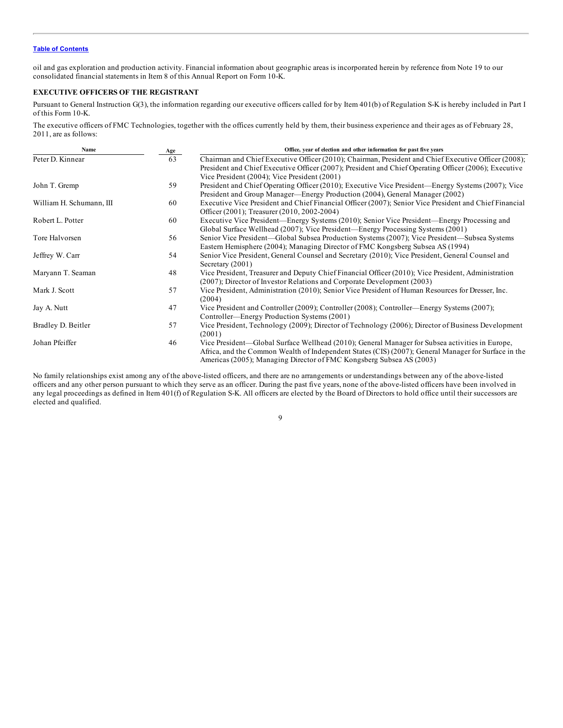oil and gas exploration and production activity. Financial information about geographic areas is incorporated herein by reference from Note 19 to our consolidated financial statements in Item 8 of this Annual Report on Form 10-K.

## **EXECUTIVE OFFICERS OF THE REGISTRANT**

Pursuant to General Instruction G(3), the information regarding our executive officers called for by Item 401(b) of Regulation S-K is hereby included in Part I of this Form 10-K.

The executive officers of FMC Technologies, together with the offices currently held by them, their business experience and their ages as of February 28, 2011, are as follows:

| Name                     | Age | Office, year of election and other information for past five years                                     |
|--------------------------|-----|--------------------------------------------------------------------------------------------------------|
| Peter D. Kinnear         | 63  | Chairman and Chief Executive Officer (2010); Chairman, President and Chief Executive Officer (2008);   |
|                          |     | President and Chief Executive Officer (2007); President and Chief Operating Officer (2006); Executive  |
|                          |     | Vice President (2004); Vice President (2001)                                                           |
| John T. Gremp            | 59  | President and Chief Operating Officer (2010); Executive Vice President—Energy Systems (2007); Vice     |
|                          |     | President and Group Manager—Energy Production (2004), General Manager (2002)                           |
| William H. Schumann, III | 60  | Executive Vice President and Chief Financial Officer (2007); Senior Vice President and Chief Financial |
|                          |     | Officer (2001); Treasurer (2010, 2002-2004)                                                            |
| Robert L. Potter         | 60  | Executive Vice President—Energy Systems (2010); Senior Vice President—Energy Processing and            |
|                          |     | Global Surface Wellhead (2007); Vice President—Energy Processing Systems (2001)                        |
| Tore Halvorsen           | 56  | Senior Vice President—Global Subsea Production Systems (2007); Vice President—Subsea Systems           |
|                          |     | Eastern Hemisphere (2004); Managing Director of FMC Kongsberg Subsea AS (1994)                         |
| Jeffrey W. Carr          | 54  | Senior Vice President, General Counsel and Secretary (2010); Vice President, General Counsel and       |
|                          |     | Secretary (2001)                                                                                       |
| Maryann T. Seaman        | 48  | Vice President, Treasurer and Deputy Chief Financial Officer (2010); Vice President, Administration    |
|                          |     | (2007); Director of Investor Relations and Corporate Development (2003)                                |
| Mark J. Scott            | 57  | Vice President, Administration (2010); Senior Vice President of Human Resources for Dresser, Inc.      |
|                          |     | (2004)                                                                                                 |
| Jay A. Nutt              | 47  | Vice President and Controller (2009); Controller (2008); Controller—Energy Systems (2007);             |
|                          |     | Controller—Energy Production Systems (2001)                                                            |
| Bradley D. Beitler       | 57  | Vice President, Technology (2009); Director of Technology (2006); Director of Business Development     |
|                          |     | (2001)                                                                                                 |
| Johan Pfeiffer           | 46  | Vice President—Global Surface Wellhead (2010); General Manager for Subsea activities in Europe,        |
|                          |     | Africa, and the Common Wealth of Independent States (CIS) (2007); General Manager for Surface in the   |
|                          |     | Americas (2005); Managing Director of FMC Kongsberg Subsea AS (2003)                                   |

No family relationships exist among any of the above-listed officers, and there are no arrangements or understandings between any of the above-listed officers and any other person pursuant to which they serve as an officer. During the past five years, none of the above-listed officers have been involved in any legal proceedings as defined in Item 401(f) of Regulation S-K. All officers are elected by the Board of Directors to hold office until their successors are elected and qualified.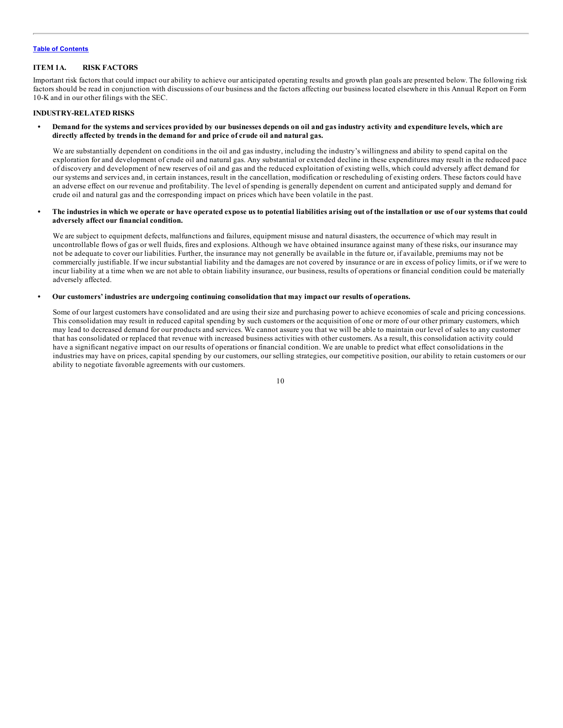#### <span id="page-9-0"></span>**ITEM 1A. RISK FACTORS**

Important risk factors that could impact our ability to achieve our anticipated operating results and growth plan goals are presented below. The following risk factors should be read in conjunction with discussions of our business and the factors affecting our business located elsewhere in this Annual Report on Form 10-K and in our other filings with the SEC.

## **INDUSTRY-RELATED RISKS**

Demand for the systems and services provided by our businesses depends on oil and gas industry activity and expenditure levels, which are **directly affected by trends in the demand for and price of crude oil and natural gas.**

We are substantially dependent on conditions in the oil and gas industry, including the industry's willingness and ability to spend capital on the exploration for and development of crude oil and natural gas. Any substantial or extended decline in these expenditures may result in the reduced pace of discovery and development of new reserves of oil and gas and the reduced exploitation of existing wells, which could adversely affect demand for our systems and services and, in certain instances, result in the cancellation, modification or rescheduling of existing orders. These factors could have an adverse effect on our revenue and profitability. The level of spending is generally dependent on current and anticipated supply and demand for crude oil and natural gas and the corresponding impact on prices which have been volatile in the past.

The industries in which we operate or have operated expose us to potential liabilities arising out of the installation or use of our systems that could **adversely affect our financial condition.**

We are subject to equipment defects, malfunctions and failures, equipment misuse and natural disasters, the occurrence of which may result in uncontrollable flows of gas or well fluids, fires and explosions. Although we have obtained insurance against many of these risks, our insurance may not be adequate to cover our liabilities. Further, the insurance may not generally be available in the future or, if available, premiums may not be commercially justifiable. If we incur substantial liability and the damages are not covered by insurance or are in excess of policy limits, or if we were to incur liability at a time when we are not able to obtain liability insurance, our business, results of operations or financial condition could be materially adversely affected.

## **• Our customers' industries are undergoing continuing consolidation that may impact our results of operations.**

Some of our largest customers have consolidated and are using their size and purchasing power to achieve economies of scale and pricing concessions. This consolidation may result in reduced capital spending by such customers or the acquisition of one or more of our other primary customers, which may lead to decreased demand for our products and services. We cannot assure you that we will be able to maintain our level of sales to any customer that has consolidated or replaced that revenue with increased business activities with other customers. As a result, this consolidation activity could have a significant negative impact on our results of operations or financial condition. We are unable to predict what effect consolidations in the industries may have on prices, capital spending by our customers, our selling strategies, our competitive position, our ability to retain customers or our ability to negotiate favorable agreements with our customers.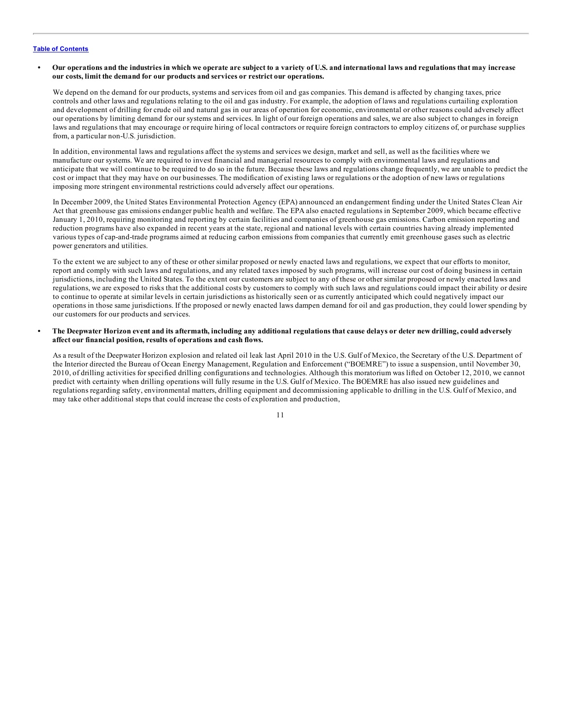Our operations and the industries in which we operate are subject to a variety of U.S. and international laws and regulations that may increase **our costs, limit the demand for our products and services or restrict our operations.**

We depend on the demand for our products, systems and services from oil and gas companies. This demand is affected by changing taxes, price controls and other laws and regulations relating to the oil and gas industry. For example, the adoption of laws and regulations curtailing exploration and development of drilling for crude oil and natural gas in our areas of operation for economic, environmental or other reasons could adversely affect our operations by limiting demand for our systems and services. In light of our foreign operations and sales, we are also subject to changes in foreign laws and regulations that may encourage or require hiring of local contractors or require foreign contractors to employ citizens of, or purchase supplies from, a particular non-U.S. jurisdiction.

In addition, environmental laws and regulations affect the systems and services we design, market and sell, as well as the facilities where we manufacture our systems. We are required to invest financial and managerial resources to comply with environmental laws and regulations and anticipate that we will continue to be required to do so in the future. Because these laws and regulations change frequently, we are unable to predict the cost or impact that they may have on our businesses. The modification of existing laws or regulations or the adoption of new laws or regulations imposing more stringent environmental restrictions could adversely affect our operations.

In December 2009, the United States Environmental Protection Agency (EPA) announced an endangerment finding under the United States Clean Air Act that greenhouse gas emissions endanger public health and welfare. The EPA also enacted regulations in September 2009, which became effective January 1, 2010, requiring monitoring and reporting by certain facilities and companies of greenhouse gas emissions. Carbon emission reporting and reduction programs have also expanded in recent years at the state, regional and national levels with certain countries having already implemented various types of cap-and-trade programs aimed at reducing carbon emissions from companies that currently emit greenhouse gases such as electric power generators and utilities.

To the extent we are subject to any of these or other similar proposed or newly enacted laws and regulations, we expect that our efforts to monitor, report and comply with such laws and regulations, and any related taxes imposed by such programs, will increase our cost of doing business in certain jurisdictions, including the United States. To the extent our customers are subject to any of these or other similar proposed or newly enacted laws and regulations, we are exposed to risks that the additional costs by customers to comply with such laws and regulations could impact their ability or desire to continue to operate at similar levels in certain jurisdictions as historically seen or as currently anticipated which could negatively impact our operations in those same jurisdictions. If the proposed or newly enacted laws dampen demand for oil and gas production, they could lower spending by our customers for our products and services.

The Deepwater Horizon event and its aftermath, including any additional regulations that cause delays or deter new drilling, could adversely **affect our financial position, results of operations and cash flows.**

As a result of the Deepwater Horizon explosion and related oil leak last April 2010 in the U.S. Gulf of Mexico, the Secretary of the U.S. Department of the Interior directed the Bureau of Ocean Energy Management, Regulation and Enforcement ("BOEMRE") to issue a suspension, until November 30, 2010, of drilling activities for specified drilling configurations and technologies. Although this moratorium was lifted on October 12, 2010, we cannot predict with certainty when drilling operations will fully resume in the U.S. Gulf of Mexico. The BOEMRE has also issued new guidelines and regulations regarding safety, environmental matters, drilling equipment and decommissioning applicable to drilling in the U.S. Gulf of Mexico, and may take other additional steps that could increase the costs of exploration and production,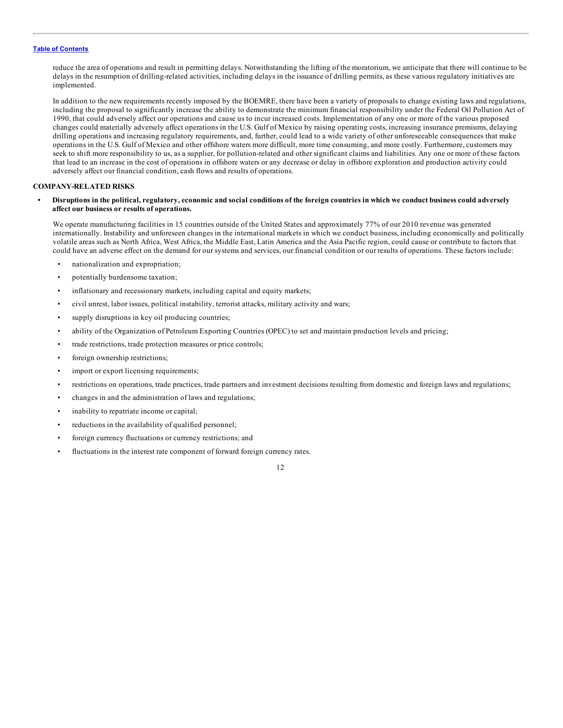reduce the area of operations and result in permitting delays. Notwithstanding the lifting of the moratorium, we anticipate that there will continue to be delays in the resumption of drilling-related activities, including delays in the issuance of drilling permits, as these various regulatory initiatives are implemented.

In addition to the new requirements recently imposed by the BOEMRE, there have been a variety of proposals to change existing laws and regulations, including the proposal to significantly increase the ability to demonstrate the minimum financial responsibility under the Federal Oil Pollution Act of 1990, that could adversely affect our operations and cause us to incur increased costs. Implementation of any one or more of the various proposed changes could materially adversely affect operations in the U.S. Gulf of Mexico by raising operating costs, increasing insurance premiums, delaying drilling operations and increasing regulatory requirements, and, further, could lead to a wide variety of other unforeseeable consequences that make operations in the U.S. Gulf of Mexico and other offshore waters more difficult, more time consuming, and more costly. Furthermore, customers may seek to shift more responsibility to us, as a supplier, for pollution-related and other significant claims and liabilities. Any one or more of these factors that lead to an increase in the cost of operations in offshore waters or any decrease or delay in offshore exploration and production activity could adversely affect our financial condition, cash flows and results of operations.

## **COMPANY-RELATED RISKS**

Disruptions in the political, regulatory, economic and social conditions of the foreign countries in which we conduct business could adversely **affect our business or results of operations.**

We operate manufacturing facilities in 15 countries outside of the United States and approximately 77% of our 2010 revenue was generated internationally. Instability and unforeseen changes in the international markets in which we conduct business, including economically and politically volatile areas such as North Africa, West Africa, the Middle East, Latin America and the Asia Pacific region, could cause or contribute to factors that could have an adverse effect on the demand for our systems and services, our financial condition or our results of operations. These factors include:

- nationalization and expropriation;
- potentially burdensome taxation;
- inflationary and recessionary markets, including capital and equity markets;
- civil unrest, labor issues, political instability, terrorist attacks, military activity and wars;
- supply disruptions in key oil producing countries;
- ability of the Organization of Petroleum Exporting Countries (OPEC) to set and maintain production levels and pricing;
- trade restrictions, trade protection measures or price controls;
- foreign ownership restrictions;
- import or export licensing requirements;
- restrictions on operations, trade practices, trade partners and investment decisions resulting from domestic and foreign laws and regulations;
- changes in and the administration of laws and regulations;
- inability to repatriate income or capital;
- reductions in the availability of qualified personnel;
- foreign currency fluctuations or currency restrictions; and
- fluctuations in the interest rate component of forward foreign currency rates.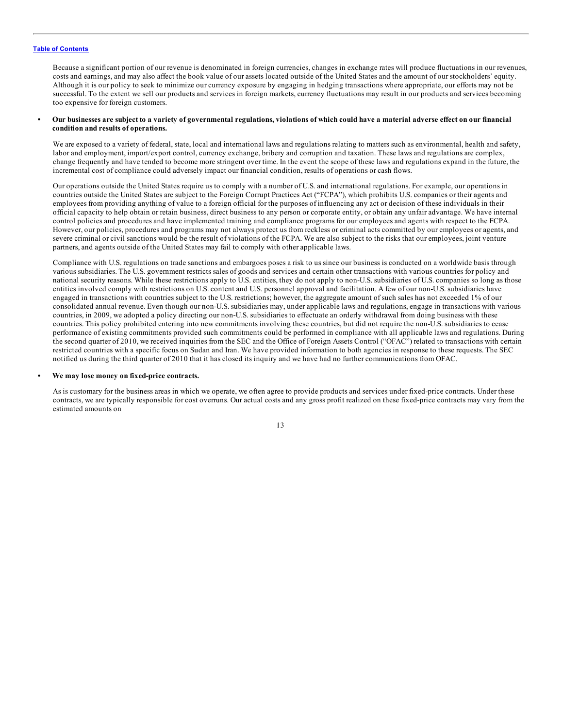Because a significant portion of our revenue is denominated in foreign currencies, changes in exchange rates will produce fluctuations in our revenues, costs and earnings, and may also affect the book value of our assets located outside of the United States and the amount of our stockholders' equity. Although it is our policy to seek to minimize our currency exposure by engaging in hedging transactions where appropriate, our efforts may not be successful. To the extent we sell our products and services in foreign markets, currency fluctuations may result in our products and services becoming too expensive for foreign customers.

## Our businesses are subject to a variety of governmental regulations, violations of which could have a material adverse effect on our financial **condition and results of operations.**

We are exposed to a variety of federal, state, local and international laws and regulations relating to matters such as environmental, health and safety, labor and employment, import/export control, currency exchange, bribery and corruption and taxation. These laws and regulations are complex, change frequently and have tended to become more stringent over time. In the event the scope of these laws and regulations expand in the future, the incremental cost of compliance could adversely impact our financial condition, results of operations or cash flows.

Our operations outside the United States require us to comply with a number of U.S. and international regulations. For example, our operations in countries outside the United States are subject to the Foreign Corrupt Practices Act ("FCPA"), which prohibits U.S. companies or their agents and employees from providing anything of value to a foreign official for the purposes of influencing any act or decision of these individuals in their official capacity to help obtain or retain business, direct business to any person or corporate entity, or obtain any unfair advantage. We have internal control policies and procedures and have implemented training and compliance programs for our employees and agents with respect to the FCPA. However, our policies, procedures and programs may not always protect us from reckless or criminal acts committed by our employees or agents, and severe criminal or civil sanctions would be the result of violations of the FCPA. We are also subject to the risks that our employees, joint venture partners, and agents outside of the United States may fail to comply with other applicable laws.

Compliance with U.S. regulations on trade sanctions and embargoes poses a risk to us since our business is conducted on a worldwide basis through various subsidiaries. The U.S. government restricts sales of goods and services and certain other transactions with various countries for policy and national security reasons. While these restrictions apply to U.S. entities, they do not apply to non-U.S. subsidiaries of U.S. companies so long as those entities involved comply with restrictions on U.S. content and U.S. personnel approval and facilitation. A few of our non-U.S. subsidiaries have engaged in transactions with countries subject to the U.S. restrictions; however, the aggregate amount of such sales has not exceeded 1% of our consolidated annual revenue. Even though our non-U.S. subsidiaries may, under applicable laws and regulations, engage in transactions with various countries, in 2009, we adopted a policy directing our non-U.S. subsidiaries to effectuate an orderly withdrawal from doing business with these countries. This policy prohibited entering into new commitments involving these countries, but did not require the non-U.S. subsidiaries to cease performance of existing commitments provided such commitments could be performed in compliance with all applicable laws and regulations. During the second quarter of 2010, we received inquiries from the SEC and the Office of Foreign Assets Control ("OFAC") related to transactions with certain restricted countries with a specific focus on Sudan and Iran. We have provided information to both agencies in response to these requests. The SEC notified us during the third quarter of 2010 that it has closed its inquiry and we have had no further communications from OFAC.

#### **• We may lose money on fixed-price contracts.**

As is customary for the business areas in which we operate, we often agree to provide products and services under fixed-price contracts. Under these contracts, we are typically responsible for cost overruns. Our actual costs and any gross profit realized on these fixed-price contracts may vary from the estimated amounts on

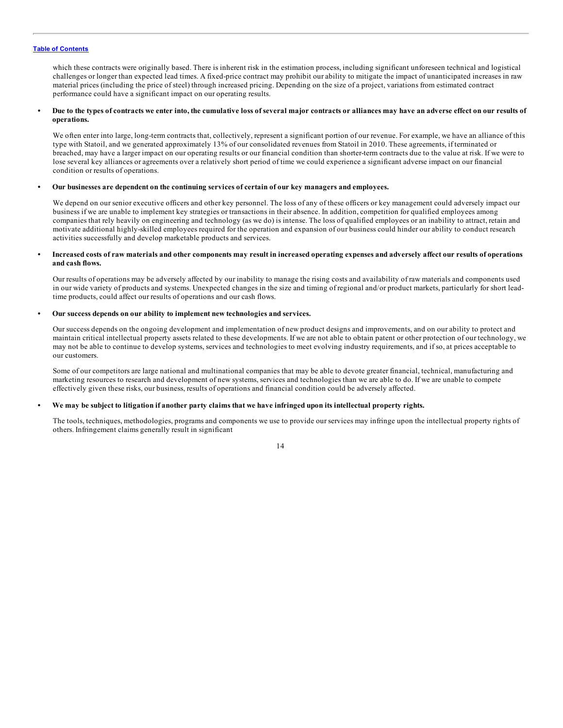which these contracts were originally based. There is inherent risk in the estimation process, including significant unforeseen technical and logistical challenges or longer than expected lead times. A fixed-price contract may prohibit our ability to mitigate the impact of unanticipated increases in raw material prices (including the price of steel) through increased pricing. Depending on the size of a project, variations from estimated contract performance could have a significant impact on our operating results.

## Due to the types of contracts we enter into, the cumulative loss of several major contracts or alliances may have an adverse effect on our results of **operations.**

We often enter into large, long-term contracts that, collectively, represent a significant portion of our revenue. For example, we have an alliance of this type with Statoil, and we generated approximately 13% of our consolidated revenues from Statoil in 2010. These agreements, if terminated or breached, may have a larger impact on our operating results or our financial condition than shorter-term contracts due to the value at risk. If we were to lose several key alliances or agreements over a relatively short period of time we could experience a significant adverse impact on our financial condition or results of operations.

## **• Our businesses are dependent on the continuing services of certain of our key managers and employees.**

We depend on our senior executive officers and other key personnel. The loss of any of these officers or key management could adversely impact our business if we are unable to implement key strategies or transactions in their absence. In addition, competition for qualified employees among companies that rely heavily on engineering and technology (as we do) is intense. The loss of qualified employees or an inability to attract, retain and motivate additional highly-skilled employees required for the operation and expansion of our business could hinder our ability to conduct research activities successfully and develop marketable products and services.

## Increased costs of raw materials and other components may result in increased operating expenses and adversely affect our results of operations **and cash flows.**

Our results of operations may be adversely affected by our inability to manage the rising costs and availability of raw materials and components used in our wide variety of products and systems. Unexpected changes in the size and timing of regional and/or product markets, particularly for short leadtime products, could affect our results of operations and our cash flows.

#### **• Our success depends on our ability to implement new technologies and services.**

Our success depends on the ongoing development and implementation of new product designs and improvements, and on our ability to protect and maintain critical intellectual property assets related to these developments. If we are not able to obtain patent or other protection of our technology, we may not be able to continue to develop systems, services and technologies to meet evolving industry requirements, and if so, at prices acceptable to our customers.

Some of our competitors are large national and multinational companies that may be able to devote greater financial, technical, manufacturing and marketing resources to research and development of new systems, services and technologies than we are able to do. If we are unable to compete effectively given these risks, our business, results of operations and financial condition could be adversely affected.

## We may be subject to litigation if another party claims that we have infringed upon its intellectual property rights.

The tools, techniques, methodologies, programs and components we use to provide our services may infringe upon the intellectual property rights of others. Infringement claims generally result in significant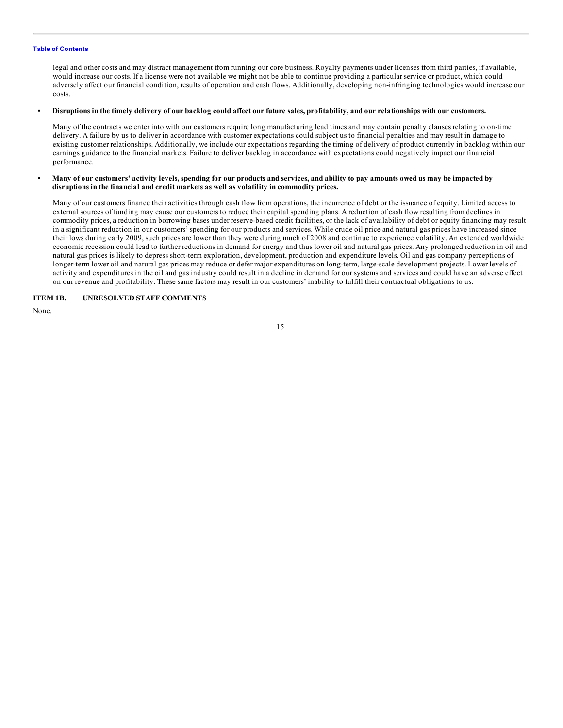<span id="page-14-0"></span>legal and other costs and may distract management from running our core business. Royalty payments under licenses from third parties, if available, would increase our costs. If a license were not available we might not be able to continue providing a particular service or product, which could adversely affect our financial condition, results of operation and cash flows. Additionally, developing non-infringing technologies would increase our costs.

## Disruptions in the timely delivery of our backlog could affect our future sales, profitability, and our relationships with our customers.

Many of the contracts we enter into with our customers require long manufacturing lead times and may contain penalty clauses relating to on-time delivery. A failure by us to deliver in accordance with customer expectations could subject us to financial penalties and may result in damage to existing customer relationships. Additionally, we include our expectations regarding the timing of delivery of product currently in backlog within our earnings guidance to the financial markets. Failure to deliver backlog in accordance with expectations could negatively impact our financial performance.

## Many of our customers' activity levels, spending for our products and services, and ability to pay amounts owed us may be impacted by **disruptions in the financial and credit markets as well as volatility in commodity prices.**

Many of our customers finance their activities through cash flow from operations, the incurrence of debt or the issuance of equity. Limited access to external sources of funding may cause our customers to reduce their capital spending plans. A reduction of cash flow resulting from declines in commodity prices, a reduction in borrowing bases under reserve-based credit facilities, or the lack of availability of debt or equity financing may result in a significant reduction in our customers' spending for our products and services. While crude oil price and natural gas prices have increased since their lows during early 2009, such prices are lower than they were during much of 2008 and continue to experience volatility. An extended worldwide economic recession could lead to further reductions in demand for energy and thus lower oil and natural gas prices. Any prolonged reduction in oil and natural gas prices is likely to depress short-term exploration, development, production and expenditure levels. Oil and gas company perceptions of longer-term lower oil and natural gas prices may reduce or defer major expenditures on long-term, large-scale development projects. Lower levels of activity and expenditures in the oil and gas industry could result in a decline in demand for our systems and services and could have an adverse effect on our revenue and profitability. These same factors may result in our customers' inability to fulfill their contractual obligations to us.

## **ITEM 1B. UNRESOLVED STAFF COMMENTS**

None.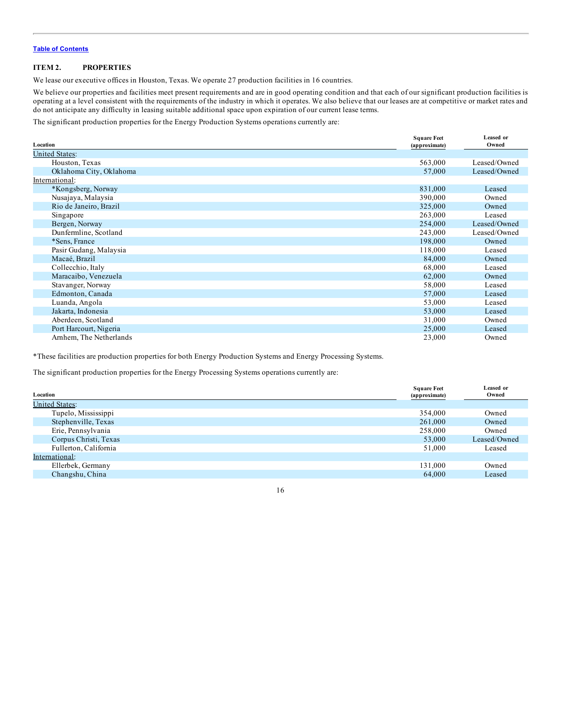# <span id="page-15-0"></span>**ITEM 2. PROPERTIES**

We lease our executive offices in Houston, Texas. We operate 27 production facilities in 16 countries.

We believe our properties and facilities meet present requirements and are in good operating condition and that each of our significant production facilities is operating at a level consistent with the requirements of the industry in which it operates. We also believe that our leases are at competitive or market rates and do not anticipate any difficulty in leasing suitable additional space upon expiration of our current lease terms.

The significant production properties for the Energy Production Systems operations currently are:

| Location                | <b>Square Feet</b><br>(approximate) | <b>Leased or</b><br>Owned |
|-------------------------|-------------------------------------|---------------------------|
| <b>United States:</b>   |                                     |                           |
| Houston, Texas          | 563,000                             | Leased/Owned              |
| Oklahoma City, Oklahoma | 57,000                              | Leased/Owned              |
| International:          |                                     |                           |
| *Kongsberg, Norway      | 831,000                             | Leased                    |
| Nusajaya, Malaysia      | 390,000                             | Owned                     |
| Rio de Janeiro, Brazil  | 325,000                             | Owned                     |
| Singapore               | 263,000                             | Leased                    |
| Bergen, Norway          | 254,000                             | Leased/Owned              |
| Dunfermline, Scotland   | 243,000                             | Leased/Owned              |
| *Sens, France           | 198,000                             | Owned                     |
| Pasir Gudang, Malaysia  | 118,000                             | Leased                    |
| Macaé, Brazil           | 84,000                              | Owned                     |
| Collecchio, Italy       | 68,000                              | Leased                    |
| Maracaibo, Venezuela    | 62,000                              | Owned                     |
| Stavanger, Norway       | 58,000                              | Leased                    |
| Edmonton, Canada        | 57,000                              | Leased                    |
| Luanda, Angola          | 53,000                              | Leased                    |
| Jakarta, Indonesia      | 53,000                              | Leased                    |
| Aberdeen, Scotland      | 31,000                              | Owned                     |
| Port Harcourt, Nigeria  | 25,000                              | Leased                    |
| Arnhem, The Netherlands | 23,000                              | Owned                     |

\*These facilities are production properties for both Energy Production Systems and Energy Processing Systems.

The significant production properties for the Energy Processing Systems operations currently are:

| Location              | <b>Square Feet</b><br>(approximate) | Leased or<br>Owned |
|-----------------------|-------------------------------------|--------------------|
| <b>United States:</b> |                                     |                    |
| Tupelo, Mississippi   | 354,000                             | Owned              |
| Stephenville, Texas   | 261,000                             | Owned              |
| Erie, Pennsylvania    | 258,000                             | Owned              |
| Corpus Christi, Texas | 53,000                              | Leased/Owned       |
| Fullerton, California | 51,000                              | Leased             |
| International:        |                                     |                    |
| Ellerbek, Germany     | 131.000                             | Owned              |
| Changshu, China       | 64,000                              | Leased             |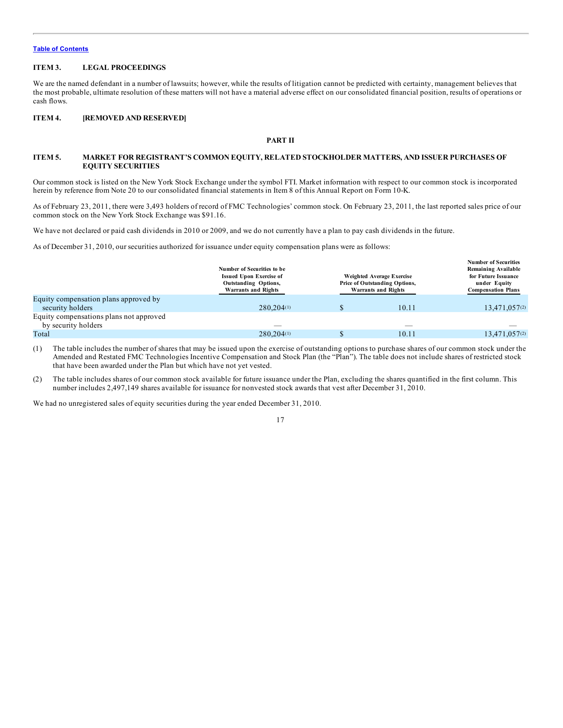## <span id="page-16-0"></span>**ITEM 3. LEGAL PROCEEDINGS**

We are the named defendant in a number of lawsuits; however, while the results of litigation cannot be predicted with certainty, management believes that the most probable, ultimate resolution of these matters will not have a material adverse effect on our consolidated financial position, results of operations or cash flows.

#### **ITEM 4. [REMOVED AND RESERVED]**

## **PART II**

## **ITEM 5. MARKET FOR REGISTRANT'S COMMON EQUITY, RELATED STOCKHOLDER MATTERS, AND ISSUER PURCHASES OF EQUITY SECURITIES**

Our common stock is listed on the New York Stock Exchange under the symbol FTI. Market information with respect to our common stock is incorporated herein by reference from Note 20 to our consolidated financial statements in Item 8 of this Annual Report on Form 10-K.

As of February 23, 2011, there were 3,493 holders of record of FMC Technologies' common stock. On February 23, 2011, the last reported sales price of our common stock on the New York Stock Exchange was \$91.16.

We have not declared or paid cash dividends in 2010 or 2009, and we do not currently have a plan to pay cash dividends in the future.

As of December 31, 2010, our securities authorized for issuance under equity compensation plans were as follows:

|                                         | Number of Securities to be<br><b>Issued Upon Exercise of</b><br>Outstanding Options,<br><b>Warrants and Rights</b> | <b>Weighted Average Exercise</b><br>Price of Outstanding Options,<br><b>Warrants and Rights</b> | <b>Number of Securities</b><br><b>Remaining Available</b><br>for Future Issuance<br>under Equity<br><b>Compensation Plans</b> |
|-----------------------------------------|--------------------------------------------------------------------------------------------------------------------|-------------------------------------------------------------------------------------------------|-------------------------------------------------------------------------------------------------------------------------------|
| Equity compensation plans approved by   |                                                                                                                    |                                                                                                 |                                                                                                                               |
| security holders                        | 280,204(1)                                                                                                         | 10.11                                                                                           | 13,471,057(2)                                                                                                                 |
| Equity compensations plans not approved |                                                                                                                    |                                                                                                 |                                                                                                                               |
| by security holders                     |                                                                                                                    |                                                                                                 |                                                                                                                               |
| Total                                   | 280.204(1)                                                                                                         | 10.11                                                                                           | 13.471.057(2)                                                                                                                 |

(1) The table includes the number of shares that may be issued upon the exercise of outstanding options to purchase shares of our common stock under the Amended and Restated FMC Technologies Incentive Compensation and Stock Plan (the "Plan"). The table does not include shares of restricted stock that have been awarded under the Plan but which have not yet vested.

(2) The table includes shares of our common stock available for future issuance under the Plan, excluding the shares quantified in the first column. This number includes 2,497,149 shares available for issuance for nonvested stock awards that vest after December 31, 2010.

We had no unregistered sales of equity securities during the year ended December 31, 2010.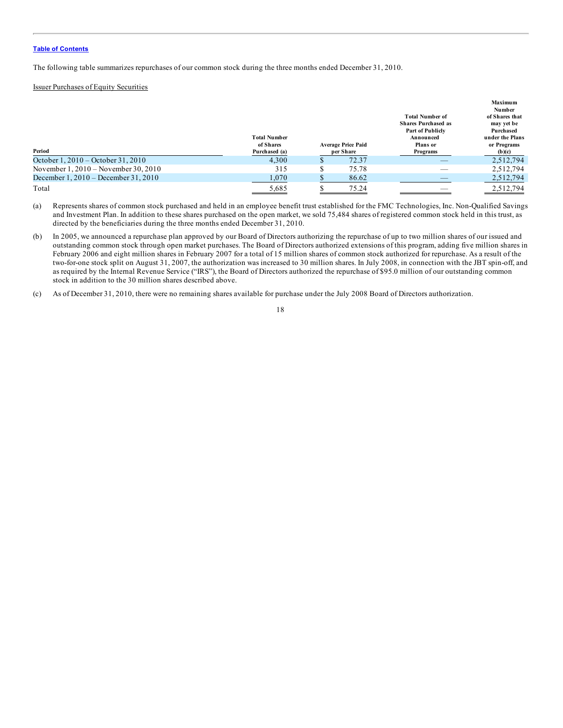The following table summarizes repurchases of our common stock during the three months ended December 31, 2010.

## Issuer Purchases of Equity Securities

|                                        |                     |                                        |       |                                      | <b>Maximum</b>               |  |  |  |  |
|----------------------------------------|---------------------|----------------------------------------|-------|--------------------------------------|------------------------------|--|--|--|--|
|                                        |                     |                                        |       |                                      | Number                       |  |  |  |  |
|                                        |                     |                                        |       | <b>Total Number of</b>               | of Shares that               |  |  |  |  |
|                                        |                     |                                        |       | <b>Shares Purchased as</b>           | may yet be                   |  |  |  |  |
|                                        | <b>Total Number</b> |                                        |       | <b>Part of Publicly</b><br>Announced | Purchased<br>under the Plans |  |  |  |  |
|                                        | of Shares           | <b>Average Price Paid</b><br>per Share |       | Plans or                             | or Programs                  |  |  |  |  |
| Period                                 | Purchased (a)       |                                        |       |                                      |                              |  |  |  |  |
| October 1, 2010 – October 31, 2010     | 4.300               |                                        | 72.37 |                                      | 2,512,794                    |  |  |  |  |
| November $1, 2010 -$ November 30, 2010 | 315                 |                                        | 75.78 |                                      | 2,512,794                    |  |  |  |  |
|                                        |                     |                                        |       |                                      |                              |  |  |  |  |
| December $1,2010$ – December 31, 2010  | 1,070               |                                        | 86.62 |                                      | 2,512,794                    |  |  |  |  |

(a) Represents shares of common stock purchased and held in an employee benefit trust established for the FMC Technologies, Inc. Non-Qualified Savings and Investment Plan. In addition to these shares purchased on the open market, we sold 75,484 shares of registered common stock held in this trust, as directed by the beneficiaries during the three months ended December 31, 2010.

(b) In 2005, we announced a repurchase plan approved by our Board of Directors authorizing the repurchase of up to two million shares of our issued and outstanding common stock through open market purchases. The Board of Directors authorized extensions of this program, adding five million shares in February 2006 and eight million shares in February 2007 for a total of 15 million shares of common stock authorized for repurchase. As a result of the two-for-one stock split on August 31, 2007, the authorization was increased to 30 million shares. In July 2008, in connection with the JBT spin-off, and as required by the Internal Revenue Service ("IRS"), the Board of Directors authorized the repurchase of \$95.0 million of our outstanding common stock in addition to the 30 million shares described above.

18

(c) As of December 31, 2010, there were no remaining shares available for purchase under the July 2008 Board of Directors authorization.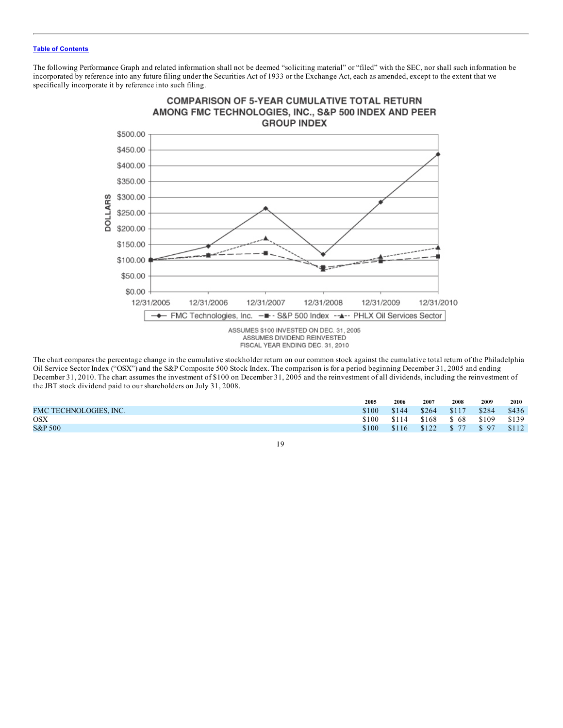The following Performance Graph and related information shall not be deemed "soliciting material" or "filed" with the SEC, nor shall such information be incorporated by reference into any future filing under the Securities Act of 1933 or the Exchange Act, each as amended, except to the extent that we specifically incorporate it by reference into such filing.



The chart compares the percentage change in the cumulative stockholder return on our common stock against the cumulative total return of the Philadelphia Oil Service Sector Index ("OSX") and the S&P Composite 500 Stock Index. The comparison is for a period beginning December 31, 2005 and ending December 31, 2010. The chart assumes the investment of \$100 on December 31, 2005 and the reinvestment of all dividends, including the reinvestment of the JBT stock dividend paid to our shareholders on July 31, 2008.

|                        | 2005  | 2006  | 2007  | 2008              | 2009  | 2010  |
|------------------------|-------|-------|-------|-------------------|-------|-------|
| FMC TECHNOLOGIES, INC. | \$100 | \$144 | \$264 | \$117             | \$284 | \$436 |
| <b>OSX</b>             | \$100 | \$114 |       | \$168 \$68 \$109  |       | \$139 |
| S&P 500                | \$100 | \$116 |       | \$122 \$ 77 \$ 97 |       | \$112 |
|                        |       |       |       |                   |       |       |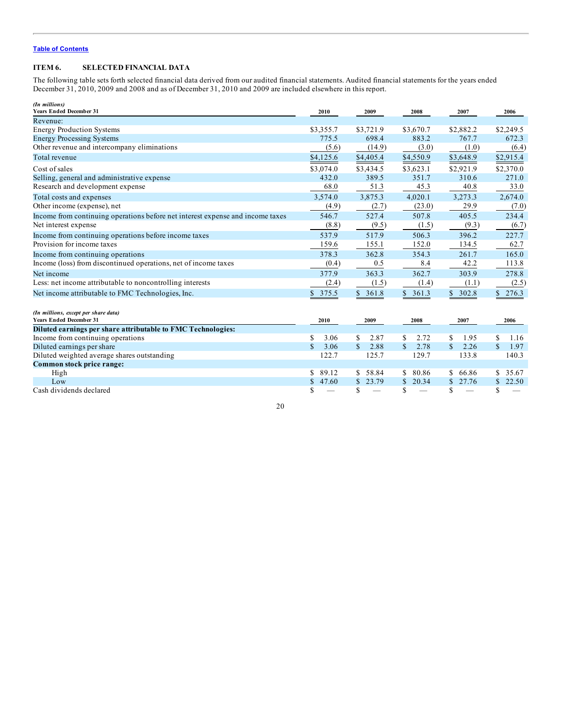## <span id="page-19-0"></span>**ITEM 6. SELECTED FINANCIAL DATA**

The following table sets forth selected financial data derived from our audited financial statements. Audited financial statements for the years ended December 31, 2010, 2009 and 2008 and as of December 31, 2010 and 2009 are included elsewhere in this report.

| (In millions)                                                                  |            |             |             |                         |                       |
|--------------------------------------------------------------------------------|------------|-------------|-------------|-------------------------|-----------------------|
| <b>Years Ended December 31</b>                                                 | 2010       | 2009        | 2008        | 2007                    | 2006                  |
| Revenue:                                                                       |            |             |             |                         |                       |
| <b>Energy Production Systems</b>                                               | \$3,355.7  | \$3,721.9   | \$3,670.7   | \$2,882.2               | \$2,249.5             |
| <b>Energy Processing Systems</b>                                               | 775.5      | 698.4       | 883.2       | 767.7                   | 672.3                 |
| Other revenue and intercompany eliminations                                    | (5.6)      | (14.9)      | (3.0)       | (1.0)                   | (6.4)                 |
| Total revenue                                                                  | \$4,125.6  | \$4,405.4   | \$4,550.9   | \$3,648.9               | \$2,915.4             |
| Cost of sales                                                                  | \$3,074.0  | \$3,434.5   | \$3,623.1   | \$2,921.9               | \$2,370.0             |
| Selling, general and administrative expense                                    | 432.0      | 389.5       | 351.7       | 310.6                   | 271.0                 |
| Research and development expense                                               | 68.0       | 51.3        | 45.3        | 40.8                    | 33.0                  |
| Total costs and expenses                                                       | 3,574.0    | 3,875.3     | 4,020.1     | 3,273.3                 | 2,674.0               |
| Other income (expense), net                                                    | (4.9)      | (2.7)       | (23.0)      | 29.9                    | (7.0)                 |
| Income from continuing operations before net interest expense and income taxes | 546.7      | 527.4       | 507.8       | 405.5                   | 234.4                 |
| Net interest expense                                                           | (8.8)      | (9.5)       | (1.5)       | (9.3)                   | (6.7)                 |
| Income from continuing operations before income taxes                          | 537.9      | 517.9       | 506.3       | 396.2                   | 227.7                 |
| Provision for income taxes                                                     | 159.6      | 155.1       | 152.0       | 134.5                   | 62.7                  |
| Income from continuing operations                                              | 378.3      | 362.8       | 354.3       | 261.7                   | 165.0                 |
| Income (loss) from discontinued operations, net of income taxes                | (0.4)      | 0.5         | 8.4         | 42.2                    | 113.8                 |
| Net income                                                                     | 377.9      | 363.3       | 362.7       | 303.9                   | 278.8                 |
| Less: net income attributable to noncontrolling interests                      | (2.4)      | (1.5)       | (1.4)       | (1.1)                   | (2.5)                 |
| Net income attributable to FMC Technologies, Inc.                              | \$375.5    | \$361.8     | \$361.3     | \$302.8                 | \$276.3               |
| (In millions, except per share data)<br><b>Years Ended December 31</b>         | 2010       | 2009        | 2008        | 2007                    | 2006                  |
| Diluted earnings per share attributable to FMC Technologies:                   |            |             |             |                         |                       |
| Income from continuing operations                                              | 3.06<br>S  | 2.87<br>\$  | 2.72<br>\$  | \$<br>1.95              | 1.16<br>\$            |
| Diluted earnings per share                                                     | \$<br>3.06 | \$.<br>2.88 | 2.78<br>\$  | 2.26<br><sup>\$</sup>   | $\mathcal{S}$<br>1.97 |
| Diluted weighted average shares outstanding                                    | 122.7      | 125.7       | 129.7       | 133.8                   | 140.3                 |
| Common stock price range:                                                      |            |             |             |                         |                       |
| High                                                                           | S<br>89.12 | 58.84<br>\$ | 80.86<br>S. | $\mathbb{S}^-$<br>66.86 | \$35.67               |

20

Cash dividends declared  $\begin{array}{cccc} \text{S} & - & \text{S} & - & \text{S} & - & \text{S} & - \\ \end{array}$ 

Low  $8\,47.60\,8\,23.79\,8\,20.34\,8\,27.76\,8\,22.50$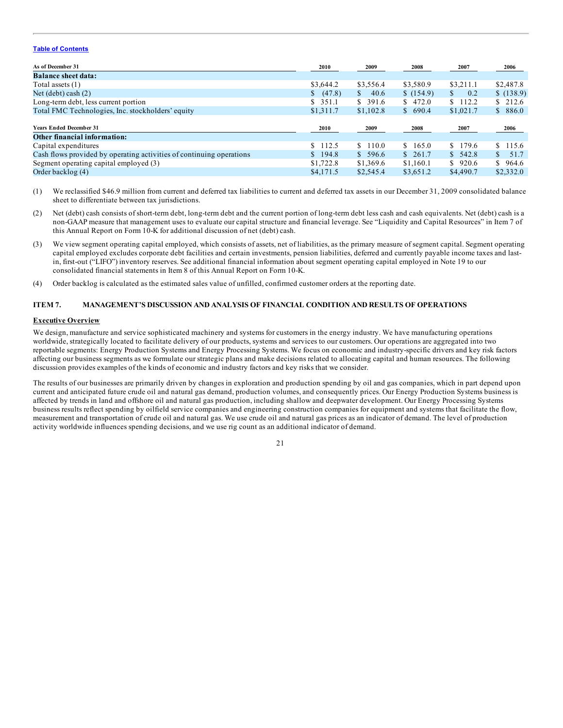<span id="page-20-0"></span>

| As of December 31                                                    | 2010               | 2009       | 2008      | 2007      | 2006                  |
|----------------------------------------------------------------------|--------------------|------------|-----------|-----------|-----------------------|
| <b>Balance sheet data:</b>                                           |                    |            |           |           |                       |
| Total assets $(1)$                                                   | \$3,644.2          | \$3,556.4  | \$3,580.9 | \$3,211.1 | \$2,487.8             |
| Net $(debt) cash (2)$                                                | $\frac{(47.8)}{2}$ | 40.6<br>S. | \$(154.9) | 0.2<br>S. | \$(138.9)             |
| Long-term debt, less current portion                                 | \$351.1            | \$391.6    | \$472.0   | \$112.2   | \$212.6               |
| Total FMC Technologies, Inc. stockholders' equity                    | \$1,311.7          | \$1,102.8  | \$690.4   | \$1,021.7 | \$886.0               |
| <b>Years Ended December 31</b>                                       | 2010               | 2009       | 2008      | 2007      | 2006                  |
| Other financial information:                                         |                    |            |           |           |                       |
| Capital expenditures                                                 | \$112.5            | \$110.0    | \$165.0   | \$179.6   | \$115.6               |
| Cash flows provided by operating activities of continuing operations | \$194.8            | \$596.6    | \$261.7   | \$542.8   | 51.7<br><sup>\$</sup> |
| Segment operating capital employed (3)                               | \$1,722.8          | \$1,369.6  | \$1,160.1 | \$920.6   | \$964.6               |
| Order backlog $(4)$                                                  | \$4,171.5          | \$2,545.4  | \$3,651.2 | \$4,490.7 | \$2,332.0             |

<sup>(1)</sup> We reclassified \$46.9 million from current and deferred tax liabilities to current and deferred tax assets in our December 31, 2009 consolidated balance sheet to differentiate between tax jurisdictions.

- (2) Net (debt) cash consists of short-term debt, long-term debt and the current portion of long-term debt less cash and cash equivalents. Net (debt) cash is a non-GAAP measure that management uses to evaluate our capital structure and financial leverage. See "Liquidity and Capital Resources" in Item 7 of this Annual Report on Form 10-K for additional discussion of net (debt) cash.
- (3) We view segment operating capital employed, which consists of assets, net of liabilities, as the primary measure of segment capital. Segment operating capital employed excludes corporate debt facilities and certain investments, pension liabilities, deferred and currently payable income taxes and lastin, first-out ("LIFO") inventory reserves. See additional financial information about segment operating capital employed in Note 19 to our consolidated financial statements in Item 8 of this Annual Report on Form 10-K.
- (4) Order backlog is calculated as the estimated sales value of unfilled, confirmed customer orders at the reporting date.

## **ITEM 7. MANAGEMENT'S DISCUSSION AND ANALYSIS OF FINANCIAL CONDITION AND RESULTS OF OPERATIONS**

## **Executive Overview**

We design, manufacture and service sophisticated machinery and systems for customers in the energy industry. We have manufacturing operations worldwide, strategically located to facilitate delivery of our products, systems and services to our customers. Our operations are aggregated into two reportable segments: Energy Production Systems and Energy Processing Systems. We focus on economic and industry-specific drivers and key risk factors affecting our business segments as we formulate our strategic plans and make decisions related to allocating capital and human resources. The following discussion provides examples of the kinds of economic and industry factors and key risks that we consider.

The results of our businesses are primarily driven by changes in exploration and production spending by oil and gas companies, which in part depend upon current and anticipated future crude oil and natural gas demand, production volumes, and consequently prices. Our Energy Production Systems business is affected by trends in land and offshore oil and natural gas production, including shallow and deepwater development. Our Energy Processing Systems business results reflect spending by oilfield service companies and engineering construction companies for equipment and systems that facilitate the flow, measurement and transportation of crude oil and natural gas. We use crude oil and natural gas prices as an indicator of demand. The level of production activity worldwide influences spending decisions, and we use rig count as an additional indicator of demand.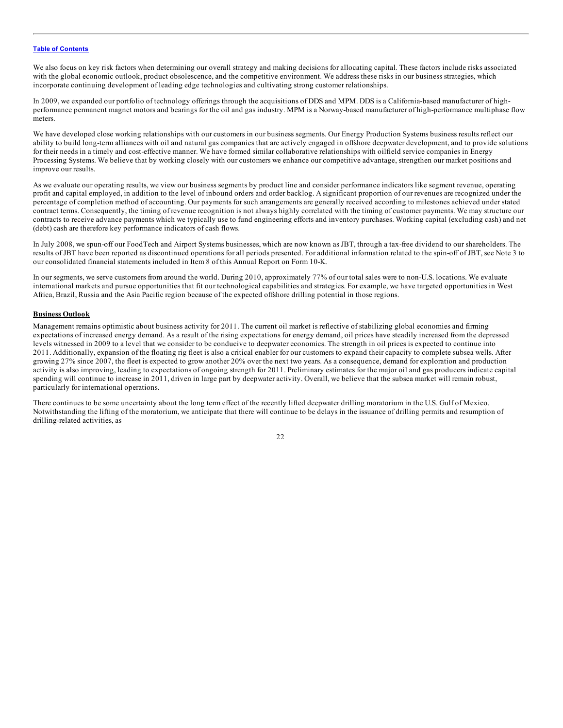We also focus on key risk factors when determining our overall strategy and making decisions for allocating capital. These factors include risks associated with the global economic outlook, product obsolescence, and the competitive environment. We address these risks in our business strategies, which incorporate continuing development of leading edge technologies and cultivating strong customer relationships.

In 2009, we expanded our portfolio of technology offerings through the acquisitions of DDS and MPM. DDS is a California-based manufacturer of highperformance permanent magnet motors and bearings for the oil and gas industry. MPM is a Norway-based manufacturer of high-performance multiphase flow meters.

We have developed close working relationships with our customers in our business segments. Our Energy Production Systems business results reflect our ability to build long-term alliances with oil and natural gas companies that are actively engaged in offshore deepwater development, and to provide solutions for their needs in a timely and cost-effective manner. We have formed similar collaborative relationships with oilfield service companies in Energy Processing Systems. We believe that by working closely with our customers we enhance our competitive advantage, strengthen our market positions and improve our results.

As we evaluate our operating results, we view our business segments by product line and consider performance indicators like segment revenue, operating profit and capital employed, in addition to the level of inbound orders and order backlog. A significant proportion of our revenues are recognized under the percentage of completion method of accounting. Our payments for such arrangements are generally received according to milestones achieved under stated contract terms. Consequently, the timing of revenue recognition is not always highly correlated with the timing of customer payments. We may structure our contracts to receive advance payments which we typically use to fund engineering efforts and inventory purchases. Working capital (excluding cash) and net (debt) cash are therefore key performance indicators of cash flows.

In July 2008, we spun-off our FoodTech and Airport Systems businesses, which are now known as JBT, through a tax-free dividend to our shareholders. The results of JBT have been reported as discontinued operations for all periods presented. For additional information related to the spin-off of JBT, see Note 3 to our consolidated financial statements included in Item 8 of this Annual Report on Form 10-K.

In our segments, we serve customers from around the world. During 2010, approximately 77% of our total sales were to non-U.S. locations. We evaluate international markets and pursue opportunities that fit our technological capabilities and strategies. For example, we have targeted opportunities in West Africa, Brazil, Russia and the Asia Pacific region because of the expected offshore drilling potential in those regions.

#### **Business Outlook**

Management remains optimistic about business activity for 2011. The current oil market is reflective of stabilizing global economies and firming expectations of increased energy demand. As a result of the rising expectations for energy demand, oil prices have steadily increased from the depressed levels witnessed in 2009 to a level that we consider to be conducive to deepwater economics. The strength in oil prices is expected to continue into 2011. Additionally, expansion of the floating rig fleet is also a critical enabler for our customers to expand their capacity to complete subsea wells. After growing 27% since 2007, the fleet is expected to grow another 20% over the next two years. As a consequence, demand for exploration and production activity is also improving, leading to expectations of ongoing strength for 2011. Preliminary estimates for the major oil and gas producers indicate capital spending will continue to increase in 2011, driven in large part by deepwater activity. Overall, we believe that the subsea market will remain robust, particularly for international operations.

There continues to be some uncertainty about the long term effect of the recently lifted deepwater drilling moratorium in the U.S. Gulf of Mexico. Notwithstanding the lifting of the moratorium, we anticipate that there will continue to be delays in the issuance of drilling permits and resumption of drilling-related activities, as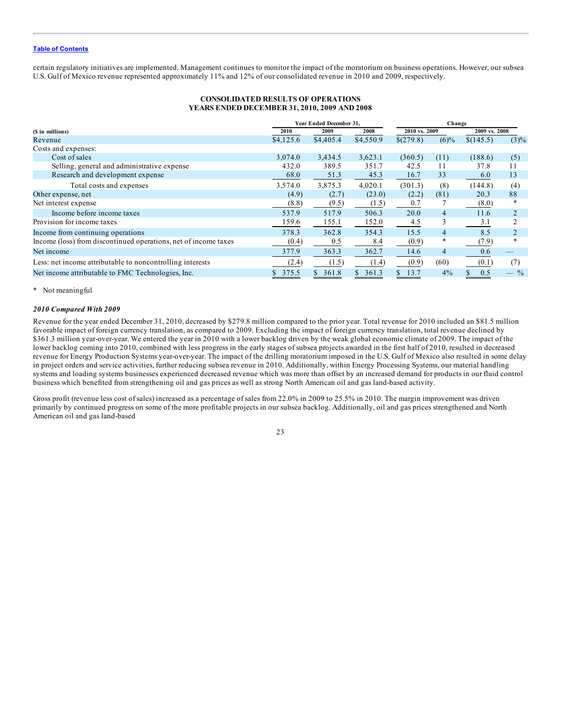certain regulatory initiatives are implemented. Management continues to monitor the impact of the moratorium on business operations. However, our subsea U.S. Gulf of Mexico revenue represented approximately 11% and 12% of our consolidated revenue in 2010 and 2009, respectively.

## **CONSOLIDATED RESULTS OF OPERATIONS YEARS ENDED DECEMBER 31, 2010, 2009 AND 2008**

| Year Ended December 31,                                         |           |           | Change    |               |                |               |                |
|-----------------------------------------------------------------|-----------|-----------|-----------|---------------|----------------|---------------|----------------|
| (\$ in millions)                                                | 2010      | 2009      | 2008      | 2010 vs. 2009 |                | 2009 vs. 2008 |                |
| Revenue                                                         | \$4,125.6 | \$4,405.4 | \$4,550.9 | \$(279.8)     | $(6)\%$        | \$(145.5)     | $(3)\%$        |
| Costs and expenses:                                             |           |           |           |               |                |               |                |
| Cost of sales                                                   | 3,074.0   | 3,434.5   | 3,623.1   | (360.5)       | (11)           | (188.6)       | (5)            |
| Selling, general and administrative expense                     | 432.0     | 389.5     | 351.7     | 42.5          | 11             | 37.8          | 11             |
| Research and development expense                                | 68.0      | 51.3      | 45.3      | 16.7          | 33             | 6.0           | 13             |
| Total costs and expenses                                        | 3,574.0   | 3,875.3   | 4,020.1   | (301.3)       | (8)            | (144.8)       | (4)            |
| Other expense, net                                              | (4.9)     | (2.7)     | (23.0)    | (2.2)         | (81)           | 20.3          | 88             |
| Net interest expense                                            | (8.8)     | (9.5)     | (1.5)     | 0.7           |                | (8.0)         | $\ast$         |
| Income before income taxes                                      | 537.9     | 517.9     | 506.3     | 20.0          | $\overline{4}$ | 11.6          | $\overline{2}$ |
| Provision for income taxes                                      | 159.6     | 155.1     | 152.0     | 4.5           | 3              | 3.1           | $\overline{2}$ |
| Income from continuing operations                               | 378.3     | 362.8     | 354.3     | 15.5          | $\overline{4}$ | 8.5           | $\overline{2}$ |
| Income (loss) from discontinued operations, net of income taxes | (0.4)     | 0.5       | 8.4       | (0.9)         | *              | (7.9)         | $\ast$         |
| Net income                                                      | 377.9     | 363.3     | 362.7     | 14.6          | 4              | 0.6           |                |
| Less: net income attributable to noncontrolling interests       | (2.4)     | (1.5)     | (1.4)     | (0.9)         | (60)           | (0.1)         | (7)            |
| Net income attributable to FMC Technologies, Inc.               | 375.5     | 361.8     | 361.3     | 13.7          | 4%             | 0.5           | $\frac{0}{0}$  |

\* Not meaningful

## *2010 Compared With 2009*

Revenue for the year ended December 31, 2010, decreased by \$279.8 million compared to the prior year. Total revenue for 2010 included an \$81.5 million favorable impact of foreign currency translation, as compared to 2009. Excluding the impact of foreign currency translation, total revenue declined by \$361.3 million year-over-year. We entered the year in 2010 with a lower backlog driven by the weak global economic climate of 2009. The impact of the lower backlog coming into 2010, combined with less progress in the early stages of subsea projects awarded in the first half of 2010, resulted in decreased revenue for Energy Production Systems year-over-year. The impact of the drilling moratorium imposed in the U.S. Gulf of Mexico also resulted in some delay in project orders and service activities, further reducing subsea revenue in 2010. Additionally, within Energy Processing Systems, our material handling systems and loading systems businesses experienced decreased revenue which was more than offset by an increased demand for products in our fluid control business which benefited from strengthening oil and gas prices as well as strong North American oil and gas land-based activity.

Gross profit (revenue less cost of sales) increased as a percentage of sales from 22.0% in 2009 to 25.5% in 2010. The margin improvement was driven primarily by continued progress on some of the more profitable projects in our subsea backlog. Additionally, oil and gas prices strengthened and North American oil and gas land-based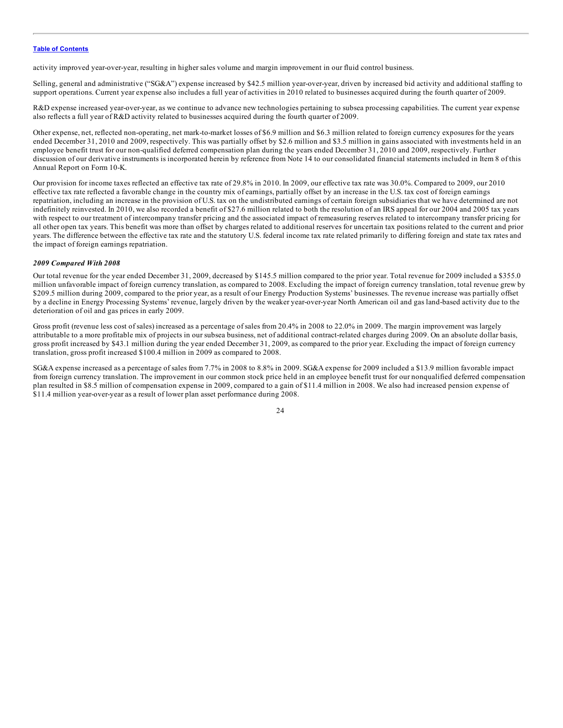activity improved year-over-year, resulting in higher sales volume and margin improvement in our fluid control business.

Selling, general and administrative ("SG&A") expense increased by \$42.5 million year-over-year, driven by increased bid activity and additional staffing to support operations. Current year expense also includes a full year of activities in 2010 related to businesses acquired during the fourth quarter of 2009.

R&D expense increased year-over-year, as we continue to advance new technologies pertaining to subsea processing capabilities. The current year expense also reflects a full year of R&D activity related to businesses acquired during the fourth quarter of 2009.

Other expense, net, reflected non-operating, net mark-to-market losses of \$6.9 million and \$6.3 million related to foreign currency exposures for the years ended December 31, 2010 and 2009, respectively. This was partially offset by \$2.6 million and \$3.5 million in gains associated with investments held in an employee benefit trust for our non-qualified deferred compensation plan during the years ended December 31, 2010 and 2009, respectively. Further discussion of our derivative instruments is incorporated herein by reference from Note 14 to our consolidated financial statements included in Item 8 of this Annual Report on Form 10-K.

Our provision for income taxes reflected an effective tax rate of 29.8% in 2010. In 2009, our effective tax rate was 30.0%. Compared to 2009, our 2010 effective tax rate reflected a favorable change in the country mix of earnings, partially offset by an increase in the U.S. tax cost of foreign earnings repatriation, including an increase in the provision of U.S. tax on the undistributed earnings of certain foreign subsidiaries that we have determined are not indefinitely reinvested. In 2010, we also recorded a benefit of \$27.6 million related to both the resolution of an IRS appeal for our 2004 and 2005 tax years with respect to our treatment of intercompany transfer pricing and the associated impact of remeasuring reserves related to intercompany transfer pricing for all other open tax years. This benefit was more than offset by charges related to additional reserves for uncertain tax positions related to the current and prior years. The difference between the effective tax rate and the statutory U.S. federal income tax rate related primarily to differing foreign and state tax rates and the impact of foreign earnings repatriation.

## *2009 Compared With 2008*

Our total revenue for the year ended December 31, 2009, decreased by \$145.5 million compared to the prior year. Total revenue for 2009 included a \$355.0 million unfavorable impact of foreign currency translation, as compared to 2008. Excluding the impact of foreign currency translation, total revenue grew by \$209.5 million during 2009, compared to the prior year, as a result of our Energy Production Systems' businesses. The revenue increase was partially offset by a decline in Energy Processing Systems' revenue, largely driven by the weaker year-over-year North American oil and gas land-based activity due to the deterioration of oil and gas prices in early 2009.

Gross profit (revenue less cost of sales) increased as a percentage of sales from 20.4% in 2008 to 22.0% in 2009. The margin improvement was largely attributable to a more profitable mix of projects in our subsea business, net of additional contract-related charges during 2009. On an absolute dollar basis, gross profit increased by \$43.1 million during the year ended December 31, 2009, as compared to the prior year. Excluding the impact of foreign currency translation, gross profit increased \$100.4 million in 2009 as compared to 2008.

SG&A expense increased as a percentage of sales from 7.7% in 2008 to 8.8% in 2009. SG&A expense for 2009 included a \$13.9 million favorable impact from foreign currency translation. The improvement in our common stock price held in an employee benefit trust for our nonqualified deferred compensation plan resulted in \$8.5 million of compensation expense in 2009, compared to a gain of \$11.4 million in 2008. We also had increased pension expense of \$11.4 million year-over-year as a result of lower plan asset performance during 2008.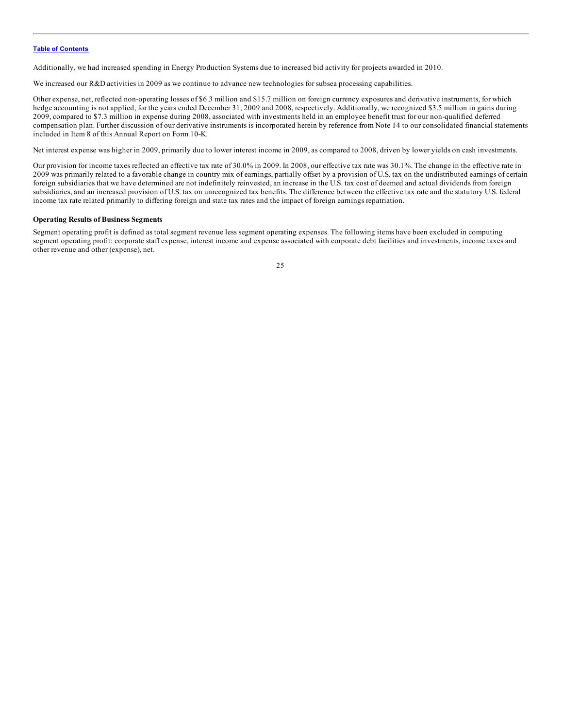Additionally, we had increased spending in Energy Production Systems due to increased bid activity for projects awarded in 2010.

We increased our R&D activities in 2009 as we continue to advance new technologies for subsea processing capabilities.

Other expense, net, reflected non-operating losses of \$6.3 million and \$15.7 million on foreign currency exposures and derivative instruments, for which hedge accounting is not applied, for the years ended December 31, 2009 and 2008, respectively. Additionally, we recognized \$3.5 million in gains during 2009, compared to \$7.3 million in expense during 2008, associated with investments held in an employee benefit trust for our non-qualified deferred compensation plan. Further discussion of our derivative instruments is incorporated herein by reference from Note 14 to our consolidated financial statements included in Item 8 of this Annual Report on Form 10-K.

Net interest expense was higher in 2009, primarily due to lower interest income in 2009, as compared to 2008, driven by lower yields on cash investments.

Our provision for income taxes reflected an effective tax rate of 30.0% in 2009. In 2008, our effective tax rate was 30.1%. The change in the effective rate in 2009 was primarily related to a favorable change in country mix of earnings, partially offset by a provision of U.S. tax on the undistributed earnings of certain foreign subsidiaries that we have determined are not indefinitely reinvested, an increase in the U.S. tax cost of deemed and actual dividends from foreign subsidiaries, and an increased provision of U.S. tax on unrecognized tax benefits. The difference between the effective tax rate and the statutory U.S. federal income tax rate related primarily to differing foreign and state tax rates and the impact of foreign earnings repatriation.

#### **Operating Results of Business Segments**

Segment operating profit is defined as total segment revenue less segment operating expenses. The following items have been excluded in computing segment operating profit: corporate staff expense, interest income and expense associated with corporate debt facilities and investments, income taxes and other revenue and other (expense), net.

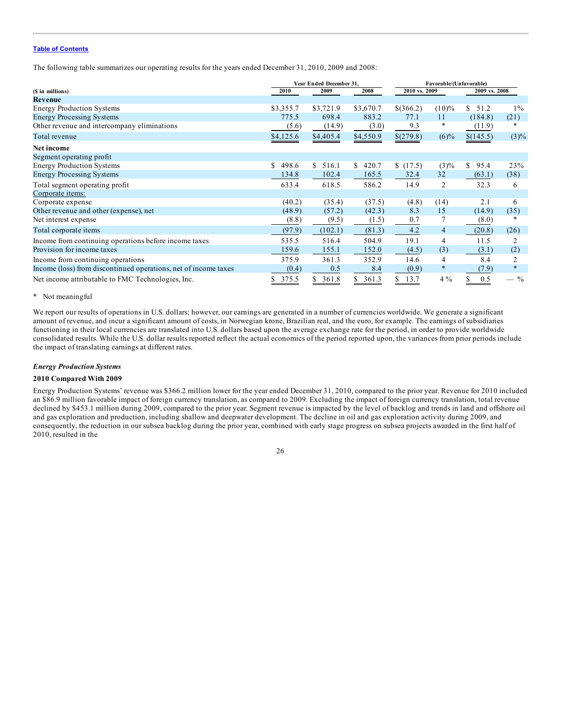The following table summarizes our operating results for the years ended December 31, 2010, 2009 and 2008:

|                                                                 | Year Ended December 31. |             | Favorable/(Unfavorable) |               |                |               |               |
|-----------------------------------------------------------------|-------------------------|-------------|-------------------------|---------------|----------------|---------------|---------------|
| (\$ in millions)                                                | 2010                    | 2009        | 2008                    | 2010 vs. 2009 |                | 2009 vs. 2008 |               |
| <b>Revenue</b>                                                  |                         |             |                         |               |                |               |               |
| <b>Energy Production Systems</b>                                | \$3,355.7               | \$3,721.9   | \$3,670.7               | \$(366.2)     | $(10)\%$       | S.<br>51.2    | $1\%$         |
| <b>Energy Processing Systems</b>                                | 775.5                   | 698.4       | 883.2                   | 77.1          | 11             | (184.8)       | (21)          |
| Other revenue and intercompany eliminations                     | (5.6)                   | (14.9)      | (3.0)                   | 9.3           |                | (11.9)        | $\ast$        |
| Total revenue                                                   | \$4,125.6               | \$4,405.4   | \$4,550.9               | \$(279.8)     | $(6)\%$        | \$(145.5)     | $(3)\%$       |
| Net income                                                      |                         |             |                         |               |                |               |               |
| Segment operating profit                                        |                         |             |                         |               |                |               |               |
| <b>Energy Production Systems</b>                                | 498.6<br>S.             | 516.1<br>S. | 420.7<br>S.             | \$(17.5)      | $(3)\%$        | \$<br>95.4    | 23%           |
| <b>Energy Processing Systems</b>                                | 134.8                   | 102.4       | 165.5                   | 32.4          | 32             | (63.1)        | (38)          |
| Total segment operating profit                                  | 633.4                   | 618.5       | 586.2                   | 14.9          | 2              | 32.3          | 6             |
| Corporate items:                                                |                         |             |                         |               |                |               |               |
| Corporate expense                                               | (40.2)                  | (35.4)      | (37.5)                  | (4.8)         | (14)           | 2.1           | 6             |
| Other revenue and other (expense), net                          | (48.9)                  | (57.2)      | (42.3)                  | 8.3           | 15             | (14.9)        | (35)          |
| Net interest expense                                            | (8.8)                   | (9.5)       | (1.5)                   | 0.7           |                | (8.0)         | $\ast$        |
| Total corporate items                                           | (97.9)                  | (102.1)     | (81.3)                  | 4.2           | $\overline{4}$ | (20.8)        | (26)          |
| Income from continuing operations before income taxes           | 535.5                   | 516.4       | 504.9                   | 19.1          | 4              | 11.5          | 2             |
| Provision for income taxes                                      | 159.6                   | 155.1       | 152.0                   | (4.5)         | (3)            | (3.1)         | (2)           |
| Income from continuing operations                               | 375.9                   | 361.3       | 352.9                   | 14.6          | 4              | 8.4           | 2             |
| Income (loss) from discontinued operations, net of income taxes | (0.4)                   | 0.5         | 8.4                     | (0.9)         | $\ast$         | (7.9)         | $\ast$        |
| Net income attributable to FMC Technologies, Inc.               | 375.5                   | 361.8<br>S. | 361.3                   | 13.7          | $4\%$          | 0.5           | $\frac{0}{0}$ |

#### \* Not meaningful

We report our results of operations in U.S. dollars; however, our earnings are generated in a number of currencies worldwide. We generate a significant amount of revenue, and incur a significant amount of costs, in Norwegian krone, Brazilian real, and the euro, for example. The earnings of subsidiaries functioning in their local currencies are translated into U.S. dollars based upon the average exchange rate for the period, in order to provide worldwide consolidated results. While the U.S. dollar results reported reflect the actual economics of the period reported upon, the variances from prior periods include the impact of translating earnings at different rates.

## *Energy Production Systems*

## **2010 Compared With 2009**

Energy Production Systems' revenue was \$366.2 million lower for the year ended December 31, 2010, compared to the prior year. Revenue for 2010 included an \$86.9 million favorable impact of foreign currency translation, as compared to 2009. Excluding the impact of foreign currency translation, total revenue declined by \$453.1 million during 2009, compared to the prior year. Segment revenue is impacted by the level of backlog and trends in land and offshore oil and gas exploration and production, including shallow and deepwater development. The decline in oil and gas exploration activity during 2009, and consequently, the reduction in our subsea backlog during the prior year, combined with early stage progress on subsea projects awarded in the first half of 2010, resulted in the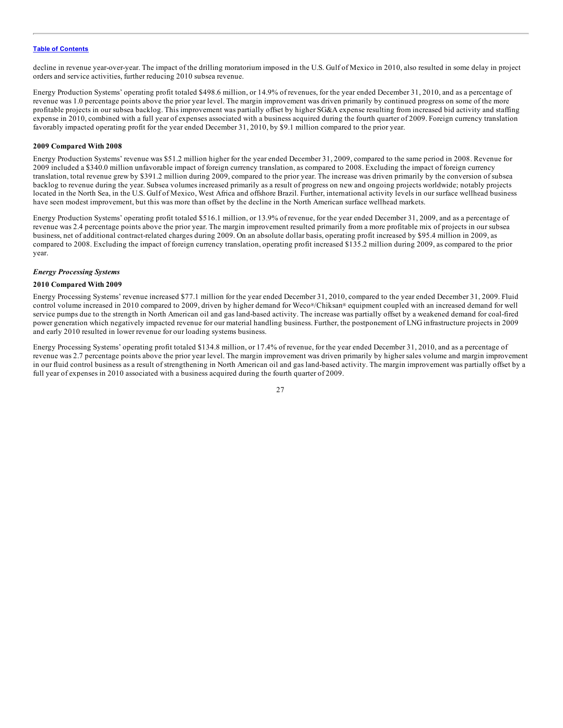decline in revenue year-over-year. The impact of the drilling moratorium imposed in the U.S. Gulf of Mexico in 2010, also resulted in some delay in project orders and service activities, further reducing 2010 subsea revenue.

Energy Production Systems' operating profit totaled \$498.6 million, or 14.9% of revenues, for the year ended December 31, 2010, and as a percentage of revenue was 1.0 percentage points above the prior year level. The margin improvement was driven primarily by continued progress on some of the more profitable projects in our subsea backlog. This improvement was partially offset by higher SG&A expense resulting from increased bid activity and staffing expense in 2010, combined with a full year of expenses associated with a business acquired during the fourth quarter of 2009. Foreign currency translation favorably impacted operating profit for the year ended December 31, 2010, by \$9.1 million compared to the prior year.

## **2009 Compared With 2008**

Energy Production Systems' revenue was \$51.2 million higher for the year ended December 31, 2009, compared to the same period in 2008. Revenue for 2009 included a \$340.0 million unfavorable impact of foreign currency translation, as compared to 2008. Excluding the impact of foreign currency translation, total revenue grew by \$391.2 million during 2009, compared to the prior year. The increase was driven primarily by the conversion of subsea backlog to revenue during the year. Subsea volumes increased primarily as a result of progress on new and ongoing projects worldwide; notably projects located in the North Sea, in the U.S. Gulf of Mexico, West Africa and offshore Brazil. Further, international activity levels in our surface wellhead business have seen modest improvement, but this was more than offset by the decline in the North American surface wellhead markets.

Energy Production Systems' operating profit totaled \$516.1 million, or 13.9% of revenue, for the year ended December 31, 2009, and as a percentage of revenue was 2.4 percentage points above the prior year. The margin improvement resulted primarily from a more profitable mix of projects in our subsea business, net of additional contract-related charges during 2009. On an absolute dollar basis, operating profit increased by \$95.4 million in 2009, as compared to 2008. Excluding the impact of foreign currency translation, operating profit increased \$135.2 million during 2009, as compared to the prior year.

## *Energy Processing Systems*

#### **2010 Compared With 2009**

Energy Processing Systems' revenue increased \$77.1 million for the year ended December 31, 2010, compared to the year ended December 31, 2009. Fluid control volume increased in 2010 compared to 2009, driven by higher demand for Weco®/Chiksan® equipment coupled with an increased demand for well service pumps due to the strength in North American oil and gas land-based activity. The increase was partially offset by a weakened demand for coal-fired power generation which negatively impacted revenue for our material handling business. Further, the postponement of LNG infrastructure projects in 2009 and early 2010 resulted in lower revenue for our loading systems business.

Energy Processing Systems' operating profit totaled \$134.8 million, or 17.4% of revenue, for the year ended December 31, 2010, and as a percentage of revenue was 2.7 percentage points above the prior year level. The margin improvement was driven primarily by higher sales volume and margin improvement in our fluid control business as a result of strengthening in North American oil and gas land-based activity. The margin improvement was partially offset by a full year of expenses in 2010 associated with a business acquired during the fourth quarter of 2009.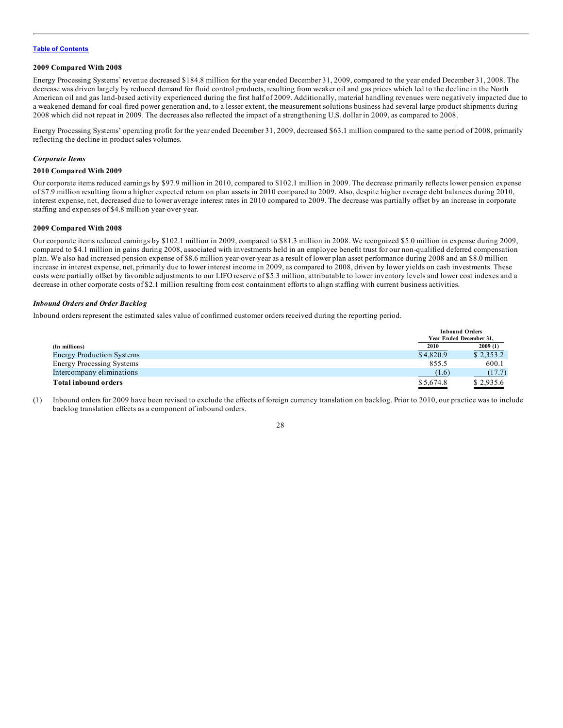## **2009 Compared With 2008**

Energy Processing Systems' revenue decreased \$184.8 million for the year ended December 31, 2009, compared to the year ended December 31, 2008. The decrease was driven largely by reduced demand for fluid control products, resulting from weaker oil and gas prices which led to the decline in the North American oil and gas land-based activity experienced during the first half of 2009. Additionally, material handling revenues were negatively impacted due to a weakened demand for coal-fired power generation and, to a lesser extent, the measurement solutions business had several large product shipments during 2008 which did not repeat in 2009. The decreases also reflected the impact of a strengthening U.S. dollar in 2009, as compared to 2008.

Energy Processing Systems' operating profit for the year ended December 31, 2009, decreased \$63.1 million compared to the same period of 2008, primarily reflecting the decline in product sales volumes.

#### *Corporate Items*

#### **2010 Compared With 2009**

Our corporate items reduced earnings by \$97.9 million in 2010, compared to \$102.1 million in 2009. The decrease primarily reflects lower pension expense of \$7.9 million resulting from a higher expected return on plan assets in 2010 compared to 2009. Also, despite higher average debt balances during 2010, interest expense, net, decreased due to lower average interest rates in 2010 compared to 2009. The decrease was partially offset by an increase in corporate staffing and expenses of \$4.8 million year-over-year.

#### **2009 Compared With 2008**

Our corporate items reduced earnings by \$102.1 million in 2009, compared to \$81.3 million in 2008. We recognized \$5.0 million in expense during 2009, compared to \$4.1 million in gains during 2008, associated with investments held in an employee benefit trust for our non-qualified deferred compensation plan. We also had increased pension expense of \$8.6 million year-over-year as a result of lower plan asset performance during 2008 and an \$8.0 million increase in interest expense, net, primarily due to lower interest income in 2009, as compared to 2008, driven by lower yields on cash investments. These costs were partially offset by favorable adjustments to our LIFO reserve of \$5.3 million, attributable to lower inventory levels and lower cost indexes and a decrease in other corporate costs of \$2.1 million resulting from cost containment efforts to align staffing with current business activities.

## *Inbound Orders and Order Backlog*

Inbound orders represent the estimated sales value of confirmed customer orders received during the reporting period.

|                                  |           | <b>Inbound Orders</b>   |
|----------------------------------|-----------|-------------------------|
|                                  |           | Year Ended December 31. |
| (In millions)                    | 2010      | 2009(1)                 |
| <b>Energy Production Systems</b> | \$4,820.9 | \$2,353.2               |
| <b>Energy Processing Systems</b> | 855.5     | 600.1                   |
| Intercompany eliminations        | (1.6)     | (17.7)                  |
| <b>Total inbound orders</b>      | \$5,674.8 | \$2,935.6               |

(1) Inbound orders for 2009 have been revised to exclude the effects of foreign currency translation on backlog. Prior to 2010, our practice was to include backlog translation effects as a component of inbound orders.

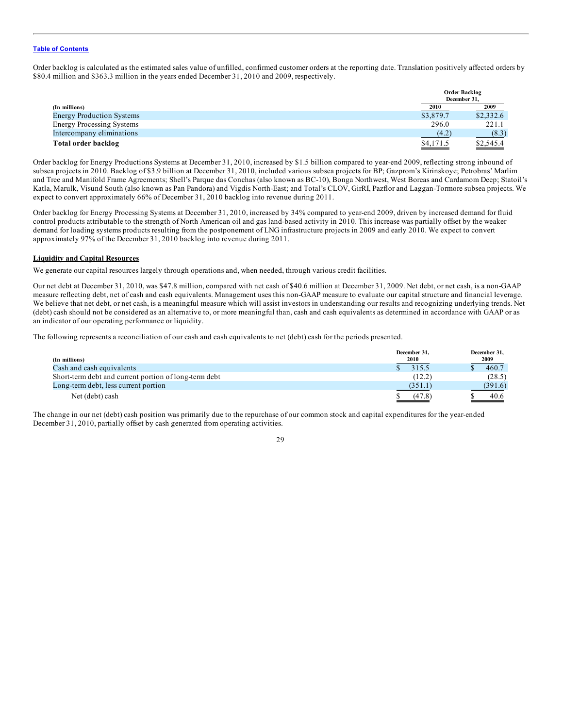Order backlog is calculated as the estimated sales value of unfilled, confirmed customer orders at the reporting date. Translation positively affected orders by \$80.4 million and \$363.3 million in the years ended December 31, 2010 and 2009, respectively.

|                                  |           | Order Backlog<br>December 31. |  |  |
|----------------------------------|-----------|-------------------------------|--|--|
|                                  |           |                               |  |  |
| (In millions)                    | 2010      | 2009                          |  |  |
| <b>Energy Production Systems</b> | \$3,879.7 | \$2,332.6                     |  |  |
| <b>Energy Processing Systems</b> | 296.0     | 221.1                         |  |  |
| Intercompany eliminations        | (4.2)     | (8.3)                         |  |  |
| Total order backlog              | \$4,171.5 | \$2,545.4                     |  |  |

Order backlog for Energy Productions Systems at December 31, 2010, increased by \$1.5 billion compared to year-end 2009, reflecting strong inbound of subsea projects in 2010. Backlog of \$3.9 billion at December 31, 2010, included various subsea projects for BP; Gazprom's Kirinskoye; Petrobras' Marlim and Tree and Manifold Frame Agreements; Shell's Parque das Conchas (also known as BC-10), Bonga Northwest, West Boreas and Cardamom Deep; Statoil's Katla, Marulk, Visund South (also known as Pan Pandora) and Vigdis North-East; and Total's CLOV, GirRI, Pazflor and Laggan-Tormore subsea projects. We expect to convert approximately 66% of December 31, 2010 backlog into revenue during 2011.

Order backlog for Energy Processing Systems at December 31, 2010, increased by 34% compared to year-end 2009, driven by increased demand for fluid control products attributable to the strength of North American oil and gas land-based activity in 2010. This increase was partially offset by the weaker demand for loading systems products resulting from the postponement of LNG infrastructure projects in 2009 and early 2010. We expect to convert approximately 97% of the December 31, 2010 backlog into revenue during 2011.

## **Liquidity and Capital Resources**

We generate our capital resources largely through operations and, when needed, through various credit facilities.

Our net debt at December 31, 2010, was \$47.8 million, compared with net cash of \$40.6 million at December 31, 2009. Net debt, or net cash, is a non-GAAP measure reflecting debt, net of cash and cash equivalents. Management uses this non-GAAP measure to evaluate our capital structure and financial leverage. We believe that net debt, or net cash, is a meaningful measure which will assist investors in understanding our results and recognizing underlying trends. Net (debt) cash should not be considered as an alternative to, or more meaningful than, cash and cash equivalents as determined in accordance with GAAP or as an indicator of our operating performance or liquidity.

The following represents a reconciliation of our cash and cash equivalents to net (debt) cash for the periods presented.

| (In millions)                                         | December 31.<br>2010 | December 31,<br>2009 |  |  |
|-------------------------------------------------------|----------------------|----------------------|--|--|
| Cash and cash equivalents                             | 315.5                | 460.7                |  |  |
| Short-term debt and current portion of long-term debt | (12.2)               | (28.5)               |  |  |
| Long-term debt, less current portion                  | (351.1)              | (391.6)              |  |  |
| Net (debt) cash                                       | (47.8)               | 40.6                 |  |  |

The change in our net (debt) cash position was primarily due to the repurchase of our common stock and capital expenditures for the year-ended December 31, 2010, partially offset by cash generated from operating activities.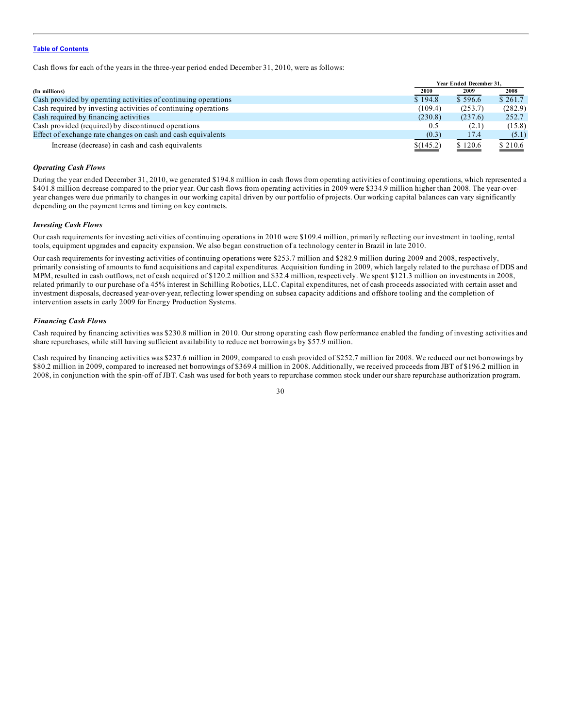Cash flows for each of the years in the three-year period ended December 31, 2010, were as follows:

|                                                                |           | Year Ended December 31. |         |  |  |
|----------------------------------------------------------------|-----------|-------------------------|---------|--|--|
| (In millions)                                                  | 2010      | 2009                    | 2008    |  |  |
| Cash provided by operating activities of continuing operations | \$194.8   | \$596.6                 | \$261.7 |  |  |
| Cash required by investing activities of continuing operations | (109.4)   | (253.7)                 | (282.9) |  |  |
| Cash required by financing activities                          | (230.8)   | (237.6)                 | 252.7   |  |  |
| Cash provided (required) by discontinued operations            | 0.5       | (2.1)                   | (15.8)  |  |  |
| Effect of exchange rate changes on cash and cash equivalents   | (0.3)     | 17.4                    | (5.1)   |  |  |
| Increase (decrease) in cash and cash equivalents               | \$(145.2) | \$120.6                 | \$210.6 |  |  |

## *Operating Cash Flows*

During the year ended December 31, 2010, we generated \$194.8 million in cash flows from operating activities of continuing operations, which represented a \$401.8 million decrease compared to the prior year. Our cash flows from operating activities in 2009 were \$334.9 million higher than 2008. The year-overyear changes were due primarily to changes in our working capital driven by our portfolio of projects. Our working capital balances can vary significantly depending on the payment terms and timing on key contracts.

## *Investing Cash Flows*

Our cash requirements for investing activities of continuing operations in 2010 were \$109.4 million, primarily reflecting our investment in tooling, rental tools, equipment upgrades and capacity expansion. We also began construction of a technology center in Brazil in late 2010.

Our cash requirements for investing activities of continuing operations were \$253.7 million and \$282.9 million during 2009 and 2008, respectively, primarily consisting of amounts to fund acquisitions and capital expenditures. Acquisition funding in 2009, which largely related to the purchase of DDS and MPM, resulted in cash outflows, net of cash acquired of \$120.2 million and \$32.4 million, respectively. We spent \$121.3 million on investments in 2008, related primarily to our purchase of a 45% interest in Schilling Robotics, LLC. Capital expenditures, net of cash proceeds associated with certain asset and investment disposals, decreased year-over-year, reflecting lower spending on subsea capacity additions and offshore tooling and the completion of intervention assets in early 2009 for Energy Production Systems.

## *Financing Cash Flows*

Cash required by financing activities was \$230.8 million in 2010. Our strong operating cash flow performance enabled the funding of investing activities and share repurchases, while still having sufficient availability to reduce net borrowings by \$57.9 million.

Cash required by financing activities was \$237.6 million in 2009, compared to cash provided of \$252.7 million for 2008. We reduced our net borrowings by \$80.2 million in 2009, compared to increased net borrowings of \$369.4 million in 2008. Additionally, we received proceeds from JBT of \$196.2 million in 2008, in conjunction with the spin-off of JBT. Cash was used for both years to repurchase common stock under our share repurchase authorization program.

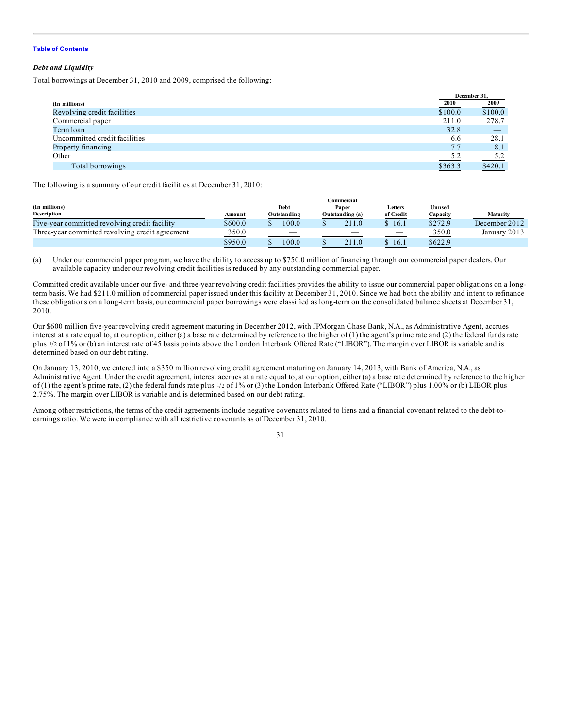## *Debt and Liquidity*

Total borrowings at December 31, 2010 and 2009, comprised the following:

|                               | December 31. |                       |  |
|-------------------------------|--------------|-----------------------|--|
| (In millions)                 | <b>2010</b>  | $\frac{2009}{$100.0}$ |  |
| Revolving credit facilities   | \$100.0      |                       |  |
| Commercial paper              | 211.0        | 278.7                 |  |
| Term loan                     | 32.8         |                       |  |
| Uncommitted credit facilities | 6.6          | 28.1                  |  |
| Property financing            | 7.7          | 8.1                   |  |
| Other                         | 5.2          | $-5.2$                |  |
| Total borrowings              | \$363.3      | \$420.1               |  |
|                               |              |                       |  |

The following is a summary of our credit facilities at December 31, 2010:

|                                                 |         |             | Commercial      |           |          |               |
|-------------------------------------------------|---------|-------------|-----------------|-----------|----------|---------------|
| (In millions)                                   |         | Debt        | Paper           | Letters   | Unused   |               |
| <b>Description</b>                              | Amount  | Outstanding | Outstanding (a) | of Credit | Capacity | Maturity      |
| Five-year committed revolving credit facility   | \$600.0 | 100.0       | 211.0           | 16.1      | \$272.9  | December 2012 |
| Three-year committed revolving credit agreement | 350.0   | __          |                 |           | 350.0    | January 2013  |
|                                                 | \$950.0 | 100.0       | 211.0           | 16.1      | \$622.9  |               |

(a) Under our commercial paper program, we have the ability to access up to \$750.0 million of financing through our commercial paper dealers. Our available capacity under our revolving credit facilities is reduced by any outstanding commercial paper.

Committed credit available under our five- and three-year revolving credit facilities provides the ability to issue our commercial paper obligations on a longterm basis. We had \$211.0 million of commercial paper issued under this facility at December 31, 2010. Since we had both the ability and intent to refinance these obligations on a long-term basis, our commercial paper borrowings were classified as long-term on the consolidated balance sheets at December 31, 2010.

Our \$600 million five-year revolving credit agreement maturing in December 2012, with JPMorgan Chase Bank, N.A., as Administrative Agent, accrues interest at a rate equal to, at our option, either (a) a base rate determined by reference to the higher of (1) the agent's prime rate and (2) the federal funds rate plus 1/2 of 1% or (b) an interest rate of 45 basis points above the London Interbank Offered Rate ("LIBOR"). The margin over LIBOR is variable and is determined based on our debt rating.

On January 13, 2010, we entered into a \$350 million revolving credit agreement maturing on January 14, 2013, with Bank of America, N.A., as Administrative Agent. Under the credit agreement, interest accrues at a rate equal to, at our option, either (a) a base rate determined by reference to the higher of (1) the agent's prime rate, (2) the federal funds rate plus /2 of 1% or (3) the London Interbank Offered Rate ("LIBOR") plus 1.00% or (b) LIBOR plus 12.75%. The margin over LIBOR is variable and is determined based on our debt rating.

Among other restrictions, the terms of the credit agreements include negative covenants related to liens and a financial covenant related to the debt-toearnings ratio. We were in compliance with all restrictive covenants as of December 31, 2010.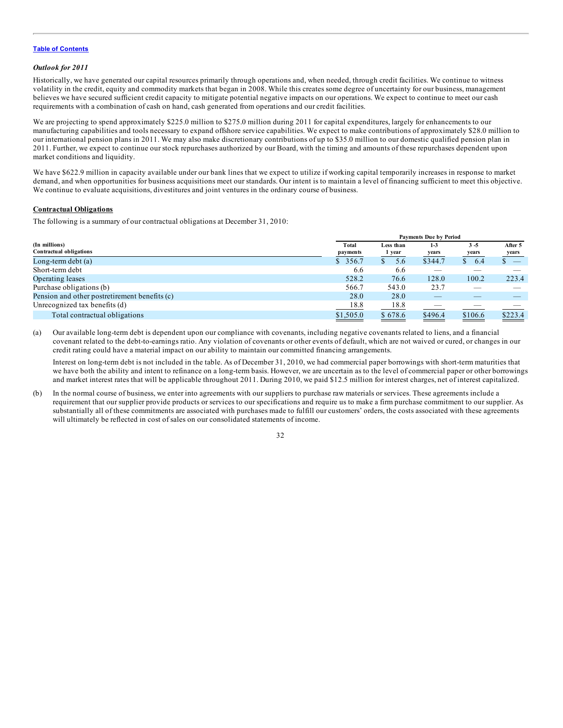## *Outlook for 2011*

Historically, we have generated our capital resources primarily through operations and, when needed, through credit facilities. We continue to witness volatility in the credit, equity and commodity markets that began in 2008. While this creates some degree of uncertainty for our business, management believes we have secured sufficient credit capacity to mitigate potential negative impacts on our operations. We expect to continue to meet our cash requirements with a combination of cash on hand, cash generated from operations and our credit facilities.

We are projecting to spend approximately \$225.0 million to \$275.0 million during 2011 for capital expenditures, largely for enhancements to our manufacturing capabilities and tools necessary to expand offshore service capabilities. We expect to make contributions of approximately \$28.0 million to our international pension plans in 2011. We may also make discretionary contributions of up to \$35.0 million to our domestic qualified pension plan in 2011. Further, we expect to continue our stock repurchases authorized by our Board, with the timing and amounts of these repurchases dependent upon market conditions and liquidity.

We have \$622.9 million in capacity available under our bank lines that we expect to utilize if working capital temporarily increases in response to market demand, and when opportunities for business acquisitions meet our standards. Our intent is to maintain a level of financing sufficient to meet this objective. We continue to evaluate acquisitions, divestitures and joint ventures in the ordinary course of business.

#### **Contractual Obligations**

The following is a summary of our contractual obligations at December 31, 2010:

|                                               |           | <b>Payments Due by Period</b> |         |            |         |
|-----------------------------------------------|-----------|-------------------------------|---------|------------|---------|
| (In millions)                                 | Total     | Less than                     | $1 - 3$ | $3 - 5$    | After 5 |
| Contractual obligations                       | payments  | 1 year                        | years   | years      | years   |
| Long-term debt $(a)$                          | \$356.7   | 5.6<br>S.                     | \$344.7 | -6.4<br>S. |         |
| Short-term debt                               | 6.6       | 6.6                           |         |            |         |
| Operating leases                              | 528.2     | 76.6                          | 128.0   | 100.2      | 223.4   |
| Purchase obligations (b)                      | 566.7     | 543.0                         | 23.7    |            |         |
| Pension and other postretirement benefits (c) | 28.0      | 28.0                          |         |            |         |
| Unrecognized tax benefits (d)                 | 18.8      | 18.8                          | __      |            |         |
| Total contractual obligations                 | \$1,505.0 | \$678.6                       | \$496.4 | \$106.6    | \$223.4 |

(a) Our available long-term debt is dependent upon our compliance with covenants, including negative covenants related to liens, and a financial covenant related to the debt-to-earnings ratio. Any violation of covenants or other events of default, which are not waived or cured, or changes in our credit rating could have a material impact on our ability to maintain our committed financing arrangements.

Interest on long-term debt is not included in the table. As of December 31, 2010, we had commercial paper borrowings with short-term maturities that we have both the ability and intent to refinance on a long-term basis. However, we are uncertain as to the level of commercial paper or other borrowings and market interest rates that will be applicable throughout 2011. During 2010, we paid \$12.5 million for interest charges, net of interest capitalized.

(b) In the normal course of business, we enter into agreements with our suppliers to purchase raw materials or services. These agreements include a requirement that our supplier provide products or services to our specifications and require us to make a firm purchase commitment to our supplier. As substantially all of these commitments are associated with purchases made to fulfill our customers' orders, the costs associated with these agreements will ultimately be reflected in cost of sales on our consolidated statements of income.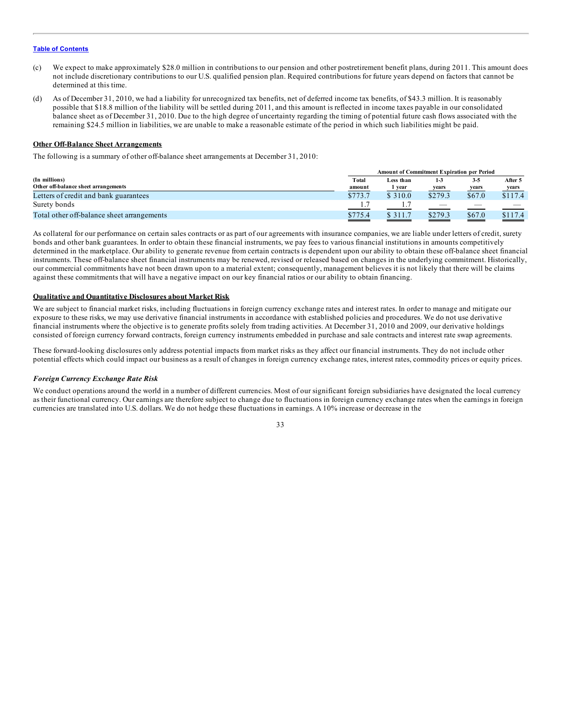- (c) We expect to make approximately \$28.0 million in contributions to our pension and other postretirement benefit plans, during 2011. This amount does not include discretionary contributions to our U.S. qualified pension plan. Required contributions for future years depend on factors that cannot be determined at this time.
- (d) As of December 31, 2010, we had a liability for unrecognized tax benefits, net of deferred income tax benefits, of \$43.3 million. It is reasonably possible that \$18.8 million of the liability will be settled during 2011, and this amount is reflected in income taxes payable in our consolidated balance sheet as of December 31, 2010. Due to the high degree of uncertainty regarding the timing of potential future cash flows associated with the remaining \$24.5 million in liabilities, we are unable to make a reasonable estimate of the period in which such liabilities might be paid.

## **Other Off-Balance Sheet Arrangements**

The following is a summary of other off-balance sheet arrangements at December 31, 2010:

|                                            |         | Amount of Commitment Expiration per Period |                          |        |         |  |
|--------------------------------------------|---------|--------------------------------------------|--------------------------|--------|---------|--|
| (In millions)                              | Total   | Less than                                  | $1 - 3$                  | $3-5$  | After 5 |  |
| Other off-balance sheet arrangements       | amount  | 1 year                                     | years                    | vears  | years   |  |
| Letters of credit and bank guarantees      | \$773.7 | \$310.0                                    | \$279.3                  | \$67.0 | \$117.4 |  |
| Surety bonds                               |         |                                            | $\overline{\phantom{a}}$ |        |         |  |
| Total other off-balance sheet arrangements | \$775.4 | \$ 311.7                                   | \$279.3                  | \$67.0 | \$117.4 |  |

As collateral for our performance on certain sales contracts or as part of our agreements with insurance companies, we are liable under letters of credit, surety bonds and other bank guarantees. In order to obtain these financial instruments, we pay fees to various financial institutions in amounts competitively determined in the marketplace. Our ability to generate revenue from certain contracts is dependent upon our ability to obtain these off-balance sheet financial instruments. These off-balance sheet financial instruments may be renewed, revised or released based on changes in the underlying commitment. Historically, our commercial commitments have not been drawn upon to a material extent; consequently, management believes it is not likely that there will be claims against these commitments that will have a negative impact on our key financial ratios or our ability to obtain financing.

## **Qualitative and Quantitative Disclosures about Market Risk**

We are subject to financial market risks, including fluctuations in foreign currency exchange rates and interest rates. In order to manage and mitigate our exposure to these risks, we may use derivative financial instruments in accordance with established policies and procedures. We do not use derivative financial instruments where the objective is to generate profits solely from trading activities. At December 31, 2010 and 2009, our derivative holdings consisted of foreign currency forward contracts, foreign currency instruments embedded in purchase and sale contracts and interest rate swap agreements.

These forward-looking disclosures only address potential impacts from market risks as they affect our financial instruments. They do not include other potential effects which could impact our business as a result of changes in foreign currency exchange rates, interest rates, commodity prices or equity prices.

#### *Foreign Currency Exchange Rate Risk*

We conduct operations around the world in a number of different currencies. Most of our significant foreign subsidiaries have designated the local currency as their functional currency. Our earnings are therefore subject to change due to fluctuations in foreign currency exchange rates when the earnings in foreign currencies are translated into U.S. dollars. We do not hedge these fluctuations in earnings. A 10% increase or decrease in the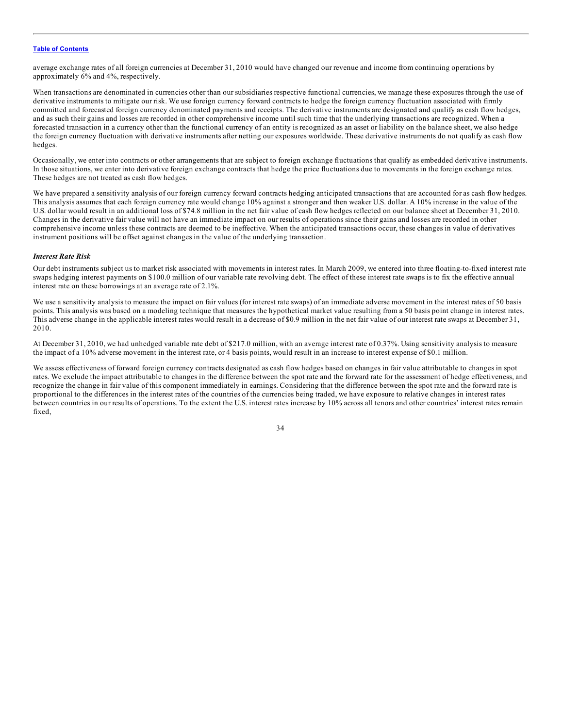average exchange rates of all foreign currencies at December 31, 2010 would have changed our revenue and income from continuing operations by approximately 6% and 4%, respectively.

When transactions are denominated in currencies other than our subsidiaries respective functional currencies, we manage these exposures through the use of derivative instruments to mitigate our risk. We use foreign currency forward contracts to hedge the foreign currency fluctuation associated with firmly committed and forecasted foreign currency denominated payments and receipts. The derivative instruments are designated and qualify as cash flow hedges, and as such their gains and losses are recorded in other comprehensive income until such time that the underlying transactions are recognized. When a forecasted transaction in a currency other than the functional currency of an entity is recognized as an asset or liability on the balance sheet, we also hedge the foreign currency fluctuation with derivative instruments after netting our exposures worldwide. These derivative instruments do not qualify as cash flow hedges.

Occasionally, we enter into contracts or other arrangements that are subject to foreign exchange fluctuations that qualify as embedded derivative instruments. In those situations, we enter into derivative foreign exchange contracts that hedge the price fluctuations due to movements in the foreign exchange rates. These hedges are not treated as cash flow hedges.

We have prepared a sensitivity analysis of our foreign currency forward contracts hedging anticipated transactions that are accounted for as cash flow hedges. This analysis assumes that each foreign currency rate would change 10% against a stronger and then weaker U.S. dollar. A 10% increase in the value of the U.S. dollar would result in an additional loss of \$74.8 million in the net fair value of cash flow hedges reflected on our balance sheet at December 31, 2010. Changes in the derivative fair value will not have an immediate impact on our results of operations since their gains and losses are recorded in other comprehensive income unless these contracts are deemed to be ineffective. When the anticipated transactions occur, these changes in value of derivatives instrument positions will be offset against changes in the value of the underlying transaction.

## *Interest Rate Risk*

Our debt instruments subject us to market risk associated with movements in interest rates. In March 2009, we entered into three floating-to-fixed interest rate swaps hedging interest payments on \$100.0 million of our variable rate revolving debt. The effect of these interest rate swaps is to fix the effective annual interest rate on these borrowings at an average rate of 2.1%.

We use a sensitivity analysis to measure the impact on fair values (for interest rate swaps) of an immediate adverse movement in the interest rates of 50 basis points. This analysis was based on a modeling technique that measures the hypothetical market value resulting from a 50 basis point change in interest rates. This adverse change in the applicable interest rates would result in a decrease of \$0.9 million in the net fair value of our interest rate swaps at December 31, 2010.

At December 31, 2010, we had unhedged variable rate debt of \$217.0 million, with an average interest rate of 0.37%. Using sensitivity analysis to measure the impact of a 10% adverse movement in the interest rate, or 4 basis points, would result in an increase to interest expense of \$0.1 million.

We assess effectiveness of forward foreign currency contracts designated as cash flow hedges based on changes in fair value attributable to changes in spot rates. We exclude the impact attributable to changes in the difference between the spot rate and the forward rate for the assessment of hedge effectiveness, and recognize the change in fair value of this component immediately in earnings. Considering that the difference between the spot rate and the forward rate is proportional to the differences in the interest rates of the countries of the currencies being traded, we have exposure to relative changes in interest rates between countries in our results of operations. To the extent the U.S. interest rates increase by 10% across all tenors and other countries' interest rates remain fixed,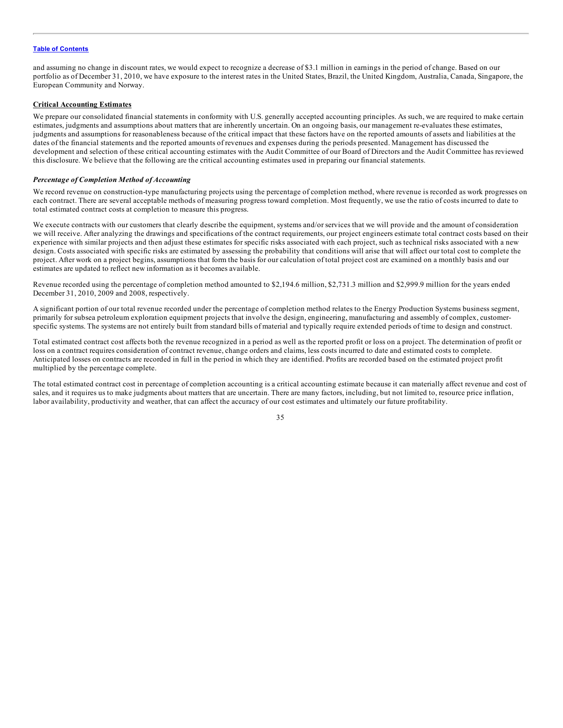and assuming no change in discount rates, we would expect to recognize a decrease of \$3.1 million in earnings in the period of change. Based on our portfolio as of December 31, 2010, we have exposure to the interest rates in the United States, Brazil, the United Kingdom, Australia, Canada, Singapore, the European Community and Norway.

## **Critical Accounting Estimates**

We prepare our consolidated financial statements in conformity with U.S. generally accepted accounting principles. As such, we are required to make certain estimates, judgments and assumptions about matters that are inherently uncertain. On an ongoing basis, our management re-evaluates these estimates, judgments and assumptions for reasonableness because of the critical impact that these factors have on the reported amounts of assets and liabilities at the dates of the financial statements and the reported amounts of revenues and expenses during the periods presented. Management has discussed the development and selection of these critical accounting estimates with the Audit Committee of our Board of Directors and the Audit Committee has reviewed this disclosure. We believe that the following are the critical accounting estimates used in preparing our financial statements.

## *Percentage of Completion Method of Accounting*

We record revenue on construction-type manufacturing projects using the percentage of completion method, where revenue is recorded as work progresses on each contract. There are several acceptable methods of measuring progress toward completion. Most frequently, we use the ratio of costs incurred to date to total estimated contract costs at completion to measure this progress.

We execute contracts with our customers that clearly describe the equipment, systems and/or services that we will provide and the amount of consideration we will receive. After analyzing the drawings and specifications of the contract requirements, our project engineers estimate total contract costs based on their experience with similar projects and then adjust these estimates for specific risks associated with each project, such as technical risks associated with a new design. Costs associated with specific risks are estimated by assessing the probability that conditions will arise that will affect our total cost to complete the project. After work on a project begins, assumptions that form the basis for our calculation of total project cost are examined on a monthly basis and our estimates are updated to reflect new information as it becomes available.

Revenue recorded using the percentage of completion method amounted to \$2,194.6 million, \$2,731.3 million and \$2,999.9 million for the years ended December 31, 2010, 2009 and 2008, respectively.

A significant portion of our total revenue recorded under the percentage of completion method relates to the Energy Production Systems business segment, primarily for subsea petroleum exploration equipment projects that involve the design, engineering, manufacturing and assembly of complex, customerspecific systems. The systems are not entirely built from standard bills of material and typically require extended periods of time to design and construct.

Total estimated contract cost affects both the revenue recognized in a period as well as the reported profit or loss on a project. The determination of profit or loss on a contract requires consideration of contract revenue, change orders and claims, less costs incurred to date and estimated costs to complete. Anticipated losses on contracts are recorded in full in the period in which they are identified. Profits are recorded based on the estimated project profit multiplied by the percentage complete.

The total estimated contract cost in percentage of completion accounting is a critical accounting estimate because it can materially affect revenue and cost of sales, and it requires us to make judgments about matters that are uncertain. There are many factors, including, but not limited to, resource price inflation, labor availability, productivity and weather, that can affect the accuracy of our cost estimates and ultimately our future profitability.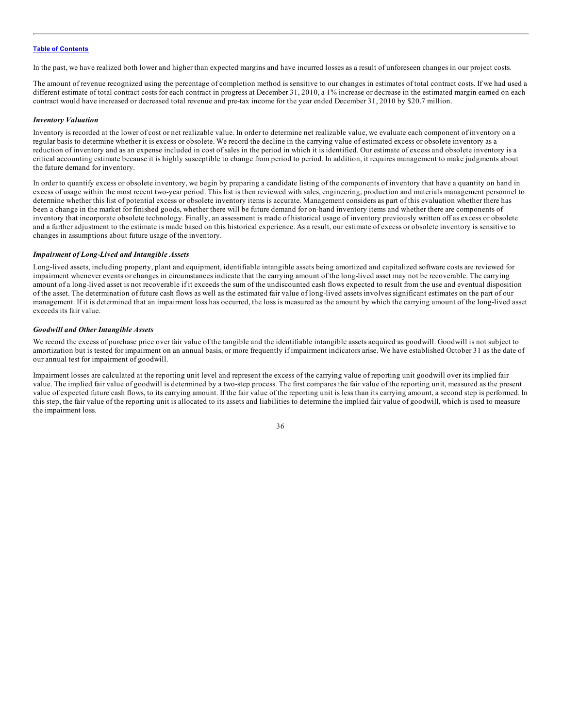In the past, we have realized both lower and higher than expected margins and have incurred losses as a result of unforeseen changes in our project costs.

The amount of revenue recognized using the percentage of completion method is sensitive to our changes in estimates of total contract costs. If we had used a different estimate of total contract costs for each contract in progress at December 31, 2010, a 1% increase or decrease in the estimated margin earned on each contract would have increased or decreased total revenue and pre-tax income for the year ended December 31, 2010 by \$20.7 million.

#### *Inventory Valuation*

Inventory is recorded at the lower of cost or net realizable value. In order to determine net realizable value, we evaluate each component of inventory on a regular basis to determine whether it is excess or obsolete. We record the decline in the carrying value of estimated excess or obsolete inventory as a reduction of inventory and as an expense included in cost of sales in the period in which it is identified. Our estimate of excess and obsolete inventory is a critical accounting estimate because it is highly susceptible to change from period to period. In addition, it requires management to make judgments about the future demand for inventory.

In order to quantify excess or obsolete inventory, we begin by preparing a candidate listing of the components of inventory that have a quantity on hand in excess of usage within the most recent two-year period. This list is then reviewed with sales, engineering, production and materials management personnel to determine whether this list of potential excess or obsolete inventory items is accurate. Management considers as part of this evaluation whether there has been a change in the market for finished goods, whether there will be future demand for on-hand inventory items and whether there are components of inventory that incorporate obsolete technology. Finally, an assessment is made of historical usage of inventory previously written off as excess or obsolete and a further adjustment to the estimate is made based on this historical experience. As a result, our estimate of excess or obsolete inventory is sensitive to changes in assumptions about future usage of the inventory.

## *Impairment of Long-Lived and Intangible Assets*

Long-lived assets, including property, plant and equipment, identifiable intangible assets being amortized and capitalized software costs are reviewed for impairment whenever events or changes in circumstances indicate that the carrying amount of the long-lived asset may not be recoverable. The carrying amount of a long-lived asset is not recoverable if it exceeds the sum of the undiscounted cash flows expected to result from the use and eventual disposition of the asset. The determination of future cash flows as well as the estimated fair value of long-lived assets involves significant estimates on the part of our management. If it is determined that an impairment loss has occurred, the loss is measured as the amount by which the carrying amount of the long-lived asset exceeds its fair value.

#### *Goodwill and Other Intangible Assets*

We record the excess of purchase price over fair value of the tangible and the identifiable intangible assets acquired as goodwill. Goodwill is not subject to amortization but is tested for impairment on an annual basis, or more frequently if impairment indicators arise. We have established October 31 as the date of our annual test for impairment of goodwill.

Impairment losses are calculated at the reporting unit level and represent the excess of the carrying value of reporting unit goodwill over its implied fair value. The implied fair value of goodwill is determined by a two-step process. The first compares the fair value of the reporting unit, measured as the present value of expected future cash flows, to its carrying amount. If the fair value of the reporting unit is less than its carrying amount, a second step is performed. In this step, the fair value of the reporting unit is allocated to its assets and liabilities to determine the implied fair value of goodwill, which is used to measure the impairment loss.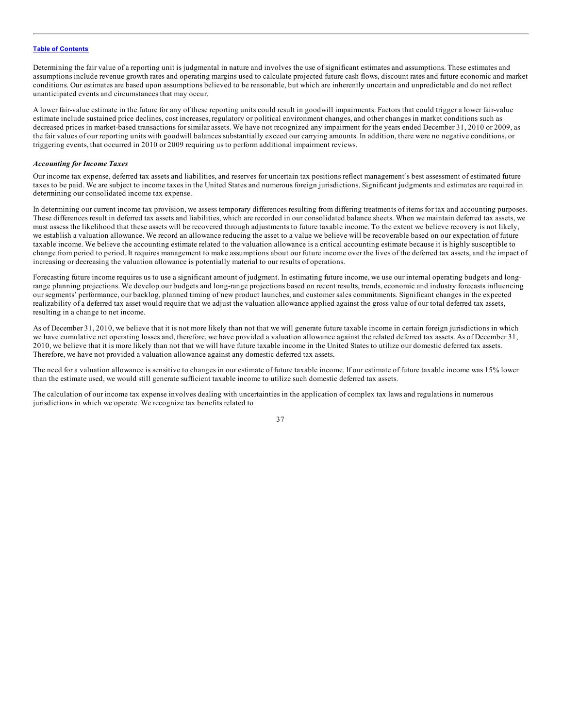Determining the fair value of a reporting unit is judgmental in nature and involves the use of significant estimates and assumptions. These estimates and assumptions include revenue growth rates and operating margins used to calculate projected future cash flows, discount rates and future economic and market conditions. Our estimates are based upon assumptions believed to be reasonable, but which are inherently uncertain and unpredictable and do not reflect unanticipated events and circumstances that may occur.

A lower fair-value estimate in the future for any of these reporting units could result in goodwill impairments. Factors that could trigger a lower fair-value estimate include sustained price declines, cost increases, regulatory or political environment changes, and other changes in market conditions such as decreased prices in market-based transactions for similar assets. We have not recognized any impairment for the years ended December 31, 2010 or 2009, as the fair values of our reporting units with goodwill balances substantially exceed our carrying amounts. In addition, there were no negative conditions, or triggering events, that occurred in 2010 or 2009 requiring us to perform additional impairment reviews.

#### *Accounting for Income Taxes*

Our income tax expense, deferred tax assets and liabilities, and reserves for uncertain tax positions reflect management's best assessment of estimated future taxes to be paid. We are subject to income taxes in the United States and numerous foreign jurisdictions. Significant judgments and estimates are required in determining our consolidated income tax expense.

In determining our current income tax provision, we assess temporary differences resulting from differing treatments of items for tax and accounting purposes. These differences result in deferred tax assets and liabilities, which are recorded in our consolidated balance sheets. When we maintain deferred tax assets, we must assess the likelihood that these assets will be recovered through adjustments to future taxable income. To the extent we believe recovery is not likely, we establish a valuation allowance. We record an allowance reducing the asset to a value we believe will be recoverable based on our expectation of future taxable income. We believe the accounting estimate related to the valuation allowance is a critical accounting estimate because it is highly susceptible to change from period to period. It requires management to make assumptions about our future income over the lives of the deferred tax assets, and the impact of increasing or decreasing the valuation allowance is potentially material to our results of operations.

Forecasting future income requires us to use a significant amount of judgment. In estimating future income, we use our internal operating budgets and longrange planning projections. We develop our budgets and long-range projections based on recent results, trends, economic and industry forecasts influencing our segments' performance, our backlog, planned timing of new product launches, and customer sales commitments. Significant changes in the expected realizability of a deferred tax asset would require that we adjust the valuation allowance applied against the gross value of our total deferred tax assets, resulting in a change to net income.

As of December 31, 2010, we believe that it is not more likely than not that we will generate future taxable income in certain foreign jurisdictions in which we have cumulative net operating losses and, therefore, we have provided a valuation allowance against the related deferred tax assets. As of December 31, 2010, we believe that it is more likely than not that we will have future taxable income in the United States to utilize our domestic deferred tax assets. Therefore, we have not provided a valuation allowance against any domestic deferred tax assets.

The need for a valuation allowance is sensitive to changes in our estimate of future taxable income. If our estimate of future taxable income was 15% lower than the estimate used, we would still generate sufficient taxable income to utilize such domestic deferred tax assets.

The calculation of our income tax expense involves dealing with uncertainties in the application of complex tax laws and regulations in numerous jurisdictions in which we operate. We recognize tax benefits related to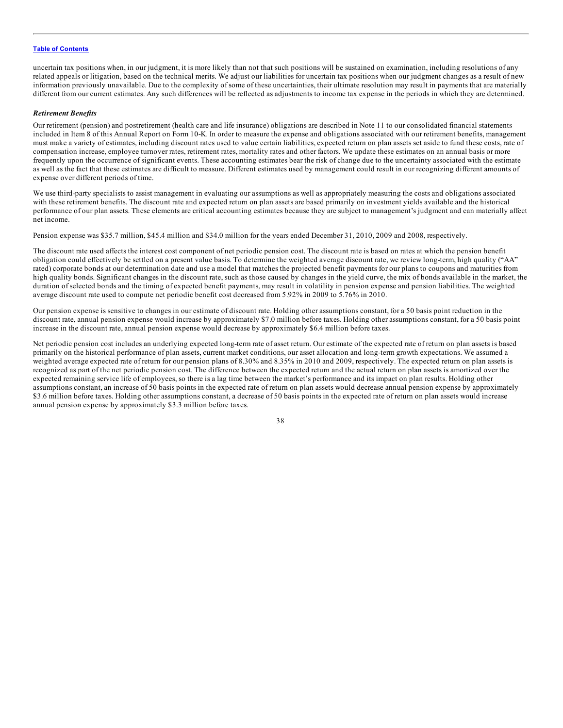uncertain tax positions when, in our judgment, it is more likely than not that such positions will be sustained on examination, including resolutions of any related appeals or litigation, based on the technical merits. We adjust our liabilities for uncertain tax positions when our judgment changes as a result of new information previously unavailable. Due to the complexity of some of these uncertainties, their ultimate resolution may result in payments that are materially different from our current estimates. Any such differences will be reflected as adjustments to income tax expense in the periods in which they are determined.

#### *Retirement Benefits*

Our retirement (pension) and postretirement (health care and life insurance) obligations are described in Note 11 to our consolidated financial statements included in Item 8 of this Annual Report on Form 10-K. In order to measure the expense and obligations associated with our retirement benefits, management must make a variety of estimates, including discount rates used to value certain liabilities, expected return on plan assets set aside to fund these costs, rate of compensation increase, employee turnover rates, retirement rates, mortality rates and other factors. We update these estimates on an annual basis or more frequently upon the occurrence of significant events. These accounting estimates bear the risk of change due to the uncertainty associated with the estimate as well as the fact that these estimates are difficult to measure. Different estimates used by management could result in our recognizing different amounts of expense over different periods of time.

We use third-party specialists to assist management in evaluating our assumptions as well as appropriately measuring the costs and obligations associated with these retirement benefits. The discount rate and expected return on plan assets are based primarily on investment yields available and the historical performance of our plan assets. These elements are critical accounting estimates because they are subject to management's judgment and can materially affect net income.

Pension expense was \$35.7 million, \$45.4 million and \$34.0 million for the years ended December 31, 2010, 2009 and 2008, respectively.

The discount rate used affects the interest cost component of net periodic pension cost. The discount rate is based on rates at which the pension benefit obligation could effectively be settled on a present value basis. To determine the weighted average discount rate, we review long-term, high quality ("AA" rated) corporate bonds at our determination date and use a model that matches the projected benefit payments for our plans to coupons and maturities from high quality bonds. Significant changes in the discount rate, such as those caused by changes in the yield curve, the mix of bonds available in the market, the duration of selected bonds and the timing of expected benefit payments, may result in volatility in pension expense and pension liabilities. The weighted average discount rate used to compute net periodic benefit cost decreased from 5.92% in 2009 to 5.76% in 2010.

Our pension expense is sensitive to changes in our estimate of discount rate. Holding other assumptions constant, for a 50 basis point reduction in the discount rate, annual pension expense would increase by approximately \$7.0 million before taxes. Holding other assumptions constant, for a 50 basis point increase in the discount rate, annual pension expense would decrease by approximately \$6.4 million before taxes.

Net periodic pension cost includes an underlying expected long-term rate of asset return. Our estimate of the expected rate of return on plan assets is based primarily on the historical performance of plan assets, current market conditions, our asset allocation and long-term growth expectations. We assumed a weighted average expected rate of return for our pension plans of 8.30% and 8.35% in 2010 and 2009, respectively. The expected return on plan assets is recognized as part of the net periodic pension cost. The difference between the expected return and the actual return on plan assets is amortized over the expected remaining service life of employees, so there is a lag time between the market's performance and its impact on plan results. Holding other assumptions constant, an increase of 50 basis points in the expected rate of return on plan assets would decrease annual pension expense by approximately \$3.6 million before taxes. Holding other assumptions constant, a decrease of 50 basis points in the expected rate of return on plan assets would increase annual pension expense by approximately \$3.3 million before taxes.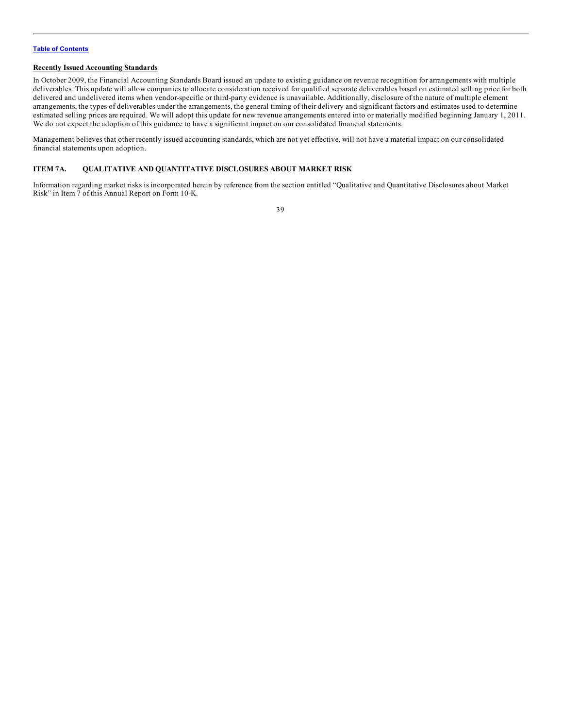### **Recently Issued Accounting Standards**

In October 2009, the Financial Accounting Standards Board issued an update to existing guidance on revenue recognition for arrangements with multiple deliverables. This update will allow companies to allocate consideration received for qualified separate deliverables based on estimated selling price for both delivered and undelivered items when vendor-specific or third-party evidence is unavailable. Additionally, disclosure of the nature of multiple element arrangements, the types of deliverables under the arrangements, the general timing of their delivery and significant factors and estimates used to determine estimated selling prices are required. We will adopt this update for new revenue arrangements entered into or materially modified beginning January 1, 2011. We do not expect the adoption of this guidance to have a significant impact on our consolidated financial statements.

Management believes that other recently issued accounting standards, which are not yet effective, will not have a material impact on our consolidated financial statements upon adoption.

## **ITEM 7A. QUALITATIVE AND QUANTITATIVE DISCLOSURES ABOUT MARKET RISK**

Information regarding market risks is incorporated herein by reference from the section entitled "Qualitative and Quantitative Disclosures about Market Risk" in Item 7 of this Annual Report on Form 10-K.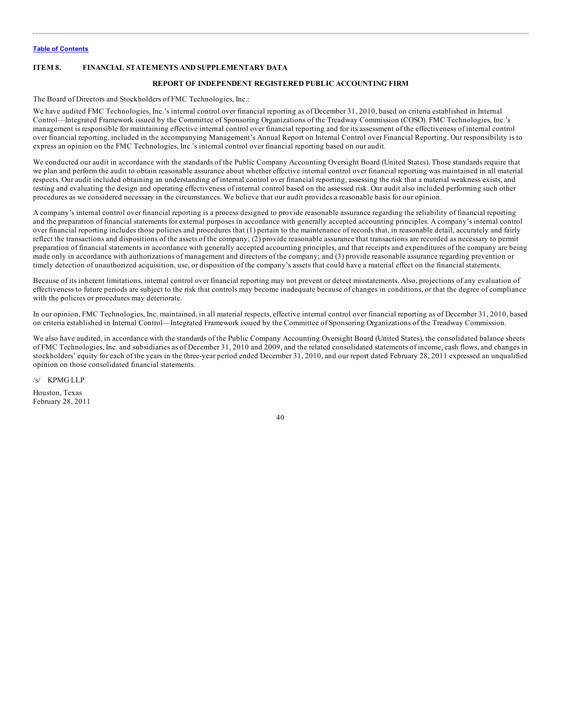#### **ITEM 8. FINANCIAL STATEMENTS AND SUPPLEMENTARY DATA**

## **REPORT OF INDEPENDENT REGISTERED PUBLIC ACCOUNTING FIRM**

### The Board of Directors and Stockholders of FMC Technologies, Inc.:

We have audited FMC Technologies, Inc.'s internal control over financial reporting as of December 31, 2010, based on criteria established in Internal Control—Integrated Framework issued by the Committee of Sponsoring Organizations of the Treadway Commission (COSO). FMC Technologies, Inc.'s management is responsible for maintaining effective internal control over financial reporting and for its assessment of the effectiveness of internal control over financial reporting, included in the accompanying Management's Annual Report on Internal Control over Financial Reporting. Our responsibility is to express an opinion on the FMC Technologies, Inc.'s internal control over financial reporting based on our audit.

We conducted our audit in accordance with the standards of the Public Company Accounting Oversight Board (United States). Those standards require that we plan and perform the audit to obtain reasonable assurance about whether effective internal control over financial reporting was maintained in all material respects. Our audit included obtaining an understanding of internal control over financial reporting, assessing the risk that a material weakness exists, and testing and evaluating the design and operating effectiveness of internal control based on the assessed risk. Our audit also included performing such other procedures as we considered necessary in the circumstances. We believe that our audit provides a reasonable basis for our opinion.

A company's internal control over financial reporting is a process designed to provide reasonable assurance regarding the reliability of financial reporting and the preparation of financial statements for external purposes in accordance with generally accepted accounting principles. A company's internal control over financial reporting includes those policies and procedures that (1) pertain to the maintenance of records that, in reasonable detail, accurately and fairly reflect the transactions and dispositions of the assets of the company; (2) provide reasonable assurance that transactions are recorded as necessary to permit preparation of financial statements in accordance with generally accepted accounting principles, and that receipts and expenditures of the company are being made only in accordance with authorizations of management and directors of the company; and (3) provide reasonable assurance regarding prevention or timely detection of unauthorized acquisition, use, or disposition of the company's assets that could have a material effect on the financial statements.

Because of its inherent limitations, internal control over financial reporting may not prevent or detect misstatements. Also, projections of any evaluation of effectiveness to future periods are subject to the risk that controls may become inadequate because of changes in conditions, or that the degree of compliance with the policies or procedures may deteriorate.

In our opinion, FMC Technologies, Inc. maintained, in all material respects, effective internal control over financial reporting as of December 31, 2010, based on criteria established in Internal Control—Integrated Framework issued by the Committee of Sponsoring Organizations of the Treadway Commission.

We also have audited, in accordance with the standards of the Public Company Accounting Oversight Board (United States), the consolidated balance sheets of FMC Technologies, Inc. and subsidiaries as of December 31, 2010 and 2009, and the related consolidated statements of income, cash flows, and changes in stockholders' equity for each of the years in the three-year period ended December 31, 2010, and our report dated February 28, 2011 expressed an unqualified opinion on those consolidated financial statements.

/s/ KPMG LLP

Houston, Texas February 28, 2011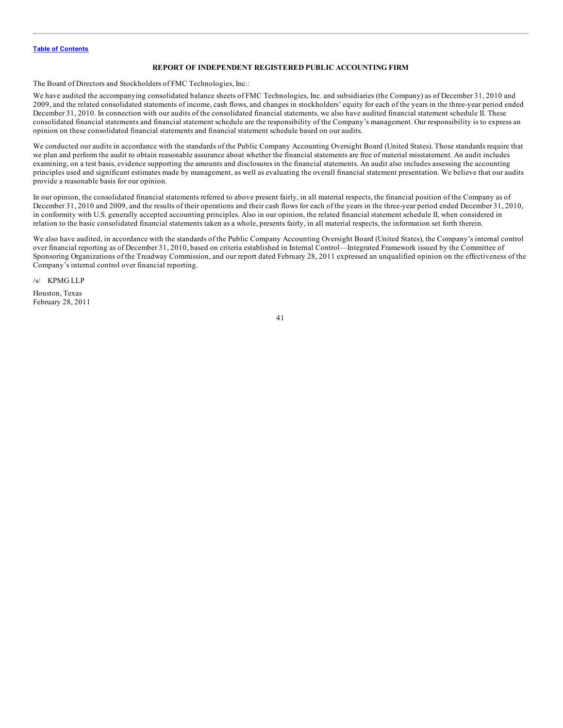#### **REPORT OF INDEPENDENT REGISTERED PUBLIC ACCOUNTING FIRM**

The Board of Directors and Stockholders of FMC Technologies, Inc.:

We have audited the accompanying consolidated balance sheets of FMC Technologies, Inc. and subsidiaries (the Company) as of December 31, 2010 and 2009, and the related consolidated statements of income, cash flows, and changes in stockholders' equity for each of the years in the three-year period ended December 31, 2010. In connection with our audits of the consolidated financial statements, we also have audited financial statement schedule II. These consolidated financial statements and financial statement schedule are the responsibility of the Company's management. Our responsibility is to express an opinion on these consolidated financial statements and financial statement schedule based on our audits.

We conducted our audits in accordance with the standards of the Public Company Accounting Oversight Board (United States). Those standards require that we plan and perform the audit to obtain reasonable assurance about whether the financial statements are free of material misstatement. An audit includes examining, on a test basis, evidence supporting the amounts and disclosures in the financial statements. An audit also includes assessing the accounting principles used and significant estimates made by management, as well as evaluating the overall financial statement presentation. We believe that our audits provide a reasonable basis for our opinion.

In our opinion, the consolidated financial statements referred to above present fairly, in all material respects, the financial position of the Company as of December 31, 2010 and 2009, and the results of their operations and their cash flows for each of the years in the three-year period ended December 31, 2010, in conformity with U.S. generally accepted accounting principles. Also in our opinion, the related financial statement schedule II, when considered in relation to the basic consolidated financial statements taken as a whole, presents fairly, in all material respects, the information set forth therein.

We also have audited, in accordance with the standards of the Public Company Accounting Oversight Board (United States), the Company's internal control over financial reporting as of December 31, 2010, based on criteria established in Internal Control—Integrated Framework issued by the Committee of Sponsoring Organizations of the Treadway Commission, and our report dated February 28, 2011 expressed an unqualified opinion on the effectiveness of the Company's internal control over financial reporting.

/s/ KPMG LLP

Houston, Texas February 28, 2011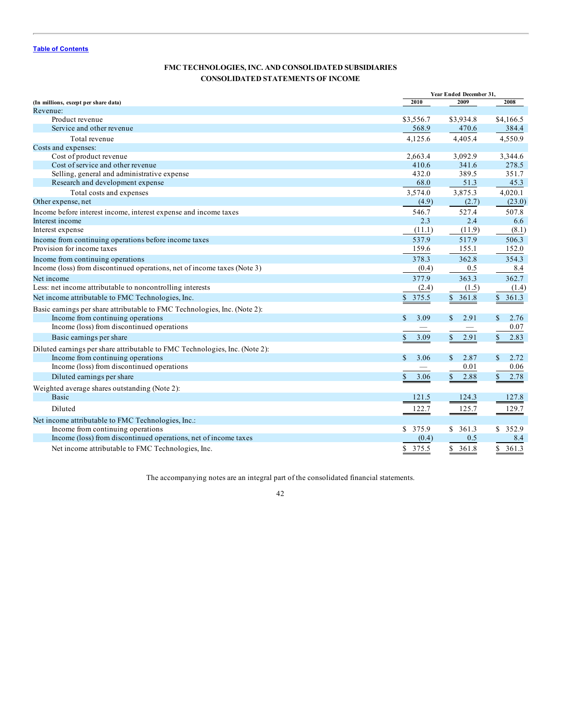# **FMC TECHNOLOGIES, INC. AND CONSOLIDATED SUBSIDIARIES CONSOLIDATED STATEMENTS OF INCOME**

|                                                                             |                       | Year Ended December 31, |                       |  |
|-----------------------------------------------------------------------------|-----------------------|-------------------------|-----------------------|--|
| (In millions, except per share data)                                        | 2010                  | 2009                    | 2008                  |  |
| Revenue:                                                                    |                       |                         |                       |  |
| Product revenue                                                             | \$3,556.7             | \$3,934.8               | \$4,166.5             |  |
| Service and other revenue                                                   | 568.9                 | 470.6                   | 384.4                 |  |
| Total revenue                                                               | 4,125.6               | 4,405.4                 | 4,550.9               |  |
| Costs and expenses:                                                         |                       |                         |                       |  |
| Cost of product revenue                                                     | 2,663.4               | 3,092.9                 | 3,344.6               |  |
| Cost of service and other revenue                                           | 410.6                 | 341.6                   | 278.5                 |  |
| Selling, general and administrative expense                                 | 432.0                 | 389.5                   | 351.7                 |  |
| Research and development expense                                            | 68.0                  | 51.3                    | 45.3                  |  |
| Total costs and expenses                                                    | 3,574.0               | 3,875.3                 | 4,020.1               |  |
| Other expense, net                                                          | (4.9)                 | (2.7)                   | (23.0)                |  |
| Income before interest income, interest expense and income taxes            | 546.7                 | 527.4                   | 507.8                 |  |
| Interest income                                                             | 2.3                   | 2.4                     | 6.6                   |  |
| Interest expense                                                            | (11.1)                | (11.9)                  | (8.1)                 |  |
| Income from continuing operations before income taxes                       | 537.9                 | 517.9                   | 506.3                 |  |
| Provision for income taxes                                                  | 159.6                 | 155.1                   | 152.0                 |  |
| Income from continuing operations                                           | 378.3                 | 362.8                   | 354.3                 |  |
| Income (loss) from discontinued operations, net of income taxes (Note 3)    | (0.4)                 | 0.5                     | 8.4                   |  |
| Net income                                                                  | 377.9                 | 363.3                   | 362.7                 |  |
| Less: net income attributable to noncontrolling interests                   | (2.4)                 | (1.5)                   | (1.4)                 |  |
| Net income attributable to FMC Technologies, Inc.                           | $\mathbb{S}$<br>375.5 | $\mathbb{S}$<br>361.8   | $\mathbb{S}$<br>361.3 |  |
| Basic earnings per share attributable to FMC Technologies, Inc. (Note 2):   |                       |                         |                       |  |
| Income from continuing operations                                           | 3.09<br>\$            | $\mathbb{S}$<br>2.91    | 2.76<br>$\mathcal{S}$ |  |
| Income (loss) from discontinued operations                                  |                       |                         | 0.07                  |  |
| Basic earnings per share                                                    | 3.09                  | 2.91<br>S               | \$<br>2.83            |  |
| Diluted earnings per share attributable to FMC Technologies, Inc. (Note 2): |                       |                         |                       |  |
| Income from continuing operations                                           | 3.06                  | \$<br>2.87              | \$<br>2.72            |  |
| Income (loss) from discontinued operations                                  |                       | 0.01                    | 0.06                  |  |
| Diluted earnings per share                                                  | 3.06                  | $\mathbb{S}$<br>2.88    | 2.78                  |  |
|                                                                             |                       |                         |                       |  |
| Weighted average shares outstanding (Note 2):<br><b>Basic</b>               | 121.5                 | 124.3                   | 127.8                 |  |
|                                                                             |                       |                         |                       |  |
| Diluted                                                                     | 122.7                 | 125.7                   | 129.7                 |  |
| Net income attributable to FMC Technologies, Inc.:                          |                       |                         |                       |  |
| Income from continuing operations                                           | 375.9<br>\$.          | 361.3<br>S.             | \$352.9               |  |
| Income (loss) from discontinued operations, net of income taxes             | (0.4)                 | 0.5                     | 8.4                   |  |
| Net income attributable to FMC Technologies, Inc.                           | \$375.5               | \$361.8                 | \$361.3               |  |

The accompanying notes are an integral part of the consolidated financial statements.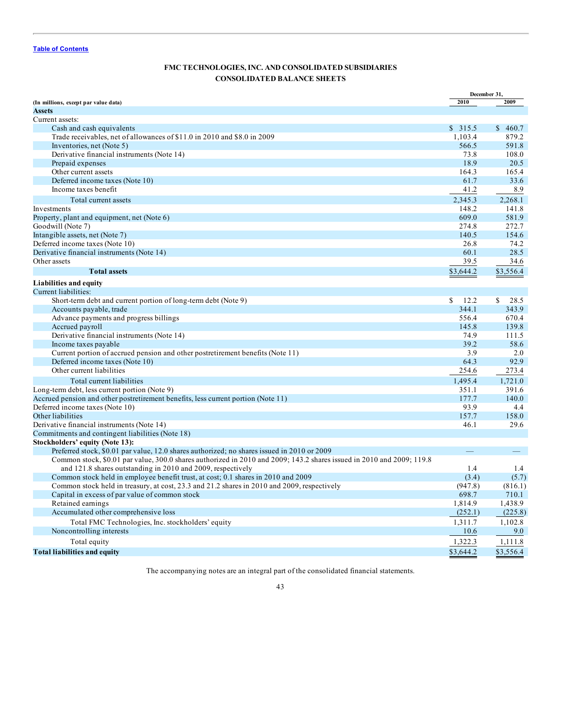# **FMC TECHNOLOGIES, INC. AND CONSOLIDATED SUBSIDIARIES CONSOLIDATED BALANCE SHEETS**

|                                                                                                                       | December 31.             |                      |
|-----------------------------------------------------------------------------------------------------------------------|--------------------------|----------------------|
| (In millions, except par value data)                                                                                  | 2010                     | 2009                 |
| <b>Assets</b>                                                                                                         |                          |                      |
| Current assets:                                                                                                       |                          |                      |
| Cash and cash equivalents                                                                                             | \$315.5                  | \$460.7              |
| Trade receivables, net of allowances of \$11.0 in 2010 and \$8.0 in 2009                                              | 1,103.4                  | 879.2                |
| Inventories, net (Note 5)                                                                                             | 566.5                    | 591.8                |
| Derivative financial instruments (Note 14)                                                                            | 73.8                     | 108.0                |
| Prepaid expenses                                                                                                      | 18.9                     | 20.5                 |
| Other current assets                                                                                                  | 164.3                    | 165.4                |
| Deferred income taxes (Note 10)                                                                                       | 61.7                     | 33.6                 |
| Income taxes benefit                                                                                                  | 41.2                     | 8.9                  |
| Total current assets                                                                                                  | 2.345.3                  | 2,268.1              |
| Investments                                                                                                           | 148.2                    | 141.8                |
| Property, plant and equipment, net (Note 6)                                                                           | 609.0                    | 581.9                |
| Goodwill (Note 7)                                                                                                     | 274.8                    | 272.7                |
| Intangible assets, net (Note 7)                                                                                       | 140.5                    | 154.6                |
| Deferred income taxes (Note 10)                                                                                       | 26.8                     | 74.2                 |
| Derivative financial instruments (Note 14)                                                                            | 60.1                     | 28.5                 |
| Other assets                                                                                                          | 39.5                     | 34.6                 |
| <b>Total assets</b>                                                                                                   | \$3,644.2                | \$3,556.4            |
|                                                                                                                       |                          |                      |
| Liabilities and equity<br>Current liabilities:                                                                        |                          |                      |
|                                                                                                                       | \$<br>12.2               | $\mathbb{S}$<br>28.5 |
| Short-term debt and current portion of long-term debt (Note 9)<br>Accounts payable, trade                             | 344.1                    | 343.9                |
| Advance payments and progress billings                                                                                | 556.4                    | 670.4                |
| Accrued payroll                                                                                                       | 145.8                    |                      |
| Derivative financial instruments (Note 14)                                                                            | 74.9                     | 139.8<br>111.5       |
| Income taxes payable                                                                                                  | 39.2                     | 58.6                 |
| Current portion of accrued pension and other postretirement benefits (Note 11)                                        | 3.9                      | 2.0                  |
| Deferred income taxes (Note 10)                                                                                       | 64.3                     | 92.9                 |
| Other current liabilities                                                                                             | 254.6                    | 273.4                |
|                                                                                                                       |                          |                      |
| Total current liabilities                                                                                             | 1.495.4                  | 1.721.0              |
| Long-term debt, less current portion (Note 9)                                                                         | 351.1                    | 391.6                |
| Accrued pension and other postretirement benefits, less current portion (Note 11)                                     | 177.7                    | 140.0                |
| Deferred income taxes (Note 10)                                                                                       | 93.9                     | 4.4                  |
| Other liabilities                                                                                                     | 157.7                    | 158.0                |
| Derivative financial instruments (Note 14)                                                                            | 46.1                     | 29.6                 |
| Commitments and contingent liabilities (Note 18)                                                                      |                          |                      |
| Stockholders' equity (Note 13):                                                                                       |                          |                      |
| Preferred stock, \$0.01 par value, 12.0 shares authorized; no shares issued in 2010 or 2009                           | $\overline{\phantom{a}}$ |                      |
| Common stock, \$0.01 par value, 300.0 shares authorized in 2010 and 2009; 143.2 shares issued in 2010 and 2009; 119.8 |                          |                      |
| and 121.8 shares outstanding in 2010 and 2009, respectively                                                           | 1.4                      | 1.4                  |
| Common stock held in employee benefit trust, at cost; 0.1 shares in 2010 and 2009                                     | (3.4)                    | (5.7)                |
| Common stock held in treasury, at cost, 23.3 and 21.2 shares in 2010 and 2009, respectively                           | (947.8)                  | (816.1)              |
| Capital in excess of par value of common stock                                                                        | 698.7                    | 710.1                |
| Retained earnings                                                                                                     | 1,814.9                  | 1,438.9              |
| Accumulated other comprehensive loss                                                                                  | (252.1)                  | (225.8)              |
| Total FMC Technologies, Inc. stockholders' equity                                                                     | 1,311.7                  | 1,102.8              |
| Noncontrolling interests                                                                                              | 10.6                     | 9.0                  |
| Total equity                                                                                                          | 1,322.3                  | 1,111.8              |
| <b>Total liabilities and equity</b>                                                                                   | \$3,644.2                | \$3,556.4            |
|                                                                                                                       |                          |                      |

The accompanying notes are an integral part of the consolidated financial statements.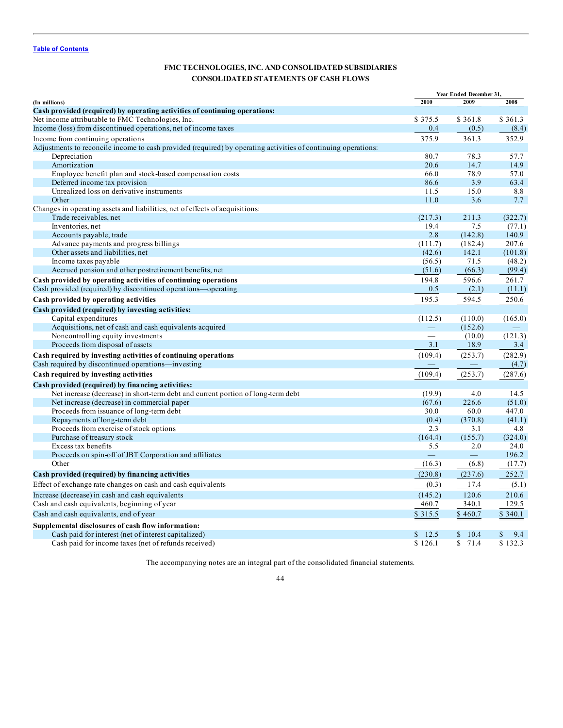# **FMC TECHNOLOGIES, INC. AND CONSOLIDATED SUBSIDIARIES CONSOLIDATED STATEMENTS OF CASH FLOWS**

|                                                                                                               |                          | Year Ended December 31, |                     |
|---------------------------------------------------------------------------------------------------------------|--------------------------|-------------------------|---------------------|
| (In millions)                                                                                                 | 2010                     | 2009                    | 2008                |
| Cash provided (required) by operating activities of continuing operations:                                    |                          |                         |                     |
| Net income attributable to FMC Technologies, Inc.                                                             | \$ 375.5                 | \$361.8                 | \$361.3             |
| Income (loss) from discontinued operations, net of income taxes                                               | 0.4                      | (0.5)                   | (8.4)               |
| Income from continuing operations                                                                             | 375.9                    | 361.3                   | 352.9               |
| Adjustments to reconcile income to cash provided (required) by operating activities of continuing operations: |                          |                         |                     |
| Depreciation                                                                                                  | 80.7                     | 78.3                    | 57.7                |
| Amortization                                                                                                  | 20.6                     | 14.7                    | 14.9                |
| Employee benefit plan and stock-based compensation costs                                                      | 66.0                     | 78.9                    | 57.0                |
| Deferred income tax provision                                                                                 | 86.6                     | 3.9                     | 63.4                |
| Unrealized loss on derivative instruments                                                                     | 11.5                     | 15.0                    | 8.8                 |
| Other                                                                                                         | 11.0                     | 3.6                     | 7.7                 |
| Changes in operating assets and liabilities, net of effects of acquisitions:                                  |                          |                         |                     |
| Trade receivables, net                                                                                        | (217.3)                  | 211.3                   | (322.7)             |
| Inventories, net                                                                                              | 19.4                     | 7.5                     | (77.1)              |
| Accounts payable, trade                                                                                       | 2.8                      | (142.8)                 | 140.9               |
| Advance payments and progress billings                                                                        | (111.7)                  | (182.4)                 | 207.6               |
| Other assets and liabilities, net                                                                             | (42.6)                   | 142.1                   | (101.8)             |
| Income taxes payable                                                                                          | (56.5)                   | 71.5                    | (48.2)              |
| Accrued pension and other postretirement benefits, net                                                        | (51.6)                   | (66.3)                  | (99.4)              |
| Cash provided by operating activities of continuing operations                                                | 194.8                    | 596.6                   | 261.7               |
| Cash provided (required) by discontinued operations—operating                                                 | 0.5                      | (2.1)                   | (11.1)              |
| Cash provided by operating activities                                                                         | 195.3                    | 594.5                   | 250.6               |
|                                                                                                               |                          |                         |                     |
| Cash provided (required) by investing activities:                                                             |                          |                         |                     |
| Capital expenditures                                                                                          | (112.5)                  | (110.0)                 | (165.0)             |
| Acquisitions, net of cash and cash equivalents acquired                                                       | $\overline{\phantom{m}}$ | (152.6)                 |                     |
| Noncontrolling equity investments                                                                             | $\qquad \qquad$          | (10.0)                  | (121.3)             |
| Proceeds from disposal of assets                                                                              | 3.1                      | 18.9                    | $3.4$               |
| Cash required by investing activities of continuing operations                                                | (109.4)                  | (253.7)                 | (282.9)             |
| Cash required by discontinued operations—investing                                                            |                          |                         | (4.7)               |
| Cash required by investing activities                                                                         | (109.4)                  | (253.7)                 | (287.6)             |
| Cash provided (required) by financing activities:                                                             |                          |                         |                     |
| Net increase (decrease) in short-term debt and current portion of long-term debt                              | (19.9)                   | 4.0                     | 14.5                |
| Net increase (decrease) in commercial paper                                                                   | (67.6)                   | 226.6                   | (51.0)              |
| Proceeds from issuance of long-term debt                                                                      | 30.0                     | 60.0                    | 447.0               |
| Repayments of long-term debt                                                                                  | (0.4)                    | (370.8)                 | (41.1)              |
| Proceeds from exercise of stock options                                                                       | 2.3                      | 3.1                     | 4.8                 |
| Purchase of treasury stock                                                                                    | (164.4)                  | (155.7)                 | (324.0)             |
| Excess tax benefits                                                                                           | 5.5                      | 2.0                     | 24.0                |
| Proceeds on spin-off of JBT Corporation and affiliates                                                        |                          | $\frac{1}{2}$           | 196.2               |
| Other                                                                                                         | (16.3)                   | (6.8)                   | (17.7)              |
| Cash provided (required) by financing activities                                                              | (230.8)                  | (237.6)                 | 252.7               |
| Effect of exchange rate changes on cash and cash equivalents                                                  | (0.3)                    | 17.4                    | (5.1)               |
|                                                                                                               |                          |                         |                     |
| Increase (decrease) in cash and cash equivalents                                                              | (145.2)                  | 120.6                   | 210.6               |
| Cash and cash equivalents, beginning of year                                                                  | 460.7                    | 340.1                   | 129.5               |
| Cash and cash equivalents, end of year                                                                        | \$315.5                  | \$460.7                 | \$340.1             |
| Supplemental disclosures of cash flow information:                                                            |                          |                         |                     |
| Cash paid for interest (net of interest capitalized)                                                          | \$12.5                   | \$10.4                  | $\mathbb{S}$<br>9.4 |
| Cash paid for income taxes (net of refunds received)                                                          | \$126.1                  | \$71.4                  | \$132.3             |

The accompanying notes are an integral part of the consolidated financial statements.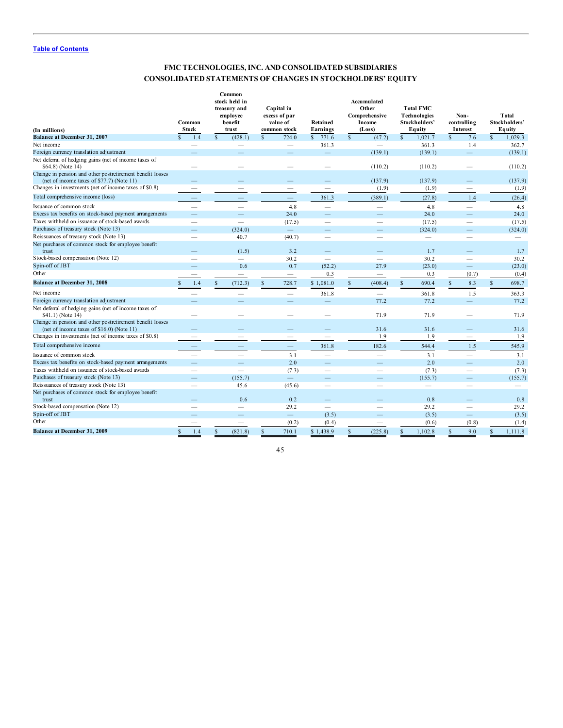# **FMC TECHNOLOGIES, INC. AND CONSOLIDATED SUBSIDIARIES CONSOLIDATED STATEMENTS OF CHANGES IN STOCKHOLDERS' EQUITY**

| (In millions)                                                                                          |               | Common<br><b>Stock</b>   |               | Common<br>stock held in<br>treasury and<br>employee<br>benefit<br>trust |               | Capital in<br>excess of par<br>value of<br>common stock | Retained<br>Earnings  | Accumulated<br>Other<br>Comprehensive<br>Income<br>(Loss) |               | <b>Total FMC</b><br>Technologies<br>Stockholders'<br>Equity |             | Non-<br>controlling<br>Interest |               | Total<br>Stockholders'<br>Equity |
|--------------------------------------------------------------------------------------------------------|---------------|--------------------------|---------------|-------------------------------------------------------------------------|---------------|---------------------------------------------------------|-----------------------|-----------------------------------------------------------|---------------|-------------------------------------------------------------|-------------|---------------------------------|---------------|----------------------------------|
| <b>Balance at December 31, 2007</b>                                                                    | $\mathbf S$   | 1.4                      | $\mathsf{s}$  | (428.1)                                                                 | <sup>\$</sup> | 724.0                                                   | 771.6<br>$\mathbb{S}$ | \$<br>(47.2)                                              | $\mathbf S$   | 1,021.7                                                     | $\mathbf S$ | 7.6                             | S             | 1,029.3                          |
| Net income                                                                                             |               |                          |               |                                                                         |               |                                                         | 361.3                 |                                                           |               | 361.3                                                       |             | 1.4                             |               | 362.7                            |
| Foreign currency translation adjustment                                                                |               |                          |               |                                                                         |               |                                                         |                       | (139.1)                                                   |               | (139.1)                                                     |             |                                 |               | (139.1)                          |
| Net deferral of hedging gains (net of income taxes of<br>\$64.8) (Note 14)                             |               |                          |               |                                                                         |               |                                                         |                       | (110.2)                                                   |               | (110.2)                                                     |             |                                 |               | (110.2)                          |
| Change in pension and other postretirement benefit losses<br>(net of income taxes of \$77.7) (Note 11) |               |                          |               |                                                                         |               |                                                         |                       | (137.9)                                                   |               | (137.9)                                                     |             |                                 |               | (137.9)                          |
| Changes in investments (net of income taxes of \$0.8)                                                  |               | -                        |               |                                                                         |               |                                                         |                       | (1.9)                                                     |               | (1.9)                                                       |             | $\overline{\phantom{0}}$        |               | (1.9)                            |
| Total comprehensive income (loss)                                                                      |               | $\overline{\phantom{m}}$ |               |                                                                         |               |                                                         | 361.3                 | (389.1)                                                   |               | (27.8)                                                      |             | 1.4                             |               | (26.4)                           |
| Issuance of common stock                                                                               |               | -                        |               | -                                                                       |               | 4.8                                                     |                       |                                                           |               | 4.8                                                         |             |                                 |               | 4.8                              |
| Excess tax benefits on stock-based payment arrangements                                                |               |                          |               |                                                                         |               | 24.0                                                    |                       |                                                           |               | 24.0                                                        |             |                                 |               | 24.0                             |
| Taxes withheld on issuance of stock-based awards                                                       |               |                          |               | ÷.                                                                      |               | (17.5)                                                  | -                     |                                                           |               | (17.5)                                                      |             | $\overline{\phantom{0}}$        |               | (17.5)                           |
| Purchases of treasury stock (Note 13)                                                                  |               |                          |               | (324.0)                                                                 |               |                                                         |                       |                                                           |               | (324.0)                                                     |             |                                 |               | (324.0)                          |
| Reissuances of treasury stock (Note 13)                                                                |               |                          |               | 40.7                                                                    |               | (40.7)                                                  |                       |                                                           |               |                                                             |             |                                 |               |                                  |
| Net purchases of common stock for employee benefit<br>trust                                            |               |                          |               | (1.5)                                                                   |               | 3.2                                                     |                       |                                                           |               | 1.7                                                         |             |                                 |               | 1.7                              |
| Stock-based compensation (Note 12)                                                                     |               |                          |               |                                                                         |               | 30.2                                                    |                       |                                                           |               | 30.2                                                        |             |                                 |               | 30.2                             |
| Spin-off of JBT                                                                                        |               |                          |               | 0.6                                                                     |               | 0.7                                                     | (52.2)                | 27.9                                                      |               | (23.0)                                                      |             |                                 |               | (23.0)                           |
| Other                                                                                                  |               |                          |               |                                                                         |               |                                                         | 0.3                   | -                                                         |               | 0.3                                                         |             | (0.7)                           |               | (0.4)                            |
| <b>Balance at December 31, 2008</b>                                                                    |               | 1.4                      | \$            | (712.3)                                                                 | \$            | 728.7                                                   | \$1,081.0             | \$<br>(408.4)                                             | \$            | 690.4                                                       | \$          | 8.3                             | $\mathbf S$   | 698.7                            |
| Net income                                                                                             |               |                          |               |                                                                         |               |                                                         | 361.8                 |                                                           |               | 361.8                                                       |             | 1.5                             |               | 363.3                            |
| Foreign currency translation adjustment                                                                |               |                          |               |                                                                         |               |                                                         |                       | 77.2                                                      |               | 77.2                                                        |             |                                 |               | 77.2                             |
| Net deferral of hedging gains (net of income taxes of<br>\$41.1) (Note 14)                             |               |                          |               |                                                                         |               |                                                         | -                     | 71.9                                                      |               | 71.9                                                        |             |                                 |               | 71.9                             |
| Change in pension and other postretirement benefit losses                                              |               |                          |               |                                                                         |               |                                                         |                       |                                                           |               |                                                             |             |                                 |               |                                  |
| (net of income taxes of $$16.0$ ) (Note 11)                                                            |               |                          |               |                                                                         |               |                                                         |                       | 31.6                                                      |               | 31.6                                                        |             |                                 |               | 31.6                             |
| Changes in investments (net of income taxes of \$0.8)                                                  |               |                          |               |                                                                         |               |                                                         |                       | 1.9                                                       |               | 1.9                                                         |             |                                 |               | 1.9                              |
| Total comprehensive income                                                                             |               |                          |               |                                                                         |               |                                                         | 361.8                 | 182.6                                                     |               | 544.4                                                       |             | 1.5                             |               | 545.9                            |
| Issuance of common stock                                                                               |               | -                        |               | ÷.                                                                      |               | 3.1                                                     | $\qquad \qquad$       | $\overline{\phantom{0}}$                                  |               | 3.1                                                         |             | $\qquad \qquad$                 |               | 3.1                              |
| Excess tax benefits on stock-based payment arrangements                                                |               |                          |               |                                                                         |               | 2.0                                                     |                       |                                                           |               | 2.0                                                         |             |                                 |               | 2.0                              |
| Taxes withheld on issuance of stock-based awards                                                       |               |                          |               |                                                                         |               | (7.3)                                                   | -                     | -                                                         |               | (7.3)                                                       |             | -                               |               | (7.3)                            |
| Purchases of treasury stock (Note 13)                                                                  |               |                          |               | (155.7)                                                                 |               |                                                         |                       |                                                           |               | (155.7)                                                     |             |                                 |               | (155.7)                          |
| Reissuances of treasury stock (Note 13)                                                                |               | -                        |               | 45.6                                                                    |               | (45.6)                                                  |                       | -                                                         |               |                                                             |             |                                 |               |                                  |
| Net purchases of common stock for employee benefit<br>trust                                            |               |                          |               | 0.6                                                                     |               | 0.2                                                     |                       |                                                           |               | 0.8                                                         |             |                                 |               | 0.8                              |
| Stock-based compensation (Note 12)                                                                     |               |                          |               |                                                                         |               | 29.2                                                    |                       |                                                           |               | 29.2                                                        |             | $\overline{\phantom{0}}$        |               | 29.2                             |
| Spin-off of JBT                                                                                        |               |                          |               |                                                                         |               |                                                         | (3.5)                 |                                                           |               | (3.5)                                                       |             |                                 |               | (3.5)                            |
| Other                                                                                                  |               |                          |               |                                                                         |               | (0.2)                                                   | (0.4)                 |                                                           |               | (0.6)                                                       |             | (0.8)                           |               | (1.4)                            |
| <b>Balance at December 31, 2009</b>                                                                    | $\mathcal{S}$ | 1.4                      | <sup>\$</sup> | (821.8)                                                                 | $\mathbf{s}$  | 710.1                                                   | \$1,438.9             | \$<br>(225.8)                                             | $\mathcal{S}$ | 1,102.8                                                     | \$          | 9.0                             | $\mathcal{S}$ | 1,111.8                          |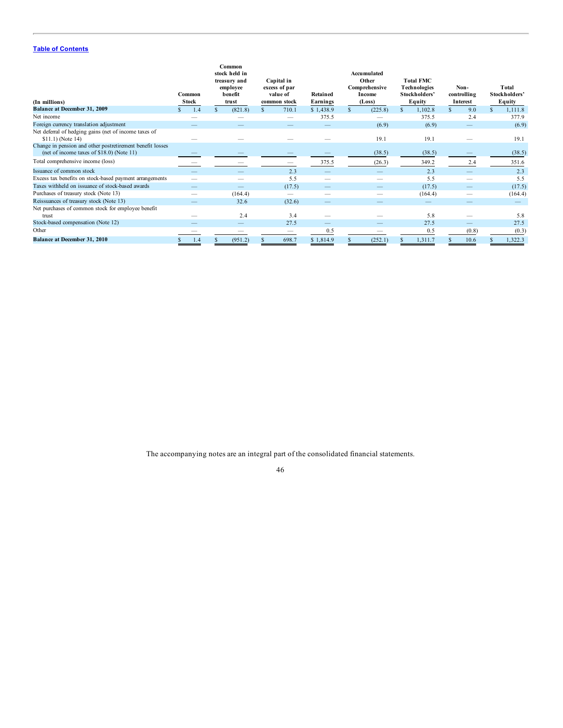| (In millions)                                                                                          | Common<br><b>Stock</b> | Common<br>stock held in<br>treasury and<br>employee<br>benefit<br>trust | Capital in<br>excess of par<br>value of<br>common stock | Retained<br>Earnings            | <b>Accumulated</b><br>Other<br>Comprehensive<br>Income<br>(Loss) | <b>Total FMC</b><br>Technologies<br>Stockholders'<br>Equity | Non-<br>controlling<br>Interest | Total<br>Stockholders'<br>Equity |
|--------------------------------------------------------------------------------------------------------|------------------------|-------------------------------------------------------------------------|---------------------------------------------------------|---------------------------------|------------------------------------------------------------------|-------------------------------------------------------------|---------------------------------|----------------------------------|
| Balance at December 31, 2009                                                                           | 1.4                    | (821.8)                                                                 | 710.1                                                   | \$1,438.9                       | (225.8)                                                          | 1,102.8                                                     | 9.0                             | 1,111.8                          |
| Net income                                                                                             |                        |                                                                         |                                                         | 375.5                           | -                                                                | 375.5                                                       | 2.4                             | 377.9                            |
| Foreign currency translation adjustment                                                                |                        |                                                                         |                                                         |                                 | (6.9)                                                            | (6.9)                                                       |                                 | (6.9)                            |
| Net deferral of hedging gains (net of income taxes of<br>$$11.1)$ (Note 14)                            |                        |                                                                         |                                                         |                                 | 19.1                                                             | 19.1                                                        |                                 | 19.1                             |
| Change in pension and other postretirement benefit losses<br>(net of income taxes of \$18.0) (Note 11) |                        |                                                                         |                                                         |                                 | (38.5)                                                           | (38.5)                                                      |                                 | (38.5)                           |
| Total comprehensive income (loss)                                                                      |                        |                                                                         |                                                         | 375.5                           | (26.3)                                                           | 349.2                                                       | 2.4                             | 351.6                            |
| Issuance of common stock                                                                               |                        |                                                                         | 2.3                                                     |                                 |                                                                  | 2.3                                                         |                                 | 2.3                              |
| Excess tax benefits on stock-based payment arrangements                                                | -                      |                                                                         | 5.5                                                     | $\overline{\phantom{a}}$        | $\overline{\phantom{a}}$                                         | 5.5                                                         |                                 | 5.5                              |
| Taxes withheld on issuance of stock-based awards                                                       |                        |                                                                         | (17.5)                                                  | $\overline{\phantom{a}}$        |                                                                  | (17.5)                                                      |                                 | (17.5)                           |
| Purchases of treasury stock (Note 13)                                                                  | -                      | (164.4)                                                                 |                                                         | $\overline{\phantom{a}}$        | -                                                                | (164.4)                                                     | -                               | (164.4)                          |
| Reissuances of treasury stock (Note 13)                                                                |                        | 32.6                                                                    | (32.6)                                                  | $\overline{\phantom{a}}$        |                                                                  |                                                             |                                 |                                  |
| Net purchases of common stock for employee benefit<br>trust                                            |                        | 2.4                                                                     | 3.4                                                     |                                 |                                                                  | 5.8                                                         |                                 | 5.8                              |
| Stock-based compensation (Note 12)                                                                     |                        | $\overline{\phantom{a}}$                                                | 27.5                                                    | $\hspace{0.1mm}-\hspace{0.1mm}$ | $\overline{\phantom{a}}$                                         | 27.5                                                        | $\overline{\phantom{a}}$        | 27.5                             |
| Other                                                                                                  |                        |                                                                         |                                                         | 0.5                             |                                                                  | 0.5                                                         | (0.8)                           | (0.3)                            |
| Balance at December 31, 2010                                                                           | 1.4                    | (951.2)                                                                 | 698.7                                                   | \$1,814.9                       | (252.1)                                                          | 1,311.7                                                     | 10.6                            | 1,322.3                          |

The accompanying notes are an integral part of the consolidated financial statements.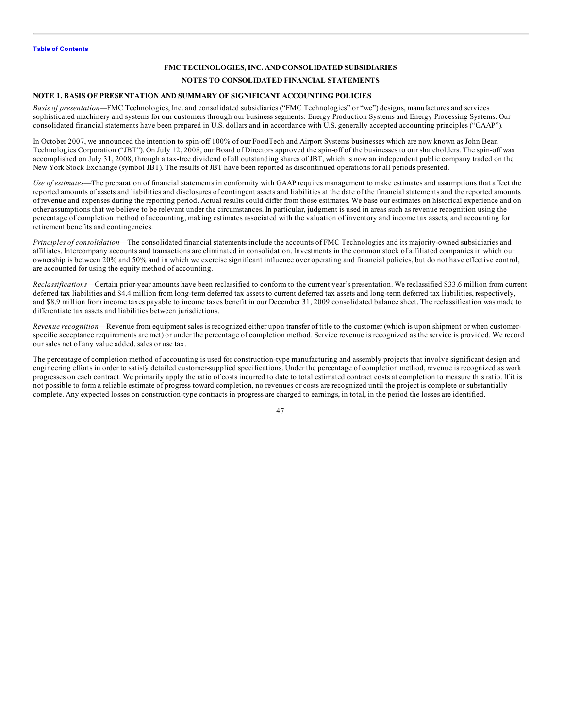# **FMC TECHNOLOGIES, INC. AND CONSOLIDATED SUBSIDIARIES NOTES TO CONSOLIDATED FINANCIAL STATEMENTS**

## **NOTE 1. BASIS OF PRESENTATION AND SUMMARY OF SIGNIFICANT ACCOUNTING POLICIES**

*Basis of presentation—*FMC Technologies, Inc. and consolidated subsidiaries ("FMC Technologies" or "we") designs, manufactures and services sophisticated machinery and systems for our customers through our business segments: Energy Production Systems and Energy Processing Systems. Our consolidated financial statements have been prepared in U.S. dollars and in accordance with U.S. generally accepted accounting principles ("GAAP").

In October 2007, we announced the intention to spin-off 100% of our FoodTech and Airport Systems businesses which are now known as John Bean Technologies Corporation ("JBT"). On July 12, 2008, our Board of Directors approved the spin-off of the businesses to our shareholders. The spin-off was accomplished on July 31, 2008, through a tax-free dividend of all outstanding shares of JBT, which is now an independent public company traded on the New York Stock Exchange (symbol JBT). The results of JBT have been reported as discontinued operations for all periods presented.

*Use of estimates*—The preparation of financial statements in conformity with GAAP requires management to make estimates and assumptions that affect the reported amounts of assets and liabilities and disclosures of contingent assets and liabilities at the date of the financial statements and the reported amounts of revenue and expenses during the reporting period. Actual results could differ from those estimates. We base our estimates on historical experience and on other assumptions that we believe to be relevant under the circumstances. In particular, judgment is used in areas such as revenue recognition using the percentage of completion method of accounting, making estimates associated with the valuation of inventory and income tax assets, and accounting for retirement benefits and contingencies.

*Principles of consolidation*—The consolidated financial statements include the accounts of FMC Technologies and its majority-owned subsidiaries and affiliates. Intercompany accounts and transactions are eliminated in consolidation. Investments in the common stock of affiliated companies in which our ownership is between 20% and 50% and in which we exercise significant influence over operating and financial policies, but do not have effective control, are accounted for using the equity method of accounting.

*Reclassifications*—Certain prior-year amounts have been reclassified to conform to the current year's presentation. We reclassified \$33.6 million from current deferred tax liabilities and \$4.4 million from long-term deferred tax assets to current deferred tax assets and long-term deferred tax liabilities, respectively, and \$8.9 million from income taxes payable to income taxes benefit in our December 31, 2009 consolidated balance sheet. The reclassification was made to differentiate tax assets and liabilities between jurisdictions.

*Revenue recognition*—Revenue from equipment sales is recognized either upon transfer of title to the customer (which is upon shipment or when customerspecific acceptance requirements are met) or under the percentage of completion method. Service revenue is recognized as the service is provided. We record our sales net of any value added, sales or use tax.

The percentage of completion method of accounting is used for construction-type manufacturing and assembly projects that involve significant design and engineering efforts in order to satisfy detailed customer-supplied specifications. Under the percentage of completion method, revenue is recognized as work progresses on each contract. We primarily apply the ratio of costs incurred to date to total estimated contract costs at completion to measure this ratio. If it is not possible to form a reliable estimate of progress toward completion, no revenues or costs are recognized until the project is complete or substantially complete. Any expected losses on construction-type contracts in progress are charged to earnings, in total, in the period the losses are identified.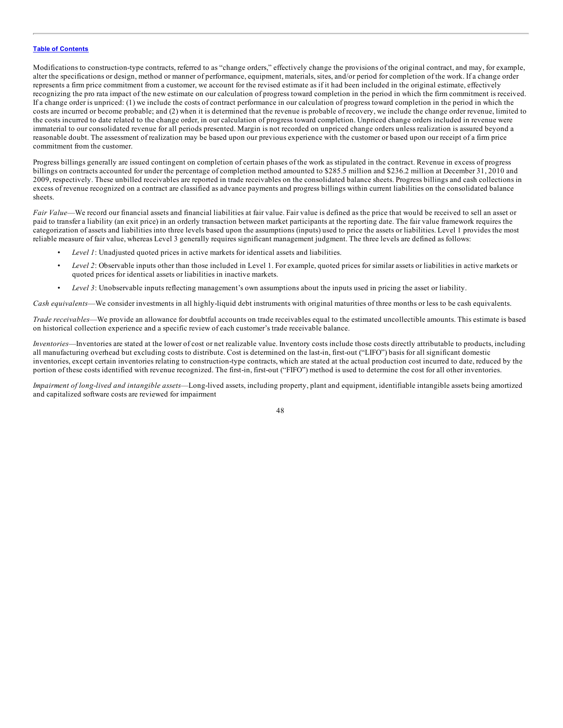Modifications to construction-type contracts, referred to as "change orders," effectively change the provisions of the original contract, and may, for example, alter the specifications or design, method or manner of performance, equipment, materials, sites, and/or period for completion of the work. If a change order represents a firm price commitment from a customer, we account for the revised estimate as if it had been included in the original estimate, effectively recognizing the pro rata impact of the new estimate on our calculation of progress toward completion in the period in which the firm commitment is received. If a change order is unpriced: (1) we include the costs of contract performance in our calculation of progress toward completion in the period in which the costs are incurred or become probable; and (2) when it is determined that the revenue is probable of recovery, we include the change order revenue, limited to the costs incurred to date related to the change order, in our calculation of progress toward completion. Unpriced change orders included in revenue were immaterial to our consolidated revenue for all periods presented. Margin is not recorded on unpriced change orders unless realization is assured beyond a reasonable doubt. The assessment of realization may be based upon our previous experience with the customer or based upon our receipt of a firm price commitment from the customer.

Progress billings generally are issued contingent on completion of certain phases of the work as stipulated in the contract. Revenue in excess of progress billings on contracts accounted for under the percentage of completion method amounted to \$285.5 million and \$236.2 million at December 31, 2010 and 2009, respectively. These unbilled receivables are reported in trade receivables on the consolidated balance sheets. Progress billings and cash collections in excess of revenue recognized on a contract are classified as advance payments and progress billings within current liabilities on the consolidated balance sheets.

*Fair Value*—We record our financial assets and financial liabilities at fair value. Fair value is defined as the price that would be received to sell an asset or paid to transfer a liability (an exit price) in an orderly transaction between market participants at the reporting date. The fair value framework requires the categorization of assets and liabilities into three levels based upon the assumptions (inputs) used to price the assets or liabilities. Level 1 provides the most reliable measure of fair value, whereas Level 3 generally requires significant management judgment. The three levels are defined as follows:

- *Level 1*: Unadjusted quoted prices in active markets for identical assets and liabilities.
- *Level 2*: Observable inputs other than those included in Level 1. For example, quoted prices for similar assets or liabilities in active markets or quoted prices for identical assets or liabilities in inactive markets.
- *Level 3*: Unobservable inputs reflecting management's own assumptions about the inputs used in pricing the asset or liability.

*Cash equivalents*—We consider investments in all highly-liquid debt instruments with original maturities of three months or less to be cash equivalents.

*Trade receivables*—We provide an allowance for doubtful accounts on trade receivables equal to the estimated uncollectible amounts. This estimate is based on historical collection experience and a specific review of each customer's trade receivable balance.

*Inventories*—Inventories are stated at the lower of cost or net realizable value. Inventory costs include those costs directly attributable to products, including all manufacturing overhead but excluding costs to distribute. Cost is determined on the last-in, first-out ("LIFO") basis for all significant domestic inventories, except certain inventories relating to construction-type contracts, which are stated at the actual production cost incurred to date, reduced by the portion of these costs identified with revenue recognized. The first-in, first-out ("FIFO") method is used to determine the cost for all other inventories.

*Impairment of long-lived and intangible assets*—Long-lived assets, including property, plant and equipment, identifiable intangible assets being amortized and capitalized software costs are reviewed for impairment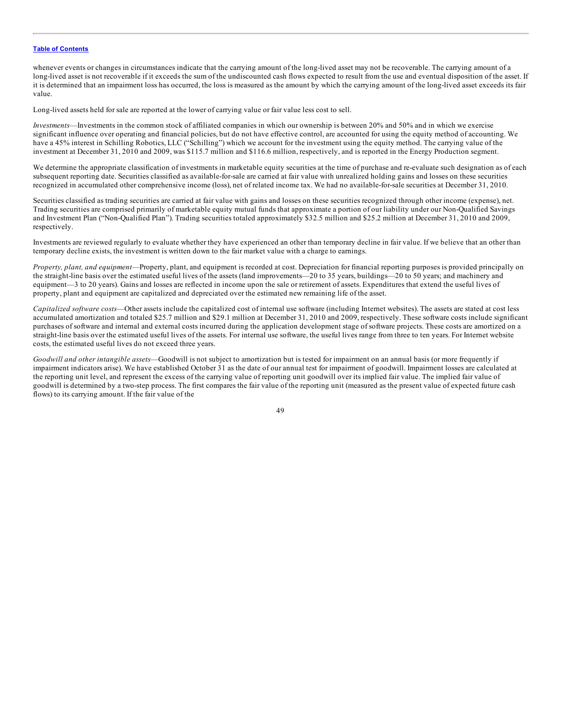whenever events or changes in circumstances indicate that the carrying amount of the long-lived asset may not be recoverable. The carrying amount of a long-lived asset is not recoverable if it exceeds the sum of the undiscounted cash flows expected to result from the use and eventual disposition of the asset. If it is determined that an impairment loss has occurred, the loss is measured as the amount by which the carrying amount of the long-lived asset exceeds its fair value.

Long-lived assets held for sale are reported at the lower of carrying value or fair value less cost to sell.

*Investments*—Investments in the common stock of affiliated companies in which our ownership is between 20% and 50% and in which we exercise significant influence over operating and financial policies, but do not have effective control, are accounted for using the equity method of accounting. We have a 45% interest in Schilling Robotics, LLC ("Schilling") which we account for the investment using the equity method. The carrying value of the investment at December 31, 2010 and 2009, was \$115.7 million and \$116.6 million, respectively, and is reported in the Energy Production segment.

We determine the appropriate classification of investments in marketable equity securities at the time of purchase and re-evaluate such designation as of each subsequent reporting date. Securities classified as available-for-sale are carried at fair value with unrealized holding gains and losses on these securities recognized in accumulated other comprehensive income (loss), net of related income tax. We had no available-for-sale securities at December 31, 2010.

Securities classified as trading securities are carried at fair value with gains and losses on these securities recognized through other income (expense), net. Trading securities are comprised primarily of marketable equity mutual funds that approximate a portion of our liability under our Non-Qualified Savings and Investment Plan ("Non-Qualified Plan"). Trading securities totaled approximately \$32.5 million and \$25.2 million at December 31, 2010 and 2009, respectively.

Investments are reviewed regularly to evaluate whether they have experienced an other than temporary decline in fair value. If we believe that an other than temporary decline exists, the investment is written down to the fair market value with a charge to earnings.

*Property, plant, and equipment*—Property, plant, and equipment is recorded at cost. Depreciation for financial reporting purposes is provided principally on the straight-line basis over the estimated useful lives of the assets (land improvements—20 to 35 years, buildings—20 to 50 years; and machinery and equipment—3 to 20 years). Gains and losses are reflected in income upon the sale or retirement of assets. Expenditures that extend the useful lives of property, plant and equipment are capitalized and depreciated over the estimated new remaining life of the asset.

*Capitalized software costs*—Other assets include the capitalized cost of internal use software (including Internet websites). The assets are stated at cost less accumulated amortization and totaled \$25.7 million and \$29.1 million at December 31, 2010 and 2009, respectively. These software costs include significant purchases of software and internal and external costs incurred during the application development stage of software projects. These costs are amortized on a straight-line basis over the estimated useful lives of the assets. For internal use software, the useful lives range from three to ten years. For Internet website costs, the estimated useful lives do not exceed three years.

*Goodwill and other intangible assets*—Goodwill is not subject to amortization but is tested for impairment on an annual basis (or more frequently if impairment indicators arise). We have established October 31 as the date of our annual test for impairment of goodwill. Impairment losses are calculated at the reporting unit level, and represent the excess of the carrying value of reporting unit goodwill over its implied fair value. The implied fair value of goodwill is determined by a two-step process. The first compares the fair value of the reporting unit (measured as the present value of expected future cash flows) to its carrying amount. If the fair value of the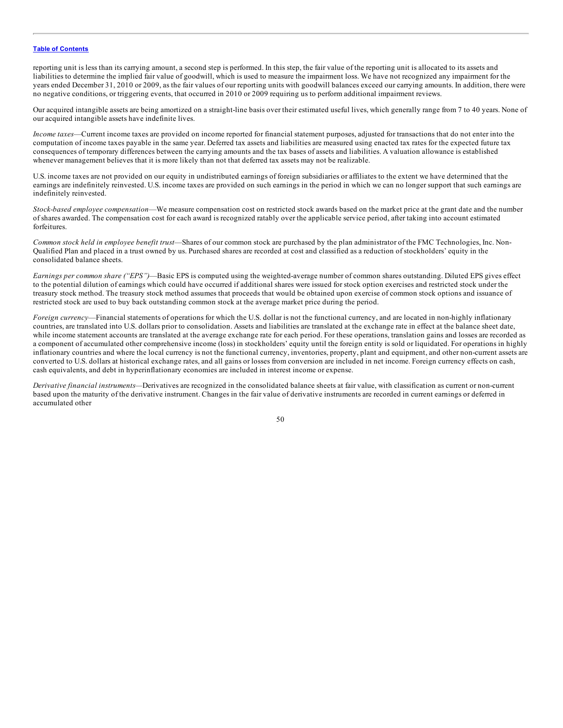reporting unit is less than its carrying amount, a second step is performed. In this step, the fair value of the reporting unit is allocated to its assets and liabilities to determine the implied fair value of goodwill, which is used to measure the impairment loss. We have not recognized any impairment for the years ended December 31, 2010 or 2009, as the fair values of our reporting units with goodwill balances exceed our carrying amounts. In addition, there were no negative conditions, or triggering events, that occurred in 2010 or 2009 requiring us to perform additional impairment reviews.

Our acquired intangible assets are being amortized on a straight-line basis over their estimated useful lives, which generally range from 7 to 40 years. None of our acquired intangible assets have indefinite lives.

*Income taxes*—Current income taxes are provided on income reported for financial statement purposes, adjusted for transactions that do not enter into the computation of income taxes payable in the same year. Deferred tax assets and liabilities are measured using enacted tax rates for the expected future tax consequences of temporary differences between the carrying amounts and the tax bases of assets and liabilities. A valuation allowance is established whenever management believes that it is more likely than not that deferred tax assets may not be realizable.

U.S. income taxes are not provided on our equity in undistributed earnings of foreign subsidiaries or affiliates to the extent we have determined that the earnings are indefinitely reinvested. U.S. income taxes are provided on such earnings in the period in which we can no longer support that such earnings are indefinitely reinvested.

*Stock-based employee compensation*—We measure compensation cost on restricted stock awards based on the market price at the grant date and the number of shares awarded. The compensation cost for each award is recognized ratably over the applicable service period, after taking into account estimated forfeitures.

*Common stock held in employee benefit trust*—Shares of our common stock are purchased by the plan administrator of the FMC Technologies, Inc. Non-Qualified Plan and placed in a trust owned by us. Purchased shares are recorded at cost and classified as a reduction of stockholders' equity in the consolidated balance sheets.

*Earnings per common share ("EPS")*—Basic EPS is computed using the weighted-average number of common shares outstanding. Diluted EPS gives effect to the potential dilution of earnings which could have occurred if additional shares were issued for stock option exercises and restricted stock under the treasury stock method. The treasury stock method assumes that proceeds that would be obtained upon exercise of common stock options and issuance of restricted stock are used to buy back outstanding common stock at the average market price during the period.

*Foreign currency*—Financial statements of operations for which the U.S. dollar is not the functional currency, and are located in non-highly inflationary countries, are translated into U.S. dollars prior to consolidation. Assets and liabilities are translated at the exchange rate in effect at the balance sheet date, while income statement accounts are translated at the average exchange rate for each period. For these operations, translation gains and losses are recorded as a component of accumulated other comprehensive income (loss) in stockholders' equity until the foreign entity is sold or liquidated. For operations in highly inflationary countries and where the local currency is not the functional currency, inventories, property, plant and equipment, and other non-current assets are converted to U.S. dollars at historical exchange rates, and all gains or losses from conversion are included in net income. Foreign currency effects on cash, cash equivalents, and debt in hyperinflationary economies are included in interest income or expense.

*Derivative financial instruments—*Derivatives are recognized in the consolidated balance sheets at fair value, with classification as current or non-current based upon the maturity of the derivative instrument. Changes in the fair value of derivative instruments are recorded in current earnings or deferred in accumulated other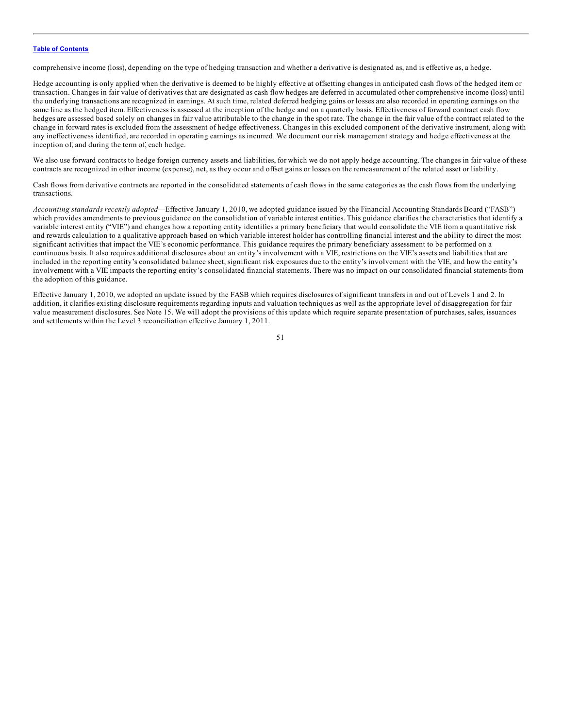comprehensive income (loss), depending on the type of hedging transaction and whether a derivative is designated as, and is effective as, a hedge.

Hedge accounting is only applied when the derivative is deemed to be highly effective at offsetting changes in anticipated cash flows of the hedged item or transaction. Changes in fair value of derivatives that are designated as cash flow hedges are deferred in accumulated other comprehensive income (loss) until the underlying transactions are recognized in earnings. At such time, related deferred hedging gains or losses are also recorded in operating earnings on the same line as the hedged item. Effectiveness is assessed at the inception of the hedge and on a quarterly basis. Effectiveness of forward contract cash flow hedges are assessed based solely on changes in fair value attributable to the change in the spot rate. The change in the fair value of the contract related to the change in forward rates is excluded from the assessment of hedge effectiveness. Changes in this excluded component of the derivative instrument, along with any ineffectiveness identified, are recorded in operating earnings as incurred. We document our risk management strategy and hedge effectiveness at the inception of, and during the term of, each hedge.

We also use forward contracts to hedge foreign currency assets and liabilities, for which we do not apply hedge accounting. The changes in fair value of these contracts are recognized in other income (expense), net, as they occur and offset gains or losses on the remeasurement of the related asset or liability.

Cash flows from derivative contracts are reported in the consolidated statements of cash flows in the same categories as the cash flows from the underlying transactions.

*Accounting standards recently adopted—*Effective January 1, 2010, we adopted guidance issued by the Financial Accounting Standards Board ("FASB") which provides amendments to previous guidance on the consolidation of variable interest entities. This guidance clarifies the characteristics that identify a variable interest entity ("VIE") and changes how a reporting entity identifies a primary beneficiary that would consolidate the VIE from a quantitative risk and rewards calculation to a qualitative approach based on which variable interest holder has controlling financial interest and the ability to direct the most significant activities that impact the VIE's economic performance. This guidance requires the primary beneficiary assessment to be performed on a continuous basis. It also requires additional disclosures about an entity's involvement with a VIE, restrictions on the VIE's assets and liabilities that are included in the reporting entity's consolidated balance sheet, significant risk exposures due to the entity's involvement with the VIE, and how the entity's involvement with a VIE impacts the reporting entity's consolidated financial statements. There was no impact on our consolidated financial statements from the adoption of this guidance.

Effective January 1, 2010, we adopted an update issued by the FASB which requires disclosures of significant transfers in and out of Levels 1 and 2. In addition, it clarifies existing disclosure requirements regarding inputs and valuation techniques as well as the appropriate level of disaggregation for fair value measurement disclosures. See Note 15. We will adopt the provisions of this update which require separate presentation of purchases, sales, issuances and settlements within the Level 3 reconciliation effective January 1, 2011.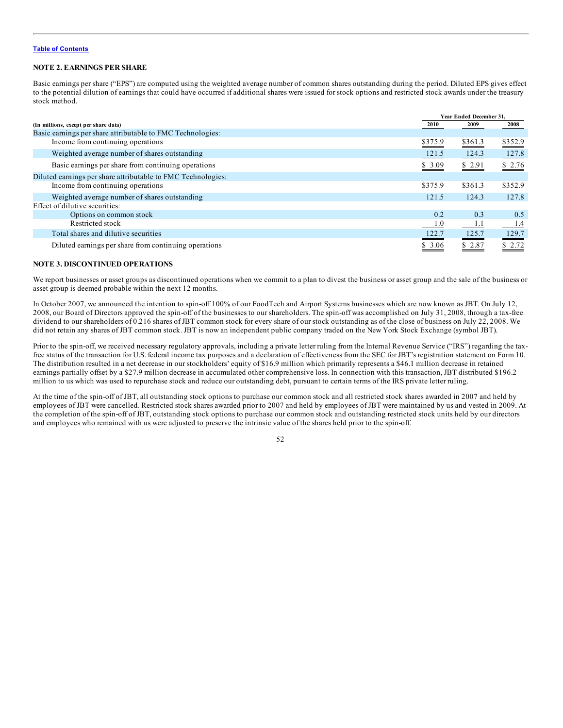#### **NOTE 2. EARNINGS PER SHARE**

Basic earnings per share ("EPS") are computed using the weighted average number of common shares outstanding during the period. Diluted EPS gives effect to the potential dilution of earnings that could have occurred if additional shares were issued for stock options and restricted stock awards under the treasury stock method.

|                                                              |         | Year Ended December 31. |         |
|--------------------------------------------------------------|---------|-------------------------|---------|
| (In millions, except per share data)                         | 2010    | 2009                    | 2008    |
| Basic earnings per share attributable to FMC Technologies:   |         |                         |         |
| Income from continuing operations                            | \$375.9 | \$361.3                 | \$352.9 |
| Weighted average number of shares outstanding                | 121.5   | 124.3                   | 127.8   |
| Basic earnings per share from continuing operations          | \$3.09  | \$2.91                  | \$2.76  |
| Diluted earnings per share attributable to FMC Technologies: |         |                         |         |
| Income from continuing operations                            | \$375.9 | \$361.3                 | \$352.9 |
| Weighted average number of shares outstanding                | 121.5   | 124.3                   | 127.8   |
| Effect of dilutive securities:                               |         |                         |         |
| Options on common stock                                      | 0.2     | 0.3                     | 0.5     |
| Restricted stock                                             | 1.0     | 1.1                     | 1.4     |
| Total shares and dilutive securities                         | 122.7   | 125.7                   | 129.7   |
| Diluted earnings per share from continuing operations        | \$3.06  | \$2.87                  | \$2.72  |

#### **NOTE 3. DISCONTINUED OPERATIONS**

We report businesses or asset groups as discontinued operations when we commit to a plan to divest the business or asset group and the sale of the business or asset group is deemed probable within the next 12 months.

In October 2007, we announced the intention to spin-off 100% of our FoodTech and Airport Systems businesses which are now known as JBT. On July 12, 2008, our Board of Directors approved the spin-off of the businesses to our shareholders. The spin-off was accomplished on July 31, 2008, through a tax-free dividend to our shareholders of 0.216 shares of JBT common stock for every share of our stock outstanding as of the close of business on July 22, 2008. We did not retain any shares of JBT common stock. JBT is now an independent public company traded on the New York Stock Exchange (symbol JBT).

Prior to the spin-off, we received necessary regulatory approvals, including a private letter ruling from the Internal Revenue Service ("IRS") regarding the taxfree status of the transaction for U.S. federal income tax purposes and a declaration of effectiveness from the SEC for JBT's registration statement on Form 10. The distribution resulted in a net decrease in our stockholders' equity of \$16.9 million which primarily represents a \$46.1 million decrease in retained earnings partially offset by a \$27.9 million decrease in accumulated other comprehensive loss. In connection with this transaction, JBT distributed \$196.2 million to us which was used to repurchase stock and reduce our outstanding debt, pursuant to certain terms of the IRS private letter ruling.

At the time of the spin-off of JBT, all outstanding stock options to purchase our common stock and all restricted stock shares awarded in 2007 and held by employees of JBT were cancelled. Restricted stock shares awarded prior to 2007 and held by employees of JBT were maintained by us and vested in 2009. At the completion of the spin-off of JBT, outstanding stock options to purchase our common stock and outstanding restricted stock units held by our directors and employees who remained with us were adjusted to preserve the intrinsic value of the shares held prior to the spin-off.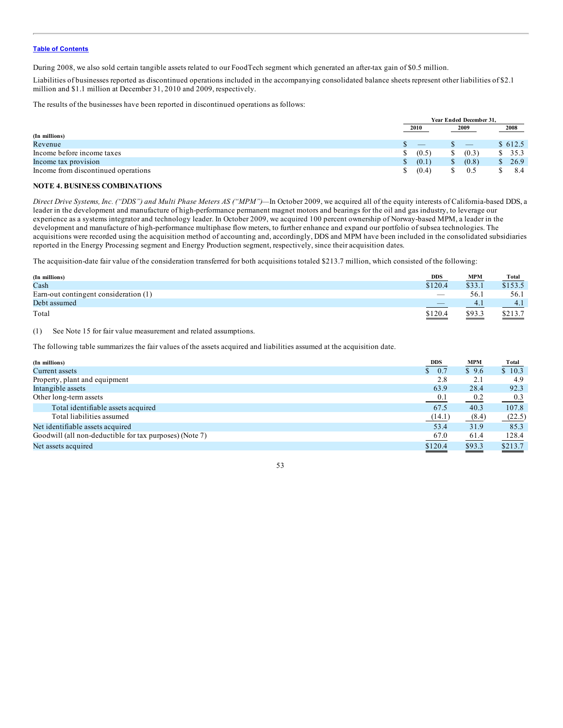During 2008, we also sold certain tangible assets related to our FoodTech segment which generated an after-tax gain of \$0.5 million.

Liabilities of businesses reported as discontinued operations included in the accompanying consolidated balance sheets represent other liabilities of \$2.1 million and \$1.1 million at December 31, 2010 and 2009, respectively.

The results of the businesses have been reported in discontinued operations as follows:

|                                     | Year Ended December 31, |             |  |                          |  |         |
|-------------------------------------|-------------------------|-------------|--|--------------------------|--|---------|
|                                     |                         | <u>2010</u> |  | 2009                     |  | 2008    |
| (In millions)                       |                         |             |  |                          |  |         |
| Revenue                             |                         |             |  | $\overline{\phantom{a}}$ |  | \$612.5 |
| Income before income taxes          |                         | (0.5)       |  | (0.3)                    |  | \$35.3  |
| Income tax provision                | S                       | (0.1)       |  | (0.8)                    |  | 26.9    |
| Income from discontinued operations | S                       | (0.4)       |  | 0.5                      |  | 8.4     |

## **NOTE 4. BUSINESS COMBINATIONS**

Direct Drive Systems, Inc. ("DDS") and Multi Phase Meters AS ("MPM")—In October 2009, we acquired all of the equity interests of California-based DDS, a leader in the development and manufacture of high-performance permanent magnet motors and bearings for the oil and gas industry, to leverage our experience as a systems integrator and technology leader. In October 2009, we acquired 100 percent ownership of Norway-based MPM, a leader in the development and manufacture of high-performance multiphase flow meters, to further enhance and expand our portfolio of subsea technologies. The acquisitions were recorded using the acquisition method of accounting and, accordingly, DDS and MPM have been included in the consolidated subsidiaries reported in the Energy Processing segment and Energy Production segment, respectively, since their acquisition dates.

The acquisition-date fair value of the consideration transferred for both acquisitions totaled \$213.7 million, which consisted of the following:

| (In millions)                         | <b>DDS</b> | <b>MPM</b> | <b>Total</b> |
|---------------------------------------|------------|------------|--------------|
| Cash                                  | \$120.4    | \$33.1     | \$153.5      |
| Earn-out contingent consideration (1) |            | 56.1       | 56.1         |
| Debt assumed                          |            | 4.1        | 4.1          |
| Total                                 | \$120.4    | \$93.3     | \$213.7      |

(1) See Note 15 for fair value measurement and related assumptions.

The following table summarizes the fair values of the assets acquired and liabilities assumed at the acquisition date.

| (In millions)                                           | DDS     | MPM   | Total   |
|---------------------------------------------------------|---------|-------|---------|
| Current assets                                          | \$ 0.7  | \$9.6 | \$10.3  |
| Property, plant and equipment                           | 2.8     | 2.1   | 4.9     |
| Intangible assets                                       | 63.9    | 28.4  | 92.3    |
| Other long-term assets                                  | 0.1     | 0.2   | 0.3     |
| Total identifiable assets acquired                      | 67.5    | 40.3  | 107.8   |
| Total liabilities assumed                               | (14.1)  | (8.4) | (22.5)  |
| Net identifiable assets acquired                        | 53.4    | 31.9  | 85.3    |
| Goodwill (all non-deductible for tax purposes) (Note 7) | 67.0    | 61.4  | 128.4   |
| Net assets acquired                                     |         |       |         |
|                                                         | \$120.4 | 893.3 | \$213.7 |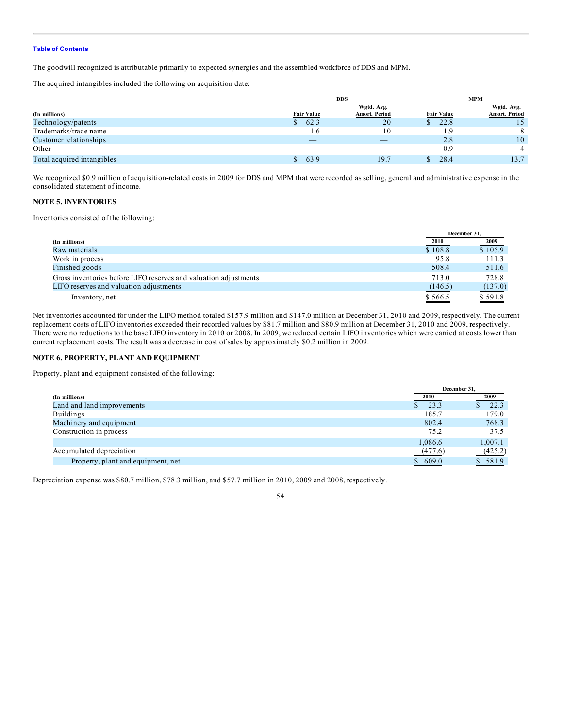The goodwill recognized is attributable primarily to expected synergies and the assembled workforce of DDS and MPM.

The acquired intangibles included the following on acquisition date:

|                            |                            | <b>DDS</b>           |                   | <b>MPM</b>    |
|----------------------------|----------------------------|----------------------|-------------------|---------------|
|                            |                            | Wgtd. Avg.           |                   | Wgtd. Avg.    |
| (In millions)              | <b>Fair Value</b>          | <b>Amort. Period</b> | <b>Fair Value</b> | Amort. Period |
| Technology/patents         | \$62.3                     | 20                   | 22.8              | 15            |
| Trademarks/trade name      | 1.6                        | 10                   |                   | 8             |
| Customer relationships     |                            |                      | 2.8               | 10            |
| Other                      |                            |                      | 0.9               |               |
| Total acquired intangibles | 63.9<br><u>records and</u> | 19.7                 | 28.4              |               |

We recognized \$0.9 million of acquisition-related costs in 2009 for DDS and MPM that were recorded as selling, general and administrative expense in the consolidated statement of income.

## **NOTE 5. INVENTORIES**

Inventories consisted of the following:

|                                                                  |         | December 31. |
|------------------------------------------------------------------|---------|--------------|
| (In millions)                                                    | 2010    | 2009         |
| Raw materials                                                    | \$108.8 | \$105.9      |
| Work in process                                                  | 95.8    | 111.3        |
| Finished goods                                                   | 508.4   | 511.6        |
| Gross inventories before LIFO reserves and valuation adjustments | 713.0   | 728.8        |
| LIFO reserves and valuation adjustments                          | (146.5) | (137.0)      |
| Inventory, net                                                   | \$566.5 | \$591.8      |

Net inventories accounted for under the LIFO method totaled \$157.9 million and \$147.0 million at December 31, 2010 and 2009, respectively. The current replacement costs of LIFO inventories exceeded their recorded values by \$81.7 million and \$80.9 million at December 31, 2010 and 2009, respectively. There were no reductions to the base LIFO inventory in 2010 or 2008. In 2009, we reduced certain LIFO inventories which were carried at costs lower than current replacement costs. The result was a decrease in cost of sales by approximately \$0.2 million in 2009.

## **NOTE 6. PROPERTY, PLANT AND EQUIPMENT**

Property, plant and equipment consisted of the following:

|                                    |         | December 31. |
|------------------------------------|---------|--------------|
| (In millions)                      | 2010    | 2009         |
| Land and land improvements         | 23.3    | 22.3         |
| <b>Buildings</b>                   | 185.7   | 179.0        |
| Machinery and equipment            | 802.4   | 768.3        |
| Construction in process            | 75.2    | 37.5         |
|                                    | 1,086.6 | 1,007.1      |
| Accumulated depreciation           | (477.6) | (425.2)      |
| Property, plant and equipment, net | \$609.0 | \$581.9      |

Depreciation expense was \$80.7 million, \$78.3 million, and \$57.7 million in 2010, 2009 and 2008, respectively.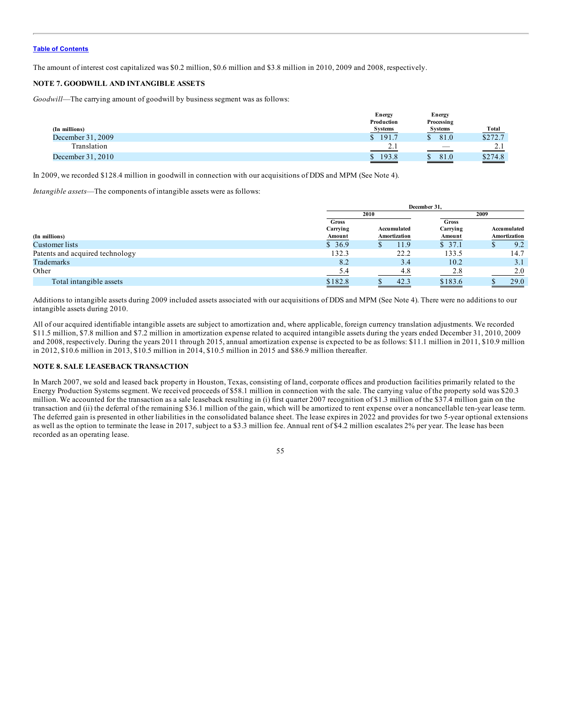The amount of interest cost capitalized was \$0.2 million, \$0.6 million and \$3.8 million in 2010, 2009 and 2008, respectively.

### **NOTE 7. GOODWILL AND INTANGIBLE ASSETS**

*Goodwill*—The carrying amount of goodwill by business segment was as follows:

| Production<br>Processing                                                                                                                                                                                                                                                   | Energy         | <b>Energy</b>                                  |
|----------------------------------------------------------------------------------------------------------------------------------------------------------------------------------------------------------------------------------------------------------------------------|----------------|------------------------------------------------|
|                                                                                                                                                                                                                                                                            |                |                                                |
| Systems<br>(In millions)                                                                                                                                                                                                                                                   | <b>Systems</b> |                                                |
| 191.7<br>December $31, 2009$<br>81.0                                                                                                                                                                                                                                       |                | $\frac{\text{Total}}{\$272.7}$                 |
| Translation<br>$\sim$<br>$\hspace{0.1mm}-\hspace{0.1mm}$<br>$\sim$ $\sim$ $\sim$                                                                                                                                                                                           |                | $\sim$<br>$\sim$ .<br>$\overline{\phantom{a}}$ |
| 193.8<br>81.0<br>December 31, 2010<br><u> The Common State of the Common State of the Common State of the Common State of the Common State of the Common State of the Common State of the Common State of the Common State of the Common State of the Common State of </u> |                | \$274.8                                        |

In 2009, we recorded \$128.4 million in goodwill in connection with our acquisitions of DDS and MPM (See Note 4).

*Intangible assets*—The components of intangible assets were as follows:

|                                 |          |              | December 31, |              |
|---------------------------------|----------|--------------|--------------|--------------|
|                                 |          | 2010         |              | 2009         |
|                                 | Gross    |              | <b>Gross</b> |              |
|                                 | Carrying | Accumulated  | Carrying     | Accumulated  |
| (In millions)                   | Amount   | Amortization | Amount       | Amortization |
| Customer lists                  | \$36.9   | 11.9         | \$37.1       | 9.2          |
| Patents and acquired technology | 132.3    | 22.2         | 133.5        | 14.7         |
| Trademarks                      | 8.2      | 3.4          | 10.2         | 3.1          |
| Other                           | 5.4      | 4.8          | 2.8          | 2.0          |
| Total intangible assets         | \$182.8  | 42.3         | \$183.6      | 29.0         |

Additions to intangible assets during 2009 included assets associated with our acquisitions of DDS and MPM (See Note 4). There were no additions to our intangible assets during 2010.

All of our acquired identifiable intangible assets are subject to amortization and, where applicable, foreign currency translation adjustments. We recorded \$11.5 million, \$7.8 million and \$7.2 million in amortization expense related to acquired intangible assets during the years ended December 31, 2010, 2009 and 2008, respectively. During the years 2011 through 2015, annual amortization expense is expected to be as follows: \$11.1 million in 2011, \$10.9 million in 2012, \$10.6 million in 2013, \$10.5 million in 2014, \$10.5 million in 2015 and \$86.9 million thereafter.

#### **NOTE 8. SALE LEASEBACK TRANSACTION**

In March 2007, we sold and leased back property in Houston, Texas, consisting of land, corporate offices and production facilities primarily related to the Energy Production Systems segment. We received proceeds of \$58.1 million in connection with the sale. The carrying value of the property sold was \$20.3 million. We accounted for the transaction as a sale leaseback resulting in (i) first quarter 2007 recognition of \$1.3 million of the \$37.4 million gain on the transaction and (ii) the deferral of the remaining \$36.1 million of the gain, which will be amortized to rent expense over a noncancellable ten-year lease term. The deferred gain is presented in other liabilities in the consolidated balance sheet. The lease expires in 2022 and provides for two 5-year optional extensions as well as the option to terminate the lease in 2017, subject to a \$3.3 million fee. Annual rent of \$4.2 million escalates 2% per year. The lease has been recorded as an operating lease.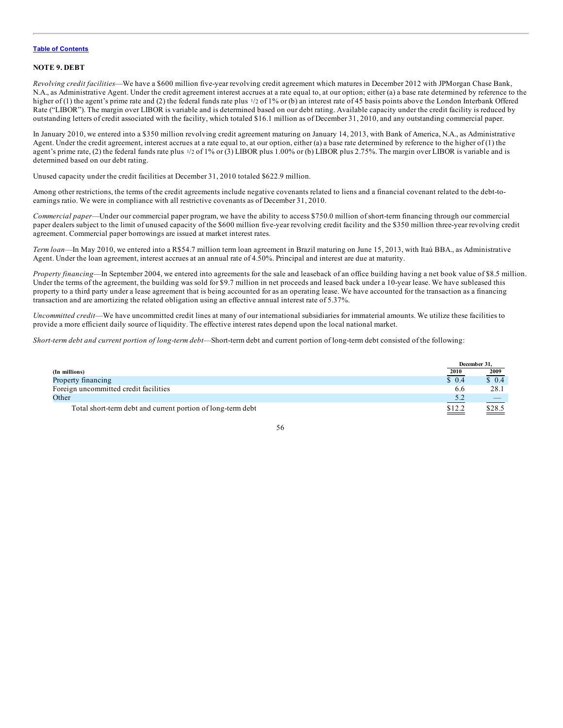#### **NOTE 9. DEBT**

*Revolving credit facilities*—We have a \$600 million five-year revolving credit agreement which matures in December 2012 with JPMorgan Chase Bank, N.A., as Administrative Agent. Under the credit agreement interest accrues at a rate equal to, at our option; either (a) a base rate determined by reference to the higher of (1) the agent's prime rate and (2) the federal funds rate plus 1/2 of 1% or (b) an interest rate of 45 basis points above the London Interbank Offered Rate ("LIBOR"). The margin over LIBOR is variable and is determined based on our debt rating. Available capacity under the credit facility is reduced by outstanding letters of credit associated with the facility, which totaled \$16.1 million as of December 31, 2010, and any outstanding commercial paper.

In January 2010, we entered into a \$350 million revolving credit agreement maturing on January 14, 2013, with Bank of America, N.A., as Administrative Agent. Under the credit agreement, interest accrues at a rate equal to, at our option, either (a) a base rate determined by reference to the higher of (1) the agent's prime rate, (2) the federal funds rate plus 1/2 of 1% or (3) LIBOR plus 1.00% or (b) LIBOR plus 2.75%. The margin over LIBOR is variable and is determined based on our debt rating.

Unused capacity under the credit facilities at December 31, 2010 totaled \$622.9 million.

Among other restrictions, the terms of the credit agreements include negative covenants related to liens and a financial covenant related to the debt-toearnings ratio. We were in compliance with all restrictive covenants as of December 31, 2010.

*Commercial paper*—Under our commercial paper program, we have the ability to access \$750.0 million of short-term financing through our commercial paper dealers subject to the limit of unused capacity of the \$600 million five-year revolving credit facility and the \$350 million three-year revolving credit agreement. Commercial paper borrowings are issued at market interest rates.

*Term loan*—In May 2010, we entered into a R\$54.7 million term loan agreement in Brazil maturing on June 15, 2013, with Itaú BBA., as Administrative Agent. Under the loan agreement, interest accrues at an annual rate of 4.50%. Principal and interest are due at maturity.

*Property financing*—In September 2004, we entered into agreements for the sale and leaseback of an office building having a net book value of \$8.5 million. Under the terms of the agreement, the building was sold for \$9.7 million in net proceeds and leased back under a 10-year lease. We have subleased this property to a third party under a lease agreement that is being accounted for as an operating lease. We have accounted for the transaction as a financing transaction and are amortizing the related obligation using an effective annual interest rate of 5.37%.

*Uncommitted credit*—We have uncommitted credit lines at many of our international subsidiaries for immaterial amounts. We utilize these facilities to provide a more efficient daily source of liquidity. The effective interest rates depend upon the local national market.

*Short-term debt and current portion of long-term debt*—Short-term debt and current portion of long-term debt consisted of the following:

|                                                             |                                                                                                                                                                                                                                                | December 31. |
|-------------------------------------------------------------|------------------------------------------------------------------------------------------------------------------------------------------------------------------------------------------------------------------------------------------------|--------------|
| (In millions)                                               | <u>2010</u>                                                                                                                                                                                                                                    | $-2009$      |
| Property financing                                          | \$0.4                                                                                                                                                                                                                                          | \$0.4        |
| Foreign uncommitted credit facilities                       | 6.6                                                                                                                                                                                                                                            | 28.1         |
| Other                                                       |                                                                                                                                                                                                                                                |              |
| Total short-term debt and current portion of long-term debt | \$12.2<br><u>and the second part of the second part of the second part of the second part of the second part of the second part of the second part of the second part of the second part of the second part of the second part of the seco</u> | \$28.5       |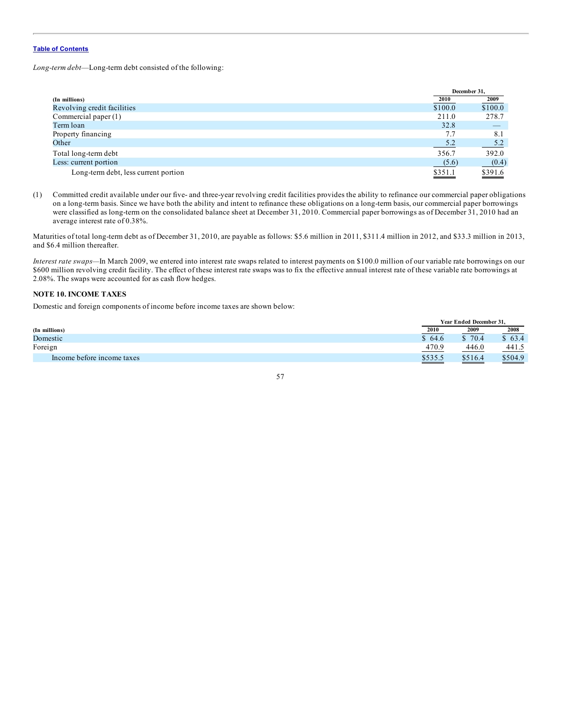*Long-term debt*—Long-term debt consisted of the following:

|                                      |         | December 31, |
|--------------------------------------|---------|--------------|
| (In millions)                        | 2010    | 2009         |
| Revolving credit facilities          | \$100.0 | \$100.0      |
| Commercial paper $(1)$               | 211.0   | 278.7        |
| Term loan                            | 32.8    |              |
| Property financing                   | 7.7     | 8.1          |
| Other                                | 5.2     | 5.2          |
| Total long-term debt                 | 356.7   | 392.0        |
| Less: current portion                | (5.6)   | (0.4)        |
| Long-term debt, less current portion | \$351.1 | \$391.6      |

(1) Committed credit available under our five- and three-year revolving credit facilities provides the ability to refinance our commercial paper obligations on a long-term basis. Since we have both the ability and intent to refinance these obligations on a long-term basis, our commercial paper borrowings were classified as long-term on the consolidated balance sheet at December 31, 2010. Commercial paper borrowings as of December 31, 2010 had an average interest rate of 0.38%.

Maturities of total long-term debt as of December 31, 2010, are payable as follows: \$5.6 million in 2011, \$311.4 million in 2012, and \$33.3 million in 2013, and \$6.4 million thereafter.

*Interest rate swaps—*In March 2009, we entered into interest rate swaps related to interest payments on \$100.0 million of our variable rate borrowings on our \$600 million revolving credit facility. The effect of these interest rate swaps was to fix the effective annual interest rate of these variable rate borrowings at 2.08%. The swaps were accounted for as cash flow hedges.

## **NOTE 10. INCOME TAXES**

Domestic and foreign components of income before income taxes are shown below:

|                            |         | <b>Year Ended December 31.</b> |         |  |
|----------------------------|---------|--------------------------------|---------|--|
| (In millions)              | 2010    | 2009                           | 2008    |  |
| Domestic                   | \$64.6  | \$70.4                         | \$63.4  |  |
| Foreign                    | 470.9   | 446.0                          | 441.5   |  |
| Income before income taxes | \$535.5 | \$516.4                        | \$504.9 |  |
|                            |         |                                |         |  |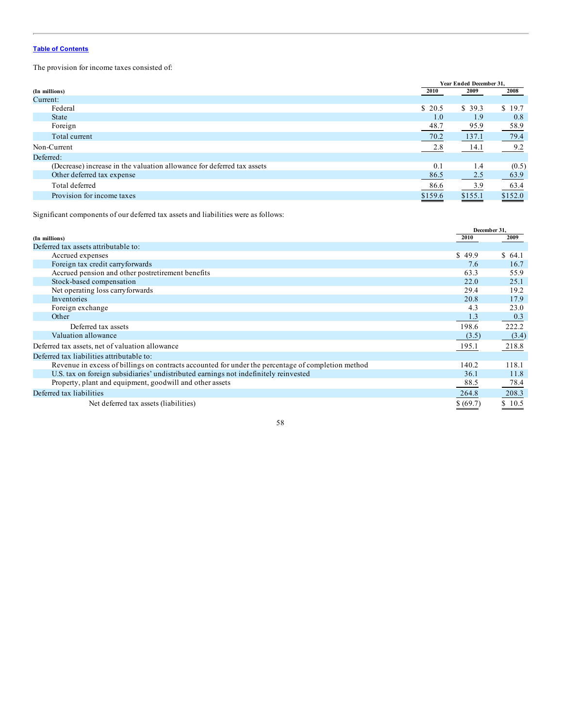The provision for income taxes consisted of:

|                                                                        | Year Ended December 31, |         |         |
|------------------------------------------------------------------------|-------------------------|---------|---------|
| (In millions)                                                          | 2010                    | 2009    | 2008    |
| Current:                                                               |                         |         |         |
| Federal                                                                | \$20.5                  | \$39.3  | \$19.7  |
| <b>State</b>                                                           | 1.0                     | 1.9     | 0.8     |
| Foreign                                                                | 48.7                    | 95.9    | 58.9    |
| Total current                                                          | 70.2                    | 137.1   | 79.4    |
| Non-Current                                                            | 2.8                     | 14.1    | 9.2     |
| Deferred:                                                              |                         |         |         |
| (Decrease) increase in the valuation allowance for deferred tax assets | 0.1                     | 1.4     | (0.5)   |
| Other deferred tax expense                                             | 86.5                    | 2.5     | 63.9    |
| Total deferred                                                         | 86.6                    | 3.9     | 63.4    |
| Provision for income taxes                                             | \$159.6                 | \$155.1 | \$152.0 |

Significant components of our deferred tax assets and liabilities were as follows:

|                                                                                                    | December 31. |        |
|----------------------------------------------------------------------------------------------------|--------------|--------|
| (In millions)                                                                                      | 2010         | 2009   |
| Deferred tax assets attributable to:                                                               |              |        |
| Accrued expenses                                                                                   | \$49.9       | \$64.1 |
| Foreign tax credit carryforwards                                                                   | 7.6          | 16.7   |
| Accrued pension and other postretirement benefits                                                  | 63.3         | 55.9   |
| Stock-based compensation                                                                           | 22.0         | 25.1   |
| Net operating loss carryforwards                                                                   | 29.4         | 19.2   |
| Inventories                                                                                        | 20.8         | 17.9   |
| Foreign exchange                                                                                   | 4.3          | 23.0   |
| Other                                                                                              | 1.3          | 0.3    |
| Deferred tax assets                                                                                | 198.6        | 222.2  |
| Valuation allowance                                                                                | (3.5)        | (3.4)  |
| Deferred tax assets, net of valuation allowance                                                    | 195.1        | 218.8  |
| Deferred tax liabilities attributable to:                                                          |              |        |
| Revenue in excess of billings on contracts accounted for under the percentage of completion method | 140.2        | 118.1  |
| U.S. tax on foreign subsidiaries' undistributed earnings not indefinitely reinvested               | 36.1         | 11.8   |
| Property, plant and equipment, goodwill and other assets                                           | 88.5         | 78.4   |
| Deferred tax liabilities                                                                           | 264.8        | 208.3  |
| Net deferred tax assets (liabilities)                                                              | \$ (69.7)    | \$10.5 |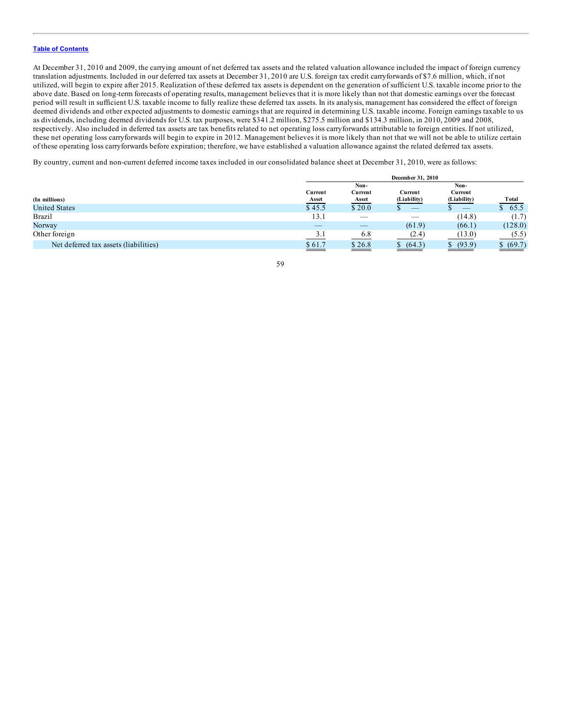At December 31, 2010 and 2009, the carrying amount of net deferred tax assets and the related valuation allowance included the impact of foreign currency translation adjustments. Included in our deferred tax assets at December 31, 2010 are U.S. foreign tax credit carryforwards of \$7.6 million, which, if not utilized, will begin to expire after 2015. Realization of these deferred tax assets is dependent on the generation of sufficient U.S. taxable income prior to the above date. Based on long-term forecasts of operating results, management believes that it is more likely than not that domestic earnings over the forecast period will result in sufficient U.S. taxable income to fully realize these deferred tax assets. In its analysis, management has considered the effect of foreign deemed dividends and other expected adjustments to domestic earnings that are required in determining U.S. taxable income. Foreign earnings taxable to us as dividends, including deemed dividends for U.S. tax purposes, were \$341.2 million, \$275.5 million and \$134.3 million, in 2010, 2009 and 2008, respectively. Also included in deferred tax assets are tax benefits related to net operating loss carryforwards attributable to foreign entities. If not utilized, these net operating loss carryforwards will begin to expire in 2012. Management believes it is more likely than not that we will not be able to utilize certain of these operating loss carryforwards before expiration; therefore, we have established a valuation allowance against the related deferred tax assets.

By country, current and non-current deferred income taxes included in our consolidated balance sheet at December 31, 2010, were as follows:

|                                       |              | December 31, 2010 |                          |              |                            |  |  |
|---------------------------------------|--------------|-------------------|--------------------------|--------------|----------------------------|--|--|
|                                       |              | Non-              |                          | Non-         |                            |  |  |
|                                       | Current      | Current           | Current                  | Current      |                            |  |  |
| (In millions)                         | <b>Asset</b> | <b>Asset</b>      | (Liability)              | (Liability)  | Total                      |  |  |
| <b>United States</b>                  | \$45.5       | \$20.0            | $\overline{\phantom{a}}$ |              | \$65.5                     |  |  |
| Brazil                                | 13.1         | $-$               |                          | (14.8)       | (1.7)                      |  |  |
| Norway                                |              |                   | (61.9)                   | (66.1)       | (128.0)                    |  |  |
| Other foreign                         | 3.1          | 6.8               | (2.4)                    | (13.0)       | (5.5)                      |  |  |
| Net deferred tax assets (liabilities) | \$61.7       | \$26.8            | (64.3)<br>S.             | (93.9)<br>S. | \$ (69.7)<br>$\sim$ $\sim$ |  |  |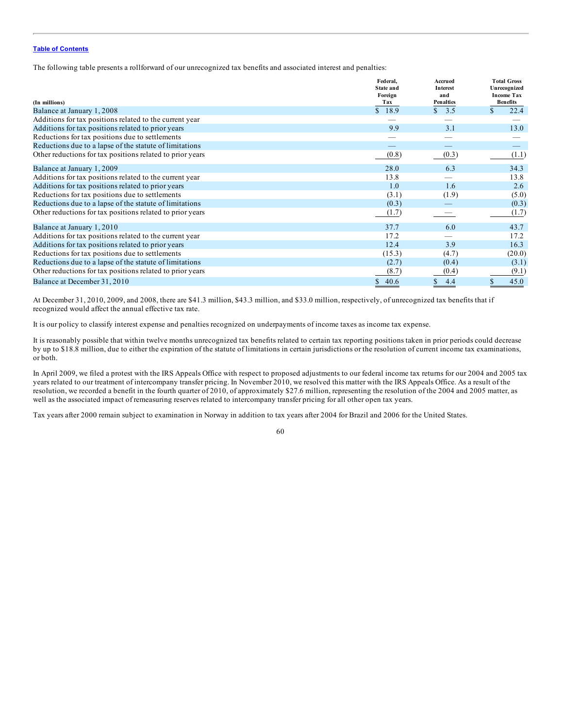The following table presents a rollforward of our unrecognized tax benefits and associated interest and penalties:

| (In millions)                                             | Federal.<br>State and<br>Foreign<br>Tax | Accrued<br><b>Interest</b><br>and<br><b>Penalties</b> | <b>Total Gross</b><br>Unrecognized<br><b>Income Tax</b><br><b>Benefits</b> |
|-----------------------------------------------------------|-----------------------------------------|-------------------------------------------------------|----------------------------------------------------------------------------|
| Balance at January 1, 2008                                | \$18.9                                  | $\frac{1}{2}$ 3.5                                     | $\mathbf{s}$<br>22.4                                                       |
| Additions for tax positions related to the current year   |                                         |                                                       |                                                                            |
| Additions for tax positions related to prior years        | 9.9                                     | 3.1                                                   | 13.0                                                                       |
| Reductions for tax positions due to settlements           |                                         |                                                       |                                                                            |
| Reductions due to a lapse of the statute of limitations   |                                         |                                                       |                                                                            |
| Other reductions for tax positions related to prior years | (0.8)                                   | (0.3)                                                 | (1.1)                                                                      |
| Balance at January 1, 2009                                | 28.0                                    | 6.3                                                   | 34.3                                                                       |
| Additions for tax positions related to the current year   | 13.8                                    |                                                       | 13.8                                                                       |
| Additions for tax positions related to prior years        | 1.0                                     | 1.6                                                   | 2.6                                                                        |
| Reductions for tax positions due to settlements           | (3.1)                                   | (1.9)                                                 | (5.0)                                                                      |
| Reductions due to a lapse of the statute of limitations   | (0.3)                                   |                                                       | (0.3)                                                                      |
| Other reductions for tax positions related to prior years | (1.7)                                   |                                                       | (1.7)                                                                      |
| Balance at January 1, 2010                                | 37.7                                    | 6.0                                                   | 43.7                                                                       |
| Additions for tax positions related to the current year   | 17.2                                    |                                                       | 17.2                                                                       |
| Additions for tax positions related to prior years        | 12.4                                    | 3.9                                                   | 16.3                                                                       |
| Reductions for tax positions due to settlements           | (15.3)                                  | (4.7)                                                 | (20.0)                                                                     |
| Reductions due to a lapse of the statute of limitations   | (2.7)                                   | (0.4)                                                 | (3.1)                                                                      |
| Other reductions for tax positions related to prior years | (8.7)                                   | (0.4)                                                 | (9.1)                                                                      |
| Balance at December 31, 2010                              | 40.6                                    | 4.4<br>\$                                             | 45.0                                                                       |

At December 31, 2010, 2009, and 2008, there are \$41.3 million, \$43.3 million, and \$33.0 million, respectively, of unrecognized tax benefits that if recognized would affect the annual effective tax rate.

It is our policy to classify interest expense and penalties recognized on underpayments of income taxes as income tax expense.

It is reasonably possible that within twelve months unrecognized tax benefits related to certain tax reporting positions taken in prior periods could decrease by up to \$18.8 million, due to either the expiration of the statute of limitations in certain jurisdictions or the resolution of current income tax examinations, or both.

In April 2009, we filed a protest with the IRS Appeals Office with respect to proposed adjustments to our federal income tax returns for our 2004 and 2005 tax years related to our treatment of intercompany transfer pricing. In November 2010, we resolved this matter with the IRS Appeals Office. As a result of the resolution, we recorded a benefit in the fourth quarter of 2010, of approximately \$27.6 million, representing the resolution of the 2004 and 2005 matter, as well as the associated impact of remeasuring reserves related to intercompany transfer pricing for all other open tax years.

Tax years after 2000 remain subject to examination in Norway in addition to tax years after 2004 for Brazil and 2006 for the United States.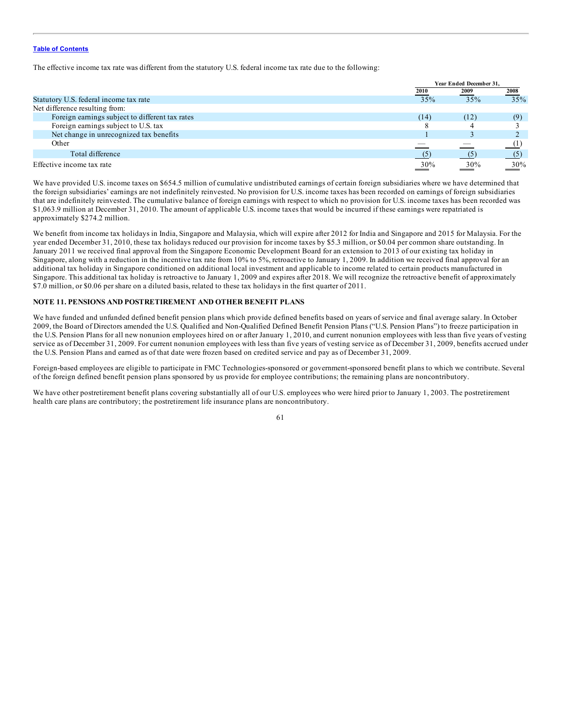The effective income tax rate was different from the statutory U.S. federal income tax rate due to the following:

|                                                 |      | Year Ended December 31. |      |  |
|-------------------------------------------------|------|-------------------------|------|--|
|                                                 | 2010 | 2009                    | 2008 |  |
| Statutory U.S. federal income tax rate          | 35%  | 35%                     | 35%  |  |
| Net difference resulting from:                  |      |                         |      |  |
| Foreign earnings subject to different tax rates | (14) | (12)                    | (9)  |  |
| Foreign earnings subject to U.S. tax            |      |                         |      |  |
| Net change in unrecognized tax benefits         |      |                         |      |  |
| Other                                           |      |                         |      |  |
| Total difference                                |      | (5)                     |      |  |
| Effective income tax rate                       | 30%  | 30%                     | 30%  |  |

We have provided U.S. income taxes on \$654.5 million of cumulative undistributed earnings of certain foreign subsidiaries where we have determined that the foreign subsidiaries' earnings are not indefinitely reinvested. No provision for U.S. income taxes has been recorded on earnings of foreign subsidiaries that are indefinitely reinvested. The cumulative balance of foreign earnings with respect to which no provision for U.S. income taxes has been recorded was \$1,063.9 million at December 31, 2010. The amount of applicable U.S. income taxes that would be incurred if these earnings were repatriated is approximately \$274.2 million.

We benefit from income tax holidays in India, Singapore and Malaysia, which will expire after 2012 for India and Singapore and 2015 for Malaysia. For the year ended December 31, 2010, these tax holidays reduced our provision for income taxes by \$5.3 million, or \$0.04 per common share outstanding. In January 2011 we received final approval from the Singapore Economic Development Board for an extension to 2013 of our existing tax holiday in Singapore, along with a reduction in the incentive tax rate from 10% to 5%, retroactive to January 1, 2009. In addition we received final approval for an additional tax holiday in Singapore conditioned on additional local investment and applicable to income related to certain products manufactured in Singapore. This additional tax holiday is retroactive to January 1, 2009 and expires after 2018. We will recognize the retroactive benefit of approximately \$7.0 million, or \$0.06 per share on a diluted basis, related to these tax holidays in the first quarter of 2011.

## **NOTE 11. PENSIONS AND POSTRETIREMENT AND OTHER BENEFIT PLANS**

We have funded and unfunded defined benefit pension plans which provide defined benefits based on years of service and final average salary. In October 2009, the Board of Directors amended the U.S. Qualified and Non-Qualified Defined Benefit Pension Plans ("U.S. Pension Plans") to freeze participation in the U.S. Pension Plans for all new nonunion employees hired on or after January 1, 2010, and current nonunion employees with less than five years of vesting service as of December 31, 2009. For current nonunion employees with less than five years of vesting service as of December 31, 2009, benefits accrued under the U.S. Pension Plans and earned as of that date were frozen based on credited service and pay as of December 31, 2009.

Foreign-based employees are eligible to participate in FMC Technologies-sponsored or government-sponsored benefit plans to which we contribute. Several of the foreign defined benefit pension plans sponsored by us provide for employee contributions; the remaining plans are noncontributory.

We have other postretirement benefit plans covering substantially all of our U.S. employees who were hired prior to January 1, 2003. The postretirement health care plans are contributory; the postretirement life insurance plans are noncontributory.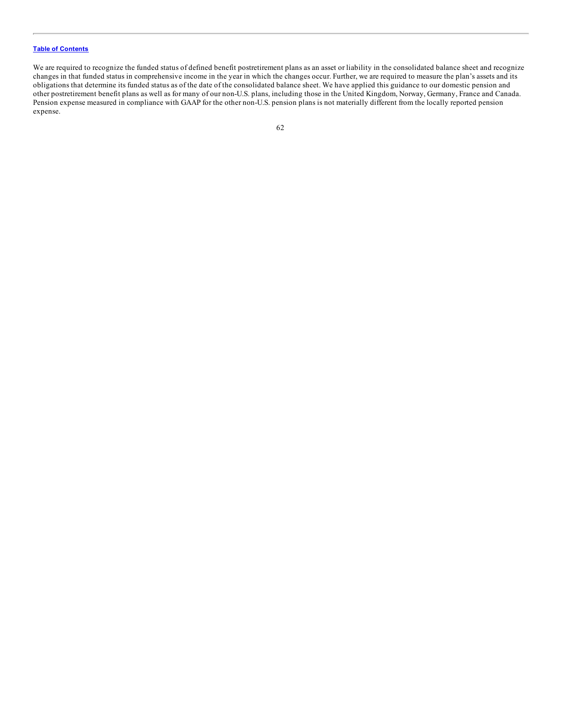We are required to recognize the funded status of defined benefit postretirement plans as an asset or liability in the consolidated balance sheet and recognize changes in that funded status in comprehensive income in the year in which the changes occur. Further, we are required to measure the plan's assets and its obligations that determine its funded status as of the date of the consolidated balance sheet. We have applied this guidance to our domestic pension and other postretirement benefit plans as well as for many of our non-U.S. plans, including those in the United Kingdom, Norway, Germany, France and Canada. Pension expense measured in compliance with GAAP for the other non-U.S. pension plans is not materially different from the locally reported pension expense.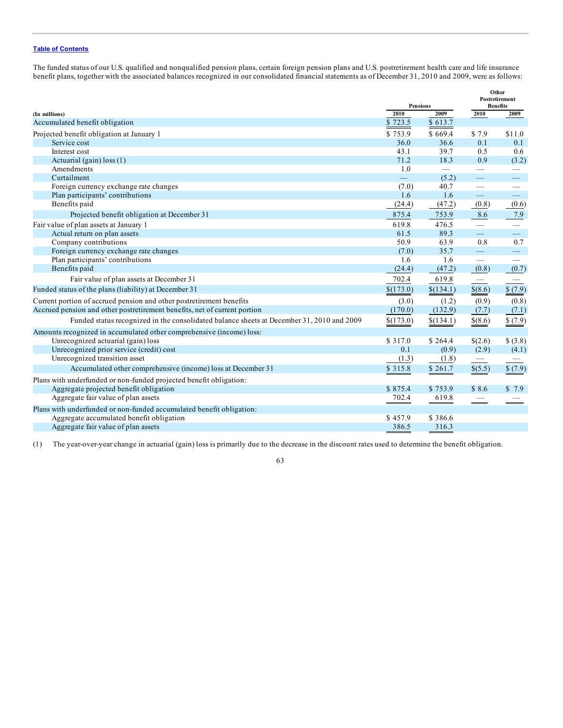The funded status of our U.S. qualified and nonqualified pension plans, certain foreign pension plans and U.S. postretirement health care and life insurance benefit plans, together with the associated balances recognized in our consolidated financial statements as of December 31, 2010 and 2009, were as follows:

|                                                                                           | <b>Pensions</b> |                          | Other<br>Postretirement<br><b>Benefits</b> |                             |
|-------------------------------------------------------------------------------------------|-----------------|--------------------------|--------------------------------------------|-----------------------------|
| (In millions)                                                                             | 2010            | 2009                     | 2010                                       | 2009                        |
| Accumulated benefit obligation                                                            | \$723.5         | \$613.7                  |                                            |                             |
| Projected benefit obligation at January 1                                                 | \$753.9         | \$669.4                  | \$7.9                                      | \$11.0                      |
| Service cost                                                                              | 36.0            | 36.6                     | 0.1                                        | 0.1                         |
| Interest cost                                                                             | 43.1            | 39.7                     | 0.5                                        | 0.6                         |
| Actuarial (gain) loss (1)                                                                 | 71.2            | 18.3                     | 0.9                                        | (3.2)                       |
| Amendments                                                                                | 1.0             | $\overline{\phantom{a}}$ |                                            | $\overline{\phantom{0}}$    |
| Curtailment                                                                               |                 | (5.2)                    | $\qquad \qquad \overline{\qquad \qquad }$  |                             |
| Foreign currency exchange rate changes                                                    | (7.0)           | 40.7                     | $\frac{1}{2}$                              |                             |
| Plan participants' contributions                                                          | 1.6             | 1.6                      | $\overline{\phantom{m}}$                   | $\overline{\phantom{0}}$    |
| Benefits paid                                                                             | (24.4)          | (47.2)                   | (0.8)                                      | (0.6)                       |
| Projected benefit obligation at December 31                                               | 875.4           | 753.9                    | 8.6                                        | 7.9                         |
| Fair value of plan assets at January 1                                                    | 619.8           | 476.5                    | $\overline{\phantom{0}}$                   | $\overline{\phantom{0}}$    |
| Actual return on plan assets                                                              | 61.5            | 89.3                     |                                            | $\frac{1}{2}$               |
| Company contributions                                                                     | 50.9            | 63.9                     | 0.8                                        | 0.7                         |
| Foreign currency exchange rate changes                                                    | (7.0)           | 35.7                     |                                            | $\overline{\phantom{m}}$    |
| Plan participants' contributions                                                          | 1.6             | 1.6                      |                                            |                             |
| Benefits paid                                                                             | (24.4)          | (47.2)                   | (0.8)                                      | (0.7)                       |
| Fair value of plan assets at December 31                                                  | 702.4           | 619.8                    | $\overline{\phantom{m}}$                   | $\overbrace{\hspace{15em}}$ |
| Funded status of the plans (liability) at December 31                                     | \$(173.0)       | \$(134.1)                | \$(8.6)                                    | \$ (7.9)                    |
| Current portion of accrued pension and other postretirement benefits                      | (3.0)           | (1.2)                    | (0.9)                                      | (0.8)                       |
| Accrued pension and other postretirement benefits, net of current portion                 | (170.0)         | (132.9)                  | (7.7)                                      | (7.1)                       |
| Funded status recognized in the consolidated balance sheets at December 31, 2010 and 2009 | \$(173.0)       | \$(134.1)                | \$(8.6)                                    | \$(7.9)                     |
| Amounts recognized in accumulated other comprehensive (income) loss:                      |                 |                          |                                            |                             |
| Unrecognized actuarial (gain) loss                                                        | \$317.0         | \$264.4                  | \$(2.6)                                    | \$ (3.8)                    |
| Unrecognized prior service (credit) cost                                                  | 0.1             | (0.9)                    | (2.9)                                      | (4.1)                       |
| Unrecognized transition asset                                                             | (1.3)           | (1.8)                    | $\overline{\phantom{m}}$                   |                             |
| Accumulated other comprehensive (income) loss at December 31                              | \$315.8         | \$261.7                  | \$(5.5)                                    | \$(7.9)                     |
| Plans with underfunded or non-funded projected benefit obligation:                        |                 |                          |                                            |                             |
| Aggregate projected benefit obligation                                                    | \$875.4         | \$753.9                  | \$8.6                                      | \$7.9                       |
| Aggregate fair value of plan assets                                                       | 702.4           | 619.8                    |                                            |                             |
| Plans with underfunded or non-funded accumulated benefit obligation:                      |                 |                          |                                            |                             |
| Aggregate accumulated benefit obligation                                                  | \$457.9         | \$386.6                  |                                            |                             |
| Aggregate fair value of plan assets                                                       | 386.5           | 316.3                    |                                            |                             |

(1) The year-over-year change in actuarial (gain) loss is primarily due to the decrease in the discount rates used to determine the benefit obligation.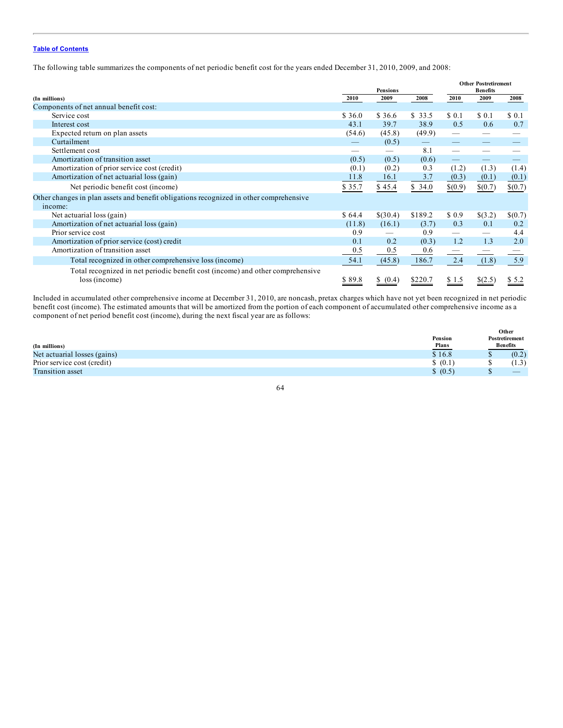The following table summarizes the components of net periodic benefit cost for the years ended December 31, 2010, 2009, and 2008:

|                                                                                                   |         | <b>Pensions</b> |         |                          | <b>Other Postretirement</b><br><b>Benefits</b> |         |
|---------------------------------------------------------------------------------------------------|---------|-----------------|---------|--------------------------|------------------------------------------------|---------|
| (In millions)                                                                                     | 2010    | 2009            | 2008    | 2010                     | 2009                                           | 2008    |
| Components of net annual benefit cost:                                                            |         |                 |         |                          |                                                |         |
| Service cost                                                                                      | \$36.0  | \$36.6          | \$33.5  | \$0.1                    | \$0.1                                          | \$0.1   |
| Interest cost                                                                                     | 43.1    | 39.7            | 38.9    | 0.5                      | 0.6                                            | 0.7     |
| Expected return on plan assets                                                                    | (54.6)  | (45.8)          | (49.9)  |                          |                                                |         |
| Curtailment                                                                                       |         | (0.5)           |         |                          |                                                |         |
| Settlement cost                                                                                   |         |                 | 8.1     |                          |                                                |         |
| Amortization of transition asset                                                                  | (0.5)   | (0.5)           | (0.6)   |                          |                                                |         |
| Amortization of prior service cost (credit)                                                       | (0.1)   | (0.2)           | 0.3     | (1.2)                    | (1.3)                                          | (1.4)   |
| Amortization of net actuarial loss (gain)                                                         | 11.8    | 16.1            | 3.7     | (0.3)                    | (0.1)                                          | (0.1)   |
| Net periodic benefit cost (income)                                                                | \$ 35.7 | \$45.4          | \$34.0  | \$(0.9)                  | \$(0.7)                                        | \$(0.7) |
| Other changes in plan assets and benefit obligations recognized in other comprehensive<br>income: |         |                 |         |                          |                                                |         |
| Net actuarial loss (gain)                                                                         | \$64.4  | \$(30.4)        | \$189.2 | \$0.9                    | \$(3.2)                                        | \$(0.7) |
| Amortization of net actuarial loss (gain)                                                         | (11.8)  | (16.1)          | (3.7)   | 0.3                      | 0.1                                            | 0.2     |
| Prior service cost                                                                                | 0.9     |                 | 0.9     |                          |                                                | 4.4     |
| Amortization of prior service (cost) credit                                                       | 0.1     | 0.2             | (0.3)   | 1.2                      | 1.3                                            | 2.0     |
| Amortization of transition asset                                                                  | 0.5     | 0.5             | 0.6     | $\overline{\phantom{m}}$ |                                                |         |
| Total recognized in other comprehensive loss (income)                                             | 54.1    | (45.8)          | 186.7   | 2.4                      | (1.8)                                          | 5.9     |
| Total recognized in net periodic benefit cost (income) and other comprehensive<br>loss (income)   | \$89.8  | \$<br>(0.4)     | \$220.7 | \$1.5                    | \$(2.5)                                        | \$5.2   |

Included in accumulated other comprehensive income at December 31, 2010, are noncash, pretax charges which have not yet been recognized in net periodic benefit cost (income). The estimated amounts that will be amortized from the portion of each component of accumulated other comprehensive income as a component of net period benefit cost (income), during the next fiscal year are as follows:

|                              |              | Other           |
|------------------------------|--------------|-----------------|
|                              | Pension      | Postretirement  |
| (In millions)                | <b>Plans</b> | <b>Benefits</b> |
| Net actuarial losses (gains) | \$16.8       | (0.2)           |
| Prior service cost (credit)  | \$ (0.1)     | 1.3)            |
| Transition asset             | \$ (0.5)     |                 |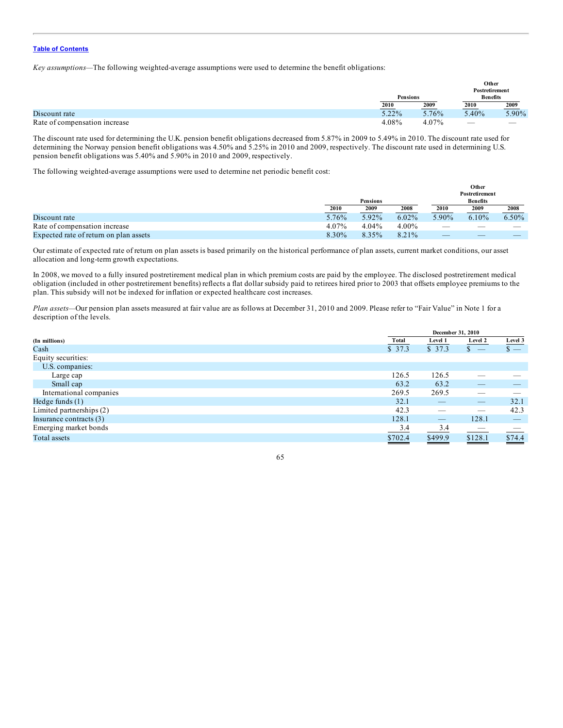*Key assumptions—*The following weighted-average assumptions were used to determine the benefit obligations:

|                               |          |          | Other                           |                   |  |                 |
|-------------------------------|----------|----------|---------------------------------|-------------------|--|-----------------|
|                               |          |          | Postretirement                  |                   |  |                 |
|                               |          | Pensions |                                 |                   |  | <b>Benefits</b> |
|                               | 2010     | 2009     | 2010                            | 2009              |  |                 |
| Discount rate                 | $5.22\%$ | 5.76%    | 5.40%                           | 5.90%             |  |                 |
| Rate of compensation increase | 4.08%    | 4.07%    | $\hspace{0.1mm}-\hspace{0.1mm}$ | $\hspace{0.05cm}$ |  |                 |

The discount rate used for determining the U.K. pension benefit obligations decreased from 5.87% in 2009 to 5.49% in 2010. The discount rate used for determining the Norway pension benefit obligations was 4.50% and 5.25% in 2010 and 2009, respectively. The discount rate used in determining U.S. pension benefit obligations was 5.40% and 5.90% in 2010 and 2009, respectively.

The following weighted-average assumptions were used to determine net periodic benefit cost:

|                                        |       |                 |          |          | Other                    |                          |
|----------------------------------------|-------|-----------------|----------|----------|--------------------------|--------------------------|
|                                        |       |                 |          |          | Postretirement           |                          |
|                                        |       | <b>Pensions</b> |          |          | <b>Benefits</b>          |                          |
|                                        | 2010  | 2009            | 2008     | 2010     | 2009                     | 2008                     |
| Discount rate                          | 5.76% | 5.92%           | $6.02\%$ | $5.90\%$ | $6.10\%$                 | $6.50\%$                 |
| Rate of compensation increase          | 4.07% | $4.04\%$        | $4.00\%$ |          | $\overline{\phantom{a}}$ | $\overline{\phantom{a}}$ |
| Expected rate of return on plan assets | 8.30% | 8.35%           | 8.21%    |          |                          |                          |

Our estimate of expected rate of return on plan assets is based primarily on the historical performance of plan assets, current market conditions, our asset allocation and long-term growth expectations.

In 2008, we moved to a fully insured postretirement medical plan in which premium costs are paid by the employee. The disclosed postretirement medical obligation (included in other postretirement benefits) reflects a flat dollar subsidy paid to retirees hired prior to 2003 that offsets employee premiums to the plan. This subsidy will not be indexed for inflation or expected healthcare cost increases.

*Plan assets—*Our pension plan assets measured at fair value are as follows at December 31, 2010 and 2009. Please refer to "Fair Value" in Note 1 for a description of the levels.

|                          |                 | December 31, 2010               |                 |                |  |  |  |
|--------------------------|-----------------|---------------------------------|-----------------|----------------|--|--|--|
| (In millions)            | Total           | Level 1                         | Level 2         | Level 3        |  |  |  |
| Cash                     | \$37.3          | \$37.3                          | $\frac{1}{2}$ – | $\mathbf{s}$ — |  |  |  |
| Equity securities:       |                 |                                 |                 |                |  |  |  |
| U.S. companies:          |                 |                                 |                 |                |  |  |  |
| Large cap                | 126.5           | 126.5                           |                 |                |  |  |  |
| Small cap                | 63.2            | 63.2                            |                 |                |  |  |  |
| International companies  | 269.5           | 269.5                           |                 |                |  |  |  |
| Hedge funds $(1)$        | 32.1            |                                 | __              | 32.1           |  |  |  |
| Limited partnerships (2) | 42.3            |                                 | $-$             | 42.3           |  |  |  |
| Insurance contracts (3)  | 128.1           | $\hspace{0.1mm}-\hspace{0.1mm}$ | 128.1           |                |  |  |  |
| Emerging market bonds    | $\frac{3.4}{2}$ | 3.4                             |                 |                |  |  |  |
| Total assets             |                 |                                 |                 | \$74.4         |  |  |  |
|                          | \$702.4         | \$499.9                         | \$128.1         |                |  |  |  |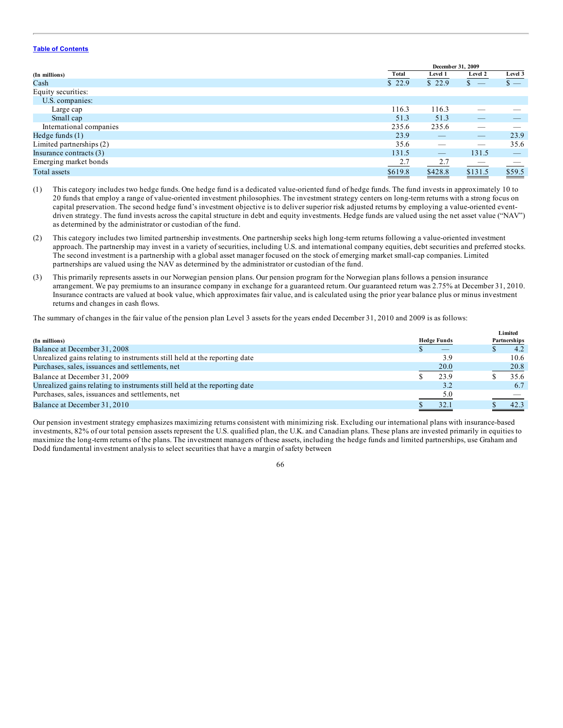|                          |         | December 31, 2009               |                          |                                 |
|--------------------------|---------|---------------------------------|--------------------------|---------------------------------|
| (In millions)            | Total   | Level 1                         | Level 2                  | Level 3                         |
| Cash                     | \$22.9  | \$22.9                          | $s =$                    | $\mathbf{s}$ —                  |
| Equity securities:       |         |                                 |                          |                                 |
| U.S. companies:          |         |                                 |                          |                                 |
| Large cap                | 116.3   | 116.3                           |                          |                                 |
| Small cap                | 51.3    | 51.3                            |                          |                                 |
| International companies  | 235.6   | 235.6                           |                          |                                 |
| Hedge funds $(1)$        | 23.9    |                                 | $\overline{\phantom{a}}$ | 23.9                            |
| Limited partnerships (2) | 35.6    |                                 | $\qquad \qquad$          | 35.6                            |
| Insurance contracts (3)  | 131.5   | $\hspace{0.1mm}-\hspace{0.1mm}$ | 131.5                    | $\hspace{0.1mm}-\hspace{0.1mm}$ |
| Emerging market bonds    | 2.7     | 2.7                             |                          |                                 |
| Total assets             | \$619.8 | \$428.8                         | \$131.5                  | \$59.5                          |

(1) This category includes two hedge funds. One hedge fund is a dedicated value-oriented fund of hedge funds. The fund invests in approximately 10 to 20 funds that employ a range of value-oriented investment philosophies. The investment strategy centers on long-term returns with a strong focus on capital preservation. The second hedge fund's investment objective is to deliver superior risk adjusted returns by employing a value-oriented eventdriven strategy. The fund invests across the capital structure in debt and equity investments. Hedge funds are valued using the net asset value ("NAV") as determined by the administrator or custodian of the fund.

(2) This category includes two limited partnership investments. One partnership seeks high long-term returns following a value-oriented investment approach. The partnership may invest in a variety of securities, including U.S. and international company equities, debt securities and preferred stocks. The second investment is a partnership with a global asset manager focused on the stock of emerging market small-cap companies. Limited partnerships are valued using the NAV as determined by the administrator or custodian of the fund.

(3) This primarily represents assets in our Norwegian pension plans. Our pension program for the Norwegian plans follows a pension insurance arrangement. We pay premiums to an insurance company in exchange for a guaranteed return. Our guaranteed return was 2.75% at December 31, 2010. Insurance contracts are valued at book value, which approximates fair value, and is calculated using the prior year balance plus or minus investment returns and changes in cash flows.

The summary of changes in the fair value of the pension plan Level 3 assets for the years ended December 31, 2010 and 2009 is as follows:

|                          |                    | Limited      |
|--------------------------|--------------------|--------------|
|                          |                    | Partnerships |
| $\overline{\phantom{a}}$ |                    | 4.2          |
| 3.9                      |                    | 10.6         |
| 20.0                     |                    | 20.8         |
| 23.9                     |                    | 35.6         |
| 3.2                      |                    | 6.7          |
| 5.0                      |                    |              |
| 32.1                     |                    | 42.3         |
|                          | <b>Hedge Funds</b> |              |

Our pension investment strategy emphasizes maximizing returns consistent with minimizing risk. Excluding our international plans with insurance-based investments, 82% of our total pension assets represent the U.S. qualified plan, the U.K. and Canadian plans. These plans are invested primarily in equities to maximize the long-term returns of the plans. The investment managers of these assets, including the hedge funds and limited partnerships, use Graham and Dodd fundamental investment analysis to select securities that have a margin of safety between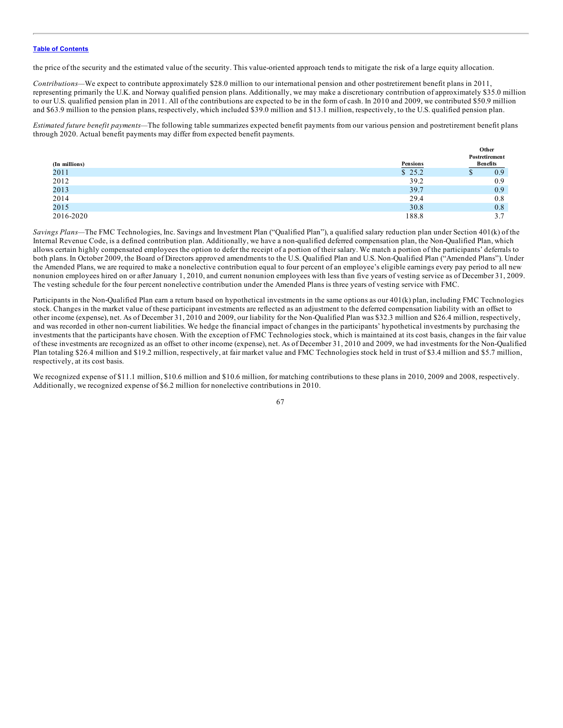the price of the security and the estimated value of the security. This value-oriented approach tends to mitigate the risk of a large equity allocation.

*Contributions—*We expect to contribute approximately \$28.0 million to our international pension and other postretirement benefit plans in 2011, representing primarily the U.K. and Norway qualified pension plans. Additionally, we may make a discretionary contribution of approximately \$35.0 million to our U.S. qualified pension plan in 2011. All of the contributions are expected to be in the form of cash. In 2010 and 2009, we contributed \$50.9 million and \$63.9 million to the pension plans, respectively, which included \$39.0 million and \$13.1 million, respectively, to the U.S. qualified pension plan.

*Estimated future benefit payments—*The following table summarizes expected benefit payments from our various pension and postretirement benefit plans through 2020. Actual benefit payments may differ from expected benefit payments.

| (In millions) | Pensions            | Other<br>Postretirement<br><b>Benefits</b> |
|---------------|---------------------|--------------------------------------------|
| 2011          | $\overline{$}$ 25.2 | 0.9                                        |
| 2012          | 39.2                | 0.9                                        |
| 2013          | 39.7                | 0.9                                        |
| 2014          | 29.4                | 0.8                                        |
| 2015          | 30.8                | 0.8                                        |
| 2016-2020     | 188.8               | 3.7                                        |

*Savings Plans—*The FMC Technologies, Inc. Savings and Investment Plan ("Qualified Plan"), a qualified salary reduction plan under Section 401(k) of the Internal Revenue Code, is a defined contribution plan. Additionally, we have a non-qualified deferred compensation plan, the Non-Qualified Plan, which allows certain highly compensated employees the option to defer the receipt of a portion of their salary. We match a portion of the participants' deferrals to both plans. In October 2009, the Board of Directors approved amendments to the U.S. Qualified Plan and U.S. Non-Qualified Plan ("Amended Plans"). Under the Amended Plans, we are required to make a nonelective contribution equal to four percent of an employee's eligible earnings every pay period to all new nonunion employees hired on or after January 1, 2010, and current nonunion employees with less than five years of vesting service as of December 31, 2009. The vesting schedule for the four percent nonelective contribution under the Amended Plans is three years of vesting service with FMC.

Participants in the Non-Qualified Plan earn a return based on hypothetical investments in the same options as our 401(k) plan, including FMC Technologies stock. Changes in the market value of these participant investments are reflected as an adjustment to the deferred compensation liability with an offset to other income (expense), net. As of December 31, 2010 and 2009, our liability for the Non-Qualified Plan was \$32.3 million and \$26.4 million, respectively, and was recorded in other non-current liabilities. We hedge the financial impact of changes in the participants' hypothetical investments by purchasing the investments that the participants have chosen. With the exception of FMC Technologies stock, which is maintained at its cost basis, changes in the fair value of these investments are recognized as an offset to other income (expense), net. As of December 31, 2010 and 2009, we had investments for the Non-Qualified Plan totaling \$26.4 million and \$19.2 million, respectively, at fair market value and FMC Technologies stock held in trust of \$3.4 million and \$5.7 million, respectively, at its cost basis.

We recognized expense of \$11.1 million, \$10.6 million and \$10.6 million, for matching contributions to these plans in 2010, 2009 and 2008, respectively. Additionally, we recognized expense of \$6.2 million for nonelective contributions in 2010.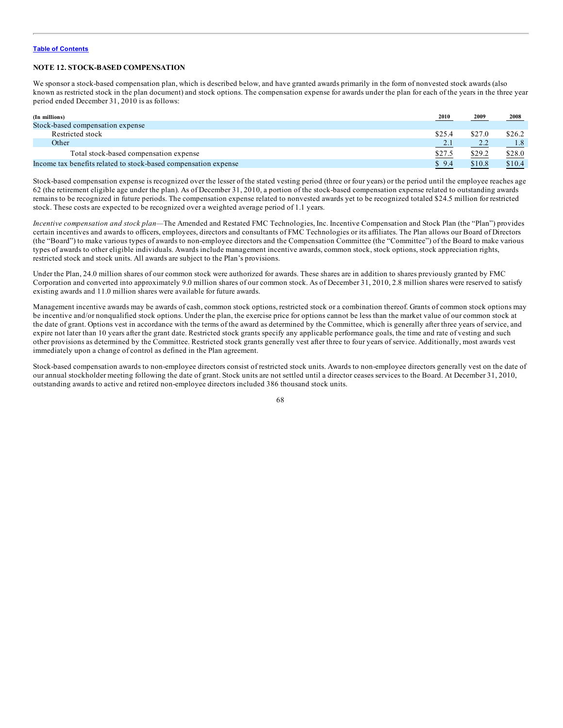#### **NOTE 12. STOCK-BASED COMPENSATION**

We sponsor a stock-based compensation plan, which is described below, and have granted awards primarily in the form of nonvested stock awards (also known as restricted stock in the plan document) and stock options. The compensation expense for awards under the plan for each of the years in the three year period ended December 31, 2010 is as follows:

| (In millions)                                                   | 2010   | 2009   | 2008   |
|-----------------------------------------------------------------|--------|--------|--------|
| Stock-based compensation expense                                |        |        |        |
| Restricted stock                                                | \$25.4 | \$27.0 | \$26.2 |
| Other                                                           | 2.1    | 2.2    | 1.8    |
| Total stock-based compensation expense                          | \$27.5 | \$29.2 | \$28.0 |
| Income tax benefits related to stock-based compensation expense | \$9.4  | \$10.8 | \$10.4 |

Stock-based compensation expense is recognized over the lesser of the stated vesting period (three or four years) or the period until the employee reaches age 62 (the retirement eligible age under the plan). As of December 31, 2010, a portion of the stock-based compensation expense related to outstanding awards remains to be recognized in future periods. The compensation expense related to nonvested awards yet to be recognized totaled \$24.5 million for restricted stock. These costs are expected to be recognized over a weighted average period of 1.1 years.

*Incentive compensation and stock plan—*The Amended and Restated FMC Technologies, Inc. Incentive Compensation and Stock Plan (the "Plan") provides certain incentives and awards to officers, employees, directors and consultants of FMC Technologies or its affiliates. The Plan allows our Board of Directors (the "Board") to make various types of awards to non-employee directors and the Compensation Committee (the "Committee") of the Board to make various types of awards to other eligible individuals. Awards include management incentive awards, common stock, stock options, stock appreciation rights, restricted stock and stock units. All awards are subject to the Plan's provisions.

Under the Plan, 24.0 million shares of our common stock were authorized for awards. These shares are in addition to shares previously granted by FMC Corporation and converted into approximately 9.0 million shares of our common stock. As of December 31, 2010, 2.8 million shares were reserved to satisfy existing awards and 11.0 million shares were available for future awards.

Management incentive awards may be awards of cash, common stock options, restricted stock or a combination thereof. Grants of common stock options may be incentive and/or nonqualified stock options. Under the plan, the exercise price for options cannot be less than the market value of our common stock at the date of grant. Options vest in accordance with the terms of the award as determined by the Committee, which is generally after three years of service, and expire not later than 10 years after the grant date. Restricted stock grants specify any applicable performance goals, the time and rate of vesting and such other provisions as determined by the Committee. Restricted stock grants generally vest after three to four years of service. Additionally, most awards vest immediately upon a change of control as defined in the Plan agreement.

Stock-based compensation awards to non-employee directors consist of restricted stock units. Awards to non-employee directors generally vest on the date of our annual stockholder meeting following the date of grant. Stock units are not settled until a director ceases services to the Board. At December 31, 2010, outstanding awards to active and retired non-employee directors included 386 thousand stock units.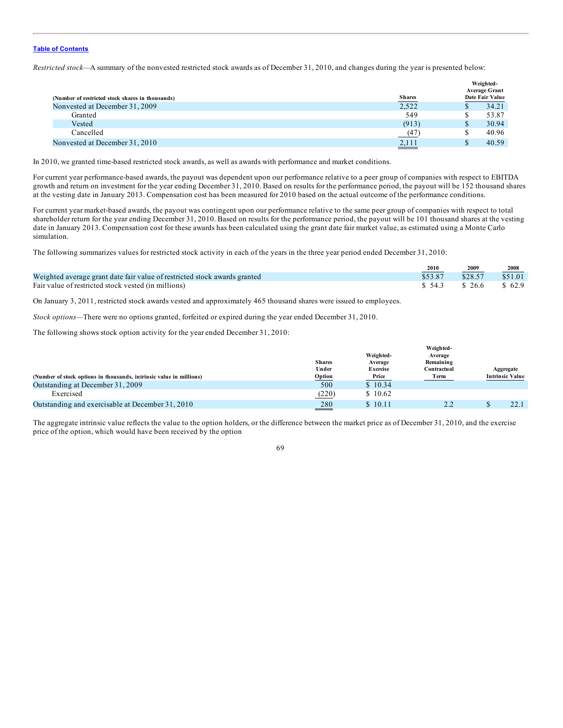*Restricted stock—*A summary of the nonvested restricted stock awards as of December 31, 2010, and changes during the year is presented below:

|                                                  |               | Weighted-<br><b>Average Grant</b> |
|--------------------------------------------------|---------------|-----------------------------------|
| (Number of restricted stock shares in thousands) | <b>Shares</b> | Date Fair Value                   |
| Nonvested at December 31, 2009                   | 2.522         | 34.21                             |
| Granted                                          | 549           | 53.87                             |
| Vested                                           | (913)         | 30.94                             |
| Cancelled                                        | (47)          | 40.96                             |
| Nonvested at December 31, 2010                   | <u>2,111</u>  | 40.59                             |
|                                                  |               |                                   |

In 2010, we granted time-based restricted stock awards, as well as awards with performance and market conditions.

For current year performance-based awards, the payout was dependent upon our performance relative to a peer group of companies with respect to EBITDA growth and return on investment for the year ending December 31, 2010. Based on results for the performance period, the payout will be 152 thousand shares at the vesting date in January 2013. Compensation cost has been measured for 2010 based on the actual outcome of the performance conditions.

For current year market-based awards, the payout was contingent upon our performance relative to the same peer group of companies with respect to total shareholder return for the year ending December 31, 2010. Based on results for the performance period, the payout will be 101 thousand shares at the vesting date in January 2013. Compensation cost for these awards has been calculated using the grant date fair market value, as estimated using a Monte Carlo simulation.

The following summarizes values for restricted stock activity in each of the years in the three year period ended December 31, 2010:

|                                                                           | 2010    | 2009                    | 2008<br>and the contract of the contract of |
|---------------------------------------------------------------------------|---------|-------------------------|---------------------------------------------|
| Weighted average grant date fair value of restricted stock awards granted | \$53.87 | \$28.57                 | \$51.01                                     |
| Fair value of restricted stock vested (in millions)                       |         | $$54.3$ $$26.6$ $$62.9$ |                                             |

On January 3, 2011, restricted stock awards vested and approximately 465 thousand shares were issued to employees.

*Stock options—*There were no options granted, forfeited or expired during the year ended December 31, 2010.

The following shows stock option activity for the year ended December 31, 2010:

|                                                                     |                 |                 | Weighted-   |                        |
|---------------------------------------------------------------------|-----------------|-----------------|-------------|------------------------|
|                                                                     |                 | Weighted-       | Average     |                        |
|                                                                     | <b>Shares</b>   | Average         | Remaining   |                        |
|                                                                     | Under           | <b>Exercise</b> | Contractual | Aggregate              |
| (Number of stock options in thousands, intrinsic value in millions) | Option          | Price           | Term        | <b>Intrinsic Value</b> |
| Outstanding at December 31, 2009                                    | 500             | \$10.34         |             |                        |
| Exercised                                                           | (220)           | \$10.62         |             |                        |
| Outstanding and exercisable at December 31, 2010                    | $\frac{280}{1}$ | \$10.11         | 2.2         | 22.1                   |
|                                                                     |                 |                 |             |                        |

The aggregate intrinsic value reflects the value to the option holders, or the difference between the market price as of December 31, 2010, and the exercise price of the option, which would have been received by the option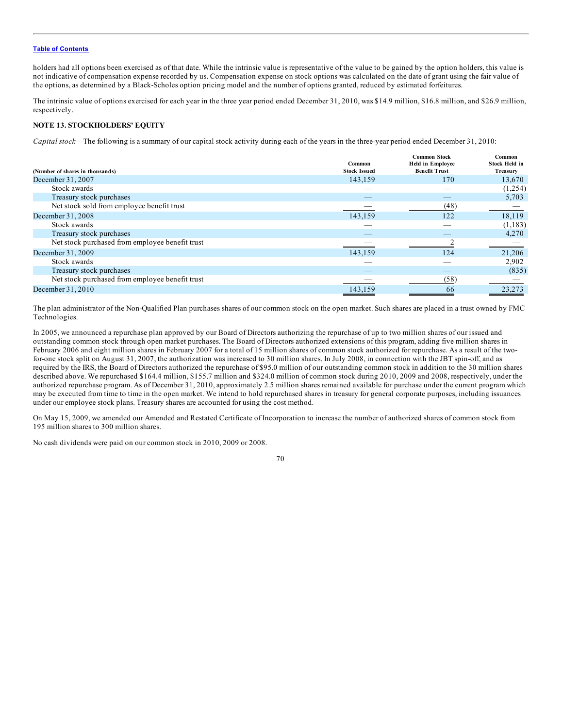holders had all options been exercised as of that date. While the intrinsic value is representative of the value to be gained by the option holders, this value is not indicative of compensation expense recorded by us. Compensation expense on stock options was calculated on the date of grant using the fair value of the options, as determined by a Black-Scholes option pricing model and the number of options granted, reduced by estimated forfeitures.

The intrinsic value of options exercised for each year in the three year period ended December 31, 2010, was \$14.9 million, \$16.8 million, and \$26.9 million, respectively.

## **NOTE 13. STOCKHOLDERS' EQUITY**

*Capital stock*—The following is a summary of our capital stock activity during each of the years in the three-year period ended December 31, 2010:

| (Number of shares in thousands)                 | Common<br><b>Stock Issued</b> | <b>Common Stock</b><br><b>Held in Employee</b><br><b>Benefit Trust</b> | Common<br><b>Stock Held in</b><br>Treasury |
|-------------------------------------------------|-------------------------------|------------------------------------------------------------------------|--------------------------------------------|
| December 31, 2007                               | 143,159                       | 170                                                                    | 13,670                                     |
| Stock awards                                    |                               |                                                                        | (1,254)                                    |
| Treasury stock purchases                        |                               |                                                                        | 5,703                                      |
| Net stock sold from employee benefit trust      |                               | (48)                                                                   |                                            |
| December 31, 2008                               | 143,159                       | 122                                                                    | 18,119                                     |
| Stock awards                                    |                               |                                                                        | (1,183)                                    |
| Treasury stock purchases                        |                               |                                                                        | 4,270                                      |
| Net stock purchased from employee benefit trust |                               |                                                                        |                                            |
| December 31, 2009                               | 143,159                       | 124                                                                    | 21,206                                     |
| Stock awards                                    |                               |                                                                        | 2,902                                      |
| Treasury stock purchases                        |                               |                                                                        | (835)                                      |
| Net stock purchased from employee benefit trust |                               | (58)                                                                   |                                            |
| December 31, 2010                               | 143,159                       | 66                                                                     | 23,273                                     |

The plan administrator of the Non-Qualified Plan purchases shares of our common stock on the open market. Such shares are placed in a trust owned by FMC Technologies.

In 2005, we announced a repurchase plan approved by our Board of Directors authorizing the repurchase of up to two million shares of our issued and outstanding common stock through open market purchases. The Board of Directors authorized extensions of this program, adding five million shares in February 2006 and eight million shares in February 2007 for a total of 15 million shares of common stock authorized for repurchase. As a result of the twofor-one stock split on August 31, 2007, the authorization was increased to 30 million shares. In July 2008, in connection with the JBT spin-off, and as required by the IRS, the Board of Directors authorized the repurchase of \$95.0 million of our outstanding common stock in addition to the 30 million shares described above. We repurchased \$164.4 million, \$155.7 million and \$324.0 million of common stock during 2010, 2009 and 2008, respectively, under the authorized repurchase program. As of December 31, 2010, approximately 2.5 million shares remained available for purchase under the current program which may be executed from time to time in the open market. We intend to hold repurchased shares in treasury for general corporate purposes, including issuances under our employee stock plans. Treasury shares are accounted for using the cost method.

On May 15, 2009, we amended our Amended and Restated Certificate of Incorporation to increase the number of authorized shares of common stock from 195 million shares to 300 million shares.

No cash dividends were paid on our common stock in 2010, 2009 or 2008.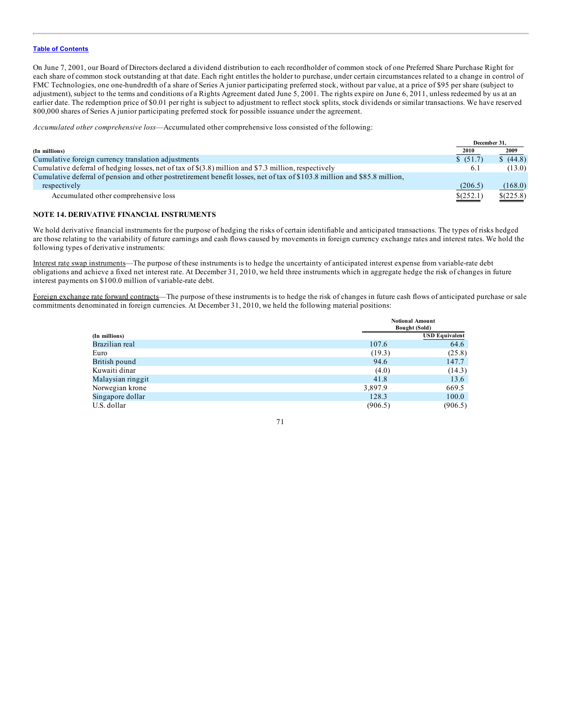On June 7, 2001, our Board of Directors declared a dividend distribution to each recordholder of common stock of one Preferred Share Purchase Right for each share of common stock outstanding at that date. Each right entitles the holder to purchase, under certain circumstances related to a change in control of FMC Technologies, one one-hundredth of a share of Series A junior participating preferred stock, without par value, at a price of \$95 per share (subject to adjustment), subject to the terms and conditions of a Rights Agreement dated June 5, 2001. The rights expire on June 6, 2011, unless redeemed by us at an earlier date. The redemption price of \$0.01 per right is subject to adjustment to reflect stock splits, stock dividends or similar transactions. We have reserved 800,000 shares of Series A junior participating preferred stock for possible issuance under the agreement.

*Accumulated other comprehensive loss*—Accumulated other comprehensive loss consisted of the following:

|                                                                                                                           | December 31.  |               |
|---------------------------------------------------------------------------------------------------------------------------|---------------|---------------|
| (In millions)                                                                                                             | 2010          | 2009          |
| Cumulative foreign currency translation adjustments                                                                       | \$(51.7)      | \$(44.8)      |
| Cumulative deferral of hedging losses, net of tax of $\S(3.8)$ million and \$7.3 million, respectively                    | 6.            | (13.0)        |
| Cumulative deferral of pension and other postretirement benefit losses, net of tax of \$103.8 million and \$85.8 million, |               |               |
| respectively                                                                                                              | (206.5)       | (168.0)       |
| Accumulated other comprehensive loss                                                                                      | $$^{(252.1)}$ | $$^{(225.8)}$ |

## **NOTE 14. DERIVATIVE FINANCIAL INSTRUMENTS**

We hold derivative financial instruments for the purpose of hedging the risks of certain identifiable and anticipated transactions. The types of risks hedged are those relating to the variability of future earnings and cash flows caused by movements in foreign currency exchange rates and interest rates. We hold the following types of derivative instruments:

Interest rate swap instruments—The purpose of these instruments is to hedge the uncertainty of anticipated interest expense from variable-rate debt obligations and achieve a fixed net interest rate. At December 31, 2010, we held three instruments which in aggregate hedge the risk of changes in future interest payments on \$100.0 million of variable-rate debt.

Foreign exchange rate forward contracts—The purpose of these instruments is to hedge the risk of changes in future cash flows of anticipated purchase or sale commitments denominated in foreign currencies. At December 31, 2010, we held the following material positions:

|                   | <b>Notional Amount</b><br><b>Bought (Sold)</b> |                       |  |
|-------------------|------------------------------------------------|-----------------------|--|
| (In millions)     |                                                | <b>USD Equivalent</b> |  |
| Brazilian real    | 107.6                                          | 64.6                  |  |
| Euro              | (19.3)                                         | (25.8)                |  |
| British pound     | 94.6                                           | 147.7                 |  |
| Kuwaiti dinar     | (4.0)                                          | (14.3)                |  |
| Malaysian ringgit | 41.8                                           | 13.6                  |  |
| Norwegian krone   | 3,897.9                                        | 669.5                 |  |
| Singapore dollar  | 128.3                                          | 100.0                 |  |
| U.S. dollar       | (906.5)                                        | (906.5)               |  |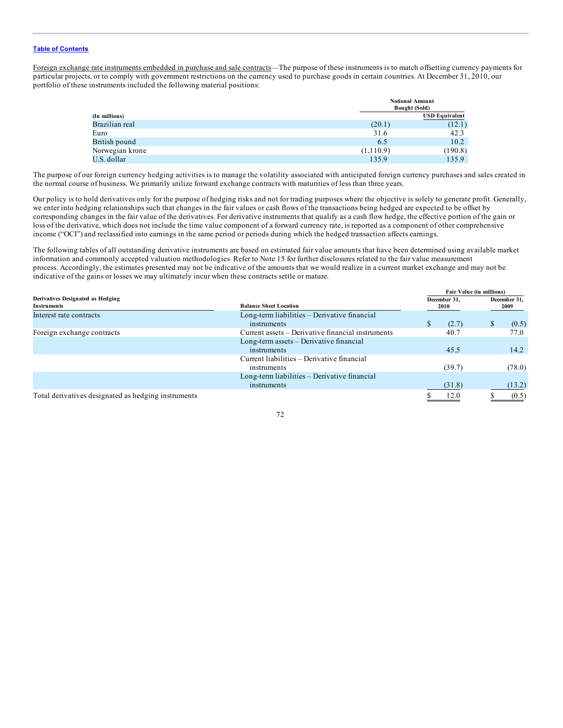Foreign exchange rate instruments embedded in purchase and sale contracts—The purpose of these instruments is to match offsetting currency payments for particular projects, or to comply with government restrictions on the currency used to purchase goods in certain countries. At December 31, 2010, our portfolio of these instruments included the following material positions:

|                 |           | <b>Notional Amount</b><br><b>Bought (Sold)</b> |  |  |
|-----------------|-----------|------------------------------------------------|--|--|
| (In millions)   |           | <b>USD Equivalent</b>                          |  |  |
| Brazilian real  | (20.1)    | (12.1)                                         |  |  |
| Euro            | 31.6      | 42.3                                           |  |  |
| British pound   | 6.5       | 10.2                                           |  |  |
| Norwegian krone | (1,110.9) | (190.8)                                        |  |  |
| U.S. dollar     | 135.9     | 135.9                                          |  |  |

The purpose of our foreign currency hedging activities is to manage the volatility associated with anticipated foreign currency purchases and sales created in the normal course of business. We primarily utilize forward exchange contracts with maturities of less than three years.

Our policy is to hold derivatives only for the purpose of hedging risks and not for trading purposes where the objective is solely to generate profit. Generally, we enter into hedging relationships such that changes in the fair values or cash flows of the transactions being hedged are expected to be offset by corresponding changes in the fair value of the derivatives. For derivative instruments that qualify as a cash flow hedge, the effective portion of the gain or loss of the derivative, which does not include the time value component of a forward currency rate, is reported as a component of other comprehensive income ("OCI") and reclassified into earnings in the same period or periods during which the hedged transaction affects earnings.

The following tables of all outstanding derivative instruments are based on estimated fair value amounts that have been determined using available market information and commonly accepted valuation methodologies. Refer to Note 15 for further disclosures related to the fair value measurement process. Accordingly, the estimates presented may not be indicative of the amounts that we would realize in a current market exchange and may not be indicative of the gains or losses we may ultimately incur when these contracts settle or mature.

|                                                         |                                                   |                      | Fair Value (in millions) |                      |        |  |
|---------------------------------------------------------|---------------------------------------------------|----------------------|--------------------------|----------------------|--------|--|
| Derivatives Designated as Hedging<br><b>Instruments</b> | <b>Balance Sheet Location</b>                     | December 31,<br>2010 |                          | December 31,<br>2009 |        |  |
| Interest rate contracts                                 | Long-term liabilities – Derivative financial      |                      |                          |                      |        |  |
|                                                         | instruments                                       |                      | (2.7)                    |                      | (0.5)  |  |
| Foreign exchange contracts                              | Current assets – Derivative financial instruments |                      | 40.7                     |                      | 77.0   |  |
|                                                         | Long-term assets – Derivative financial           |                      |                          |                      |        |  |
|                                                         | instruments                                       |                      | 45.5                     |                      | 14.2   |  |
|                                                         | Current liabilities – Derivative financial        |                      |                          |                      |        |  |
|                                                         | instruments                                       |                      | (39.7)                   |                      | (78.0) |  |
|                                                         | Long-term liabilities - Derivative financial      |                      |                          |                      |        |  |
|                                                         | instruments                                       |                      | (31.8)                   |                      | (13.2) |  |
| Total derivatives designated as hedging instruments     |                                                   |                      | 12.0                     |                      | (0.5)  |  |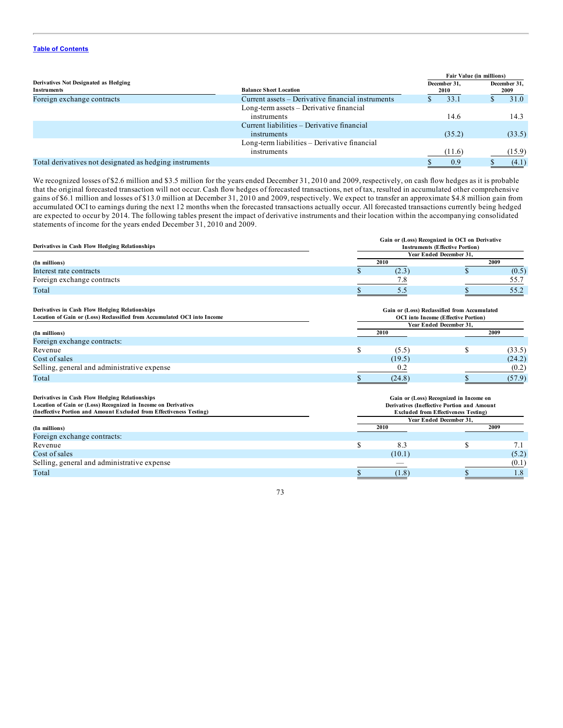|                                                             |                                                   | Fair Value (in millions) |                      |        |  |  |
|-------------------------------------------------------------|---------------------------------------------------|--------------------------|----------------------|--------|--|--|
| Derivatives Not Designated as Hedging<br><b>Instruments</b> | <b>Balance Sheet Location</b>                     | December 31.<br>2010     | December 31,<br>2009 |        |  |  |
| Foreign exchange contracts                                  | Current assets – Derivative financial instruments | 33.1                     |                      | 31.0   |  |  |
|                                                             | Long-term assets – Derivative financial           |                          |                      |        |  |  |
|                                                             | instruments                                       | 14.6                     |                      | 14.3   |  |  |
|                                                             | Current liabilities – Derivative financial        |                          |                      |        |  |  |
|                                                             | instruments                                       | (35.2)                   |                      | (33.5) |  |  |
|                                                             | Long-term liabilities – Derivative financial      |                          |                      |        |  |  |
|                                                             | instruments                                       | (11.6)                   |                      | (15.9) |  |  |
| Total derivatives not designated as hedging instruments     |                                                   | 0.9                      |                      | (4.1)  |  |  |

We recognized losses of \$2.6 million and \$3.5 million for the years ended December 31, 2010 and 2009, respectively, on cash flow hedges as it is probable that the original forecasted transaction will not occur. Cash flow hedges of forecasted transactions, net of tax, resulted in accumulated other comprehensive gains of \$6.1 million and losses of \$13.0 million at December 31, 2010 and 2009, respectively. We expect to transfer an approximate \$4.8 million gain from accumulated OCI to earnings during the next 12 months when the forecasted transactions actually occur. All forecasted transactions currently being hedged are expected to occur by 2014. The following tables present the impact of derivative instruments and their location within the accompanying consolidated statements of income for the years ended December 31, 2010 and 2009.

| Derivatives in Cash Flow Hedging Relationships                                                                                                                                           | Gain or (Loss) Recognized in OCI on Derivative<br><b>Instruments (Effective Portion)</b>                                                    |                         |        |  |  |  |  |  |  |
|------------------------------------------------------------------------------------------------------------------------------------------------------------------------------------------|---------------------------------------------------------------------------------------------------------------------------------------------|-------------------------|--------|--|--|--|--|--|--|
|                                                                                                                                                                                          |                                                                                                                                             | Year Ended December 31, |        |  |  |  |  |  |  |
| (In millions)                                                                                                                                                                            | 2010                                                                                                                                        |                         | 2009   |  |  |  |  |  |  |
| Interest rate contracts                                                                                                                                                                  | (2.3)                                                                                                                                       | \$                      | (0.5)  |  |  |  |  |  |  |
| Foreign exchange contracts                                                                                                                                                               | 7.8                                                                                                                                         |                         | 55.7   |  |  |  |  |  |  |
| Total                                                                                                                                                                                    | 5.5                                                                                                                                         |                         | 55.2   |  |  |  |  |  |  |
| Derivatives in Cash Flow Hedging Relationships<br>Location of Gain or (Loss) Reclassified from Accumulated OCI into Income                                                               | Gain or (Loss) Reclassified from Accumulated<br><b>OCI</b> into Income (Effective Portion)                                                  |                         |        |  |  |  |  |  |  |
|                                                                                                                                                                                          | 2010                                                                                                                                        | Year Ended December 31, | 2009   |  |  |  |  |  |  |
| (In millions)                                                                                                                                                                            |                                                                                                                                             |                         |        |  |  |  |  |  |  |
| Foreign exchange contracts:<br>Revenue                                                                                                                                                   |                                                                                                                                             |                         |        |  |  |  |  |  |  |
|                                                                                                                                                                                          | \$<br>(5.5)                                                                                                                                 | S                       | (33.5) |  |  |  |  |  |  |
| Cost of sales                                                                                                                                                                            | (19.5)                                                                                                                                      |                         | (24.2) |  |  |  |  |  |  |
| Selling, general and administrative expense                                                                                                                                              | 0.2                                                                                                                                         |                         | (0.2)  |  |  |  |  |  |  |
| Total                                                                                                                                                                                    | (24.8)                                                                                                                                      |                         | (57.9) |  |  |  |  |  |  |
| Derivatives in Cash Flow Hedging Relationships<br>Location of Gain or (Loss) Recognized in Income on Derivatives<br>(Ineffective Portion and Amount Excluded from Effectiveness Testing) | Gain or (Loss) Recognized in Income on<br><b>Derivatives (Ineffective Portion and Amount</b><br><b>Excluded from Effectiveness Testing)</b> |                         |        |  |  |  |  |  |  |
|                                                                                                                                                                                          |                                                                                                                                             | Year Ended December 31. |        |  |  |  |  |  |  |
| (In millions)                                                                                                                                                                            | 2010                                                                                                                                        |                         | 2009   |  |  |  |  |  |  |
| Foreign exchange contracts:                                                                                                                                                              |                                                                                                                                             |                         |        |  |  |  |  |  |  |
| Revenue                                                                                                                                                                                  | \$<br>8.3                                                                                                                                   | S                       | 7.1    |  |  |  |  |  |  |
| Cost of sales                                                                                                                                                                            | (10.1)                                                                                                                                      |                         | (5.2)  |  |  |  |  |  |  |
| Selling, general and administrative expense                                                                                                                                              |                                                                                                                                             |                         | (0.1)  |  |  |  |  |  |  |

73

Total  $\qquad \qquad \qquad \qquad$  (1.8)  $\qquad \qquad \qquad$  (1.8)  $\qquad \qquad \qquad$  (1.8)  $\qquad \qquad$  1.8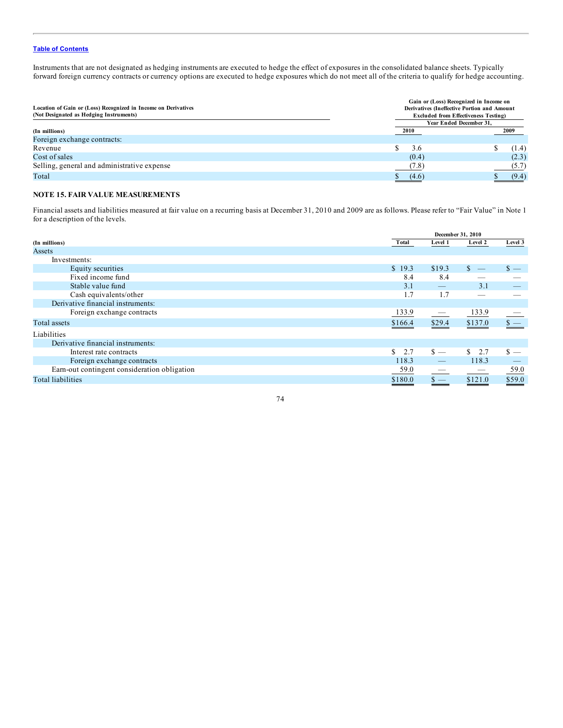Instruments that are not designated as hedging instruments are executed to hedge the effect of exposures in the consolidated balance sheets. Typically forward foreign currency contracts or currency options are executed to hedge exposures which do not meet all of the criteria to qualify for hedge accounting.

| Location of Gain or (Loss) Recognized in Income on Derivatives<br>(Not Designated as Hedging Instruments) |       | Gain or (Loss) Recognized in Income on<br>Derivatives (Ineffective Portion and Amount<br><b>Excluded from Effectiveness Testing)</b><br>Year Ended December 31. |
|-----------------------------------------------------------------------------------------------------------|-------|-----------------------------------------------------------------------------------------------------------------------------------------------------------------|
| (In millions)                                                                                             | 2010  | 2009                                                                                                                                                            |
| Foreign exchange contracts:                                                                               |       |                                                                                                                                                                 |
| Revenue                                                                                                   | 3.6   | (1.4)                                                                                                                                                           |
| Cost of sales                                                                                             | (0.4) | (2.3)                                                                                                                                                           |
| Selling, general and administrative expense                                                               | (7.8) | (5.7)                                                                                                                                                           |
| Total                                                                                                     | (4.6) | (9.4)                                                                                                                                                           |

# **NOTE 15. FAIR VALUE MEASUREMENTS**

Financial assets and liabilities measured at fair value on a recurring basis at December 31, 2010 and 2009 are as follows. Please refer to "Fair Value" in Note 1 for a description of the levels.

|                                              | December 31, 2010 |                |              |                  |  |
|----------------------------------------------|-------------------|----------------|--------------|------------------|--|
| (In millions)                                | Total             | Level 1        | Level 2      | Level 3          |  |
| Assets                                       |                   |                |              |                  |  |
| Investments:                                 |                   |                |              |                  |  |
| Equity securities                            | \$19.3            | \$19.3         | $\mathbf{s}$ | $\frac{\ }{s}$ — |  |
| Fixed income fund                            | 8.4               | 8.4            |              |                  |  |
| Stable value fund                            | 3.1               |                | 3.1          |                  |  |
| Cash equivalents/other                       | 1.7               | 1.7            |              |                  |  |
| Derivative financial instruments:            |                   |                |              |                  |  |
| Foreign exchange contracts                   | 133.9             |                | 133.9        |                  |  |
| Total assets                                 | \$166.4           | \$29.4         | \$137.0      |                  |  |
| Liabilities                                  |                   |                |              |                  |  |
| Derivative financial instruments:            |                   |                |              |                  |  |
| Interest rate contracts                      | S.<br>2.7         | $\mathbf{s}$ — | S.<br>2.7    | $\mathbf{s} =$   |  |
| Foreign exchange contracts                   | 118.3             |                | 118.3        |                  |  |
| Earn-out contingent consideration obligation | 59.0              |                |              | 59.0             |  |
| <b>Total liabilities</b>                     | \$180.0           | $\mathbf{s}$ — | \$121.0      | 859.0            |  |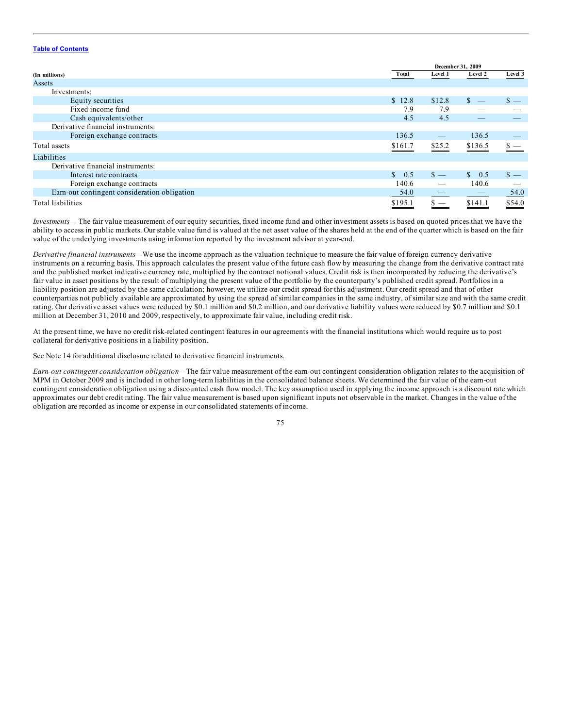|                                              | December 31, 2009 |                                 |                          |                |  |  |  |  |
|----------------------------------------------|-------------------|---------------------------------|--------------------------|----------------|--|--|--|--|
| (In millions)                                | Total             | Level 1                         | Level 2                  | Level 3        |  |  |  |  |
| Assets                                       |                   |                                 |                          |                |  |  |  |  |
| Investments:                                 |                   |                                 |                          |                |  |  |  |  |
| Equity securities                            | \$12.8            | \$12.8                          | $\mathbb{S}$             | $\hat{s}$ —    |  |  |  |  |
| Fixed income fund                            | 7.9               | 7.9                             |                          |                |  |  |  |  |
| Cash equivalents/other                       | 4.5               | 4.5                             |                          |                |  |  |  |  |
| Derivative financial instruments:            |                   |                                 |                          |                |  |  |  |  |
| Foreign exchange contracts                   | 136.5             |                                 | 136.5                    |                |  |  |  |  |
| Total assets                                 | \$161.7           | \$25.2                          | \$136.5                  |                |  |  |  |  |
| Liabilities                                  |                   |                                 |                          |                |  |  |  |  |
| Derivative financial instruments:            |                   |                                 |                          |                |  |  |  |  |
| Interest rate contracts                      | $\frac{1}{2}$ 0.5 | $\mathbf{s}$ —                  | $\frac{1}{2}$ 0.5        | $\mathbf{s} =$ |  |  |  |  |
| Foreign exchange contracts                   | 140.6             |                                 | 140.6                    |                |  |  |  |  |
| Earn-out contingent consideration obligation | 54.0              | $\overline{\phantom{m}}$        | $\overline{\phantom{0}}$ | 54.0           |  |  |  |  |
| Total liabilities                            | \$195.1           | $\hspace{0.1mm}-\hspace{0.1mm}$ | \$141.1                  | \$54.0         |  |  |  |  |

*Investments*— The fair value measurement of our equity securities, fixed income fund and other investment assets is based on quoted prices that we have the ability to access in public markets. Our stable value fund is valued at the net asset value of the shares held at the end of the quarter which is based on the fair value of the underlying investments using information reported by the investment advisor at year-end.

*Derivative financial instruments—*We use the income approach as the valuation technique to measure the fair value of foreign currency derivative instruments on a recurring basis. This approach calculates the present value of the future cash flow by measuring the change from the derivative contract rate and the published market indicative currency rate, multiplied by the contract notional values. Credit risk is then incorporated by reducing the derivative's fair value in asset positions by the result of multiplying the present value of the portfolio by the counterparty's published credit spread. Portfolios in a liability position are adjusted by the same calculation; however, we utilize our credit spread for this adjustment. Our credit spread and that of other counterparties not publicly available are approximated by using the spread of similar companies in the same industry, of similar size and with the same credit rating. Our derivative asset values were reduced by \$0.1 million and \$0.2 million, and our derivative liability values were reduced by \$0.7 million and \$0.1 million at December 31, 2010 and 2009, respectively, to approximate fair value, including credit risk.

At the present time, we have no credit risk-related contingent features in our agreements with the financial institutions which would require us to post collateral for derivative positions in a liability position.

See Note 14 for additional disclosure related to derivative financial instruments.

*Earn-out contingent consideration obligation—*The fair value measurement of the earn-out contingent consideration obligation relates to the acquisition of MPM in October 2009 and is included in other long-term liabilities in the consolidated balance sheets. We determined the fair value of the earn-out contingent consideration obligation using a discounted cash flow model. The key assumption used in applying the income approach is a discount rate which approximates our debt credit rating. The fair value measurement is based upon significant inputs not observable in the market. Changes in the value of the obligation are recorded as income or expense in our consolidated statements of income.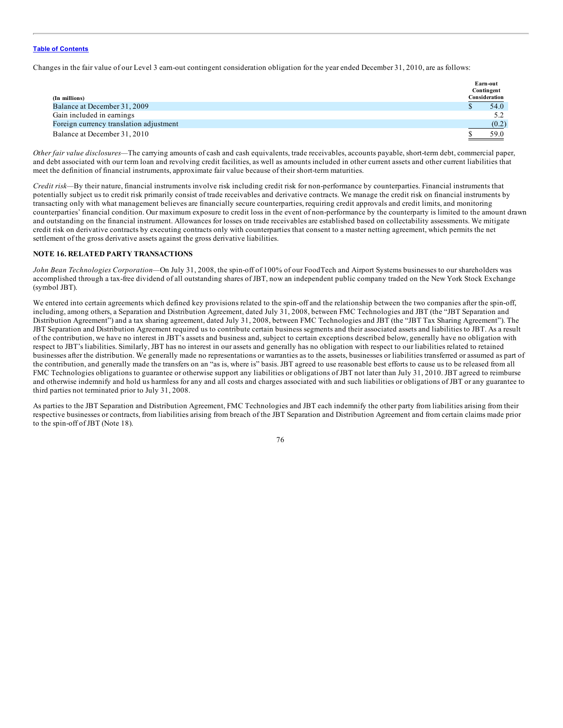Changes in the fair value of our Level 3 earn-out contingent consideration obligation for the year ended December 31, 2010, are as follows:

|                                         | Earn-out<br>Contingent |
|-----------------------------------------|------------------------|
| (In millions)                           | Consideration          |
| Balance at December 31, 2009            | 54.0                   |
| Gain included in earnings               |                        |
| Foreign currency translation adjustment | (0.2)                  |
| Balance at December 31, 2010            | 59.0                   |

*Other fair value disclosures—*The carrying amounts of cash and cash equivalents, trade receivables, accounts payable, short-term debt, commercial paper, and debt associated with our term loan and revolving credit facilities, as well as amounts included in other current assets and other current liabilities that meet the definition of financial instruments, approximate fair value because of their short-term maturities.

*Credit risk—*By their nature, financial instruments involve risk including credit risk for non-performance by counterparties. Financial instruments that potentially subject us to credit risk primarily consist of trade receivables and derivative contracts. We manage the credit risk on financial instruments by transacting only with what management believes are financially secure counterparties, requiring credit approvals and credit limits, and monitoring counterparties' financial condition. Our maximum exposure to credit loss in the event of non-performance by the counterparty is limited to the amount drawn and outstanding on the financial instrument. Allowances for losses on trade receivables are established based on collectability assessments. We mitigate credit risk on derivative contracts by executing contracts only with counterparties that consent to a master netting agreement, which permits the net settlement of the gross derivative assets against the gross derivative liabilities.

### **NOTE 16. RELATED PARTY TRANSACTIONS**

*John Bean Technologies Corporation—*On July 31, 2008, the spin-off of 100% of our FoodTech and Airport Systems businesses to our shareholders was accomplished through a tax-free dividend of all outstanding shares of JBT, now an independent public company traded on the New York Stock Exchange (symbol JBT).

We entered into certain agreements which defined key provisions related to the spin-off and the relationship between the two companies after the spin-off, including, among others, a Separation and Distribution Agreement, dated July 31, 2008, between FMC Technologies and JBT (the "JBT Separation and Distribution Agreement") and a tax sharing agreement, dated July 31, 2008, between FMC Technologies and JBT (the "JBT Tax Sharing Agreement"). The JBT Separation and Distribution Agreement required us to contribute certain business segments and their associated assets and liabilities to JBT. As a result of the contribution, we have no interest in JBT's assets and business and, subject to certain exceptions described below, generally have no obligation with respect to JBT's liabilities. Similarly, JBT has no interest in our assets and generally has no obligation with respect to our liabilities related to retained businesses after the distribution. We generally made no representations or warranties as to the assets, businesses or liabilities transferred or assumed as part of the contribution, and generally made the transfers on an "as is, where is" basis. JBT agreed to use reasonable best efforts to cause us to be released from all FMC Technologies obligations to guarantee or otherwise support any liabilities or obligations of JBT not later than July 31, 2010. JBT agreed to reimburse and otherwise indemnify and hold us harmless for any and all costs and charges associated with and such liabilities or obligations of JBT or any guarantee to third parties not terminated prior to July 31, 2008.

As parties to the JBT Separation and Distribution Agreement, FMC Technologies and JBT each indemnify the other party from liabilities arising from their respective businesses or contracts, from liabilities arising from breach of the JBT Separation and Distribution Agreement and from certain claims made prior to the spin-off of JBT (Note 18).

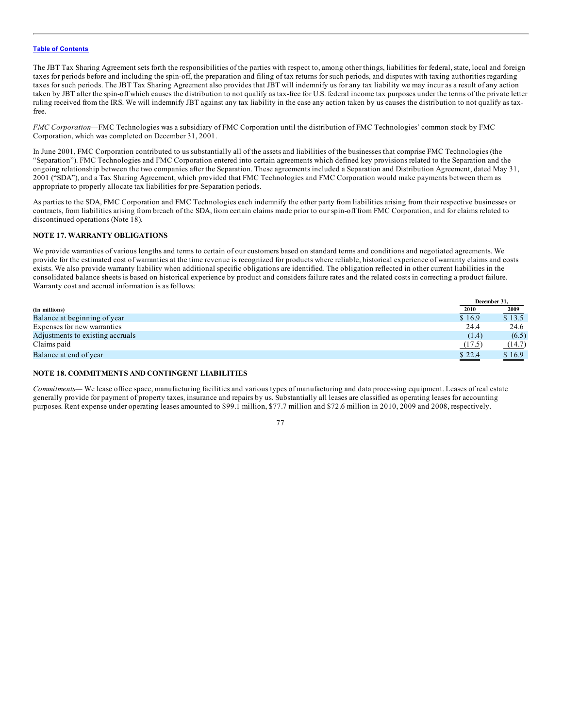The JBT Tax Sharing Agreement sets forth the responsibilities of the parties with respect to, among other things, liabilities for federal, state, local and foreign taxes for periods before and including the spin-off, the preparation and filing of tax returns for such periods, and disputes with taxing authorities regarding taxes for such periods. The JBT Tax Sharing Agreement also provides that JBT will indemnify us for any tax liability we may incur as a result of any action taken by JBT after the spin-off which causes the distribution to not qualify as tax-free for U.S. federal income tax purposes under the terms of the private letter ruling received from the IRS. We will indemnify JBT against any tax liability in the case any action taken by us causes the distribution to not qualify as taxfree.

*FMC Corporation—*FMC Technologies was a subsidiary of FMC Corporation until the distribution of FMC Technologies' common stock by FMC Corporation, which was completed on December 31, 2001.

In June 2001, FMC Corporation contributed to us substantially all of the assets and liabilities of the businesses that comprise FMC Technologies (the "Separation"). FMC Technologies and FMC Corporation entered into certain agreements which defined key provisions related to the Separation and the ongoing relationship between the two companies after the Separation. These agreements included a Separation and Distribution Agreement, dated May 31, 2001 ("SDA"), and a Tax Sharing Agreement, which provided that FMC Technologies and FMC Corporation would make payments between them as appropriate to properly allocate tax liabilities for pre-Separation periods.

As parties to the SDA, FMC Corporation and FMC Technologies each indemnify the other party from liabilities arising from their respective businesses or contracts, from liabilities arising from breach of the SDA, from certain claims made prior to our spin-off from FMC Corporation, and for claims related to discontinued operations (Note 18).

### **NOTE 17. WARRANTY OBLIGATIONS**

We provide warranties of various lengths and terms to certain of our customers based on standard terms and conditions and negotiated agreements. We provide for the estimated cost of warranties at the time revenue is recognized for products where reliable, historical experience of warranty claims and costs exists. We also provide warranty liability when additional specific obligations are identified. The obligation reflected in other current liabilities in the consolidated balance sheets is based on historical experience by product and considers failure rates and the related costs in correcting a product failure. Warranty cost and accrual information is as follows:

|                                  | December 31. |        |
|----------------------------------|--------------|--------|
| (In millions)                    | 2010         | 2009   |
| Balance at beginning of year     | \$16.9       | \$13.5 |
| Expenses for new warranties      | 24.4         | 24.6   |
| Adjustments to existing accruals | (1.4)        | (6.5)  |
| Claims paid                      | (17.5)       | (14.7) |
| Balance at end of year           | \$22.4       | \$16.9 |

#### **NOTE 18. COMMITMENTS AND CONTINGENT LIABILITIES**

*Commitments—* We lease office space, manufacturing facilities and various types of manufacturing and data processing equipment. Leases of real estate generally provide for payment of property taxes, insurance and repairs by us. Substantially all leases are classified as operating leases for accounting purposes. Rent expense under operating leases amounted to \$99.1 million, \$77.7 million and \$72.6 million in 2010, 2009 and 2008, respectively.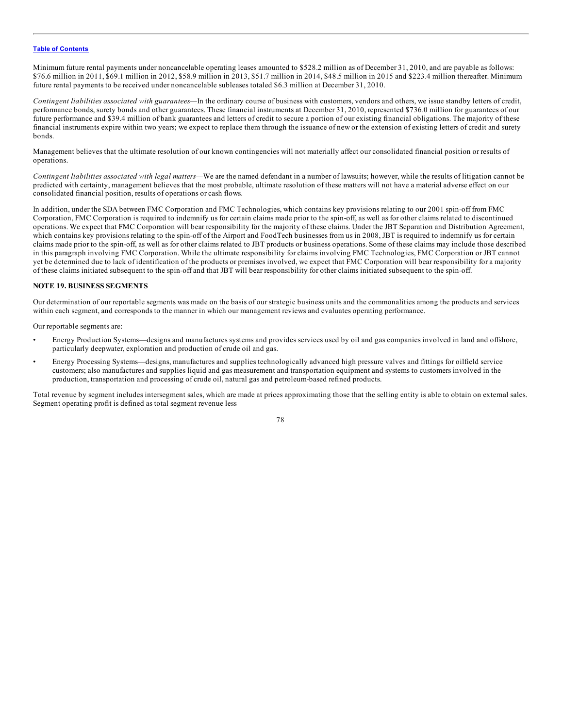Minimum future rental payments under noncancelable operating leases amounted to \$528.2 million as of December 31, 2010, and are payable as follows: \$76.6 million in 2011, \$69.1 million in 2012, \$58.9 million in 2013, \$51.7 million in 2014, \$48.5 million in 2015 and \$223.4 million thereafter. Minimum future rental payments to be received under noncancelable subleases totaled \$6.3 million at December 31, 2010.

*Contingent liabilities associated with guarantees—*In the ordinary course of business with customers, vendors and others, we issue standby letters of credit, performance bonds, surety bonds and other guarantees. These financial instruments at December 31, 2010, represented \$736.0 million for guarantees of our future performance and \$39.4 million of bank guarantees and letters of credit to secure a portion of our existing financial obligations. The majority of these financial instruments expire within two years; we expect to replace them through the issuance of new or the extension of existing letters of credit and surety bonds.

Management believes that the ultimate resolution of our known contingencies will not materially affect our consolidated financial position or results of operations.

*Contingent liabilities associated with legal matters—*We are the named defendant in a number of lawsuits; however, while the results of litigation cannot be predicted with certainty, management believes that the most probable, ultimate resolution of these matters will not have a material adverse effect on our consolidated financial position, results of operations or cash flows.

In addition, under the SDA between FMC Corporation and FMC Technologies, which contains key provisions relating to our 2001 spin-off from FMC Corporation, FMC Corporation is required to indemnify us for certain claims made prior to the spin-off, as well as for other claims related to discontinued operations. We expect that FMC Corporation will bear responsibility for the majority of these claims. Under the JBT Separation and Distribution Agreement, which contains key provisions relating to the spin-off of the Airport and FoodTech businesses from us in 2008, JBT is required to indemnify us for certain claims made prior to the spin-off, as well as for other claims related to JBT products or business operations. Some of these claims may include those described in this paragraph involving FMC Corporation. While the ultimate responsibility for claims involving FMC Technologies, FMC Corporation or JBT cannot yet be determined due to lack of identification of the products or premises involved, we expect that FMC Corporation will bear responsibility for a majority of these claims initiated subsequent to the spin-off and that JBT will bear responsibility for other claims initiated subsequent to the spin-off.

# **NOTE 19. BUSINESS SEGMENTS**

Our determination of our reportable segments was made on the basis of our strategic business units and the commonalities among the products and services within each segment, and corresponds to the manner in which our management reviews and evaluates operating performance.

Our reportable segments are:

- Energy Production Systems—designs and manufactures systems and provides services used by oil and gas companies involved in land and offshore, particularly deepwater, exploration and production of crude oil and gas.
- Energy Processing Systems—designs, manufactures and supplies technologically advanced high pressure valves and fittings for oilfield service customers; also manufactures and supplies liquid and gas measurement and transportation equipment and systems to customers involved in the production, transportation and processing of crude oil, natural gas and petroleum-based refined products.

Total revenue by segment includes intersegment sales, which are made at prices approximating those that the selling entity is able to obtain on external sales. Segment operating profit is defined as total segment revenue less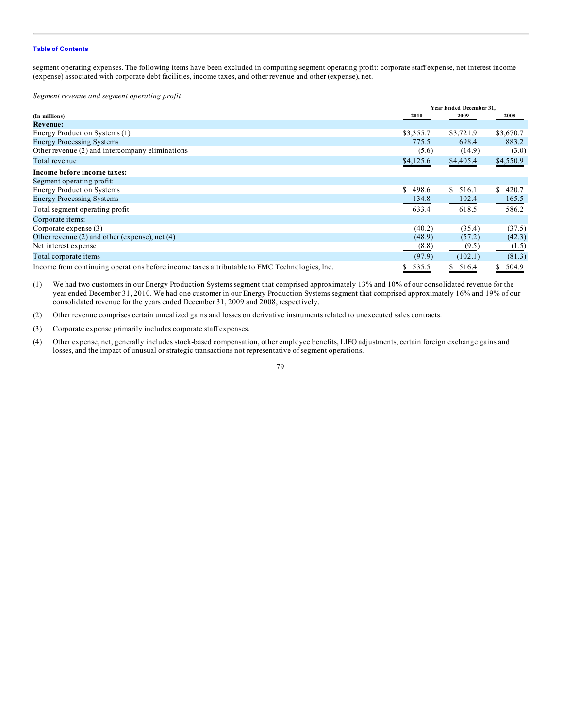segment operating expenses. The following items have been excluded in computing segment operating profit: corporate staff expense, net interest income (expense) associated with corporate debt facilities, income taxes, and other revenue and other (expense), net.

*Segment revenue and segment operating profit*

|                                                                                              | Year Ended December 31, |                       |             |  |  |  |  |
|----------------------------------------------------------------------------------------------|-------------------------|-----------------------|-------------|--|--|--|--|
| (In millions)                                                                                | 2010                    | 2009                  | 2008        |  |  |  |  |
| <b>Revenue:</b>                                                                              |                         |                       |             |  |  |  |  |
| Energy Production Systems (1)                                                                | \$3,355.7               | \$3,721.9             | \$3,670.7   |  |  |  |  |
| <b>Energy Processing Systems</b>                                                             | 775.5                   | 698.4                 | 883.2       |  |  |  |  |
| Other revenue (2) and intercompany eliminations                                              | (5.6)                   | (14.9)                | (3.0)       |  |  |  |  |
| Total revenue                                                                                | \$4,125.6               | \$4,405.4             | \$4,550.9   |  |  |  |  |
| Income before income taxes:                                                                  |                         |                       |             |  |  |  |  |
| Segment operating profit:                                                                    |                         |                       |             |  |  |  |  |
| <b>Energy Production Systems</b>                                                             | 498.6<br>S.             | 516.1<br><sup>S</sup> | 420.7<br>S. |  |  |  |  |
| <b>Energy Processing Systems</b>                                                             | 134.8                   | 102.4                 | 165.5       |  |  |  |  |
| Total segment operating profit                                                               | 633.4                   | 618.5                 | 586.2       |  |  |  |  |
| Corporate items:                                                                             |                         |                       |             |  |  |  |  |
| Corporate expense (3)                                                                        | (40.2)                  | (35.4)                | (37.5)      |  |  |  |  |
| Other revenue $(2)$ and other (expense), net $(4)$                                           | (48.9)                  | (57.2)                | (42.3)      |  |  |  |  |
| Net interest expense                                                                         | (8.8)                   | (9.5)                 | (1.5)       |  |  |  |  |
| Total corporate items                                                                        | (97.9)                  | (102.1)               | (81.3)      |  |  |  |  |
| Income from continuing operations before income taxes attributable to FMC Technologies, Inc. | 535.5                   | 516.4                 | 504.9       |  |  |  |  |

(1) We had two customers in our Energy Production Systems segment that comprised approximately 13% and 10% of our consolidated revenue for the year ended December 31, 2010. We had one customer in our Energy Production Systems segment that comprised approximately 16% and 19% of our consolidated revenue for the years ended December 31, 2009 and 2008, respectively.

(2) Other revenue comprises certain unrealized gains and losses on derivative instruments related to unexecuted sales contracts.

(3) Corporate expense primarily includes corporate staff expenses.

(4) Other expense, net, generally includes stock-based compensation, other employee benefits, LIFO adjustments, certain foreign exchange gains and losses, and the impact of unusual or strategic transactions not representative of segment operations.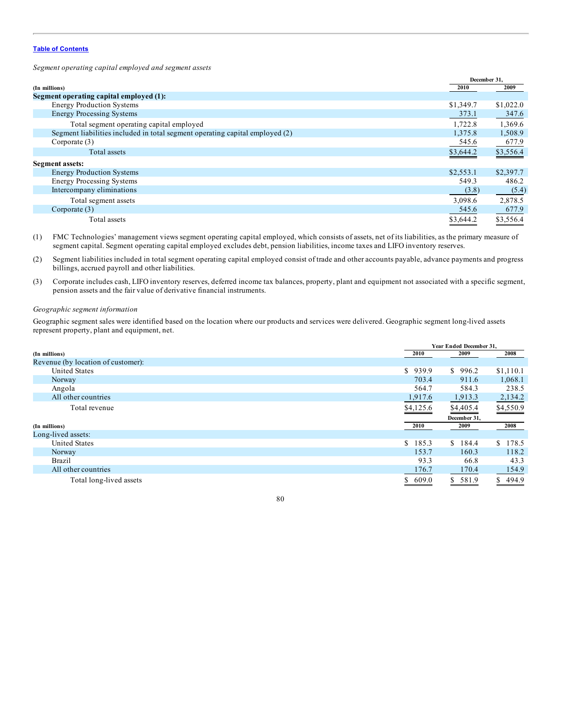*Segment operating capital employed and segment assets*

|                                                                              | December 31, |           |
|------------------------------------------------------------------------------|--------------|-----------|
| (In millions)                                                                | 2010         | 2009      |
| Segment operating capital employed (1):                                      |              |           |
| <b>Energy Production Systems</b>                                             | \$1,349.7    | \$1,022.0 |
| <b>Energy Processing Systems</b>                                             | 373.1        | 347.6     |
| Total segment operating capital employed                                     | 1,722.8      | 1,369.6   |
| Segment liabilities included in total segment operating capital employed (2) | 1,375.8      | 1,508.9   |
| Corporate $(3)$                                                              | 545.6        | 677.9     |
| Total assets                                                                 | \$3,644.2    | \$3,556.4 |
| Segment assets:                                                              |              |           |
| <b>Energy Production Systems</b>                                             | \$2,553.1    | \$2,397.7 |
| <b>Energy Processing Systems</b>                                             | 549.3        | 486.2     |
| Intercompany eliminations                                                    | (3.8)        | (5.4)     |
| Total segment assets                                                         | 3.098.6      | 2,878.5   |
| Corporate $(3)$                                                              | 545.6        | 677.9     |
| Total assets                                                                 | \$3,644.2    | \$3,556.4 |

(1) FMC Technologies' management views segment operating capital employed, which consists of assets, net of its liabilities, as the primary measure of segment capital. Segment operating capital employed excludes debt, pension liabilities, income taxes and LIFO inventory reserves.

(2) Segment liabilities included in total segment operating capital employed consist of trade and other accounts payable, advance payments and progress billings, accrued payroll and other liabilities.

(3) Corporate includes cash, LIFO inventory reserves, deferred income tax balances, property, plant and equipment not associated with a specific segment, pension assets and the fair value of derivative financial instruments.

# *Geographic segment information*

Geographic segment sales were identified based on the location where our products and services were delivered. Geographic segment long-lived assets represent property, plant and equipment, net.

|                                    |             | Year Ended December 31, |             |  |  |  |  |  |
|------------------------------------|-------------|-------------------------|-------------|--|--|--|--|--|
| (In millions)                      | 2010        | 2009                    | 2008        |  |  |  |  |  |
| Revenue (by location of customer): |             |                         |             |  |  |  |  |  |
| <b>United States</b>               | \$939.9     | \$996.2                 | \$1,110.1   |  |  |  |  |  |
| Norway                             | 703.4       | 911.6                   | 1,068.1     |  |  |  |  |  |
| Angola                             | 564.7       | 584.3                   | 238.5       |  |  |  |  |  |
| All other countries                | 1,917.6     | 1,913.3                 | 2,134.2     |  |  |  |  |  |
| Total revenue                      | \$4,125.6   | \$4,405.4               | \$4,550.9   |  |  |  |  |  |
|                                    |             | December 31,            |             |  |  |  |  |  |
| (In millions)                      | 2010        | 2009                    | 2008        |  |  |  |  |  |
| Long-lived assets:                 |             |                         |             |  |  |  |  |  |
| <b>United States</b>               | S.<br>185.3 | \$<br>184.4             | \$<br>178.5 |  |  |  |  |  |
| Norway                             | 153.7       | 160.3                   | 118.2       |  |  |  |  |  |
| Brazil                             | 93.3        | 66.8                    | 43.3        |  |  |  |  |  |
| All other countries                | 176.7       | 170.4                   | 154.9       |  |  |  |  |  |
| Total long-lived assets            | 609.0       | 581.9                   | \$494.9     |  |  |  |  |  |

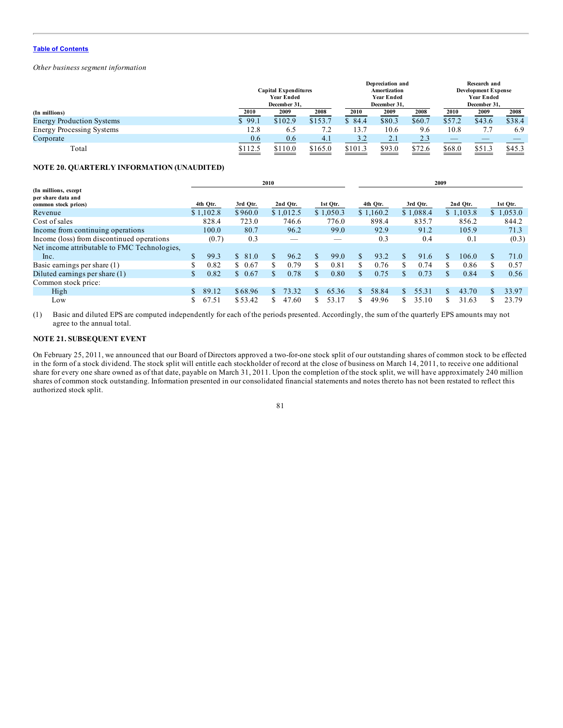*Other business segment information*

|                                  |                              |                      |         |         | Depreciation and |        | Research and               |        |        |  |  |
|----------------------------------|------------------------------|----------------------|---------|---------|------------------|--------|----------------------------|--------|--------|--|--|
|                                  |                              | Capital Expenditures |         |         | Amortization     |        | <b>Development Expense</b> |        |        |  |  |
|                                  |                              | <b>Year Ended</b>    |         |         | Year Ended       |        | <b>Year Ended</b>          |        |        |  |  |
|                                  | December 31,<br>December 31, |                      |         |         | December 31,     |        |                            |        |        |  |  |
| (In millions)                    | 2010                         | 2009                 | 2008    | 2010    | 2009             | 2008   | 2010                       | 2009   | 2008   |  |  |
| <b>Energy Production Systems</b> | \$99.1                       | \$102.9              | \$153.7 | 84.4    | \$80.3           | \$60.7 | \$57.2                     | \$43.6 | \$38.4 |  |  |
| <b>Energy Processing Systems</b> | 12.8                         | 6.5                  | 7.2     | 13.7    | 10.6             | 9.6    | 10.8                       |        | 6.9    |  |  |
| Corporate                        | 0.6                          | 0.6                  | 4.1     | 3.2     | 2.1              | 2.3    |                            |        |        |  |  |
| Total                            | \$112.5                      | \$110.0              | \$165.0 | \$101.3 | \$93.0           | \$72.6 | \$68.0                     | \$51.3 | \$45.3 |  |  |

# **NOTE 20. QUARTERLY INFORMATION (UNAUDITED)**

|                                                                    | 2010 |           |          |       |    | 2009      |     |           |     |           |     |           |               |           |   |           |
|--------------------------------------------------------------------|------|-----------|----------|-------|----|-----------|-----|-----------|-----|-----------|-----|-----------|---------------|-----------|---|-----------|
| (In millions, except<br>per share data and<br>common stock prices) |      | 4th Qtr.  | 3rd Qtr. |       |    | 2nd Qtr.  |     | 1st Qtr.  |     | 4th Qtr.  |     | 3rd Qtr.  |               | 2nd Qtr.  |   | 1st Qtr.  |
| Revenue                                                            |      | \$1.102.8 | \$960.0  |       |    | \$1,012.5 |     | \$1,050.3 |     | \$1,160.2 |     | \$1,088.4 |               | \$1,103.8 |   | \$1,053.0 |
| Cost of sales                                                      |      | 828.4     |          | 723.0 |    | 746.6     |     | 776.0     |     | 898.4     |     | 835.7     |               | 856.2     |   | 844.2     |
| Income from continuing operations                                  |      | 100.0     |          | 80.7  |    | 96.2      |     | 99.0      |     | 92.9      |     | 91.2      |               | 105.9     |   | 71.3      |
| Income (loss) from discontinued operations                         |      | (0.7)     |          | 0.3   |    |           |     |           |     | 0.3       |     | 0.4       |               | 0.1       |   | (0.3)     |
| Net income attributable to FMC Technologies.                       |      |           |          |       |    |           |     |           |     |           |     |           |               |           |   |           |
| lnc.                                                               | \$   | 99.3      | \$81.0   |       | S  | 96.2      | S.  | 99.0      | S   | 93.2      | \$  | 91.6      | S.            | 106.0     |   | 71.0      |
| Basic earnings per share (1)                                       |      | 0.82      | \$0.67   |       | S  | 0.79      |     | 0.81      | \$. | 0.76      | \$  | 0.74      | \$.           | 0.86      |   | 0.57      |
| Diluted earnings per share $(1)$                                   |      | 0.82      | \$0.67   |       | S  | 0.78      | \$. | 0.80      | S   | 0.75      | S   | 0.73      | <sup>\$</sup> | 0.84      |   | 0.56      |
| Common stock price:                                                |      |           |          |       |    |           |     |           |     |           |     |           |               |           |   |           |
| High                                                               |      | 89.12     | \$68.96  |       | S. | 73.32     |     | 65.36     |     | 58.84     | \$. | 55.31     |               | 43.70     | S | 33.97     |
| Low                                                                |      | 67.51     | \$53.42  |       | \$ | 47.60     |     | 53.17     | £.  | 49.96     |     | 35.10     |               | 31.63     |   | 23.79     |

(1) Basic and diluted EPS are computed independently for each of the periods presented. Accordingly, the sum of the quarterly EPS amounts may not agree to the annual total.

# **NOTE 21. SUBSEQUENT EVENT**

On February 25, 2011, we announced that our Board of Directors approved a two-for-one stock split of our outstanding shares of common stock to be effected in the form of a stock dividend. The stock split will entitle each stockholder of record at the close of business on March 14, 2011, to receive one additional share for every one share owned as of that date, payable on March 31, 2011. Upon the completion of the stock split, we will have approximately 240 million shares of common stock outstanding. Information presented in our consolidated financial statements and notes thereto has not been restated to reflect this authorized stock split.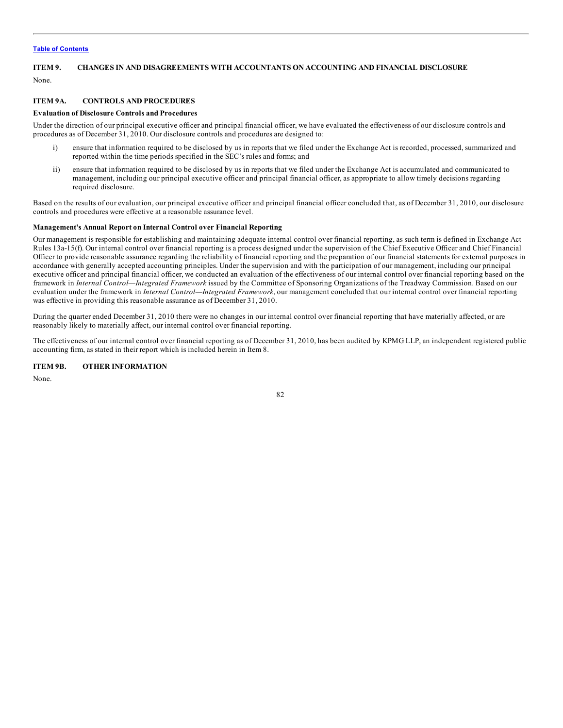# **ITEM 9. CHANGES IN AND DISAGREEMENTS WITH ACCOUNTANTS ON ACCOUNTING AND FINANCIAL DISCLOSURE**

None.

### **ITEM 9A. CONTROLS AND PROCEDURES**

### **Evaluation of Disclosure Controls and Procedures**

Under the direction of our principal executive officer and principal financial officer, we have evaluated the effectiveness of our disclosure controls and procedures as of December 31, 2010. Our disclosure controls and procedures are designed to:

- i) ensure that information required to be disclosed by us in reports that we filed under the Exchange Act is recorded, processed, summarized and reported within the time periods specified in the SEC's rules and forms; and
- ii) ensure that information required to be disclosed by us in reports that we filed under the Exchange Act is accumulated and communicated to management, including our principal executive officer and principal financial officer, as appropriate to allow timely decisions regarding required disclosure.

Based on the results of our evaluation, our principal executive officer and principal financial officer concluded that, as of December 31, 2010, our disclosure controls and procedures were effective at a reasonable assurance level.

### **Management's Annual Report on Internal Control over Financial Reporting**

Our management is responsible for establishing and maintaining adequate internal control over financial reporting, as such term is defined in Exchange Act Rules 13a-15(f). Our internal control over financial reporting is a process designed under the supervision of the Chief Executive Officer and Chief Financial Officer to provide reasonable assurance regarding the reliability of financial reporting and the preparation of our financial statements for external purposes in accordance with generally accepted accounting principles. Under the supervision and with the participation of our management, including our principal executive officer and principal financial officer, we conducted an evaluation of the effectiveness of our internal control over financial reporting based on the framework in *Internal Control—Integrated Framework* issued by the Committee of Sponsoring Organizations of the Treadway Commission. Based on our evaluation under the framework in *Internal Control—Integrated Framework*, our management concluded that our internal control over financial reporting was effective in providing this reasonable assurance as of December 31, 2010.

During the quarter ended December 31, 2010 there were no changes in our internal control over financial reporting that have materially affected, or are reasonably likely to materially affect, our internal control over financial reporting.

The effectiveness of our internal control over financial reporting as of December 31, 2010, has been audited by KPMG LLP, an independent registered public accounting firm, as stated in their report which is included herein in Item 8.

# **ITEM 9B. OTHER INFORMATION**

None.

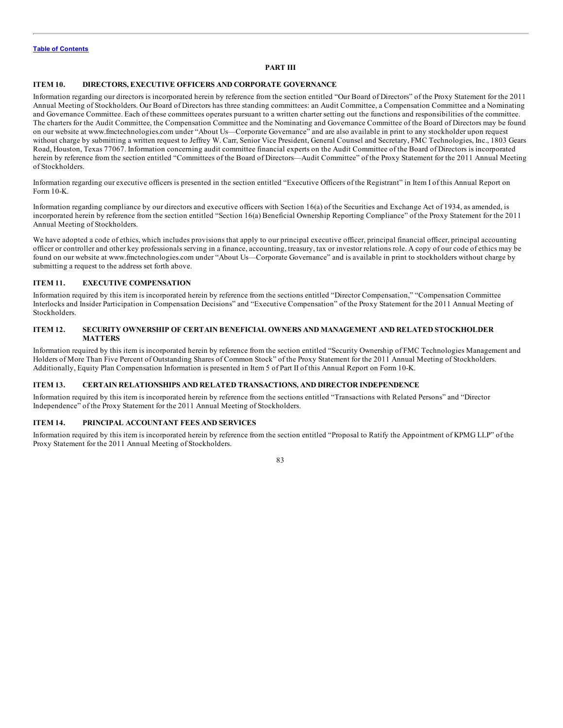### **PART III**

# **ITEM 10. DIRECTORS, EXECUTIVE OFFICERS AND CORPORATE GOVERNANCE**

Information regarding our directors is incorporated herein by reference from the section entitled "Our Board of Directors" of the Proxy Statement for the 2011 Annual Meeting of Stockholders. Our Board of Directors has three standing committees: an Audit Committee, a Compensation Committee and a Nominating and Governance Committee. Each of these committees operates pursuant to a written charter setting out the functions and responsibilities of the committee. The charters for the Audit Committee, the Compensation Committee and the Nominating and Governance Committee of the Board of Directors may be found on our website at www.fmctechnologies.com under "About Us—Corporate Governance" and are also available in print to any stockholder upon request without charge by submitting a written request to Jeffrey W. Carr, Senior Vice President, General Counsel and Secretary, FMC Technologies, Inc., 1803 Gears Road, Houston, Texas 77067. Information concerning audit committee financial experts on the Audit Committee of the Board of Directors is incorporated herein by reference from the section entitled "Committees of the Board of Directors—Audit Committee" of the Proxy Statement for the 2011 Annual Meeting of Stockholders.

Information regarding our executive officers is presented in the section entitled "Executive Officers of the Registrant" in Item I of this Annual Report on Form 10-K.

Information regarding compliance by our directors and executive officers with Section 16(a) of the Securities and Exchange Act of 1934, as amended, is incorporated herein by reference from the section entitled "Section 16(a) Beneficial Ownership Reporting Compliance" of the Proxy Statement for the 2011 Annual Meeting of Stockholders.

We have adopted a code of ethics, which includes provisions that apply to our principal executive officer, principal financial officer, principal accounting officer or controller and other key professionals serving in a finance, accounting, treasury, tax or investor relations role. A copy of our code of ethics may be found on our website at www.fmctechnologies.com under "About Us—Corporate Governance" and is available in print to stockholders without charge by submitting a request to the address set forth above.

# **ITEM 11. EXECUTIVE COMPENSATION**

Information required by this item is incorporated herein by reference from the sections entitled "Director Compensation," "Compensation Committee Interlocks and Insider Participation in Compensation Decisions" and "Executive Compensation" of the Proxy Statement for the 2011 Annual Meeting of Stockholders.

# **ITEM 12. SECURITY OWNERSHIP OF CERTAIN BENEFICIAL OWNERS AND MANAGEMENT AND RELATED STOCKHOLDER MATTERS**

Information required by this item is incorporated herein by reference from the section entitled "Security Ownership of FMC Technologies Management and Holders of More Than Five Percent of Outstanding Shares of Common Stock" of the Proxy Statement for the 2011 Annual Meeting of Stockholders. Additionally, Equity Plan Compensation Information is presented in Item 5 of Part II of this Annual Report on Form 10-K.

# **ITEM 13. CERTAIN RELATIONSHIPS AND RELATED TRANSACTIONS, AND DIRECTOR INDEPENDENCE**

Information required by this item is incorporated herein by reference from the sections entitled "Transactions with Related Persons" and "Director Independence" of the Proxy Statement for the 2011 Annual Meeting of Stockholders.

# **ITEM 14. PRINCIPAL ACCOUNTANT FEES AND SERVICES**

Information required by this item is incorporated herein by reference from the section entitled "Proposal to Ratify the Appointment of KPMG LLP" of the Proxy Statement for the 2011 Annual Meeting of Stockholders.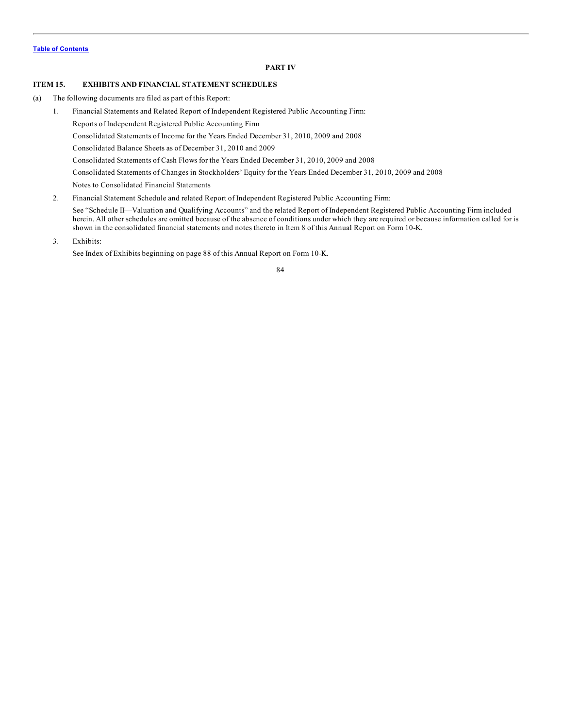### **PART IV**

### **ITEM 15. EXHIBITS AND FINANCIAL STATEMENT SCHEDULES**

(a) The following documents are filed as part of this Report:

1. Financial Statements and Related Report of Independent Registered Public Accounting Firm:

Reports of Independent Registered Public Accounting Firm

Consolidated Statements of Income for the Years Ended December 31, 2010, 2009 and 2008

Consolidated Balance Sheets as of December 31, 2010 and 2009

Consolidated Statements of Cash Flows for the Years Ended December 31, 2010, 2009 and 2008

Consolidated Statements of Changes in Stockholders' Equity for the Years Ended December 31, 2010, 2009 and 2008

Notes to Consolidated Financial Statements

2. Financial Statement Schedule and related Report of Independent Registered Public Accounting Firm:

See "Schedule II—Valuation and Qualifying Accounts" and the related Report of Independent Registered Public Accounting Firm included herein. All other schedules are omitted because of the absence of conditions under which they are required or because information called for is shown in the consolidated financial statements and notes thereto in Item 8 of this Annual Report on Form 10-K.

3. Exhibits:

See Index of Exhibits beginning on page 88 of this Annual Report on Form 10-K.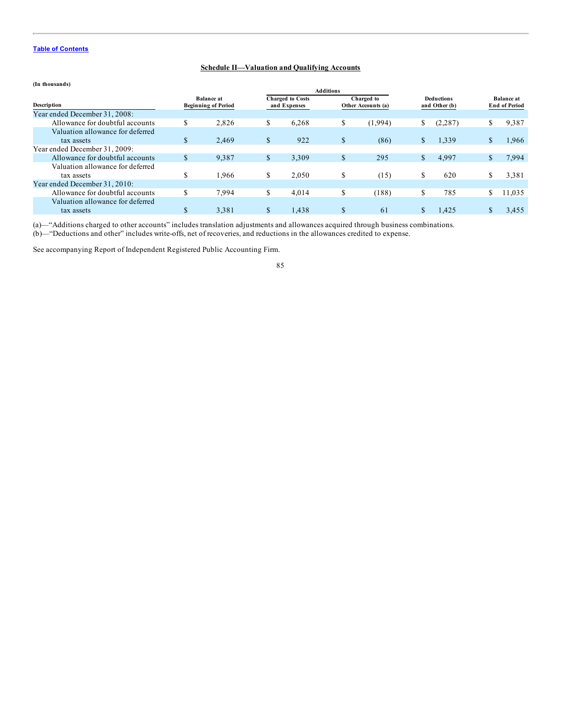# **Schedule II—Valuation and Qualifying Accounts**

**(In thousands)**

| uu monsanus,                     |                                                 |       |                                         |       |                                  |         |                                    |          |                                           |        |
|----------------------------------|-------------------------------------------------|-------|-----------------------------------------|-------|----------------------------------|---------|------------------------------------|----------|-------------------------------------------|--------|
|                                  |                                                 |       | <b>Additions</b>                        |       |                                  |         |                                    |          |                                           |        |
| <b>Description</b>               | <b>Balance at</b><br><b>Beginning of Period</b> |       | <b>Charged</b> to Costs<br>and Expenses |       | Charged to<br>Other Accounts (a) |         | <b>Deductions</b><br>and Other (b) |          | <b>Balance</b> at<br><b>End of Period</b> |        |
|                                  |                                                 |       |                                         |       |                                  |         |                                    |          |                                           |        |
| Year ended December 31, 2008:    |                                                 |       |                                         |       |                                  |         |                                    |          |                                           |        |
| Allowance for doubtful accounts  |                                                 | 2,826 | S                                       | 6,268 | \$                               | (1,994) | \$                                 | (2, 287) | ъ.                                        | 9,387  |
| Valuation allowance for deferred |                                                 |       |                                         |       |                                  |         |                                    |          |                                           |        |
| tax assets                       |                                                 | 2.469 | $\mathbb{S}$                            | 922   | \$                               | (86)    | \$                                 | 1,339    | \$                                        | 1.966  |
| Year ended December 31, 2009:    |                                                 |       |                                         |       |                                  |         |                                    |          |                                           |        |
| Allowance for doubtful accounts  | <b>J</b>                                        | 9,387 | $\mathbb{S}$                            | 3,309 | \$                               | 295     | \$                                 | 4,997    | Ъ.                                        | 7,994  |
| Valuation allowance for deferred |                                                 |       |                                         |       |                                  |         |                                    |          |                                           |        |
| tax assets                       | J.                                              | 1,966 | S                                       | 2.050 | S                                | (15)    | ۰D.                                | 620      | ۰D.                                       | 3,381  |
| Year ended December 31, 2010:    |                                                 |       |                                         |       |                                  |         |                                    |          |                                           |        |
| Allowance for doubtful accounts  |                                                 | 7,994 | S                                       | 4,014 | ¢<br>D                           | (188)   |                                    | 785      | \$                                        | 11,035 |
| Valuation allowance for deferred |                                                 |       |                                         |       |                                  |         |                                    |          |                                           |        |
| tax assets                       |                                                 | 3.381 | S                                       | 1.438 | D                                | 61      | \$                                 | 1.425    |                                           | 3.455  |

(a)—"Additions charged to other accounts" includes translation adjustments and allowances acquired through business combinations.

(b)—"Deductions and other" includes write-offs, net of recoveries, and reductions in the allowances credited to expense.

See accompanying Report of Independent Registered Public Accounting Firm.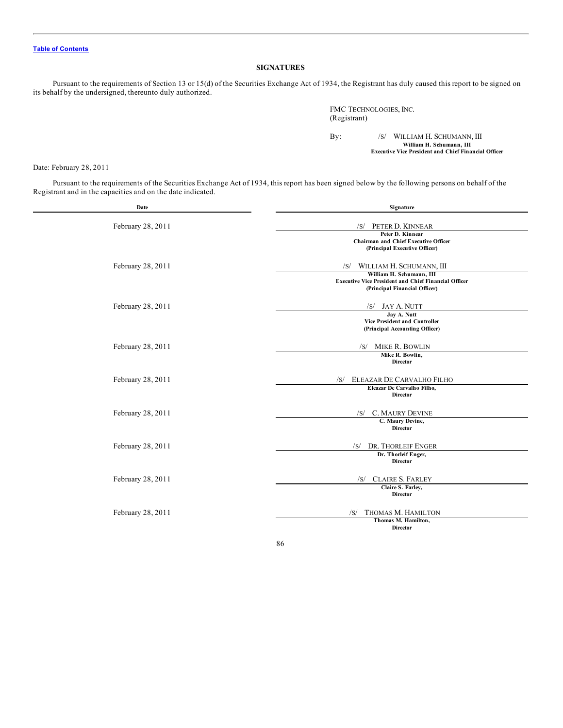### **SIGNATURES**

Pursuant to the requirements of Section 13 or 15(d) of the Securities Exchange Act of 1934, the Registrant has duly caused this report to be signed on its behalf by the undersigned, thereunto duly authorized.

> FMC TECHNOLOGIES, INC. (Registrant)

By: /S/ WILLIAM H. SCHUMANN, III **William H. Schumann, III Executive Vice President and Chief Financial Officer**

Date: February 28, 2011

L,

Pursuant to the requirements of the Securities Exchange Act of 1934, this report has been signed below by the following persons on behalf of the Registrant and in the capacities and on the date indicated.

| Date              | Signature                                                   |
|-------------------|-------------------------------------------------------------|
|                   |                                                             |
| February 28, 2011 | PETER D. KINNEAR<br>/S/                                     |
|                   | Peter D. Kinnear                                            |
|                   | Chairman and Chief Executive Officer                        |
|                   | (Principal Executive Officer)                               |
| February 28, 2011 | WILLIAM H. SCHUMANN, III<br>/S/                             |
|                   | William H. Schumann, III                                    |
|                   | <b>Executive Vice President and Chief Financial Officer</b> |
|                   | (Principal Financial Officer)                               |
|                   |                                                             |
| February 28, 2011 | /S/ JAY A. NUTT                                             |
|                   | Jay A. Nutt                                                 |
|                   | Vice President and Controller                               |
|                   | (Principal Accounting Officer)                              |
| February 28, 2011 | MIKE R. BOWLIN<br>/S/                                       |
|                   | Mike R. Bowlin,                                             |
|                   | <b>Director</b>                                             |
|                   |                                                             |
| February 28, 2011 | ELEAZAR DE CARVALHO FILHO<br>/S/                            |
|                   | Eleazar De Carvalho Filho,                                  |
|                   | <b>Director</b>                                             |
| February 28, 2011 | <b>C. MAURY DEVINE</b><br>/S/                               |
|                   | C. Maury Devine,                                            |
|                   | <b>Director</b>                                             |
|                   |                                                             |
| February 28, 2011 | DR. THORLEIF ENGER<br>/S/                                   |
|                   | Dr. Thorleif Enger,                                         |
|                   | <b>Director</b>                                             |
| February 28, 2011 | <b>CLAIRE S. FARLEY</b><br>/S/                              |
|                   |                                                             |
|                   | Claire S. Farley,<br><b>Director</b>                        |
|                   |                                                             |
| February 28, 2011 | THOMAS M. HAMILTON<br>/S/                                   |
|                   | Thomas M. Hamilton,                                         |
|                   | <b>Director</b>                                             |
|                   |                                                             |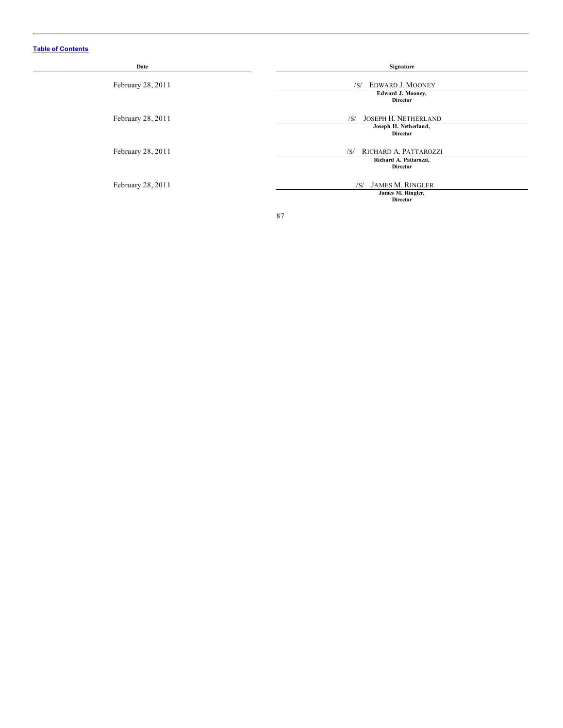| Date              | Signature                                 |
|-------------------|-------------------------------------------|
| February 28, 2011 | <b>EDWARD J. MOONEY</b><br>/S/            |
|                   | Edward J. Mooney,<br><b>Director</b>      |
| February 28, 2011 | JOSEPH H. NETHERLAND<br>/S/               |
|                   | Joseph H. Netherland,<br><b>Director</b>  |
| February 28, 2011 | RICHARD A. PATTAROZZI<br>/S/              |
|                   | Richard A. Pattarozzi,<br><b>Director</b> |
| February 28, 2011 | <b>JAMES M. RINGLER</b><br>/S/            |
|                   | James M. Ringler,<br><b>Director</b>      |
|                   |                                           |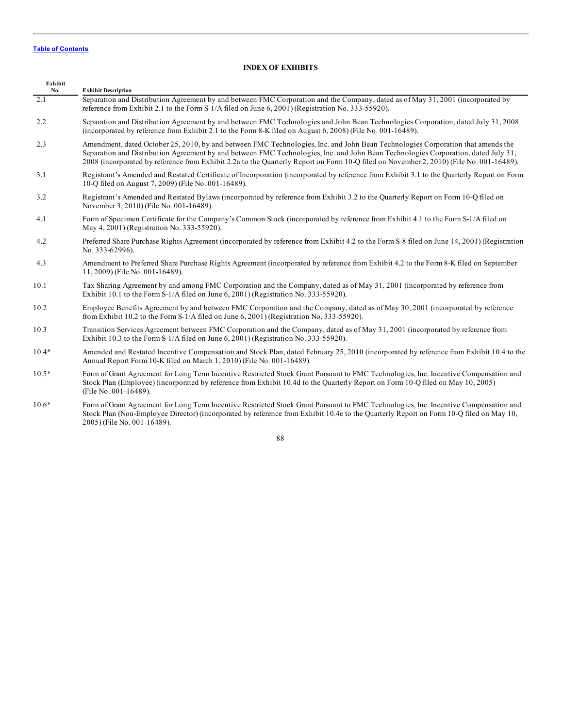# **INDEX OF EXHIBITS**

| Exhibit<br>No. | <b>Exhibit Description</b>                                                                                                                                                                                                                                                                                                                                                                                       |
|----------------|------------------------------------------------------------------------------------------------------------------------------------------------------------------------------------------------------------------------------------------------------------------------------------------------------------------------------------------------------------------------------------------------------------------|
| 2.1            | Separation and Distribution Agreement by and between FMC Corporation and the Company, dated as of May 31, 2001 (incorporated by<br>reference from Exhibit 2.1 to the Form S-1/A filed on June 6, 2001) (Registration No. 333-55920).                                                                                                                                                                             |
| 2.2            | Separation and Distribution Agreement by and between FMC Technologies and John Bean Technologies Corporation, dated July 31, 2008<br>(incorporated by reference from Exhibit 2.1 to the Form 8-K filed on August 6, 2008) (File No. 001-16489).                                                                                                                                                                  |
| 2.3            | Amendment, dated October 25, 2010, by and between FMC Technologies, Inc. and John Bean Technologies Corporation that amends the<br>Separation and Distribution Agreement by and between FMC Technologies, Inc. and John Bean Technologies Corporation, dated July 31,<br>2008 (incorporated by reference from Exhibit 2.2a to the Quarterly Report on Form 10-Q filed on November 2, 2010) (File No. 001-16489). |
| 3.1            | Registrant's Amended and Restated Certificate of Incorporation (incorporated by reference from Exhibit 3.1 to the Quarterly Report on Form<br>10-O filed on August 7, 2009) (File No. 001-16489).                                                                                                                                                                                                                |
| 3.2            | Registrant's Amended and Restated Bylaws (incorporated by reference from Exhibit 3.2 to the Quarterly Report on Form 10-Q filed on<br>November 3, 2010) (File No. 001-16489).                                                                                                                                                                                                                                    |
| 4.1            | Form of Specimen Certificate for the Company's Common Stock (incorporated by reference from Exhibit 4.1 to the Form S-1/A filed on<br>May 4, 2001) (Registration No. 333-55920).                                                                                                                                                                                                                                 |
| 4.2            | Preferred Share Purchase Rights Agreement (incorporated by reference from Exhibit 4.2 to the Form S-8 filed on June 14, 2001) (Registration<br>No. 333-62996).                                                                                                                                                                                                                                                   |
| 4.3            | Amendment to Preferred Share Purchase Rights Agreement (incorporated by reference from Exhibit 4.2 to the Form 8-K filed on September<br>11, 2009) (File No. 001-16489).                                                                                                                                                                                                                                         |
| 10.1           | Tax Sharing Agreement by and among FMC Corporation and the Company, dated as of May 31, 2001 (incorporated by reference from<br>Exhibit 10.1 to the Form S-1/A filed on June $6, 2001$ ) (Registration No. 333-55920).                                                                                                                                                                                           |
| 10.2           | Employee Benefits Agreement by and between FMC Corporation and the Company, dated as of May 30, 2001 (incorporated by reference<br>from Exhibit 10.2 to the Form $S-1/A$ filed on June 6, 2001) (Registration No. 333-55920).                                                                                                                                                                                    |
| 10.3           | Transition Services Agreement between FMC Corporation and the Company, dated as of May 31, 2001 (incorporated by reference from<br>Exhibit 10.3 to the Form S-1/A filed on June 6, 2001) (Registration No. 333-55920).                                                                                                                                                                                           |
| $10.4*$        | Amended and Restated Incentive Compensation and Stock Plan, dated February 25, 2010 (incorporated by reference from Exhibit 10.4 to the<br>Annual Report Form 10-K filed on March 1, 2010) (File No. 001-16489).                                                                                                                                                                                                 |
| $10.5*$        | Form of Grant Agreement for Long Term Incentive Restricted Stock Grant Pursuant to FMC Technologies, Inc. Incentive Compensation and<br>Stock Plan (Employee) (incorporated by reference from Exhibit 10.4d to the Quarterly Report on Form 10-Q filed on May 10, 2005)<br>(File No. 001-16489).                                                                                                                 |
| $10.6*$        | Form of Grant Agreement for Long Term Incentive Restricted Stock Grant Pursuant to FMC Technologies, Inc. Incentive Compensation and                                                                                                                                                                                                                                                                             |

Stock Plan (Non-Employee Director) (incorporated by reference from Exhibit 10.4e to the Quarterly Report on Form 10-Q filed on May 10, 2005) (File No. 001-16489).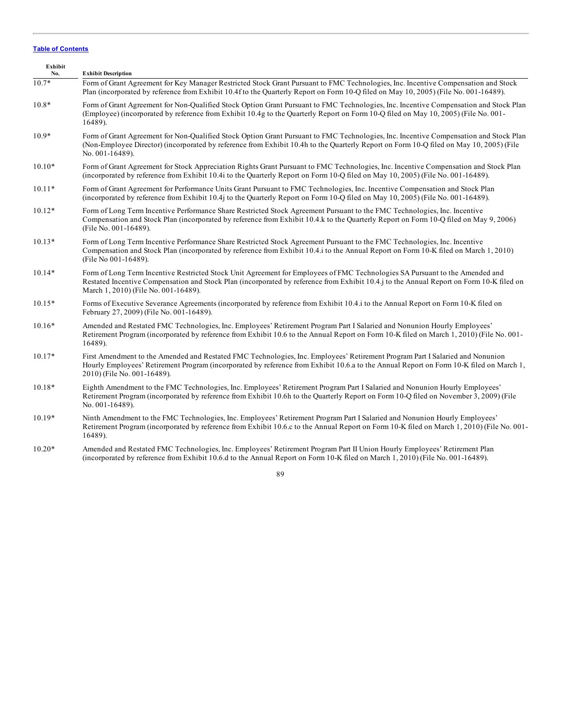| Exhibit        |                                                                                                                                                                                                                                                                                                                  |
|----------------|------------------------------------------------------------------------------------------------------------------------------------------------------------------------------------------------------------------------------------------------------------------------------------------------------------------|
| No.<br>$10.7*$ | <b>Exhibit Description</b><br>Form of Grant Agreement for Key Manager Restricted Stock Grant Pursuant to FMC Technologies, Inc. Incentive Compensation and Stock<br>Plan (incorporated by reference from Exhibit 10.4f to the Quarterly Report on Form 10-Q filed on May 10, 2005) (File No. 001-16489).         |
| $10.8*$        | Form of Grant Agreement for Non-Qualified Stock Option Grant Pursuant to FMC Technologies, Inc. Incentive Compensation and Stock Plan<br>(Employee) (incorporated by reference from Exhibit 10.4g to the Quarterly Report on Form 10-Q filed on May 10, 2005) (File No. 001-<br>16489).                          |
| $10.9*$        | Form of Grant Agreement for Non-Qualified Stock Option Grant Pursuant to FMC Technologies, Inc. Incentive Compensation and Stock Plan<br>(Non-Employee Director) (incorporated by reference from Exhibit 10.4h to the Quarterly Report on Form 10-Q filed on May 10, 2005) (File<br>No. 001-16489).              |
| $10.10*$       | Form of Grant Agreement for Stock Appreciation Rights Grant Pursuant to FMC Technologies, Inc. Incentive Compensation and Stock Plan<br>(incorporated by reference from Exhibit 10.4i to the Quarterly Report on Form 10-Q filed on May 10, 2005) (File No. 001-16489).                                          |
| $10.11*$       | Form of Grant Agreement for Performance Units Grant Pursuant to FMC Technologies, Inc. Incentive Compensation and Stock Plan<br>(incorporated by reference from Exhibit 10.4) to the Quarterly Report on Form 10-Q filed on May 10, 2005) (File No. 001-16489).                                                  |
| $10.12*$       | Form of Long Term Incentive Performance Share Restricted Stock Agreement Pursuant to the FMC Technologies, Inc. Incentive<br>Compensation and Stock Plan (incorporated by reference from Exhibit 10.4.k to the Quarterly Report on Form 10-Q filed on May 9, 2006)<br>(File No. 001-16489).                      |
| $10.13*$       | Form of Long Term Incentive Performance Share Restricted Stock Agreement Pursuant to the FMC Technologies, Inc. Incentive<br>Compensation and Stock Plan (incorporated by reference from Exhibit 10.4.i to the Annual Report on Form 10-K filed on March 1, 2010)<br>(File No 001-16489).                        |
| $10.14*$       | Form of Long Term Incentive Restricted Stock Unit Agreement for Employees of FMC Technologies SA Pursuant to the Amended and<br>Restated Incentive Compensation and Stock Plan (incorporated by reference from Exhibit 10.4.j to the Annual Report on Form 10-K filed on<br>March 1, 2010) (File No. 001-16489). |
| $10.15*$       | Forms of Executive Severance Agreements (incorporated by reference from Exhibit 10.4.i to the Annual Report on Form 10-K filed on<br>February 27, 2009) (File No. 001-16489).                                                                                                                                    |
| $10.16*$       | Amended and Restated FMC Technologies, Inc. Employees' Retirement Program Part I Salaried and Nonunion Hourly Employees'<br>Retirement Program (incorporated by reference from Exhibit 10.6 to the Annual Report on Form 10-K filed on March 1, 2010) (File No. 001-<br>$16489$ ).                               |
| $10.17*$       | First Amendment to the Amended and Restated FMC Technologies, Inc. Employees' Retirement Program Part I Salaried and Nonunion                                                                                                                                                                                    |

- Hourly Employees' Retirement Program (incorporated by reference from Exhibit 10.6.a to the Annual Report on Form 10-K filed on March 1, 2010) (File No. 001-16489).
- 10.18\* Eighth Amendment to the FMC Technologies, Inc. Employees' Retirement Program Part I Salaried and Nonunion Hourly Employees' Retirement Program (incorporated by reference from Exhibit 10.6h to the Quarterly Report on Form 10-Q filed on November 3, 2009) (File No. 001-16489).
- 10.19\* Ninth Amendment to the FMC Technologies, Inc. Employees' Retirement Program Part I Salaried and Nonunion Hourly Employees' Retirement Program (incorporated by reference from Exhibit 10.6.c to the Annual Report on Form 10-K filed on March 1, 2010) (File No. 001- 16489).
- 10.20\* Amended and Restated FMC Technologies, Inc. Employees' Retirement Program Part II Union Hourly Employees' Retirement Plan (incorporated by reference from Exhibit 10.6.d to the Annual Report on Form 10-K filed on March 1, 2010) (File No. 001-16489).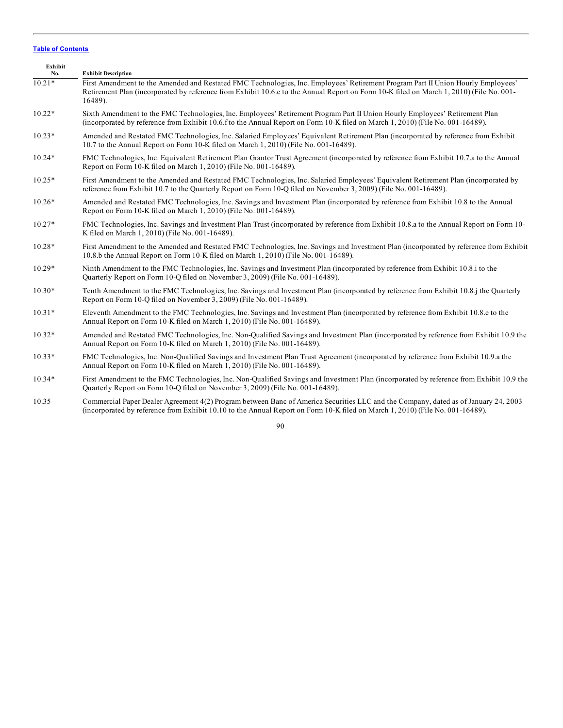| Exhibit<br>No. | <b>Exhibit Description</b>                                                                                                                                                                                                                                                             |
|----------------|----------------------------------------------------------------------------------------------------------------------------------------------------------------------------------------------------------------------------------------------------------------------------------------|
| $10.21*$       | First Amendment to the Amended and Restated FMC Technologies, Inc. Employees' Retirement Program Part II Union Hourly Employees'<br>Retirement Plan (incorporated by reference from Exhibit 10.6.e to the Annual Report on Form 10-K filed on March 1, 2010) (File No. 001-<br>16489). |
| $10.22*$       | Sixth Amendment to the FMC Technologies, Inc. Employees' Retirement Program Part II Union Hourly Employees' Retirement Plan<br>(incorporated by reference from Exhibit 10.6.f to the Annual Report on Form 10-K filed on March 1, 2010) (File No. 001-16489).                          |
| $10.23*$       | Amended and Restated FMC Technologies, Inc. Salaried Employees' Equivalent Retirement Plan (incorporated by reference from Exhibit<br>10.7 to the Annual Report on Form 10-K filed on March 1, 2010) (File No. 001-16489).                                                             |
| $10.24*$       | FMC Technologies, Inc. Equivalent Retirement Plan Grantor Trust Agreement (incorporated by reference from Exhibit 10.7.a to the Annual<br>Report on Form 10-K filed on March 1, 2010) (File No. 001-16489).                                                                            |
| $10.25*$       | First Amendment to the Amended and Restated FMC Technologies, Inc. Salaried Employees' Equivalent Retirement Plan (incorporated by<br>reference from Exhibit 10.7 to the Quarterly Report on Form 10-Q filed on November 3, 2009) (File No. 001-16489).                                |
| $10.26*$       | Amended and Restated FMC Technologies, Inc. Savings and Investment Plan (incorporated by reference from Exhibit 10.8 to the Annual<br>Report on Form 10-K filed on March 1, 2010) (File No. 001-16489).                                                                                |
| $10.27*$       | FMC Technologies, Inc. Savings and Investment Plan Trust (incorporated by reference from Exhibit 10.8.a to the Annual Report on Form 10-<br>K filed on March 1, 2010) (File No. 001-16489).                                                                                            |
| $10.28*$       | First Amendment to the Amended and Restated FMC Technologies, Inc. Savings and Investment Plan (incorporated by reference from Exhibit<br>10.8.b the Annual Report on Form 10-K filed on March 1, 2010) (File No. 001-16489).                                                          |
| $10.29*$       | Ninth Amendment to the FMC Technologies, Inc. Savings and Investment Plan (incorporated by reference from Exhibit 10.8.1 to the<br>Ouarterly Report on Form 10-O filed on November 3, 2009) (File No. 001-16489).                                                                      |
| $10.30*$       | Tenth Amendment to the FMC Technologies, Inc. Savings and Investment Plan (incorporated by reference from Exhibit 10.8.j the Quarterly<br>Report on Form 10-Q filed on November 3, 2009) (File No. 001-16489).                                                                         |
| $10.31*$       | Eleventh Amendment to the FMC Technologies, Inc. Savings and Investment Plan (incorporated by reference from Exhibit 10.8.e to the<br>Annual Report on Form 10-K filed on March 1, 2010) (File No. 001-16489).                                                                         |
| $10.32*$       | Amended and Restated FMC Technologies, Inc. Non-Qualified Savings and Investment Plan (incorporated by reference from Exhibit 10.9 the<br>Annual Report on Form 10-K filed on March 1, 2010) (File No. 001-16489).                                                                     |
| $10.33*$       | FMC Technologies, Inc. Non-Qualified Savings and Investment Plan Trust Agreement (incorporated by reference from Exhibit 10.9.a the<br>Annual Report on Form 10-K filed on March 1, 2010) (File No. 001-16489).                                                                        |
| $10.34*$       | First Amendment to the FMC Technologies, Inc. Non-Qualified Savings and Investment Plan (incorporated by reference from Exhibit 10.9 the<br>Quarterly Report on Form 10-Q filed on November 3, 2009) (File No. 001-16489).                                                             |
| 10.35          | Commercial Paper Dealer Agreement 4(2) Program between Banc of America Securities LLC and the Company dated as of January 24, 2003                                                                                                                                                     |

10.35 Commercial Paper Dealer Agreement 4(2) Program between Banc of America Securities LLC and the Company, dated as of January 24, 2003 (incorporated by reference from Exhibit 10.10 to the Annual Report on Form 10-K filed on March 1, 2010) (File No. 001-16489).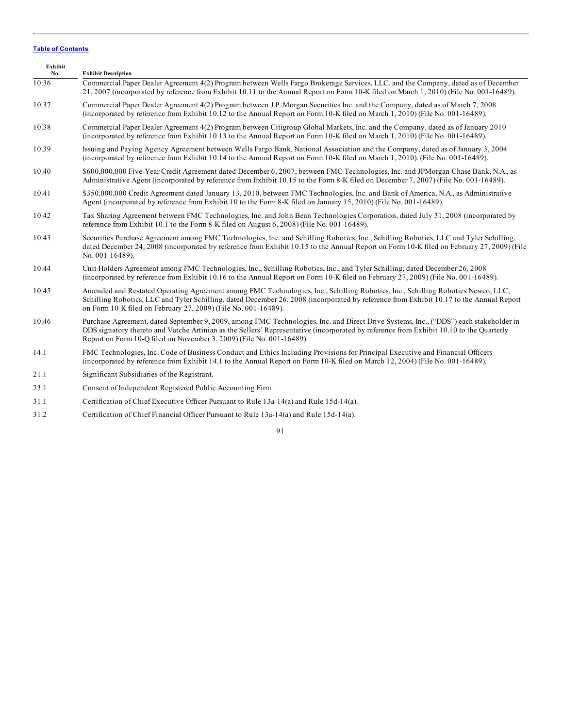| Exhibit<br>No. | <b>Exhibit Description</b>                                                                                                                                                                                                                                                                                                                               |
|----------------|----------------------------------------------------------------------------------------------------------------------------------------------------------------------------------------------------------------------------------------------------------------------------------------------------------------------------------------------------------|
| 10.36          | Commercial Paper Dealer Agreement 4(2) Program between Wells Fargo Brokerage Services, LLC. and the Company, dated as of December<br>21, 2007 (incorporated by reference from Exhibit 10.11 to the Annual Report on Form 10-K filed on March 1, 2010) (File No. 001-16489).                                                                              |
| 10.37          | Commercial Paper Dealer Agreement 4(2) Program between J.P. Morgan Securities Inc. and the Company, dated as of March 7, 2008<br>(incorporated by reference from Exhibit 10.12 to the Annual Report on Form 10-K filed on March 1, 2010) (File No. 001-16489).                                                                                           |
| 10.38          | Commercial Paper Dealer Agreement 4(2) Program between Citigroup Global Markets, Inc. and the Company, dated as of January 2010<br>(incorporated by reference from Exhibit 10.13 to the Annual Report on Form 10-K filed on March 1, 2010) (File No. 001-16489).                                                                                         |
| 10.39          | Issuing and Paying Agency Agreement between Wells Fargo Bank, National Association and the Company, dated as of January 3, 2004<br>(incorporated by reference from Exhibit 10.14 to the Annual Report on Form 10-K filed on March 1, 2010). (File No. 001-16489).                                                                                        |
| 10.40          | \$600,000,000 Five-Year Credit Agreement dated December 6, 2007, between FMC Technologies, Inc. and JPMorgan Chase Bank, N.A., as<br>Administrative Agent (incorporated by reference from Exhibit 10.15 to the Form 8-K filed on December 7, 2007) (File No. 001-16489).                                                                                 |
| 10.41          | \$350,000,000 Credit Agreement dated January 13, 2010, between FMC Technologies, Inc. and Bank of America, N.A., as Administrative<br>Agent (incorporated by reference from Exhibit 10 to the Form 8-K filed on January 15, 2010) (File No. 001-16489).                                                                                                  |
| 10.42          | Tax Sharing Agreement between FMC Technologies, Inc. and John Bean Technologies Corporation, dated July 31, 2008 (incorporated by<br>reference from Exhibit 10.1 to the Form 8-K filed on August 6, 2008) (File No. 001-16489).                                                                                                                          |
| 10.43          | Securities Purchase Agreement among FMC Technologies, Inc. and Schilling Robotics, Inc., Schilling Robotics, LLC and Tyler Schilling,<br>dated December 24, 2008 (incorporated by reference from Exhibit 10.15 to the Annual Report on Form 10-K filed on February 27, 2009) (File<br>No. 001-16489).                                                    |
| 10.44          | Unit Holders Agreement among FMC Technologies, Inc., Schilling Robotics, Inc., and Tyler Schilling, dated December 26, 2008<br>(incorporated by reference from Exhibit 10.16 to the Annual Report on Form 10-K filed on February 27, 2009) (File No. 001-16489).                                                                                         |
| 10.45          | Amended and Restated Operating Agreement among FMC Technologies, Inc., Schilling Robotics, Inc., Schilling Robotics Newco, LLC,<br>Schilling Robotics, LLC and Tyler Schilling, dated December 26, 2008 (incorporated by reference from Exhibit 10.17 to the Annual Report<br>on Form 10-K filed on February 27, 2009) (File No. 001-16489).             |
| 10.46          | Purchase Agreement, dated September 9, 2009, among FMC Technologies, Inc. and Direct Drive Systems, Inc., ("DDS") each stakeholder in<br>DDS signatory thereto and Vatche Artinian as the Sellers' Representative (incorporated by reference from Exhibit 10.10 to the Quarterly<br>Report on Form 10-Q filed on November 3, 2009) (File No. 001-16489). |
| 14.1           | FMC Technologies, Inc. Code of Business Conduct and Ethics Including Provisions for Principal Executive and Financial Officers                                                                                                                                                                                                                           |

(incorporated by reference from Exhibit 14.1 to the Annual Report on Form 10-K filed on March 12, 2004) (File No. 001-16489).

21.1 Significant Subsidiaries of the Registrant.

23.1 Consent of Independent Registered Public Accounting Firm.

31.1 Certification of Chief Executive Officer Pursuant to Rule 13a-14(a) and Rule 15d-14(a).

31.2 Certification of Chief Financial Officer Pursuant to Rule 13a-14(a) and Rule 15d-14(a).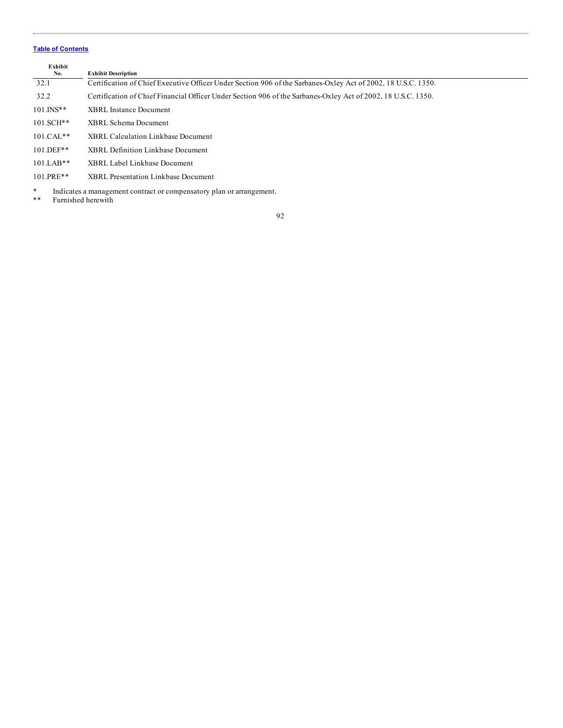| Exhibit<br>No. | <b>Exhibit Description</b>                                                                                    |
|----------------|---------------------------------------------------------------------------------------------------------------|
| 32.1           | Certification of Chief Executive Officer Under Section 906 of the Sarbanes-Oxley Act of 2002, 18 U.S.C. 1350. |
| 32.2           | Certification of Chief Financial Officer Under Section 906 of the Sarbanes-Oxley Act of 2002, 18 U.S.C. 1350. |
| $101.$ INS**   | <b>XBRL</b> Instance Document                                                                                 |
| $101.SCH**$    | XBRL Schema Document                                                                                          |
| $101.CAI.**$   | <b>XBRL Calculation Linkbase Document</b>                                                                     |
| $101.$ DEF**   | <b>XBRL Definition Linkbase Document</b>                                                                      |
| $101$ .LAB**   | XBRL Label Linkbase Document                                                                                  |
| $101.PREF**$   | <b>XBRL</b> Presentation Linkbase Document                                                                    |

\* Indicates a management contract or compensatory plan or arrangement.<br>\*\* Furnished herewith

Furnished herewith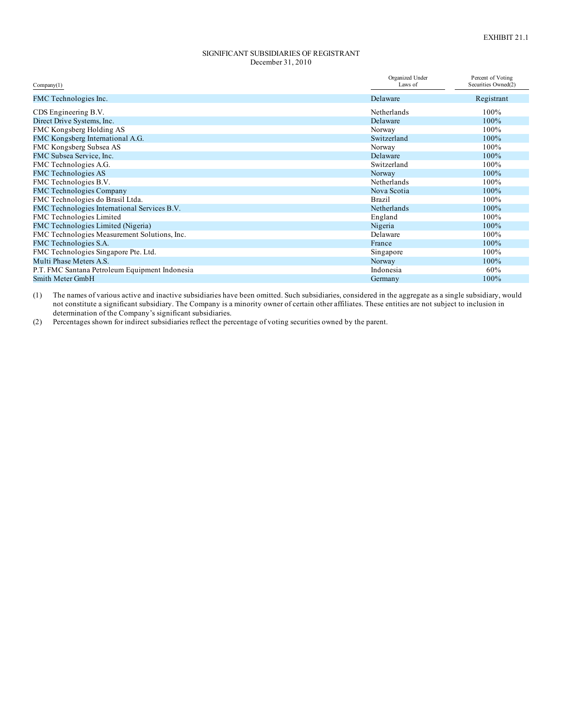# SIGNIFICANT SUBSIDIARIES OF REGISTRANT December 31, 2010

| Company(1)                                     | Organized Under<br>Laws of | Percent of Voting<br>Securities Owned(2) |
|------------------------------------------------|----------------------------|------------------------------------------|
|                                                |                            |                                          |
| FMC Technologies Inc.                          | Delaware                   | Registrant                               |
| CDS Engineering B.V.                           | Netherlands                | $100\%$                                  |
| Direct Drive Systems, Inc.                     | Delaware                   | $100\%$                                  |
| FMC Kongsberg Holding AS                       | Norway                     | 100%                                     |
| FMC Kongsberg International A.G.               | Switzerland                | $100\%$                                  |
| FMC Kongsberg Subsea AS                        | Norway                     | $100\%$                                  |
| FMC Subsea Service, Inc.                       | Delaware                   | 100%                                     |
| FMC Technologies A.G.                          | Switzerland                | $100\%$                                  |
| <b>FMC</b> Technologies AS                     | Norway                     | $100\%$                                  |
| FMC Technologies B.V.                          | Netherlands                | 100%                                     |
| FMC Technologies Company                       | Nova Scotia                | $100\%$                                  |
| FMC Technologies do Brasil Ltda.               | <b>Brazil</b>              | $100\%$                                  |
| FMC Technologies International Services B.V.   | <b>Netherlands</b>         | $100\%$                                  |
| FMC Technologies Limited                       | England                    | $100\%$                                  |
| FMC Technologies Limited (Nigeria)             | Nigeria                    | $100\%$                                  |
| FMC Technologies Measurement Solutions, Inc.   | Delaware                   | 100%                                     |
| FMC Technologies S.A.                          | France                     | $100\%$                                  |
| FMC Technologies Singapore Pte. Ltd.           | Singapore                  | $100\%$                                  |
| Multi Phase Meters A.S.                        | Norway                     | $100\%$                                  |
| P.T. FMC Santana Petroleum Equipment Indonesia | Indonesia                  | 60%                                      |
| Smith Meter GmbH                               | Germany                    | 100%                                     |

(1) The names of various active and inactive subsidiaries have been omitted. Such subsidiaries, considered in the aggregate as a single subsidiary, would not constitute a significant subsidiary. The Company is a minority owner of certain other affiliates. These entities are not subject to inclusion in determination of the Company's significant subsidiaries.

(2) Percentages shown for indirect subsidiaries reflect the percentage of voting securities owned by the parent.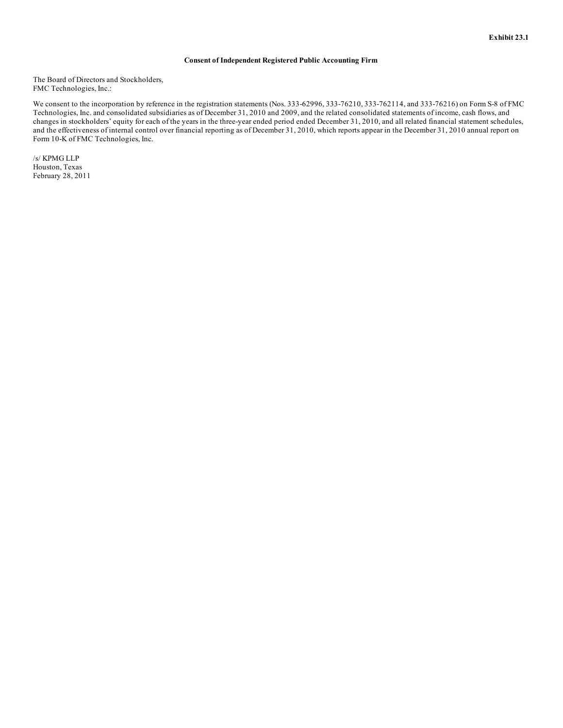# **Consent of Independent Registered Public Accounting Firm**

The Board of Directors and Stockholders, FMC Technologies, Inc.:

We consent to the incorporation by reference in the registration statements (Nos. 333-62996, 333-76210, 333-762114, and 333-76216) on Form S-8 of FMC Technologies, Inc. and consolidated subsidiaries as of December 31, 2010 and 2009, and the related consolidated statements of income, cash flows, and changes in stockholders' equity for each of the years in the three-year ended period ended December 31, 2010, and all related financial statement schedules, and the effectiveness of internal control over financial reporting as of December 31, 2010, which reports appear in the December 31, 2010 annual report on Form 10-K of FMC Technologies, Inc.

/s/ KPMG LLP Houston, Texas February 28, 2011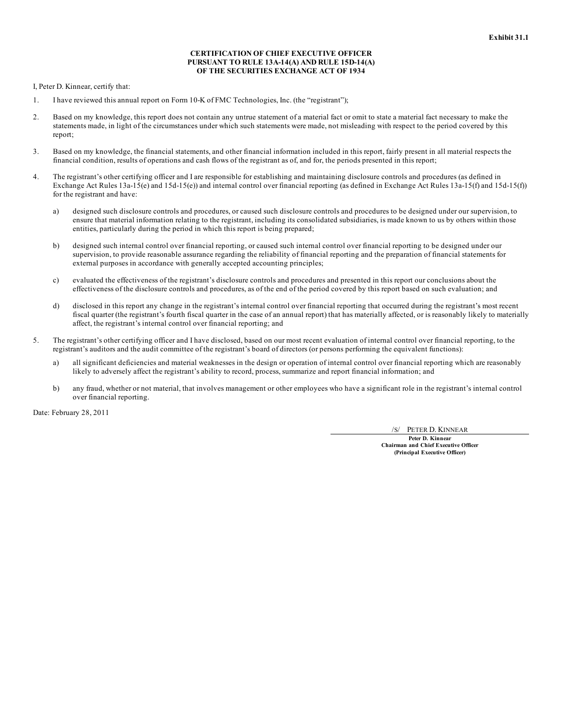### **CERTIFICATION OF CHIEF EXECUTIVE OFFICER PURSUANT TO RULE 13A-14(A) AND RULE 15D-14(A) OF THE SECURITIES EXCHANGE ACT OF 1934**

I, Peter D. Kinnear, certify that:

- 1. I have reviewed this annual report on Form 10-K of FMC Technologies, Inc. (the "registrant");
- 2. Based on my knowledge, this report does not contain any untrue statement of a material fact or omit to state a material fact necessary to make the statements made, in light of the circumstances under which such statements were made, not misleading with respect to the period covered by this report;
- 3. Based on my knowledge, the financial statements, and other financial information included in this report, fairly present in all material respects the financial condition, results of operations and cash flows of the registrant as of, and for, the periods presented in this report;
- 4. The registrant's other certifying officer and I are responsible for establishing and maintaining disclosure controls and procedures (as defined in Exchange Act Rules 13a-15(e) and 15d-15(e)) and internal control over financial reporting (as defined in Exchange Act Rules 13a-15(f) and 15d-15(f)) for the registrant and have:
	- a) designed such disclosure controls and procedures, or caused such disclosure controls and procedures to be designed under our supervision, to ensure that material information relating to the registrant, including its consolidated subsidiaries, is made known to us by others within those entities, particularly during the period in which this report is being prepared;
	- b) designed such internal control over financial reporting, or caused such internal control over financial reporting to be designed under our supervision, to provide reasonable assurance regarding the reliability of financial reporting and the preparation of financial statements for external purposes in accordance with generally accepted accounting principles;
	- c) evaluated the effectiveness of the registrant's disclosure controls and procedures and presented in this report our conclusions about the effectiveness of the disclosure controls and procedures, as of the end of the period covered by this report based on such evaluation; and
	- d) disclosed in this report any change in the registrant's internal control over financial reporting that occurred during the registrant's most recent fiscal quarter (the registrant's fourth fiscal quarter in the case of an annual report) that has materially affected, or is reasonably likely to materially affect, the registrant's internal control over financial reporting; and
- 5. The registrant's other certifying officer and I have disclosed, based on our most recent evaluation of internal control over financial reporting, to the registrant's auditors and the audit committee of the registrant's board of directors (or persons performing the equivalent functions):
	- a) all significant deficiencies and material weaknesses in the design or operation of internal control over financial reporting which are reasonably likely to adversely affect the registrant's ability to record, process, summarize and report financial information; and
	- b) any fraud, whether or not material, that involves management or other employees who have a significant role in the registrant's internal control over financial reporting.

Date: February 28, 2011

/S/ PETER D. KINNEAR

**Peter D. Kinnear Chairman and Chief Executive Officer (Principal Executive Officer)**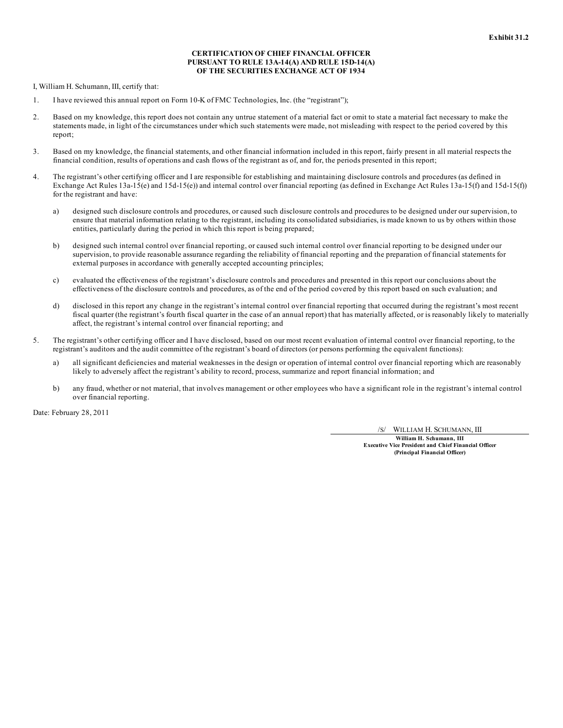### **CERTIFICATION OF CHIEF FINANCIAL OFFICER PURSUANT TO RULE 13A-14(A) AND RULE 15D-14(A) OF THE SECURITIES EXCHANGE ACT OF 1934**

I, William H. Schumann, III, certify that:

- 1. I have reviewed this annual report on Form 10-K of FMC Technologies, Inc. (the "registrant");
- 2. Based on my knowledge, this report does not contain any untrue statement of a material fact or omit to state a material fact necessary to make the statements made, in light of the circumstances under which such statements were made, not misleading with respect to the period covered by this report;
- 3. Based on my knowledge, the financial statements, and other financial information included in this report, fairly present in all material respects the financial condition, results of operations and cash flows of the registrant as of, and for, the periods presented in this report;
- 4. The registrant's other certifying officer and I are responsible for establishing and maintaining disclosure controls and procedures (as defined in Exchange Act Rules 13a-15(e) and 15d-15(e)) and internal control over financial reporting (as defined in Exchange Act Rules 13a-15(f) and 15d-15(f)) for the registrant and have:
	- a) designed such disclosure controls and procedures, or caused such disclosure controls and procedures to be designed under our supervision, to ensure that material information relating to the registrant, including its consolidated subsidiaries, is made known to us by others within those entities, particularly during the period in which this report is being prepared;
	- b) designed such internal control over financial reporting, or caused such internal control over financial reporting to be designed under our supervision, to provide reasonable assurance regarding the reliability of financial reporting and the preparation of financial statements for external purposes in accordance with generally accepted accounting principles;
	- c) evaluated the effectiveness of the registrant's disclosure controls and procedures and presented in this report our conclusions about the effectiveness of the disclosure controls and procedures, as of the end of the period covered by this report based on such evaluation; and
	- d) disclosed in this report any change in the registrant's internal control over financial reporting that occurred during the registrant's most recent fiscal quarter (the registrant's fourth fiscal quarter in the case of an annual report) that has materially affected, or is reasonably likely to materially affect, the registrant's internal control over financial reporting; and
- 5. The registrant's other certifying officer and I have disclosed, based on our most recent evaluation of internal control over financial reporting, to the registrant's auditors and the audit committee of the registrant's board of directors (or persons performing the equivalent functions):
	- a) all significant deficiencies and material weaknesses in the design or operation of internal control over financial reporting which are reasonably likely to adversely affect the registrant's ability to record, process, summarize and report financial information; and
	- b) any fraud, whether or not material, that involves management or other employees who have a significant role in the registrant's internal control over financial reporting.

Date: February 28, 2011

/S/ WILLIAM H. SCHUMANN, III

**William H. Schumann, III Executive Vice President and Chief Financial Officer (Principal Financial Officer)**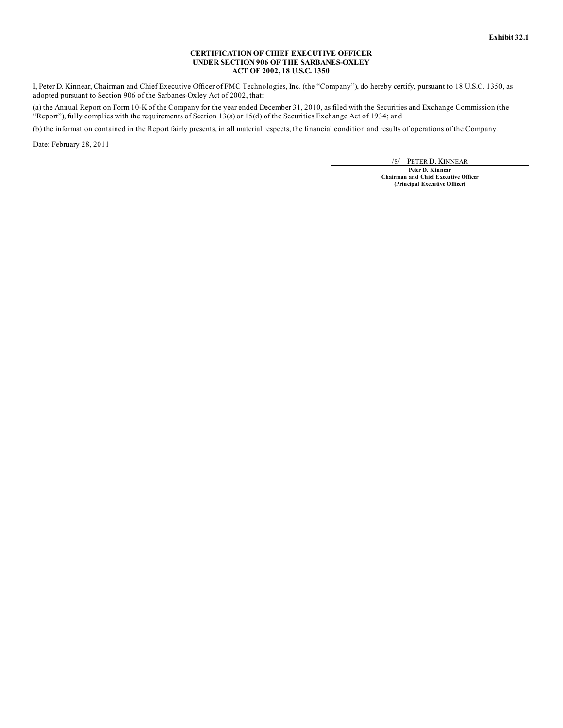### **CERTIFICATION OF CHIEF EXECUTIVE OFFICER UNDER SECTION 906 OF THE SARBANES-OXLEY ACT OF 2002, 18 U.S.C. 1350**

I, Peter D. Kinnear, Chairman and Chief Executive Officer of FMC Technologies, Inc. (the "Company"), do hereby certify, pursuant to 18 U.S.C. 1350, as adopted pursuant to Section 906 of the Sarbanes-Oxley Act of 2002, that:

(a) the Annual Report on Form 10-K of the Company for the year ended December 31, 2010, as filed with the Securities and Exchange Commission (the "Report"), fully complies with the requirements of Section 13(a) or 15(d) of the Securities Exchange Act of 1934; and

(b) the information contained in the Report fairly presents, in all material respects, the financial condition and results of operations of the Company.

Date: February 28, 2011

/S/ PETER D. KINNEAR

**Peter D. Kinnear Chairman and Chief Executive Officer (Principal Executive Officer)**